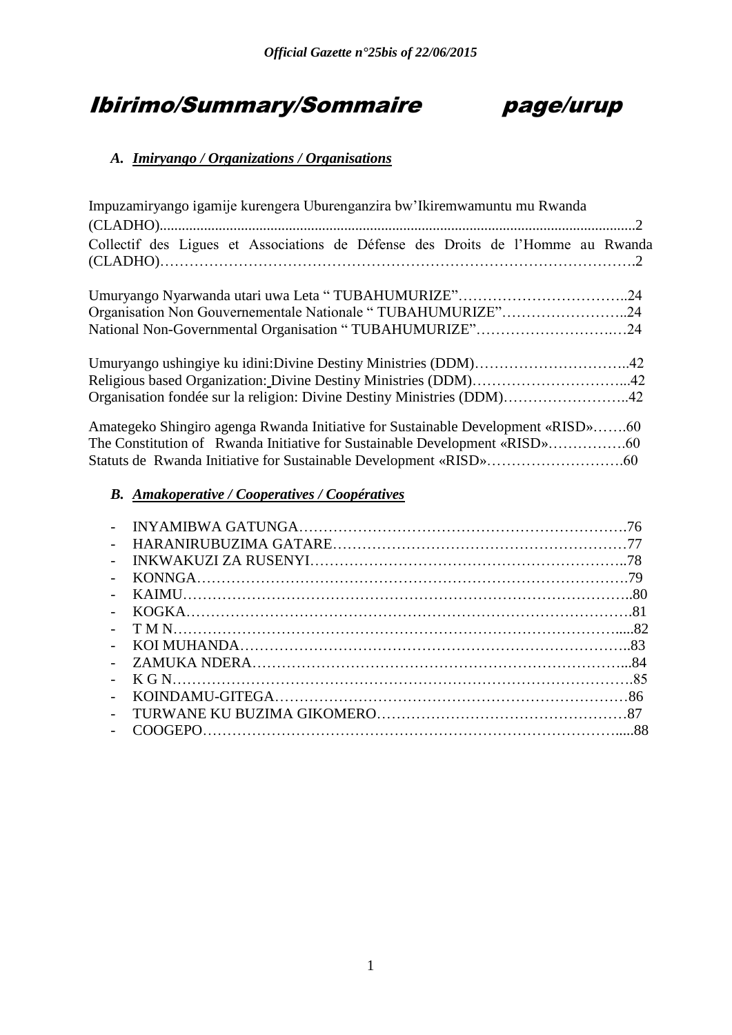# Ibirimo/Summary/Sommaire page/urup

## *A. Imiryango / Organizations / Organisations*

| Impuzamiryango igamije kurengera Uburenganzira bw'Ikiremwamuntu mu Rwanda        |  |
|----------------------------------------------------------------------------------|--|
|                                                                                  |  |
| Collectif des Ligues et Associations de Défense des Droits de l'Homme au Rwanda  |  |
|                                                                                  |  |
| Organisation Non Gouvernementale Nationale "TUBAHUMURIZE"24                      |  |
| National Non-Governmental Organisation "TUBAHUMURIZE"24                          |  |
| Religious based Organization: Divine Destiny Ministries (DDM)42                  |  |
| Organisation fondée sur la religion: Divine Destiny Ministries (DDM)42           |  |
| Amategeko Shingiro agenga Rwanda Initiative for Sustainable Development «RISD»60 |  |
| B. Amakoperative / Cooperatives / Coopératives                                   |  |

| $\mathbf{L}^{\mathcal{A}}$ |  |
|----------------------------|--|
|                            |  |
|                            |  |
|                            |  |
|                            |  |
|                            |  |
|                            |  |
|                            |  |
|                            |  |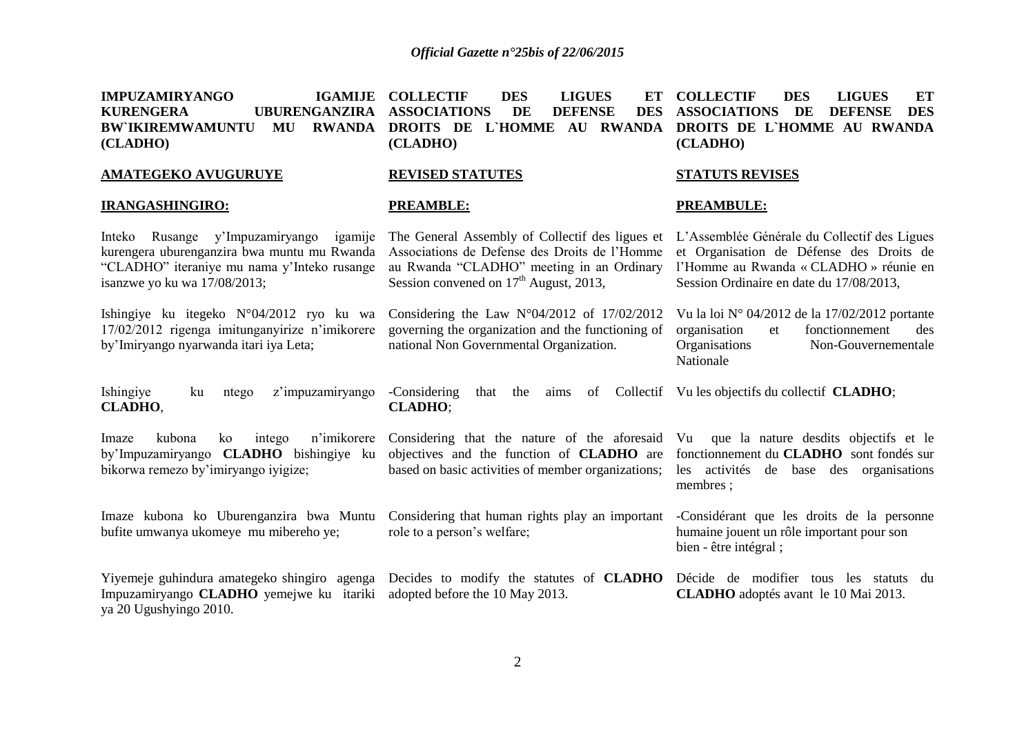| <b>IMPUZAMIRYANGO</b><br><b>IGAMIJE</b><br><b>KURENGERA</b><br><b>UBURENGANZIRA</b><br><b>BW IKIREMWAMUNTU</b><br>MU<br><b>RWANDA</b><br>(CLADHO)                        | <b>COLLECTIF</b><br><b>DES</b><br><b>LIGUES</b><br>ЕT<br><b>ASSOCIATIONS</b><br>DE<br><b>DEFENSE</b><br><b>DES</b><br>DROITS DE L'HOMME AU RWANDA<br>(CLADHO)                             | <b>COLLECTIF</b><br><b>DES</b><br><b>ET</b><br><b>LIGUES</b><br><b>ASSOCIATIONS</b><br>DE<br><b>DES</b><br><b>DEFENSE</b><br>DROITS DE L'HOMME AU RWANDA<br>(CLADHO)           |
|--------------------------------------------------------------------------------------------------------------------------------------------------------------------------|-------------------------------------------------------------------------------------------------------------------------------------------------------------------------------------------|--------------------------------------------------------------------------------------------------------------------------------------------------------------------------------|
| <b>AMATEGEKO AVUGURUYE</b>                                                                                                                                               | <b>REVISED STATUTES</b>                                                                                                                                                                   | <b>STATUTS REVISES</b>                                                                                                                                                         |
| <b>IRANGASHINGIRO:</b>                                                                                                                                                   | <b>PREAMBLE:</b>                                                                                                                                                                          | <b>PREAMBULE:</b>                                                                                                                                                              |
| Inteko Rusange y'Impuzamiryango<br>igamije<br>kurengera uburenganzira bwa muntu mu Rwanda<br>"CLADHO" iteraniye mu nama y'Inteko rusange<br>isanzwe yo ku wa 17/08/2013; | The General Assembly of Collectif des ligues et<br>Associations de Defense des Droits de l'Homme<br>au Rwanda "CLADHO" meeting in an Ordinary<br>Session convened on $17th$ August, 2013, | L'Assemblée Générale du Collectif des Ligues<br>et Organisation de Défense des Droits de<br>l'Homme au Rwanda « CLADHO » réunie en<br>Session Ordinaire en date du 17/08/2013, |
| Ishingiye ku itegeko N°04/2012 ryo ku wa<br>17/02/2012 rigenga imitunganyirize n'imikorere<br>by'Imiryango nyarwanda itari iya Leta;                                     | Considering the Law $N^{\circ}04/2012$ of 17/02/2012<br>governing the organization and the functioning of<br>national Non Governmental Organization.                                      | Vu la loi $N^{\circ}$ 04/2012 de la 17/02/2012 portante<br>fonctionnement<br>organisation<br>et<br>des<br>Organisations<br>Non-Gouvernementale<br>Nationale                    |
| Ishingiye<br>z'impuzamiryango<br>ku<br>ntego<br>CLADHO,                                                                                                                  | -Considering<br>the<br>that<br>aims<br>of<br><b>CLADHO;</b>                                                                                                                               | Collectif Vu les objectifs du collectif CLADHO;                                                                                                                                |
| n'imikorere<br>kubona<br>Imaze<br>ko<br>intego<br>by'Impuzamiryango CLADHO bishingiye ku<br>bikorwa remezo by'imiryango iyigize;                                         | Considering that the nature of the aforesaid Vu<br>objectives and the function of <b>CLADHO</b> are<br>based on basic activities of member organizations;                                 | que la nature desdits objectifs et le<br>fonctionnement du CLADHO sont fondés sur<br>activités de base des organisations<br>les<br>membres;                                    |
| Imaze kubona ko Uburenganzira bwa Muntu<br>bufite umwanya ukomeye mu mibereho ye;                                                                                        | Considering that human rights play an important<br>role to a person's welfare;                                                                                                            | -Considérant que les droits de la personne<br>humaine jouent un rôle important pour son<br>bien - être intégral;                                                               |
| Yiyemeje guhindura amategeko shingiro agenga<br>Impuzamiryango CLADHO yemejwe ku itariki<br>ya 20 Ugushyingo 2010.                                                       | Decides to modify the statutes of <b>CLADHO</b><br>adopted before the 10 May 2013.                                                                                                        | Décide de modifier tous les statuts du<br>CLADHO adoptés avant le 10 Mai 2013.                                                                                                 |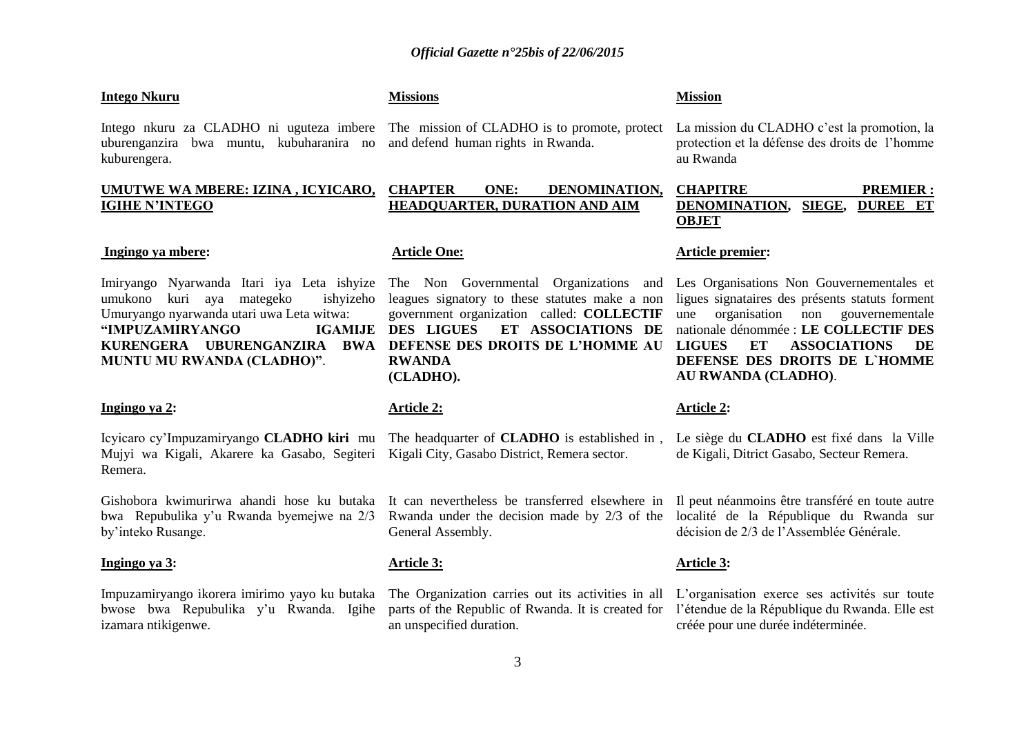#### **Intego Nkuru**

uburenganzira bwa muntu, kubuharanira no and defend human rights in Rwanda. kuburengera.

#### **UMUTWE WA MBERE: IZINA , ICYICARO, IGIHE N"INTEGO**

#### **Ingingo ya mbere:**

Imiryango Nyarwanda Itari iya Leta ishyize The Non Governmental Organizations and umukono kuri aya mategeko ishyizeho Umuryango nyarwanda utari uwa Leta witwa: **"IMPUZAMIRYANGO MUNTU MU RWANDA (CLADHO)"**.

#### **Ingingo ya 2:**

Icyicaro cy"Impuzamiryango **CLADHO kiri** mu The headquarter of **CLADHO** is established in , Mujyi wa Kigali, Akarere ka Gasabo, Segiteri Kigali City, Gasabo District, Remera sector. Remera.

Gishobora kwimurirwa ahandi hose ku butaka bwa Repubulika y"u Rwanda byemejwe na 2/3 by"inteko Rusange.

#### **Ingingo ya 3:**

Impuzamiryango ikorera imirimo yayo ku butaka bwose bwa Repubulika y"u Rwanda. Igihe izamara ntikigenwe.

**Missions**

### **CHAPTER ONE: DENOMINATION, HEADQUARTER, DURATION AND AIM**

#### **Article One:**

**Article 2:**

General Assembly.

an unspecified duration.

**Article 3:**

**KURENGERA UBURENGANZIRA BWA DEFENSE DES DROITS DE L"HOMME AU**  leagues signatory to these statutes make a non government organization called: **COLLECTIF IGAMIJE DES LIGUES ET ASSOCIATIONS DE RWANDA (CLADHO).** 

It can nevertheless be transferred elsewhere in

#### **Article 2:**

Le siège du **CLADHO** est fixé dans la Ville de Kigali, Ditrict Gasabo, Secteur Remera.

Rwanda under the decision made by 2/3 of the localité de la République du Rwanda sur Il peut néanmoins être transféré en toute autre décision de 2/3 de l"Assemblée Générale.

#### **Article 3:**

The Organization carries out its activities in all L'organisation exerce ses activités sur toute parts of the Republic of Rwanda. It is created for l"étendue de la République du Rwanda. Elle est créée pour une durée indéterminée.

3

#### **Mission**

Intego nkuru za CLADHO ni uguteza imbere The mission of CLADHO is to promote, protect Lamission du CLADHO c'est la promotion, la protection et la défense des droits de l"homme au Rwanda

### **CHAPITRE PREMIER : DENOMINATION, SIEGE, DUREE ET OBJET**

#### **Article premier:**

Les Organisations Non Gouvernementales et ligues signataires des présents statuts forment une organisation non gouvernementale nationale dénommée : **LE COLLECTIF DES LIGUES ET ASSOCIATIONS DE DEFENSE DES DROITS DE L`HOMME AU RWANDA (CLADHO)**.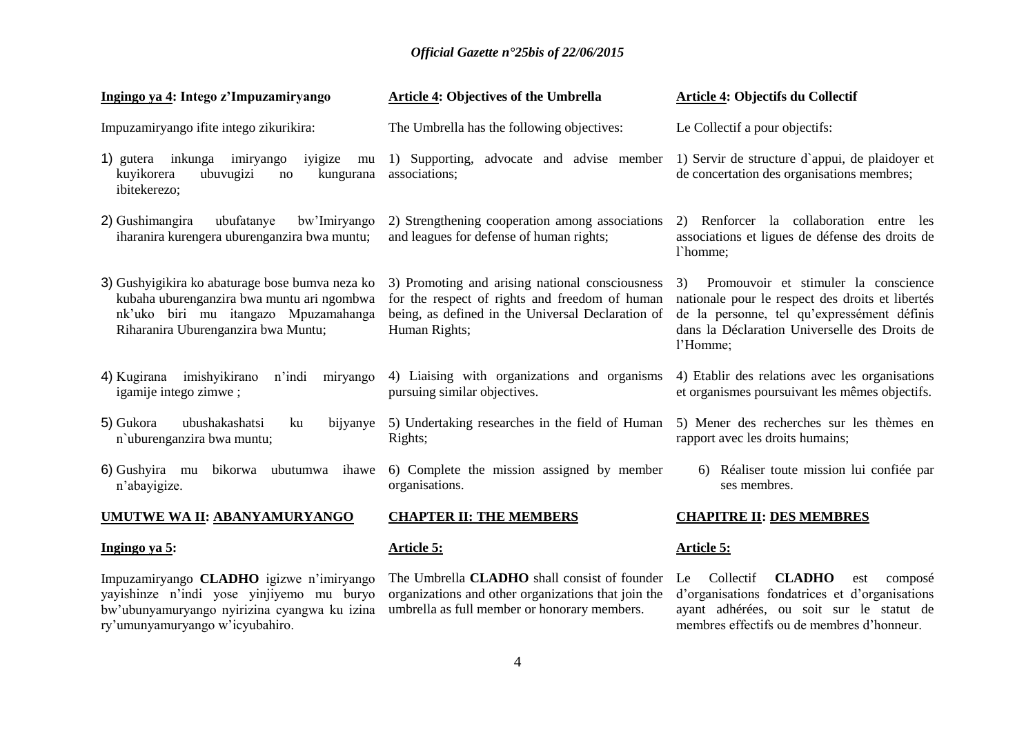| Ingingo ya 4: Intego z'Impuzamiryango                                                                                                                                        | <b>Article 4: Objectives of the Umbrella</b>                                                                                                                            | Article 4: Objectifs du Collectif                                                                                                                                                                          |
|------------------------------------------------------------------------------------------------------------------------------------------------------------------------------|-------------------------------------------------------------------------------------------------------------------------------------------------------------------------|------------------------------------------------------------------------------------------------------------------------------------------------------------------------------------------------------------|
| Impuzamiryango ifite intego zikurikira:                                                                                                                                      | The Umbrella has the following objectives:                                                                                                                              | Le Collectif a pour objectifs:                                                                                                                                                                             |
| 1) gutera inkunga<br>imiryango<br>iyigize<br>mu<br>kuyikorera<br>ubuvugizi<br>kungurana<br>no<br>ibitekerezo;                                                                | 1) Supporting, advocate and advise member<br>associations;                                                                                                              | 1) Servir de structure d'appui, de plaidoyer et<br>de concertation des organisations membres;                                                                                                              |
| 2) Gushimangira<br>ubufatanye<br>bw'Imiryango<br>iharanira kurengera uburenganzira bwa muntu;                                                                                | 2) Strengthening cooperation among associations<br>and leagues for defense of human rights;                                                                             | 2) Renforcer la collaboration entre les<br>associations et ligues de défense des droits de<br>l'homme;                                                                                                     |
| 3) Gushyigikira ko abaturage bose bumva neza ko<br>kubaha uburenganzira bwa muntu ari ngombwa<br>nk'uko biri mu itangazo Mpuzamahanga<br>Riharanira Uburenganzira bwa Muntu; | 3) Promoting and arising national consciousness<br>for the respect of rights and freedom of human<br>being, as defined in the Universal Declaration of<br>Human Rights; | Promouvoir et stimuler la conscience<br>3)<br>nationale pour le respect des droits et libertés<br>de la personne, tel qu'expressément définis<br>dans la Déclaration Universelle des Droits de<br>l'Homme; |
| 4) Kugirana imishyikirano<br>n'indi<br>miryango<br>igamije intego zimwe;                                                                                                     | 4) Liaising with organizations and organisms<br>pursuing similar objectives.                                                                                            | 4) Etablir des relations avec les organisations<br>et organismes poursuivant les mêmes objectifs.                                                                                                          |
| 5) Gukora<br>ubushakashatsi<br>ku<br>bijyanye<br>n'uburenganzira bwa muntu;                                                                                                  | 5) Undertaking researches in the field of Human<br>Rights;                                                                                                              | 5) Mener des recherches sur les thèmes en<br>rapport avec les droits humains;                                                                                                                              |
| 6) Gushyira mu bikorwa ubutumwa<br>ihawe<br>n'abayigize.                                                                                                                     | 6) Complete the mission assigned by member<br>organisations.                                                                                                            | 6) Réaliser toute mission lui confiée par<br>ses membres.                                                                                                                                                  |
| <b>UMUTWE WA II: ABANYAMURYANGO</b>                                                                                                                                          | <b>CHAPTER II: THE MEMBERS</b>                                                                                                                                          | <b>CHAPITRE II: DES MEMBRES</b>                                                                                                                                                                            |
| Ingingo ya 5:                                                                                                                                                                | Article 5:                                                                                                                                                              | <b>Article 5:</b>                                                                                                                                                                                          |
| Impuzamiryango CLADHO igizwe n'imiryango                                                                                                                                     | The Umbrella <b>CLADHO</b> shall consist of founder Le                                                                                                                  | <b>CLADHO</b><br>Collectif<br>composé<br>est                                                                                                                                                               |

yayishinze n"indi yose yinjiyemo mu buryo bw"ubunyamuryango nyirizina cyangwa ku izina ry"umunyamuryango w"icyubahiro.

The Umbrella **CLADHO** shall consist of founder organizations and other organizations that join the umbrella as full member or honorary members.

### Le Collectif **CLADHO** est composé d"organisations fondatrices et d"organisations ayant adhérées, ou soit sur le statut de membres effectifs ou de membres d"honneur.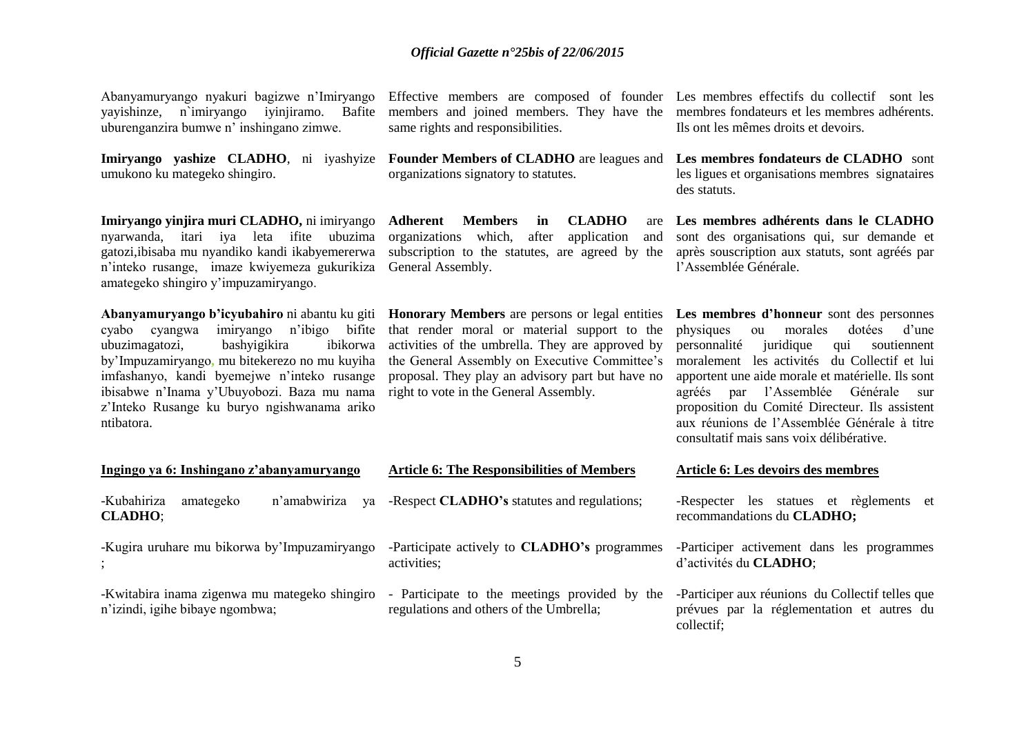Abanyamuryango nyakuri bagizwe n"Imiryango yayishinze, n`imiryango iyinjiramo. Bafite uburenganzira bumwe n" inshingano zimwe.

umukono ku mategeko shingiro.

**Imiryango yinjira muri CLADHO,** ni imiryango nyarwanda, itari iya leta ifite ubuzima gatozi,ibisaba mu nyandiko kandi ikabyemererwa n"inteko rusange, imaze kwiyemeza gukurikiza General Assembly. amategeko shingiro y"impuzamiryango.

cyabo cyangwa imiryango n"ibigo bifite ubuzimagatozi, bashyigikira ibikorwa by"Impuzamiryango**,** mu bitekerezo no mu kuyiha imfashanyo, kandi byemejwe n"inteko rusange ibisabwe n"Inama y"Ubuyobozi. Baza mu nama right to vote in the General Assembly. z"Inteko Rusange ku buryo ngishwanama ariko ntibatora.

Effective members are composed of founder Les membres effectifs du collectif sont les members and joined members. They have the membres fondateurs et les membres adhérents. same rights and responsibilities.

**Imiryango yashize CLADHO**, ni iyashyize **Founder Members of CLADHO** are leagues and **Les membres fondateurs de CLADHO** sont organizations signatory to statutes.

> **Adherent Members in CLADHO** are organizations which, after application and subscription to the statutes, are agreed by the

**Abanyamuryango b"icyubahiro** ni abantu ku giti **Honorary Members** are persons or legal entities that render moral or material support to the activities of the umbrella. They are approved by the General Assembly on Executive Committee's proposal. They play an advisory part but have no

Ils ont les mêmes droits et devoirs.

les ligues et organisations membres signataires des statuts.

**Les membres adhérents dans le CLADHO** sont des organisations qui, sur demande et après souscription aux statuts, sont agréés par l"Assemblée Générale.

**Les membres d"honneur** sont des personnes physiques ou morales dotées d"une personnalité juridique qui soutiennent moralement les activités du Collectif et lui apportent une aide morale et matérielle. Ils sont agréés par l"Assemblée Générale sur proposition du Comité Directeur. Ils assistent aux réunions de l"Assemblée Générale à titre consultatif mais sans voix délibérative.

| Ingingo ya 6: Inshingano z'abanyamuryango                                        | <b>Article 6: The Responsibilities of Members</b>                                        | Article 6: Les devoirs des membres                                                                           |  |
|----------------------------------------------------------------------------------|------------------------------------------------------------------------------------------|--------------------------------------------------------------------------------------------------------------|--|
| -Kubahiriza<br>amategeko<br>n'amabwiriza<br>va<br><b>CLADHO</b> ;                | -Respect CLADHO's statutes and regulations;                                              | -Respecter les statues et règlements et<br>recommandations du CLADHO;                                        |  |
| -Kugira uruhare mu bikorwa by'Impuzamiryango                                     | -Participate actively to <b>CLADHO</b> 's programmes<br>activities:                      | -Participer activement dans les programmes<br>d'activités du CLADHO;                                         |  |
| -Kwitabira inama zigenwa mu mategeko shingiro<br>n'izindi, igihe bibaye ngombwa; | - Participate to the meetings provided by the<br>regulations and others of the Umbrella; | -Participer aux réunions du Collectif telles que<br>prévues par la réglementation et autres du<br>collectif: |  |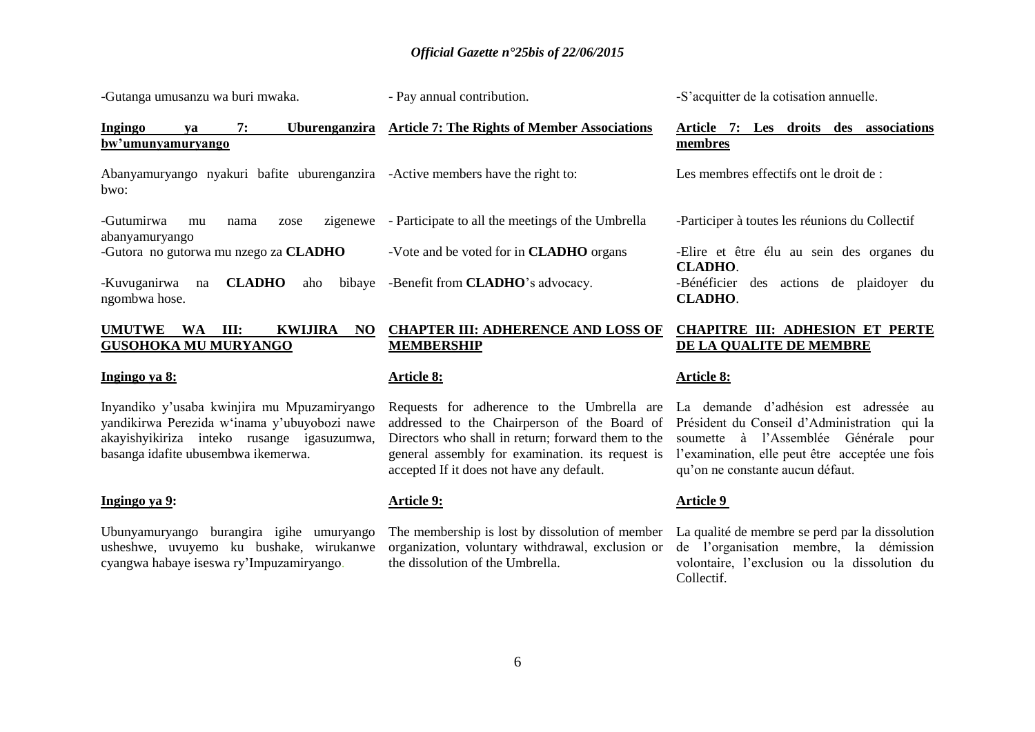-Gutanga umusanzu wa buri mwaka. **Ingingo ya 7: Uburenganzira bw"umunyamuryango**  Abanyamuryango nyakuri bafite uburenganzira -Active members have the right to: bwo: -Gutumirwa mu nama zose abanyamuryango -Gutora no gutorwa mu nzego za **CLADHO** -Kuvuganirwa na **CLADHO** aho ngombwa hose. - Pay annual contribution. **Article 7: The Rights of Member Associations** - Participate to all the meetings of the Umbrella -Vote and be voted for in **CLADHO** organs bibaye -Benefit from **CLADHO**'s advocacy. **membres CLADHO**. **CLADHO**.

#### **UMUTWE WA III: KWIJIRA NO GUSOHOKA MU MURYANGO**

#### **Ingingo ya 8:**

Inyandiko y"usaba kwinjira mu Mpuzamiryango yandikirwa Perezida w"inama y"ubuyobozi nawe akayishyikiriza inteko rusange igasuzumwa, basanga idafite ubusembwa ikemerwa.

#### **Ingingo ya 9:**

Ubunyamuryango burangira igihe umuryango usheshwe, uvuyemo ku bushake, wirukanwe cyangwa habaye iseswa ry"Impuzamiryango.

### **CHAPTER III: ADHERENCE AND LOSS OF MEMBERSHIP**

#### **Article 8:**

Requests for adherence to the Umbrella are addressed to the Chairperson of the Board of Directors who shall in return; forward them to the general assembly for examination. its request is accepted If it does not have any default.

### **Article 9:**

The membership is lost by dissolution of member organization, voluntary withdrawal, exclusion or the dissolution of the Umbrella.

#### **Article 8:**

La demande d"adhésion est adressée au Président du Conseil d"Administration qui la soumette à l"Assemblée Générale pour l'examination, elle peut être acceptée une fois qu"on ne constante aucun défaut.

#### **Article 9**

La qualité de membre se perd par la dissolution de l"organisation membre, la démission volontaire, l"exclusion ou la dissolution du Collectif.

-S"acquitter de la cotisation annuelle.

# **Article 7: Les droits des associations**

Les membres effectifs ont le droit de :

-Participer à toutes les réunions du Collectif

-Elire et être élu au sein des organes du -Bénéficier des actions de plaidoyer du

**CHAPITRE III: ADHESION ET PERTE** 

**DE LA QUALITE DE MEMBRE**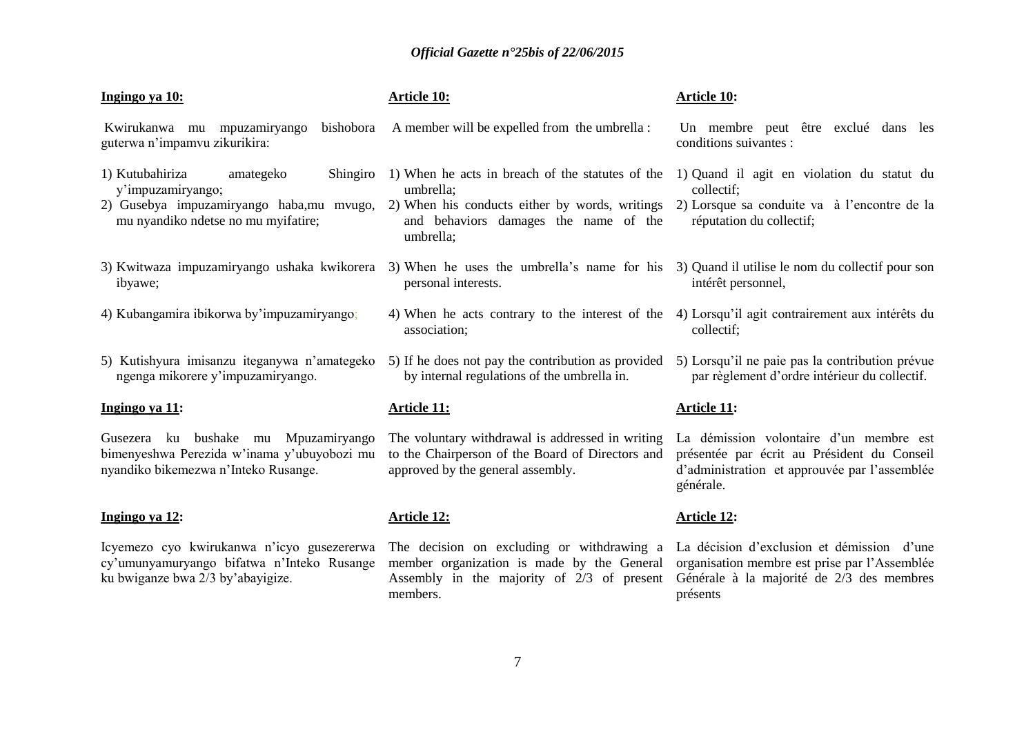| Ingingo ya 10:                                                                                                                                   | <b>Article 10:</b>                                                                                                                                                    | Article 10:                                                                                                                                          |
|--------------------------------------------------------------------------------------------------------------------------------------------------|-----------------------------------------------------------------------------------------------------------------------------------------------------------------------|------------------------------------------------------------------------------------------------------------------------------------------------------|
| Kwirukanwa mu mpuzamiryango<br>bishobora<br>guterwa n'impamvu zikurikira:                                                                        | A member will be expelled from the umbrella :                                                                                                                         | Un membre peut être exclué dans les<br>conditions suivantes :                                                                                        |
| 1) Kutubahiriza<br>Shingiro<br>amategeko<br>y'impuzamiryango;<br>2) Gusebya impuzamiryango haba,mu mvugo,<br>mu nyandiko ndetse no mu myifatire; | 1) When he acts in breach of the statutes of the<br>umbrella;<br>2) When his conducts either by words, writings<br>and behaviors damages the name of the<br>umbrella; | 1) Quand il agit en violation du statut du<br>collectif;<br>2) Lorsque sa conduite va à l'encontre de la<br>réputation du collectif;                 |
| 3) Kwitwaza impuzamiryango ushaka kwikorera<br>ibyawe;                                                                                           | 3) When he uses the umbrella's name for his<br>personal interests.                                                                                                    | 3) Quand il utilise le nom du collectif pour son<br>intérêt personnel,                                                                               |
| 4) Kubangamira ibikorwa by'impuzamiryango;                                                                                                       | 4) When he acts contrary to the interest of the<br>association;                                                                                                       | 4) Lorsqu'il agit contrairement aux intérêts du<br>collectif;                                                                                        |
| 5) Kutishyura imisanzu iteganywa n'amategeko<br>ngenga mikorere y'impuzamiryango.                                                                | 5) If he does not pay the contribution as provided<br>by internal regulations of the umbrella in.                                                                     | 5) Lorsqu'il ne paie pas la contribution prévue<br>par règlement d'ordre intérieur du collectif.                                                     |
| Ingingo ya 11:                                                                                                                                   | <b>Article 11:</b>                                                                                                                                                    | <b>Article 11:</b>                                                                                                                                   |
| Gusezera ku bushake mu Mpuzamiryango<br>bimenyeshwa Perezida w'inama y'ubuyobozi mu<br>nyandiko bikemezwa n'Inteko Rusange.                      | The voluntary withdrawal is addressed in writing<br>to the Chairperson of the Board of Directors and<br>approved by the general assembly.                             | La démission volontaire d'un membre est<br>présentée par écrit au Président du Conseil<br>d'administration et approuvée par l'assemblée<br>générale. |
| Ingingo ya 12:                                                                                                                                   | <b>Article 12:</b>                                                                                                                                                    | <b>Article 12:</b>                                                                                                                                   |
| Icyemezo cyo kwirukanwa n'icyo gusezererwa<br>cy'umunyamuryango bifatwa n'Inteko Rusange<br>ku bwiganze bwa 2/3 by'abayigize.                    | The decision on excluding or withdrawing a<br>member organization is made by the General<br>Assembly in the majority of $2/3$ of present                              | La décision d'exclusion et démission d'une<br>organisation membre est prise par l'Assemblée<br>Générale à la majorité de 2/3 des membres             |

présents

members.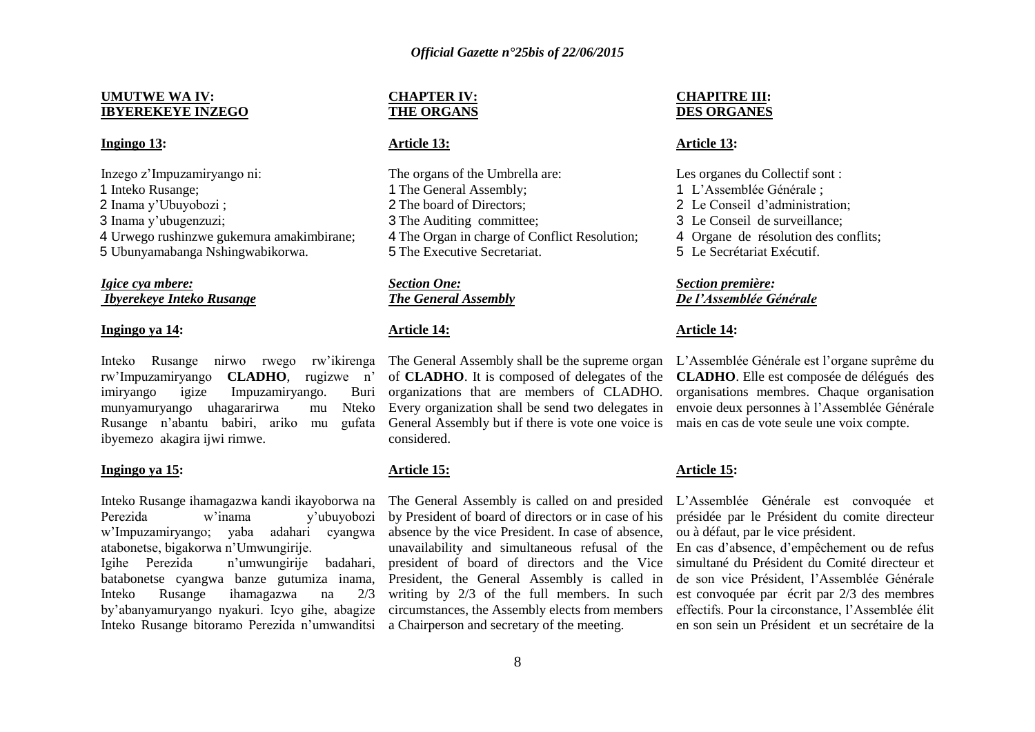#### **UMUTWE WA IV: IBYEREKEYE INZEGO**

#### **Ingingo 13:**

Inzego z"Impuzamiryango ni: Inteko Rusange; Inama y"Ubuyobozi ; Inama y"ubugenzuzi; Urwego rushinzwe gukemura amakimbirane; Ubunyamabanga Nshingwabikorwa.

### *Igice cya mbere: Ibyerekeye Inteko Rusange*

#### **Ingingo ya 14:**

Inteko Rusange nirwo rwego rw"ikirenga rw"Impuzamiryango **CLADHO**, rugizwe n" imiryango igize Impuzamiryango. Buri munyamuryango uhagararirwa mu Nteko Rusange n"abantu babiri, ariko mu gufata ibyemezo akagira ijwi rimwe.

#### **Ingingo ya 15:**

Inteko Rusange ihamagazwa kandi ikayoborwa na Perezida w'inama v'ubuyobozi w"Impuzamiryango; yaba adahari cyangwa atabonetse, bigakorwa n"Umwungirije.

Igihe Perezida n"umwungirije badahari, batabonetse cyangwa banze gutumiza inama, Inteko Rusange ihamagazwa na 2/3 by"abanyamuryango nyakuri. Icyo gihe, abagize Inteko Rusange bitoramo Perezida n"umwanditsi a Chairperson and secretary of the meeting.

### **CHAPTER IV: THE ORGANS**

### **Article 13:**

The organs of the Umbrella are: The General Assembly; The board of Directors; The Auditing committee; The Organ in charge of Conflict Resolution; The Executive Secretariat.

*Section One: The General Assembly*

#### **Article 14:**

The General Assembly shall be the supreme organ of **CLADHO**. It is composed of delegates of the organizations that are members of CLADHO. Every organization shall be send two delegates in General Assembly but if there is vote one voice is considered.

### **Article 15:**

The General Assembly is called on and presided by President of board of directors or in case of his absence by the vice President. In case of absence, unavailability and simultaneous refusal of the president of board of directors and the Vice President, the General Assembly is called in writing by 2/3 of the full members. In such circumstances, the Assembly elects from members

#### **CHAPITRE III: DES ORGANES**

#### **Article 13:**

Les organes du Collectif sont : L"Assemblée Générale ; Le Conseil d"administration; Le Conseil de surveillance; Organe de résolution des conflits; Le Secrétariat Exécutif.

### *Section première: De l'Assemblée Générale*

#### **Article 14:**

L"Assemblée Générale est l"organe suprême du **CLADHO**. Elle est composée de délégués des organisations membres. Chaque organisation envoie deux personnes à l"Assemblée Générale mais en cas de vote seule une voix compte.

#### **Article 15:**

L"Assemblée Générale est convoquée et présidée par le Président du comite directeur ou à défaut, par le vice président.

En cas d"absence, d"empêchement ou de refus simultané du Président du Comité directeur et de son vice Président, l"Assemblée Générale est convoquée par écrit par 2/3 des membres effectifs. Pour la circonstance, l"Assemblée élit en son sein un Président et un secrétaire de la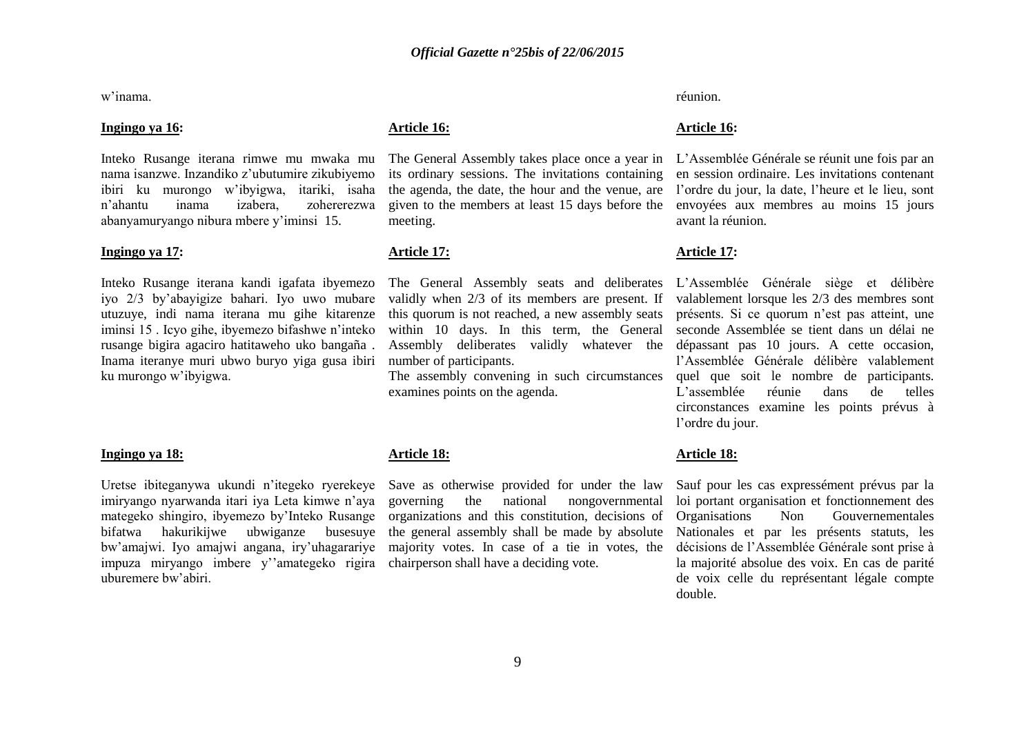w"inama.

#### **Ingingo ya 16:**

Inteko Rusange iterana rimwe mu mwaka mu nama isanzwe. Inzandiko z"ubutumire zikubiyemo ibiri ku murongo w"ibyigwa, itariki, isaha n"ahantu inama izabera, zohererezwa abanyamuryango nibura mbere y"iminsi 15.

#### **Ingingo ya 17:**

Inteko Rusange iterana kandi igafata ibyemezo iyo 2/3 by"abayigize bahari. Iyo uwo mubare utuzuye, indi nama iterana mu gihe kitarenze iminsi 15 . Icyo gihe, ibyemezo bifashwe n"inteko rusange bigira agaciro hatitaweho uko bangaña . Inama iteranye muri ubwo buryo yiga gusa ibiri ku murongo w"ibyigwa.

#### **Ingingo ya 18:**

Uretse ibiteganywa ukundi n"itegeko ryerekeye imiryango nyarwanda itari iya Leta kimwe n"aya mategeko shingiro, ibyemezo by"Inteko Rusange bifatwa hakurikijwe ubwiganze busesuye bw"amajwi. Iyo amajwi angana, iry"uhagarariye impuza miryango imbere y""amategeko rigira chairperson shall have a deciding vote. uburemere bw"abiri.

#### **Article 16:**

The General Assembly takes place once a year in its ordinary sessions. The invitations containing the agenda, the date, the hour and the venue, are given to the members at least 15 days before the meeting.

#### **Article 17:**

validly when 2/3 of its members are present. If this quorum is not reached, a new assembly seats within 10 days. In this term, the General Assembly deliberates validly whatever the number of participants.

The assembly convening in such circumstances examines points on the agenda.

### **Article 18:**

Save as otherwise provided for under the law governing the national nongovernmental organizations and this constitution, decisions of the general assembly shall be made by absolute majority votes. In case of a tie in votes, the réunion.

#### **Article 16:**

L"Assemblée Générale se réunit une fois par an en session ordinaire. Les invitations contenant l"ordre du jour, la date, l"heure et le lieu, sont envoyées aux membres au moins 15 jours avant la réunion.

#### **Article 17:**

The General Assembly seats and deliberates L"Assemblée Générale siège et délibère valablement lorsque les 2/3 des membres sont présents. Si ce quorum n"est pas atteint, une seconde Assemblée se tient dans un délai ne dépassant pas 10 jours. A cette occasion, l"Assemblée Générale délibère valablement quel que soit le nombre de participants. L'assemblée réunie dans de telles circonstances examine les points prévus à l"ordre du jour.

#### **Article 18:**

Sauf pour les cas expressément prévus par la loi portant organisation et fonctionnement des Organisations Non Gouvernementales Nationales et par les présents statuts, les décisions de l"Assemblée Générale sont prise à la majorité absolue des voix. En cas de parité de voix celle du représentant légale compte double.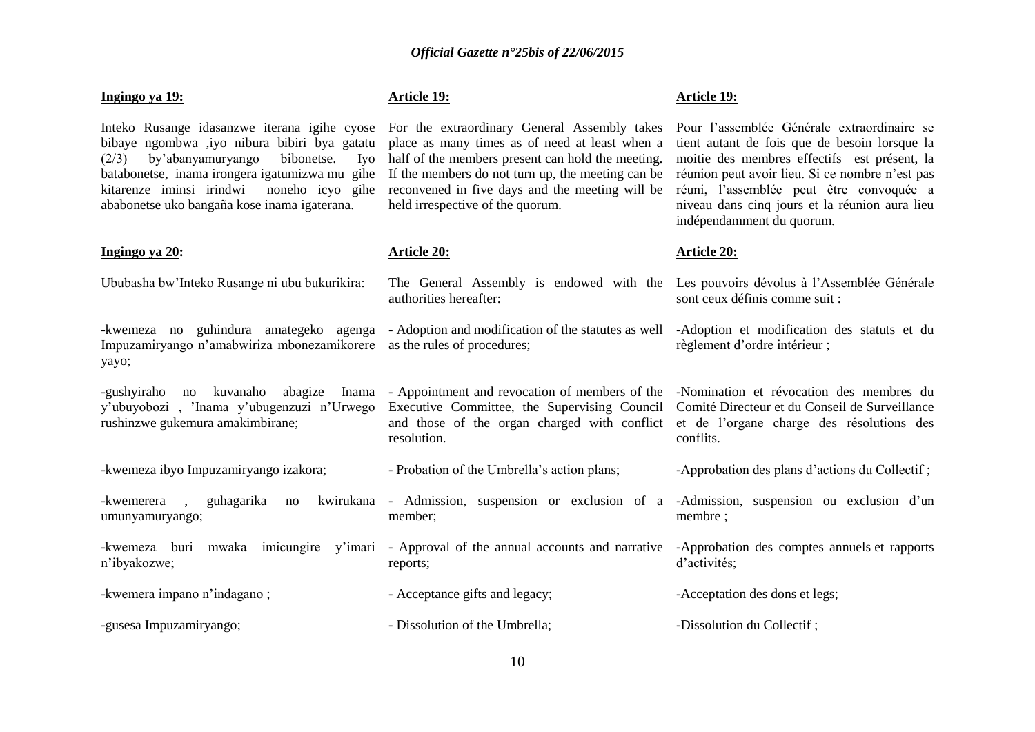#### **Ingingo ya 19:**

Inteko Rusange idasanzwe iterana igihe cyose bibaye ngombwa ,iyo nibura bibiri bya gatatu (2/3) by"abanyamuryango bibonetse. Iyo batabonetse, inama irongera igatumizwa mu gihe kitarenze iminsi irindwi noneho icyo gihe ababonetse uko bangaña kose inama igaterana.

Ububasha bw"Inteko Rusange ni ubu bukurikira:

-kwemeza no guhindura amategeko agenga

y"ubuyobozi , "Inama y"ubugenzuzi n"Urwego

rushinzwe gukemura amakimbirane;

-kwemerera , guhagarika no

umunyamuryango;

-kwemeza ibyo Impuzamiryango izakora;

Impuzamiryango n"amabwiriza mbonezamikorere as the rules of procedures;

#### **Ingingo ya 20:**

yayo;

### **Article 19:**

For the extraordinary General Assembly takes place as many times as of need at least when a half of the members present can hold the meeting. If the members do not turn up, the meeting can be reconvened in five days and the meeting will be held irrespective of the quorum.

#### **Article 20:**

resolution.

member;

authorities hereafter:

**Article 19:**

Pour l"assemblée Générale extraordinaire se tient autant de fois que de besoin lorsque la moitie des membres effectifs est présent, la réunion peut avoir lieu. Si ce nombre n"est pas réuni, l"assemblée peut être convoquée a niveau dans cinq jours et la réunion aura lieu indépendamment du quorum.

#### **Article 20:**

The General Assembly is endowed with the Les pouvoirs dévolus à l"Assemblée Générale sont ceux définis comme suit :

- Adoption and modification of the statutes as well -Adoption et modification des statuts et du règlement d"ordre intérieur ;

-gushyiraho no kuvanaho abagize Inama - Appointment and revocation of members of the -Nomination et révocation des membres du Executive Committee, the Supervising Council Comité Directeur et du Conseil de Surveillance and those of the organ charged with conflict et de l"organe charge des résolutions des conflits.

-Approbation des plans d"actions du Collectif ;

kwirukana - Admission, suspension or exclusion of a -Admission, suspension ou exclusion d"un membre ;

-kwemeza buri mwaka imicungire y"imari n"ibyakozwe; -kwemera impano n"indagano ; - Approval of the annual accounts and narrative -Approbation des comptes annuels et rapports reports; - Acceptance gifts and legacy; d"activités; -Acceptation des dons et legs;

- Probation of the Umbrella"s action plans;

-gusesa Impuzamiryango; - Dissolution of the Umbrella; -Dissolution du Collectif ;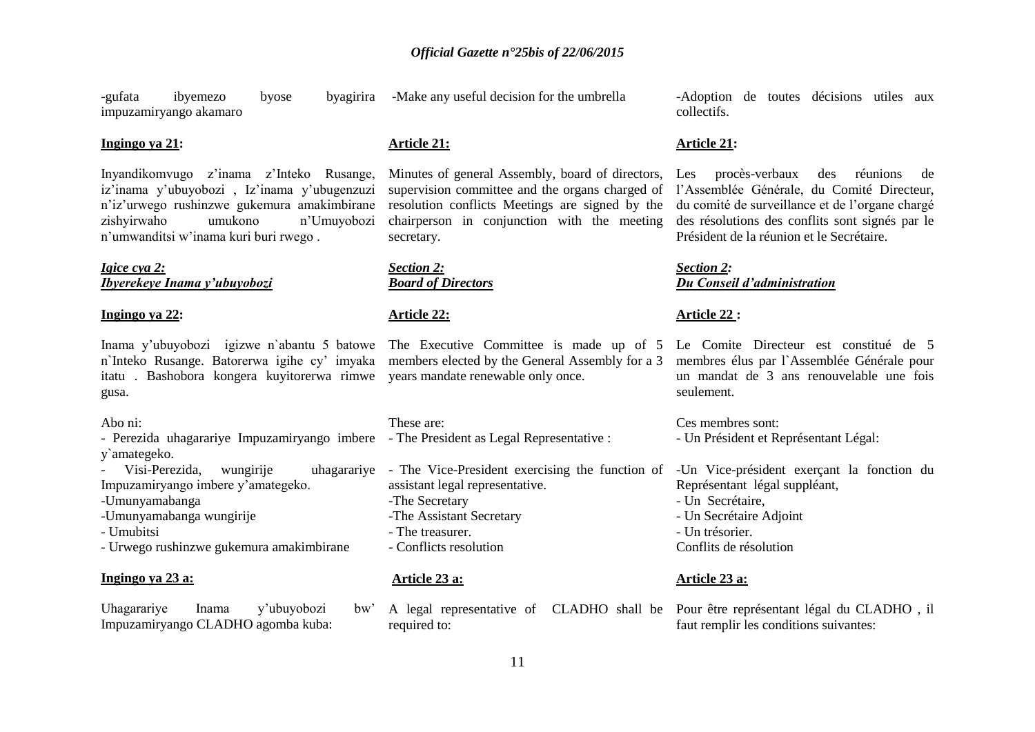-gufata ibyemezo byose byagirira impuzamiryango akamaro

-Make any useful decision for the umbrella

#### **Ingingo ya 21:**

Inyandikomvugo z"inama z"Inteko Rusange, iz"inama y"ubuyobozi , Iz"inama y"ubugenzuzi n"iz"urwego rushinzwe gukemura amakimbirane zishyirwaho umukono n"Umuyobozi n"umwanditsi w"inama kuri buri rwego .

### *Igice cya 2: Ibyerekeye Inama y'ubuyobozi*

#### **Ingingo ya 22:**

Inama y"ubuyobozi igizwe n`abantu 5 batowe n`Inteko Rusange. Batorerwa igihe cy" imyaka itatu . Bashobora kongera kuyitorerwa rimwe years mandate renewable only once. gusa.

#### Abo ni:

- Perezida uhagarariye Impuzamiryango imbere The President as Legal Representative : y`amategeko.
- Visi-Perezida, wungirije Impuzamiryango imbere y"amategeko.
- -Umunyamabanga

- -Umunyamabanga wungirije
- Umubitsi
- Urwego rushinzwe gukemura amakimbirane

#### **Ingingo ya 23 a:**

Uhagarariye Inama y'ubuyobozi bw' Impuzamiryango CLADHO agomba kuba:

#### **Article 21:**

Minutes of general Assembly, board of directors, supervision committee and the organs charged of resolution conflicts Meetings are signed by the chairperson in conjunction with the meeting secretary.

*Section 2: Board of Directors*

#### **Article 22:**

The Executive Committee is made up of 5 members elected by the General Assembly for a 3

These are:

- uhagararive The Vice-President exercising the function of assistant legal representative. -The Secretary -The Assistant Secretary - The treasurer.
	- Conflicts resolution

### **Article 23 a:**

A legal representative of CLADHO shall be Pour être représentant légal du CLADHO , il required to:

-Adoption de toutes décisions utiles aux collectifs.

#### **Article 21:**

Les procès-verbaux des réunions de l"Assemblée Générale, du Comité Directeur, du comité de surveillance et de l"organe chargé des résolutions des conflits sont signés par le Président de la réunion et le Secrétaire.

#### *Section 2: Du Conseil d'administration*

#### **Article 22 :**

Le Comite Directeur est constitué de 5 membres élus par l`Assemblée Générale pour un mandat de 3 ans renouvelable une fois seulement.

Ces membres sont: - Un Président et Représentant Légal:

-Un Vice-président exerçant la fonction du Représentant légal suppléant, - Un Secrétaire, - Un Secrétaire Adjoint - Un trésorier.

#### Conflits de résolution

#### **Article 23 a:**

faut remplir les conditions suivantes: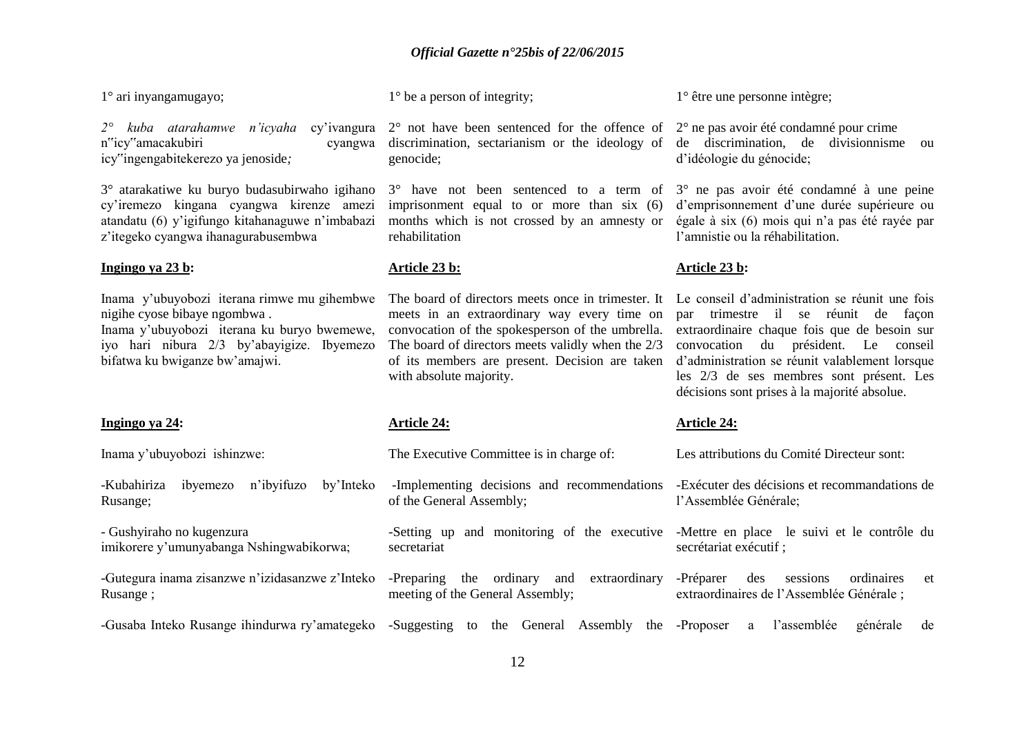1° ari inyangamugayo;

n"icy"amacakubiri cyangwa icy"ingengabitekerezo ya jenoside*;*

3° atarakatiwe ku buryo budasubirwaho igihano cy"iremezo kingana cyangwa kirenze amezi atandatu (6) y"igifungo kitahanaguwe n"imbabazi z"itegeko cyangwa ihanagurabusembwa

#### **Ingingo ya 23 b:**

Inama y"ubuyobozi iterana rimwe mu gihembwe nigihe cyose bibaye ngombwa .

Inama y"ubuyobozi iterana ku buryo bwemewe, iyo hari nibura 2/3 by"abayigize. Ibyemezo bifatwa ku bwiganze bw"amajwi.

#### **Ingingo ya 24:**

Inama y"ubuyobozi ishinzwe:

-Kubahiriza ibyemezo n"ibyifuzo by"Inteko Rusange;

- Gushyiraho no kugenzura imikorere y"umunyabanga Nshingwabikorwa;

-Gutegura inama zisanzwe n"izidasanzwe z"Inteko Rusange ;

1° be a person of integrity;

2<sup>°</sup> kuba atarahamwe n'icyaha cy'ivangura 2<sup>°</sup> not have been sentenced for the offence of 2<sup>°</sup> ne pas avoir été condamné pour crime discrimination, sectarianism or the ideology of de discrimination, de divisionnisme ou genocide;

> imprisonment equal to or more than six (6) d'emprisonnement d'une durée supérieure ou months which is not crossed by an amnesty or égale à six (6) mois qui n'a pas été rayée par rehabilitation

#### **Article 23 b:**

The board of directors meets once in trimester. It meets in an extraordinary way every time on convocation of the spokesperson of the umbrella. The board of directors meets validly when the 2/3 of its members are present. Decision are taken with absolute majority.

#### **Article 24:**

The Executive Committee is in charge of:

1° être une personne intègre;

d"idéologie du génocide;

3° have not been sentenced to a term of 3° ne pas avoir été condamné à une peine l"amnistie ou la réhabilitation.

#### **Article 23 b:**

Le conseil d"administration se réunit une fois par trimestre il se réunit de façon extraordinaire chaque fois que de besoin sur convocation du président. Le conseil d"administration se réunit valablement lorsque les 2/3 de ses membres sont présent. Les décisions sont prises à la majorité absolue.

#### **Article 24:**

-Gusaba Inteko Rusange ihindurwa ry"amategeko -Suggesting to the General Assembly the -Proposer a l"assemblée générale de -Implementing decisions and recommendations -Exécuter des décisions et recommandations de of the General Assembly; -Setting up and monitoring of the executive -Mettre en place le suivi et le contrôle du secretariat -Preparing the ordinary and extraordinary -Préparer des sessions ordinaires et meeting of the General Assembly; Les attributions du Comité Directeur sont: l"Assemblée Générale; secrétariat exécutif ; extraordinaires de l"Assemblée Générale ;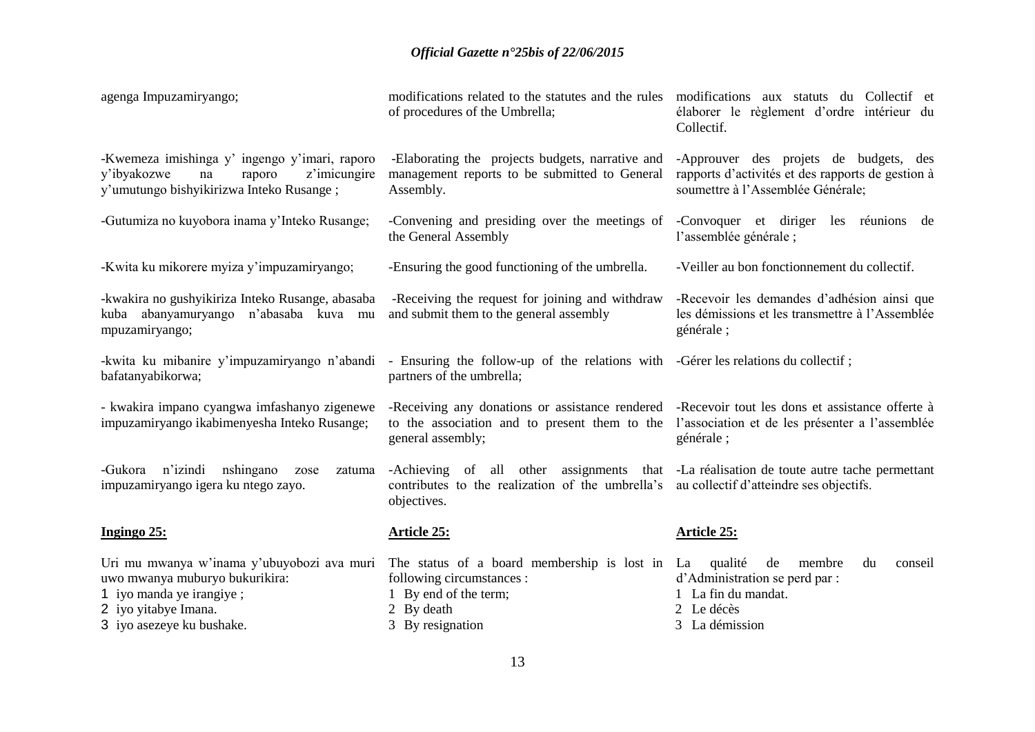| agenga Impuzamiryango;                                                                                                                                        | modifications related to the statutes and the rules modifications aux statuts du Collectif et<br>of procedures of the Umbrella;                                                                                       | élaborer le règlement d'ordre intérieur du<br>Collectif.                                                                          |
|---------------------------------------------------------------------------------------------------------------------------------------------------------------|-----------------------------------------------------------------------------------------------------------------------------------------------------------------------------------------------------------------------|-----------------------------------------------------------------------------------------------------------------------------------|
| -Kwemeza imishinga y' ingengo y'imari, raporo<br>z'imicungire<br>y'ibyakozwe<br>na<br>raporo<br>y'umutungo bishyikirizwa Inteko Rusange;                      | -Elaborating the projects budgets, narrative and<br>management reports to be submitted to General<br>Assembly.                                                                                                        | -Approuver des projets de budgets, des<br>rapports d'activités et des rapports de gestion à<br>soumettre à l'Assemblée Générale;  |
| -Gutumiza no kuyobora inama y'Inteko Rusange;                                                                                                                 | -Convening and presiding over the meetings of<br>the General Assembly                                                                                                                                                 | -Convoquer et diriger les réunions de<br>l'assemblée générale ;                                                                   |
| -Kwita ku mikorere myiza y'impuzamiryango;                                                                                                                    | -Ensuring the good functioning of the umbrella.                                                                                                                                                                       | -Veiller au bon fonctionnement du collectif.                                                                                      |
| -kwakira no gushyikiriza Inteko Rusange, abasaba<br>kuba abanyamuryango n'abasaba kuva mu<br>mpuzamiryango;                                                   | -Receiving the request for joining and withdraw<br>and submit them to the general assembly                                                                                                                            | -Recevoir les demandes d'adhésion ainsi que<br>les démissions et les transmettre à l'Assemblée<br>générale;                       |
| -kwita ku mibanire y'impuzamiryango n'abandi<br>bafatanyabikorwa;                                                                                             | - Ensuring the follow-up of the relations with -Gérer les relations du collectif;<br>partners of the umbrella;                                                                                                        |                                                                                                                                   |
| - kwakira impano cyangwa imfashanyo zigenewe<br>impuzamiryango ikabimenyesha Inteko Rusange;                                                                  | -Receiving any donations or assistance rendered -Recevoir tout les dons et assistance offerte à<br>to the association and to present them to the l'association et de les présenter a l'assemblée<br>general assembly; | générale;                                                                                                                         |
| n'izindi<br>-Gukora<br>nshingano<br>zatuma<br>zose<br>impuzamiryango igera ku ntego zayo.                                                                     | -Achieving of all other assignments that -La réalisation de toute autre tache permettant<br>contributes to the realization of the umbrella's au collectif d'atteindre ses objectifs.<br>objectives.                   |                                                                                                                                   |
| Ingingo 25:                                                                                                                                                   | <b>Article 25:</b>                                                                                                                                                                                                    | <b>Article 25:</b>                                                                                                                |
| Uri mu mwanya w'inama y'ubuyobozi ava muri<br>uwo mwanya muburyo bukurikira:<br>1 iyo manda ye irangiye;<br>2 iyo yitabye Imana.<br>3 iyo asezeye ku bushake. | The status of a board membership is lost in La<br>following circumstances :<br>1 By end of the term;<br>2 By death<br>3 By resignation                                                                                | qualité<br>de<br>membre<br>du<br>conseil<br>d'Administration se perd par :<br>1 La fin du mandat.<br>2 Le décès<br>3 La démission |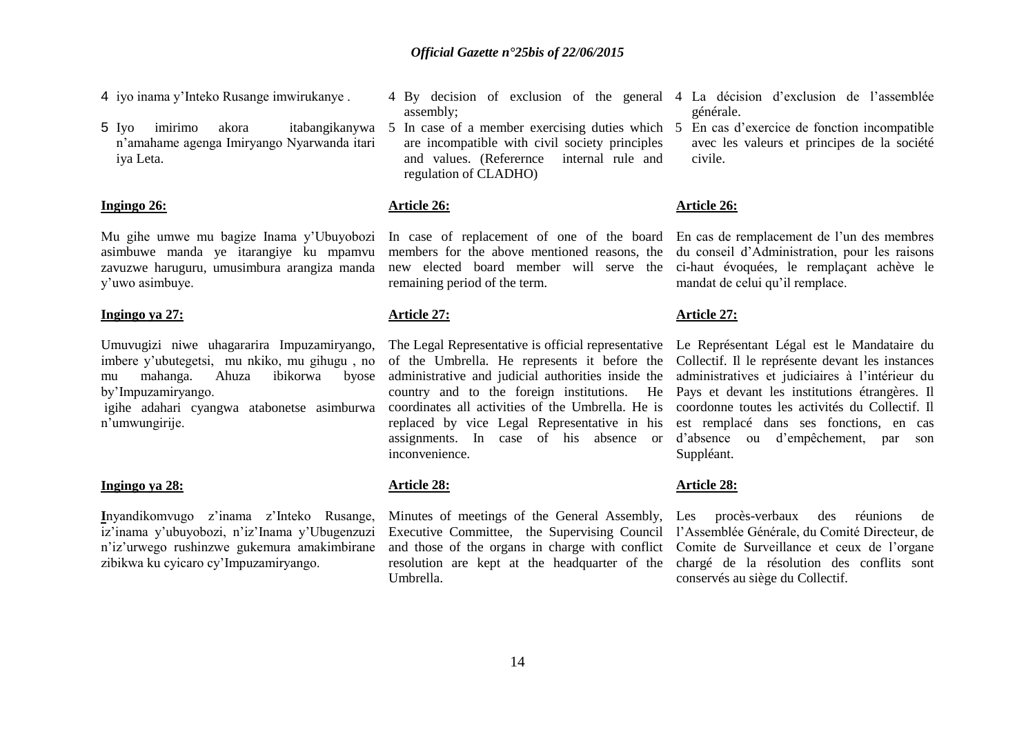4 iyo inama y"Inteko Rusange imwirukanye .

5 Iyo imirimo akora itabangikanywa n"amahame agenga Imiryango Nyarwanda itari iya Leta.

#### **Ingingo 26:**

Mu gihe umwe mu bagize Inama y"Ubuyobozi asimbuwe manda ye itarangiye ku mpamvu zavuzwe haruguru, umusimbura arangiza manda y"uwo asimbuye.

#### **Ingingo ya 27:**

Umuvugizi niwe uhagararira Impuzamiryango, imbere y"ubutegetsi, mu nkiko, mu gihugu , no mu mahanga. Ahuza ibikorwa byose by"Impuzamiryango.

igihe adahari cyangwa atabonetse asimburwa n"umwungirije.

#### **Ingingo ya 28:**

**I**nyandikomvugo z"inama z"Inteko Rusange, iz"inama y"ubuyobozi, n"iz"Inama y"Ubugenzuzi n"iz"urwego rushinzwe gukemura amakimbirane zibikwa ku cyicaro cy"Impuzamiryango.

- assembly;
- are incompatible with civil society principles and values. (Referernce internal rule and regulation of CLADHO)

### **Article 26:**

members for the above mentioned reasons, the new elected board member will serve the remaining period of the term.

### **Article 27:**

of the Umbrella. He represents it before the administrative and judicial authorities inside the country and to the foreign institutions. He coordinates all activities of the Umbrella. He is replaced by vice Legal Representative in his assignments. In case of his absence or inconvenience.

### **Article 28:**

Minutes of meetings of the General Assembly, Les procès-verbaux des réunions de Executive Committee, the Supervising Council l'Assemblée Générale, du Comité Directeur, de and those of the organs in charge with conflict resolution are kept at the headquarter of the Umbrella.

- 4 By decision of exclusion of the general 4 La décision d"exclusion de l"assemblée générale.
- 5 In case of a member exercising duties which 5 En cas d"exercice de fonction incompatible avec les valeurs et principes de la société civile.

#### **Article 26:**

In case of replacement of one of the board En cas de remplacement de l'un des membres du conseil d"Administration, pour les raisons ci-haut évoquées, le remplaçant achève le mandat de celui qu"il remplace.

#### **Article 27:**

The Legal Representative is official representative Le Représentant Légal est le Mandataire du Collectif. Il le représente devant les instances administratives et judiciaires à l"intérieur du Pays et devant les institutions étrangères. Il coordonne toutes les activités du Collectif. Il est remplacé dans ses fonctions, en cas d"absence ou d"empêchement, par son Suppléant.

#### **Article 28:**

Comite de Surveillance et ceux de l"organe chargé de la résolution des conflits sont conservés au siège du Collectif.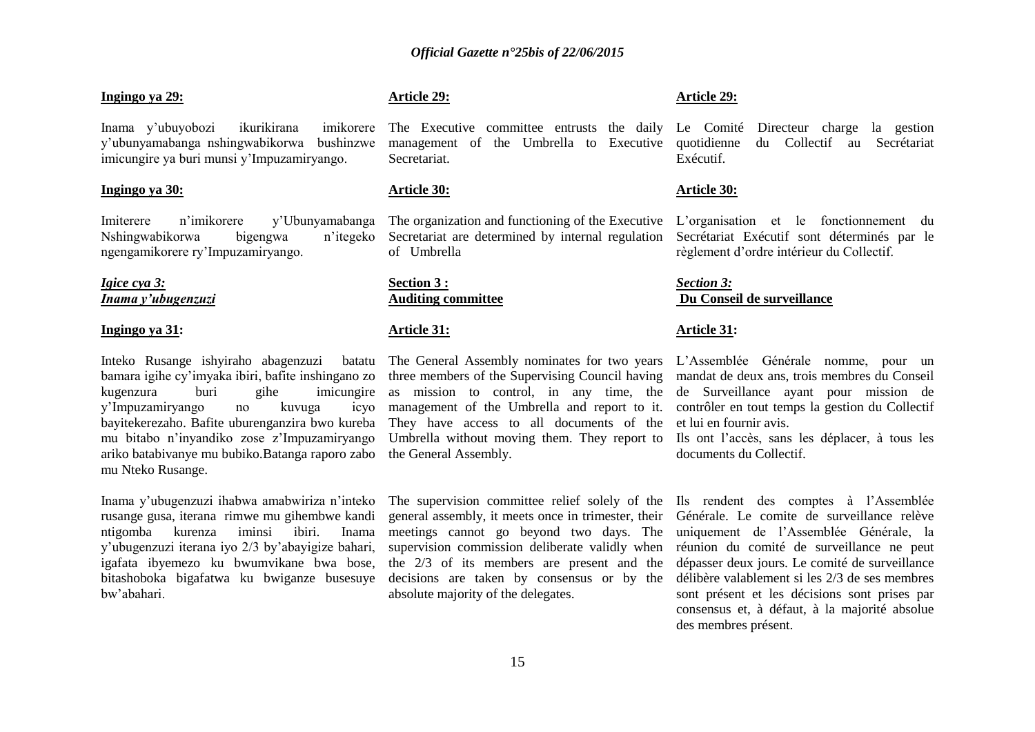#### **Ingingo ya 29:**

Inama y"ubuyobozi ikurikirana imikorere y"ubunyamabanga nshingwabikorwa bushinzwe imicungire ya buri munsi y"Impuzamiryango.

### **Ingingo ya 30:**

Imiterere n"imikorere y"Ubunyamabanga Nshingwabikorwa bigengwa n"itegeko ngengamikorere ry"Impuzamiryango.

#### *Igice cya 3: Inama y'ubugenzuzi*

#### **Ingingo ya 31:**

Inteko Rusange ishyiraho abagenzuzi batatu bamara igihe cy"imyaka ibiri, bafite inshingano zo kugenzura buri gihe imicungire y"Impuzamiryango no kuvuga icyo bayitekerezaho. Bafite uburenganzira bwo kureba mu bitabo n"inyandiko zose z"Impuzamiryango ariko batabivanye mu bubiko.Batanga raporo zabo mu Nteko Rusange.

Inama y"ubugenzuzi ihabwa amabwiriza n"inteko rusange gusa, iterana rimwe mu gihembwe kandi ntigomba kurenza iminsi ibiri. Inama y"ubugenzuzi iterana iyo 2/3 by"abayigize bahari, igafata ibyemezo ku bwumvikane bwa bose, bitashoboka bigafatwa ku bwiganze busesuye bw"abahari.

### **Article 29:**

The Executive committee entrusts the daily Le Comité Directeur charge la gestion management of the Umbrella to Executive quotidienne du Collectif au Secrétariat **Secretariat** 

#### **Article 30:**

The organization and functioning of the Executive L"organisation et le fonctionnement du Secretariat are determined by internal regulation of Umbrella

#### **Section 3 : Auditing committee**

#### **Article 31:**

The General Assembly nominates for two years three members of the Supervising Council having as mission to control, in any time, the management of the Umbrella and report to it. They have access to all documents of the Umbrella without moving them. They report to the General Assembly.

The supervision committee relief solely of the general assembly, it meets once in trimester, their meetings cannot go beyond two days. The supervision commission deliberate validly when the 2/3 of its members are present and the decisions are taken by consensus or by the absolute majority of the delegates.

#### **Article 29:**

Exécutif.

#### **Article 30:**

Secrétariat Exécutif sont déterminés par le règlement d"ordre intérieur du Collectif.

#### *Section 3:* **Du Conseil de surveillance**

#### **Article 31:**

L"Assemblée Générale nomme, pour un mandat de deux ans, trois membres du Conseil de Surveillance ayant pour mission de contrôler en tout temps la gestion du Collectif et lui en fournir avis.

Ils ont l"accès, sans les déplacer, à tous les documents du Collectif.

Ils rendent des comptes à l"Assemblée Générale. Le comite de surveillance relève uniquement de l"Assemblée Générale, la réunion du comité de surveillance ne peut dépasser deux jours. Le comité de surveillance délibère valablement si les 2/3 de ses membres sont présent et les décisions sont prises par consensus et, à défaut, à la majorité absolue des membres présent.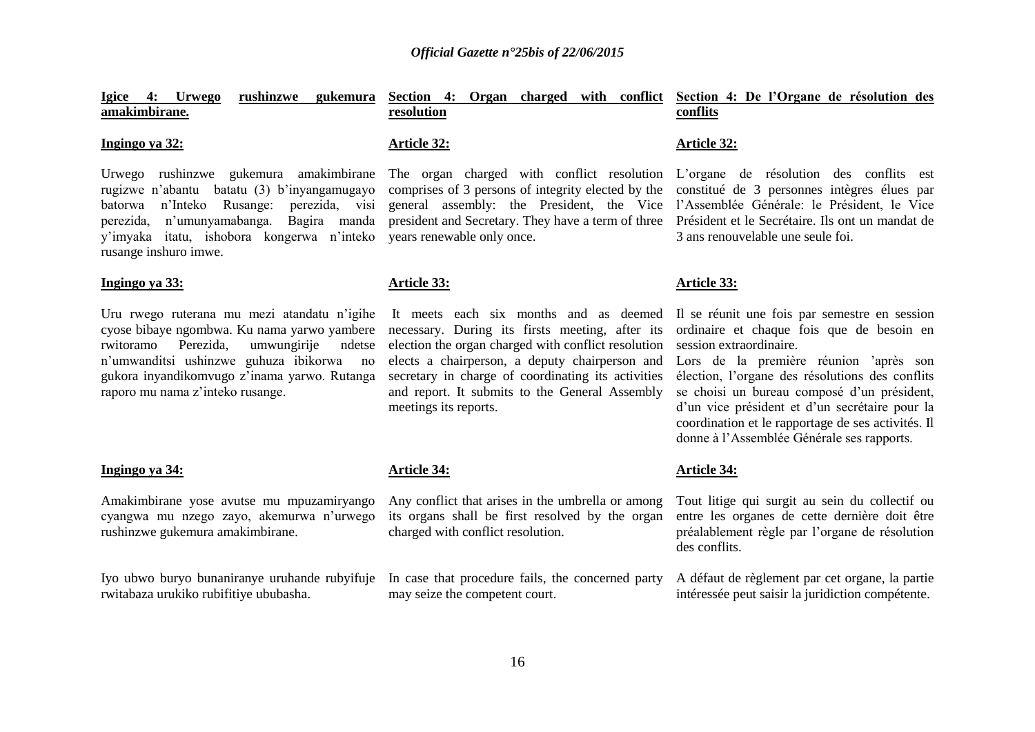| Igice 4: Urwego<br>rushinzwe gukemura<br>amakimbirane.                                                                                                                                                                                                                           | Section 4: Organ charged with conflict<br>resolution                                                                                                                                                                                                                                                                                | Section 4: De l'Organe de résolution des<br>conflits                                                                                                                                                                                                                                                                                                                                                                    |
|----------------------------------------------------------------------------------------------------------------------------------------------------------------------------------------------------------------------------------------------------------------------------------|-------------------------------------------------------------------------------------------------------------------------------------------------------------------------------------------------------------------------------------------------------------------------------------------------------------------------------------|-------------------------------------------------------------------------------------------------------------------------------------------------------------------------------------------------------------------------------------------------------------------------------------------------------------------------------------------------------------------------------------------------------------------------|
| Ingingo ya 32:                                                                                                                                                                                                                                                                   | <b>Article 32:</b>                                                                                                                                                                                                                                                                                                                  | <b>Article 32:</b>                                                                                                                                                                                                                                                                                                                                                                                                      |
| Urwego rushinzwe gukemura amakimbirane<br>rugizwe n'abantu batatu (3) b'inyangamugayo<br>n'Inteko Rusange:<br>perezida, visi<br>batorwa<br>perezida, n'umunyamabanga. Bagira manda<br>y'imyaka itatu, ishobora kongerwa n'inteko<br>rusange inshuro imwe.                        | The organ charged with conflict resolution<br>comprises of 3 persons of integrity elected by the<br>general assembly: the President, the Vice<br>president and Secretary. They have a term of three<br>years renewable only once.                                                                                                   | L'organe de résolution des conflits est<br>constitué de 3 personnes intègres élues par<br>l'Assemblée Générale: le Président, le Vice<br>Président et le Secrétaire. Ils ont un mandat de<br>3 ans renouvelable une seule foi.                                                                                                                                                                                          |
| Ingingo ya 33:                                                                                                                                                                                                                                                                   | Article 33:                                                                                                                                                                                                                                                                                                                         | Article 33:                                                                                                                                                                                                                                                                                                                                                                                                             |
| Uru rwego ruterana mu mezi atandatu n'igihe<br>cyose bibaye ngombwa. Ku nama yarwo yambere<br>umwungirije<br>rwitoramo<br>Perezida,<br>ndetse<br>n'umwanditsi ushinzwe guhuza ibikorwa<br>no<br>gukora inyandikomvugo z'inama yarwo. Rutanga<br>raporo mu nama z'inteko rusange. | It meets each six months and as deemed<br>necessary. During its firsts meeting, after its<br>election the organ charged with conflict resolution<br>elects a chairperson, a deputy chairperson and<br>secretary in charge of coordinating its activities<br>and report. It submits to the General Assembly<br>meetings its reports. | Il se réunit une fois par semestre en session<br>ordinaire et chaque fois que de besoin en<br>session extraordinaire.<br>Lors de la première réunion 'après son<br>élection, l'organe des résolutions des conflits<br>se choisi un bureau composé d'un président,<br>d'un vice président et d'un secrétaire pour la<br>coordination et le rapportage de ses activités. Il<br>donne à l'Assemblée Générale ses rapports. |
| Ingingo ya 34:                                                                                                                                                                                                                                                                   | <b>Article 34:</b>                                                                                                                                                                                                                                                                                                                  | <b>Article 34:</b>                                                                                                                                                                                                                                                                                                                                                                                                      |
| Amakimbirane yose avutse mu mpuzamiryango<br>cyangwa mu nzego zayo, akemurwa n'urwego<br>rushinzwe gukemura amakimbirane.                                                                                                                                                        | Any conflict that arises in the umbrella or among<br>its organs shall be first resolved by the organ<br>charged with conflict resolution.                                                                                                                                                                                           | Tout litige qui surgit au sein du collectif ou<br>entre les organes de cette dernière doit être<br>préalablement règle par l'organe de résolution<br>des conflits.                                                                                                                                                                                                                                                      |
| Iyo ubwo buryo bunaniranye uruhande rubyifuje<br>rwitabaza urukiko rubifitiye ububasha.                                                                                                                                                                                          | In case that procedure fails, the concerned party<br>may seize the competent court.                                                                                                                                                                                                                                                 | A défaut de règlement par cet organe, la partie<br>intéressée peut saisir la juridiction compétente.                                                                                                                                                                                                                                                                                                                    |
|                                                                                                                                                                                                                                                                                  | 16                                                                                                                                                                                                                                                                                                                                  |                                                                                                                                                                                                                                                                                                                                                                                                                         |
|                                                                                                                                                                                                                                                                                  |                                                                                                                                                                                                                                                                                                                                     |                                                                                                                                                                                                                                                                                                                                                                                                                         |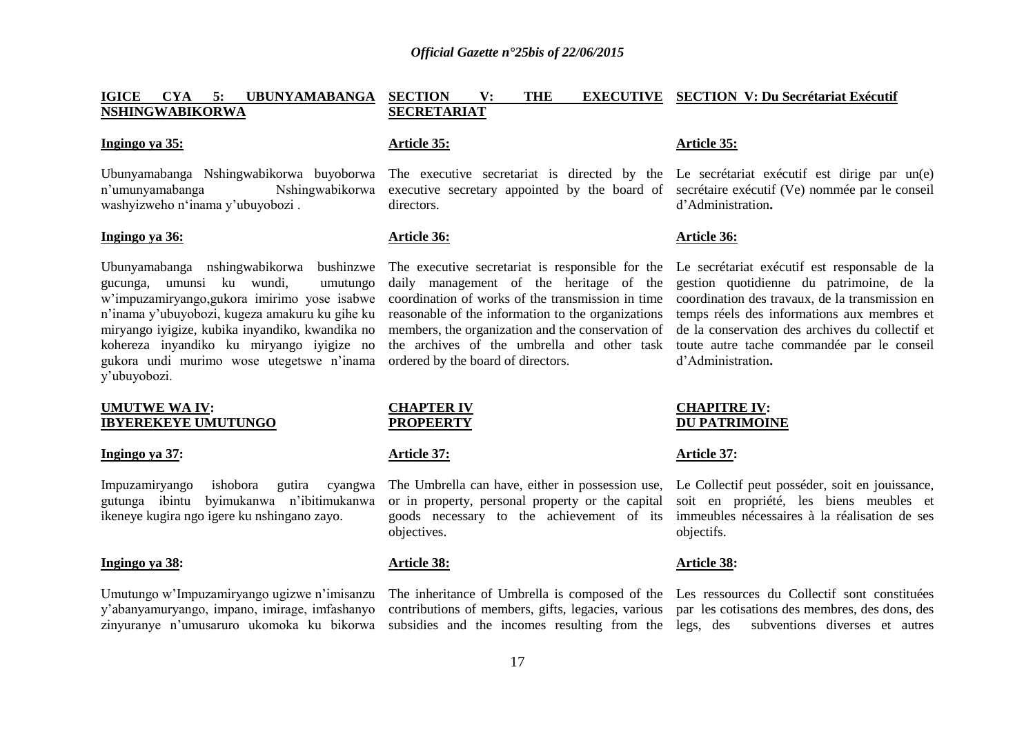#### **IGICE CYA 5: UBUNYAMABANGA NSHINGWABIKORWA SECTION V: THE EXECUTIVE SECTION V: Du Secrétariat Exécutif SECRETARIAT**

#### **Ingingo ya 35:**

Ubunyamabanga Nshingwabikorwa buyoborwa n"umunyamabanga Nshingwabikorwa washyizweho n"inama y"ubuyobozi .

#### **Ingingo ya 36:**

Ubunyamabanga nshingwabikorwa bushinzwe gucunga, umunsi ku wundi, umutungo w"impuzamiryango,gukora imirimo yose isabwe n"inama y"ubuyobozi, kugeza amakuru ku gihe ku miryango iyigize, kubika inyandiko, kwandika no kohereza inyandiko ku miryango iyigize no gukora undi murimo wose utegetswe n"inama y"ubuyobozi.

#### **UMUTWE WA IV: IBYEREKEYE UMUTUNGO**

#### **Ingingo ya 37:**

Impuzamiryango ishobora gutira cyangwa gutunga ibintu byimukanwa n"ibitimukanwa ikeneye kugira ngo igere ku nshingano zayo.

#### **Ingingo ya 38:**

Umutungo w"Impuzamiryango ugizwe n"imisanzu y"abanyamuryango, impano, imirage, imfashanyo

#### **Article 35:**

The executive secretariat is directed by the Le secrétariat exécutif est dirige par un(e) executive secretary appointed by the board of secrétaire exécutif (Ve) nommée par le conseil directors.

#### **Article 36:**

The executive secretariat is responsible for the daily management of the heritage of the coordination of works of the transmission in time reasonable of the information to the organizations members, the organization and the conservation of the archives of the umbrella and other task ordered by the board of directors.

#### **CHAPTER IV PROPEERTY**

#### **Article 37:**

The Umbrella can have, either in possession use, or in property, personal property or the capital goods necessary to the achievement of its objectives.

#### **Article 38:**

The inheritance of Umbrella is composed of the Les ressources du Collectif sont constituées contributions of members, gifts, legacies, various

#### **Article 35:**

d"Administration**.**

#### **Article 36:**

Le secrétariat exécutif est responsable de la gestion quotidienne du patrimoine, de la coordination des travaux, de la transmission en temps réels des informations aux membres et de la conservation des archives du collectif et toute autre tache commandée par le conseil d"Administration**.** 

#### **CHAPITRE IV: DU PATRIMOINE**

#### **Article 37:**

Le Collectif peut posséder, soit en jouissance, soit en propriété, les biens meubles et immeubles nécessaires à la réalisation de ses objectifs.

#### **Article 38:**

zinyuranye n'umusaruro ukomoka ku bikorwa subsidies and the incomes resulting from the legs, des subventions diverses et autres par les cotisations des membres, des dons, des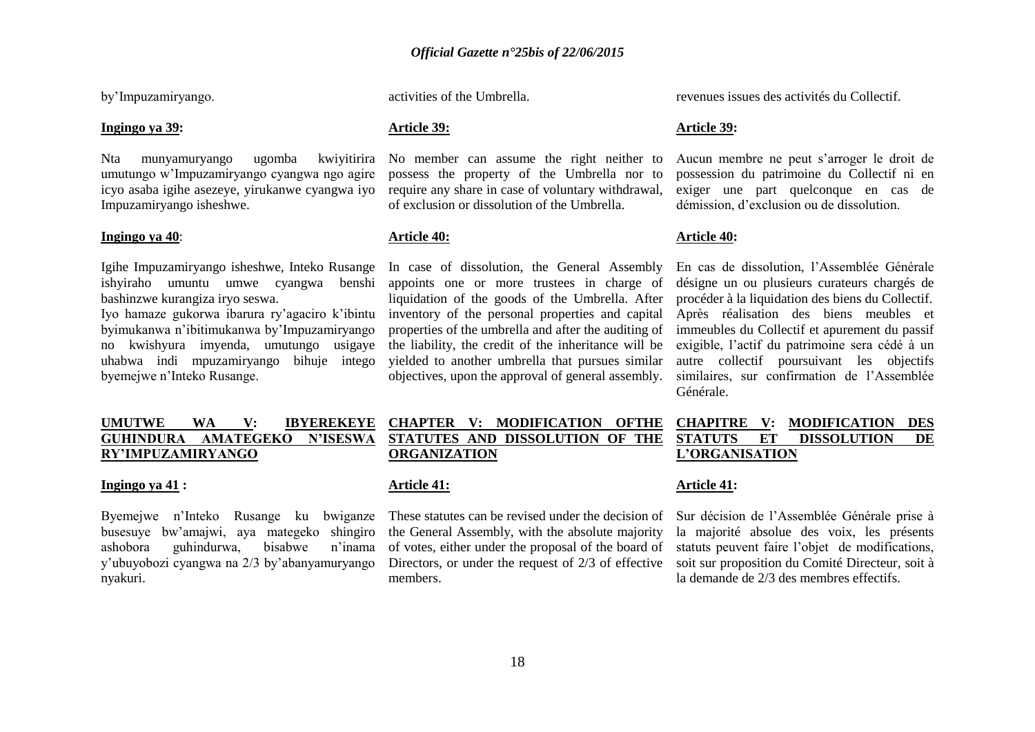by"Impuzamiryango.

#### **Ingingo ya 39:**

Nta munyamuryango ugomba kwiyitirira umutungo w"Impuzamiryango cyangwa ngo agire icyo asaba igihe asezeye, yirukanwe cyangwa iyo Impuzamiryango isheshwe.

#### **Ingingo ya 40**:

Igihe Impuzamiryango isheshwe, Inteko Rusange ishyiraho umuntu umwe cyangwa benshi bashinzwe kurangiza iryo seswa.

Iyo hamaze gukorwa ibarura ry"agaciro k"ibintu byimukanwa n"ibitimukanwa by"Impuzamiryango no kwishyura imyenda, umutungo usigaye uhabwa indi mpuzamiryango bihuje intego byemejwe n"Inteko Rusange.

#### **UMUTWE WA V: IBYEREKEYE GUHINDURA AMATEGEKO N"ISESWA RY"IMPUZAMIRYANGO**

#### **Ingingo ya 41 :**

Byemejwe n"Inteko Rusange ku bwiganze busesuye bw"amajwi, aya mategeko shingiro ashobora guhindurwa, bisabwe n"inama y"ubuyobozi cyangwa na 2/3 by"abanyamuryango nyakuri.

activities of the Umbrella.

#### **Article 39:**

No member can assume the right neither to possess the property of the Umbrella nor to require any share in case of voluntary withdrawal, of exclusion or dissolution of the Umbrella.

#### **Article 40:**

In case of dissolution, the General Assembly appoints one or more trustees in charge of liquidation of the goods of the Umbrella. After inventory of the personal properties and capital properties of the umbrella and after the auditing of the liability, the credit of the inheritance will be yielded to another umbrella that pursues similar objectives, upon the approval of general assembly.

revenues issues des activités du Collectif.

### **Article 39:**

Aucun membre ne peut s"arroger le droit de possession du patrimoine du Collectif ni en exiger une part quelconque en cas de démission, d"exclusion ou de dissolution.

#### **Article 40:**

En cas de dissolution, l"Assemblée Générale désigne un ou plusieurs curateurs chargés de procéder à la liquidation des biens du Collectif. Après réalisation des biens meubles et immeubles du Collectif et apurement du passif exigible, l"actif du patrimoine sera cédé à un autre collectif poursuivant les objectifs similaires, sur confirmation de l"Assemblée Générale.

### **CHAPTER V: MODIFICATION OFTHE STATUTES AND DISSOLUTION OF THE ORGANIZATION**

#### **Article 41:**

These statutes can be revised under the decision of the General Assembly, with the absolute majority of votes, either under the proposal of the board of Directors, or under the request of 2/3 of effective members.

### **CHAPITRE V: MODIFICATION DES STATUTS ET DISSOLUTION DE L"ORGANISATION**

### **Article 41:**

Sur décision de l"Assemblée Générale prise à la majorité absolue des voix, les présents statuts peuvent faire l"objet de modifications, soit sur proposition du Comité Directeur, soit à la demande de 2/3 des membres effectifs.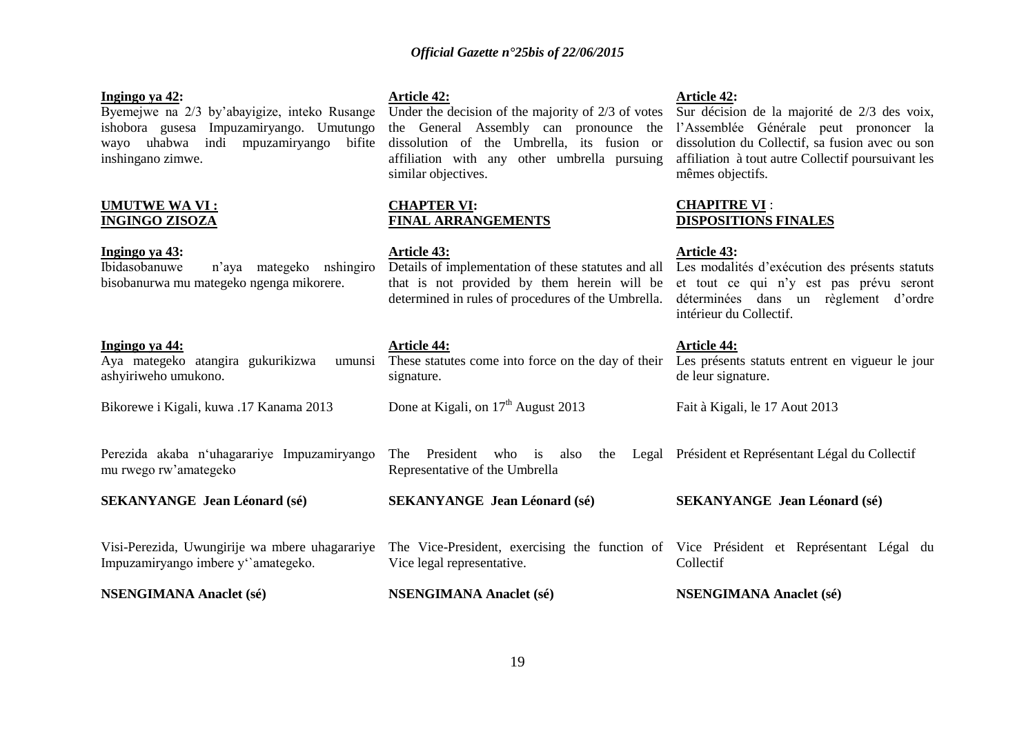#### **Ingingo ya 42:**

Byemejwe na 2/3 by"abayigize, inteko Rusange ishobora gusesa Impuzamiryango. Umutungo wayo uhabwa indi mpuzamiryango bifite dissolution of the Umbrella, its fusion or inshingano zimwe.

#### **UMUTWE WA VI : INGINGO ZISOZA**

**Ingingo ya 43:**

Ibidasobanuwe n"aya mategeko nshingiro bisobanurwa mu mategeko ngenga mikorere.

**SEKANYANGE Jean Léonard (sé)**

#### **Ingingo ya 44:**

#### **Article 42:**

Under the decision of the majority of 2/3 of votes the General Assembly can pronounce the l"Assemblée Générale peut prononcer la affiliation with any other umbrella pursuing similar objectives.

### **CHAPTER VI: FINAL ARRANGEMENTS**

#### **Article 43:**

Details of implementation of these statutes and all Les modalités d'exécution des présents statuts that is not provided by them herein will be determined in rules of procedures of the Umbrella. déterminées dans un règlement d'ordre

#### **Article 44:**

| ashyiriweho umukono. |  | Aya mategeko atangira gukurikizwa umunsi These statutes come into force on the day of their Les p<br>signature. | de leu                                  |                                       |        |
|----------------------|--|-----------------------------------------------------------------------------------------------------------------|-----------------------------------------|---------------------------------------|--------|
|                      |  |                                                                                                                 | Bikorewe i Kigali, kuwa .17 Kanama 2013 | Done at Kigali, on $17th$ August 2013 | Fait à |

Done at Kigali, on  $17<sup>th</sup>$  August 2013

## **Article 42:**

Sur décision de la majorité de 2/3 des voix, dissolution du Collectif, sa fusion avec ou son affiliation à tout autre Collectif poursuivant les mêmes objectifs.

### **CHAPITRE VI** : **DISPOSITIONS FINALES**

#### **Article 43:**

et tout ce qui n"y est pas prévu seront intérieur du Collectif.

### **Article 44:**

| eir Les présents statuts entrent en vigueur le jour |
|-----------------------------------------------------|
| de leur signature.                                  |

Fait à Kigali, le 17 Aout 2013

Perezida akaba n"uhagarariye Impuzamiryango mu rwego rw"amategeko The President who is also the Legal Président et Représentant Légal du Collectif Representative of the Umbrella

**SEKANYANGE Jean Léonard (sé)**

## **SEKANYANGE Jean Léonard (sé)**

Visi-Perezida, Uwungirije wa mbere uhagarariye Impuzamiryango imbere y"`amategeko. The Vice-President, exercising the function of Vice Président et Représentant Légal du Vice legal representative. Collectif

**NSENGIMANA Anaclet (sé) NSENGIMANA Anaclet (sé) NSENGIMANA Anaclet (sé)**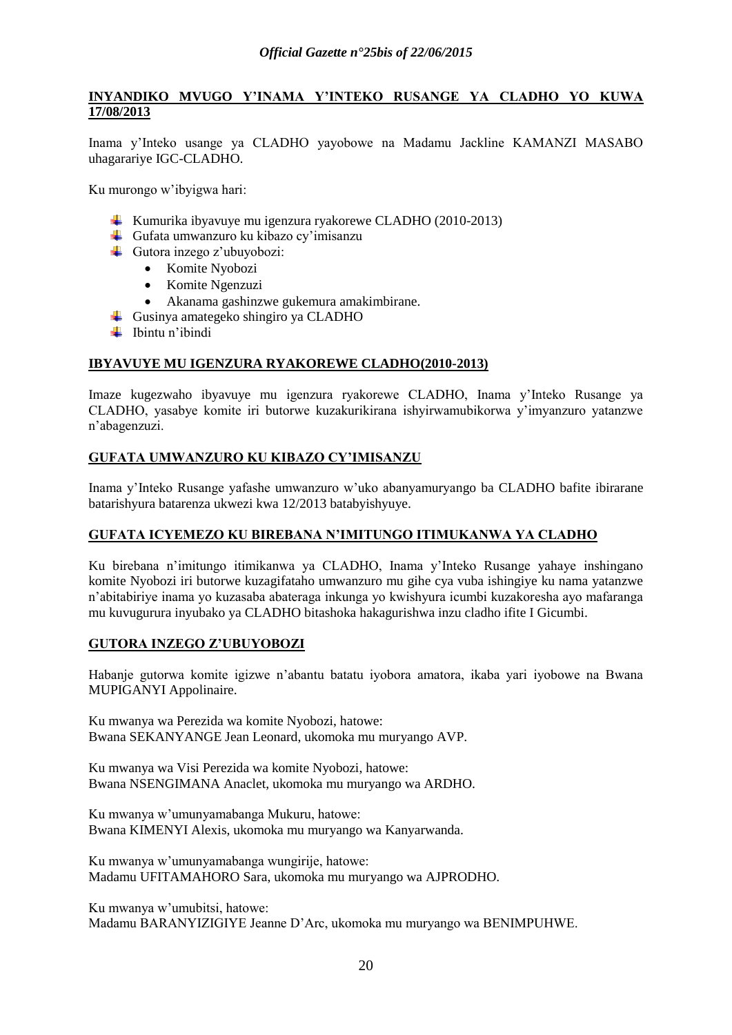### **INYANDIKO MVUGO Y"INAMA Y"INTEKO RUSANGE YA CLADHO YO KUWA 17/08/2013**

Inama y"Inteko usange ya CLADHO yayobowe na Madamu Jackline KAMANZI MASABO uhagarariye IGC-CLADHO.

Ku murongo w"ibyigwa hari:

- Kumurika ibyavuye mu igenzura ryakorewe CLADHO (2010-2013)
- Gufata umwanzuro ku kibazo cy'imisanzu
- Gutora inzego z'ubuyobozi:
	- Komite Nyobozi
	- Komite Ngenzuzi
	- Akanama gashinzwe gukemura amakimbirane.
- Gusinya amategeko shingiro ya CLADHO
- $\blacksquare$  Ibintu n'ibindi

### **IBYAVUYE MU IGENZURA RYAKOREWE CLADHO(2010-2013)**

Imaze kugezwaho ibyavuye mu igenzura ryakorewe CLADHO, Inama y"Inteko Rusange ya CLADHO, yasabye komite iri butorwe kuzakurikirana ishyirwamubikorwa y"imyanzuro yatanzwe n"abagenzuzi.

### **GUFATA UMWANZURO KU KIBAZO CY"IMISANZU**

Inama y"Inteko Rusange yafashe umwanzuro w"uko abanyamuryango ba CLADHO bafite ibirarane batarishyura batarenza ukwezi kwa 12/2013 batabyishyuye.

### **GUFATA ICYEMEZO KU BIREBANA N"IMITUNGO ITIMUKANWA YA CLADHO**

Ku birebana n"imitungo itimikanwa ya CLADHO, Inama y"Inteko Rusange yahaye inshingano komite Nyobozi iri butorwe kuzagifataho umwanzuro mu gihe cya vuba ishingiye ku nama yatanzwe n"abitabiriye inama yo kuzasaba abateraga inkunga yo kwishyura icumbi kuzakoresha ayo mafaranga mu kuvugurura inyubako ya CLADHO bitashoka hakagurishwa inzu cladho ifite I Gicumbi.

### **GUTORA INZEGO Z"UBUYOBOZI**

Habanje gutorwa komite igizwe n"abantu batatu iyobora amatora, ikaba yari iyobowe na Bwana MUPIGANYI Appolinaire.

Ku mwanya wa Perezida wa komite Nyobozi, hatowe: Bwana SEKANYANGE Jean Leonard, ukomoka mu muryango AVP.

Ku mwanya wa Visi Perezida wa komite Nyobozi, hatowe: Bwana NSENGIMANA Anaclet, ukomoka mu muryango wa ARDHO.

Ku mwanya w"umunyamabanga Mukuru, hatowe: Bwana KIMENYI Alexis, ukomoka mu muryango wa Kanyarwanda.

Ku mwanya w"umunyamabanga wungirije, hatowe: Madamu UFITAMAHORO Sara, ukomoka mu muryango wa AJPRODHO.

Ku mwanya w"umubitsi, hatowe: Madamu BARANYIZIGIYE Jeanne D"Arc, ukomoka mu muryango wa BENIMPUHWE.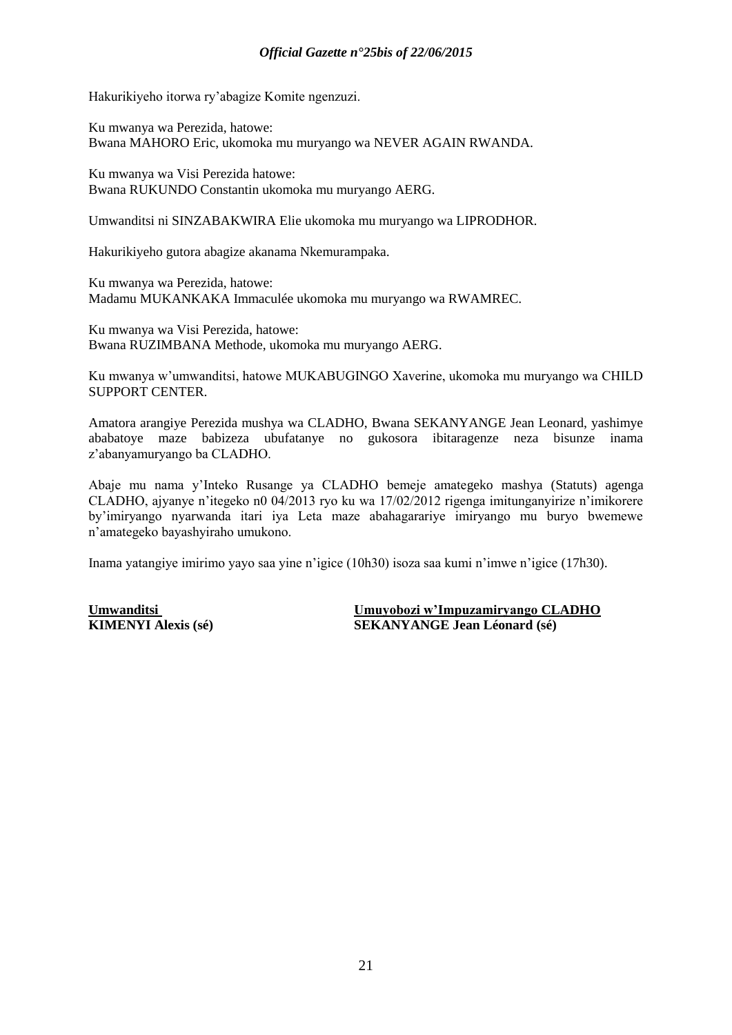Hakurikiyeho itorwa ry"abagize Komite ngenzuzi.

Ku mwanya wa Perezida, hatowe: Bwana MAHORO Eric, ukomoka mu muryango wa NEVER AGAIN RWANDA.

Ku mwanya wa Visi Perezida hatowe: Bwana RUKUNDO Constantin ukomoka mu muryango AERG.

Umwanditsi ni SINZABAKWIRA Elie ukomoka mu muryango wa LIPRODHOR.

Hakurikiyeho gutora abagize akanama Nkemurampaka.

Ku mwanya wa Perezida, hatowe: Madamu MUKANKAKA Immaculée ukomoka mu muryango wa RWAMREC.

Ku mwanya wa Visi Perezida, hatowe: Bwana RUZIMBANA Methode, ukomoka mu muryango AERG.

Ku mwanya w"umwanditsi, hatowe MUKABUGINGO Xaverine, ukomoka mu muryango wa CHILD SUPPORT CENTER.

Amatora arangiye Perezida mushya wa CLADHO, Bwana SEKANYANGE Jean Leonard, yashimye ababatoye maze babizeza ubufatanye no gukosora ibitaragenze neza bisunze inama z"abanyamuryango ba CLADHO.

Abaje mu nama y"Inteko Rusange ya CLADHO bemeje amategeko mashya (Statuts) agenga CLADHO, ajyanye n"itegeko n0 04/2013 ryo ku wa 17/02/2012 rigenga imitunganyirize n"imikorere by"imiryango nyarwanda itari iya Leta maze abahagarariye imiryango mu buryo bwemewe n"amategeko bayashyiraho umukono.

Inama yatangiye imirimo yayo saa yine n"igice (10h30) isoza saa kumi n"imwe n"igice (17h30).

**Umwanditsi Umuyobozi w"Impuzamiryango CLADHO KIMENYI Alexis (sé) SEKANYANGE Jean Léonard (sé)**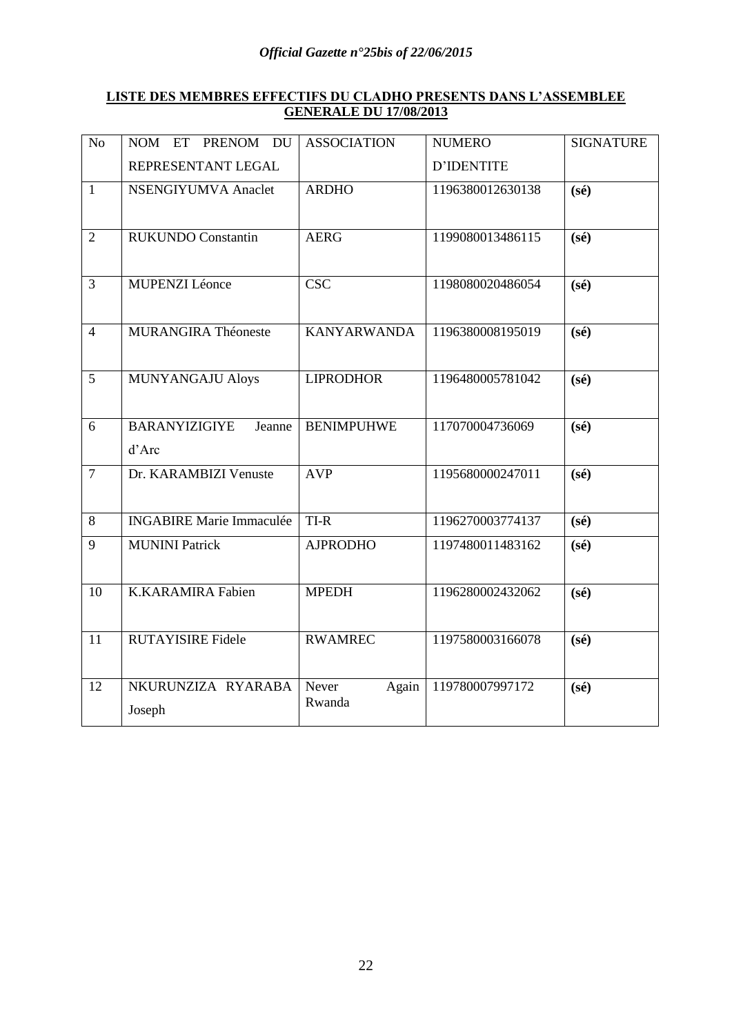### **LISTE DES MEMBRES EFFECTIFS DU CLADHO PRESENTS DANS L"ASSEMBLEE GENERALE DU 17/08/2013**

| N <sub>o</sub> | PRENOM DU<br>NOM ET                     | <b>ASSOCIATION</b>       | <b>NUMERO</b>     | <b>SIGNATURE</b> |
|----------------|-----------------------------------------|--------------------------|-------------------|------------------|
|                | REPRESENTANT LEGAL                      |                          | <b>D'IDENTITE</b> |                  |
| $\mathbf{1}$   | NSENGIYUMVA Anaclet                     | <b>ARDHO</b>             | 1196380012630138  | $(s\acute{e})$   |
| $\overline{2}$ | <b>RUKUNDO Constantin</b>               | <b>AERG</b>              | 1199080013486115  | $(s\acute{e})$   |
| 3              | <b>MUPENZI Léonce</b>                   | CSC                      | 1198080020486054  | $(s\acute{e})$   |
| $\overline{4}$ | <b>MURANGIRA Théoneste</b>              | <b>KANYARWANDA</b>       | 1196380008195019  | $(s\acute{e})$   |
| 5              | <b>MUNYANGAJU Aloys</b>                 | <b>LIPRODHOR</b>         | 1196480005781042  | $(s\acute{e})$   |
| 6              | <b>BARANYIZIGIYE</b><br>Jeanne<br>d'Arc | <b>BENIMPUHWE</b>        | 117070004736069   | $(s\acute{e})$   |
| $\overline{7}$ | Dr. KARAMBIZI Venuste                   | <b>AVP</b>               | 1195680000247011  | $(s\acute{e})$   |
| $8\,$          | <b>INGABIRE Marie Immaculée</b>         | $TI-R$                   | 1196270003774137  | $(s\acute{e})$   |
| 9              | <b>MUNINI Patrick</b>                   | <b>AJPRODHO</b>          | 1197480011483162  | $(s\acute{e})$   |
| 10             | <b>K.KARAMIRA Fabien</b>                | <b>MPEDH</b>             |                   | $(s\acute{e})$   |
| 11             | <b>RUTAYISIRE Fidele</b>                | <b>RWAMREC</b>           | 1197580003166078  | $(s\acute{e})$   |
| 12             | NKURUNZIZA RYARABA<br>Joseph            | Never<br>Again<br>Rwanda | 119780007997172   | $(s\acute{e})$   |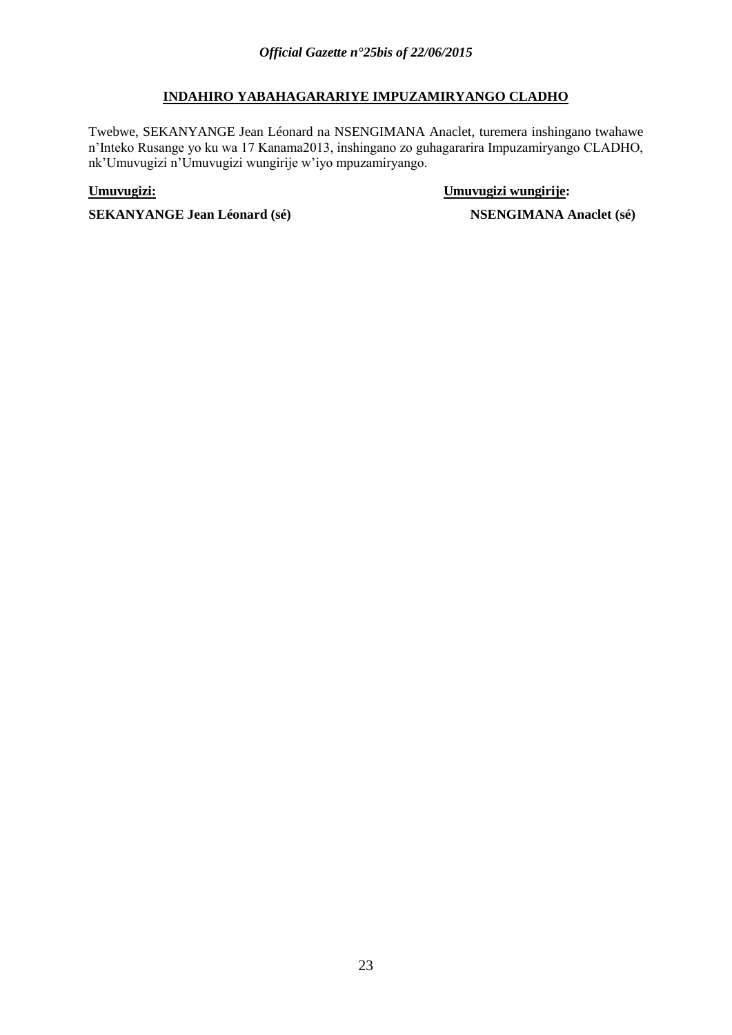### **INDAHIRO YABAHAGARARIYE IMPUZAMIRYANGO CLADHO**

Twebwe, SEKANYANGE Jean Léonard na NSENGIMANA Anaclet, turemera inshingano twahawe n"Inteko Rusange yo ku wa 17 Kanama2013, inshingano zo guhagararira Impuzamiryango CLADHO, nk"Umuvugizi n"Umuvugizi wungirije w"iyo mpuzamiryango.

**Umuvugizi: Umuvugizi wungirije:**

**SEKANYANGE Jean Léonard** (sé) NSENGIMANA Anaclet (sé)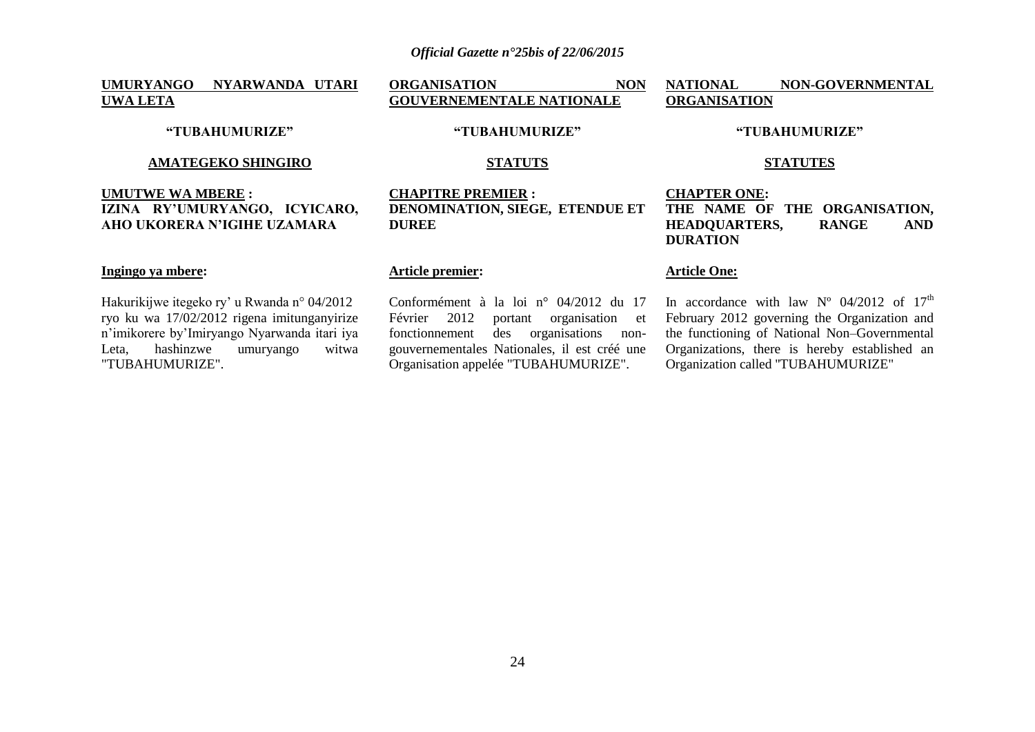### **UMURYANGO NYARWANDA UTARI UWA LETA**

**ORGANISATION NON GOUVERNEMENTALE NATIONALE**

#### **AMATEGEKO SHINGIRO**

**"TUBAHUMURIZE"**

### **UMUTWE WA MBERE : IZINA RY"UMURYANGO, ICYICARO, AHO UKORERA N"IGIHE UZAMARA**

#### **Ingingo ya mbere:**

Hakurikijwe itegeko ry" u Rwanda n° 04/2012 ryo ku wa 17/02/2012 rigena imitunganyirize n"imikorere by"Imiryango Nyarwanda itari iya Leta, hashinzwe umuryango witwa "TUBAHUMURIZE".

# **"TUBAHUMURIZE"**

### **STATUTS**

### **CHAPITRE PREMIER : DENOMINATION, SIEGE, ETENDUE ET DUREE**

### **Article premier:**

Conformément à la loi n° 04/2012 du 17 Février 2012 portant organisation et fonctionnement des organisations nongouvernementales Nationales, il est créé une Organisation appelée "TUBAHUMURIZE".

#### **"TUBAHUMURIZE"**

**NATIONAL NON-GOVERNMENTAL** 

#### **STATUTES**

### **CHAPTER ONE: THE NAME OF THE ORGANISATION, HEADQUARTERS, RANGE AND DURATION**

### **Article One:**

**ORGANISATION**

In accordance with law  $N^{\circ}$  04/2012 of 17<sup>th</sup> February 2012 governing the Organization and the functioning of National Non-Governmental Organizations, there is hereby established an Organization called ''TUBAHUMURIZE"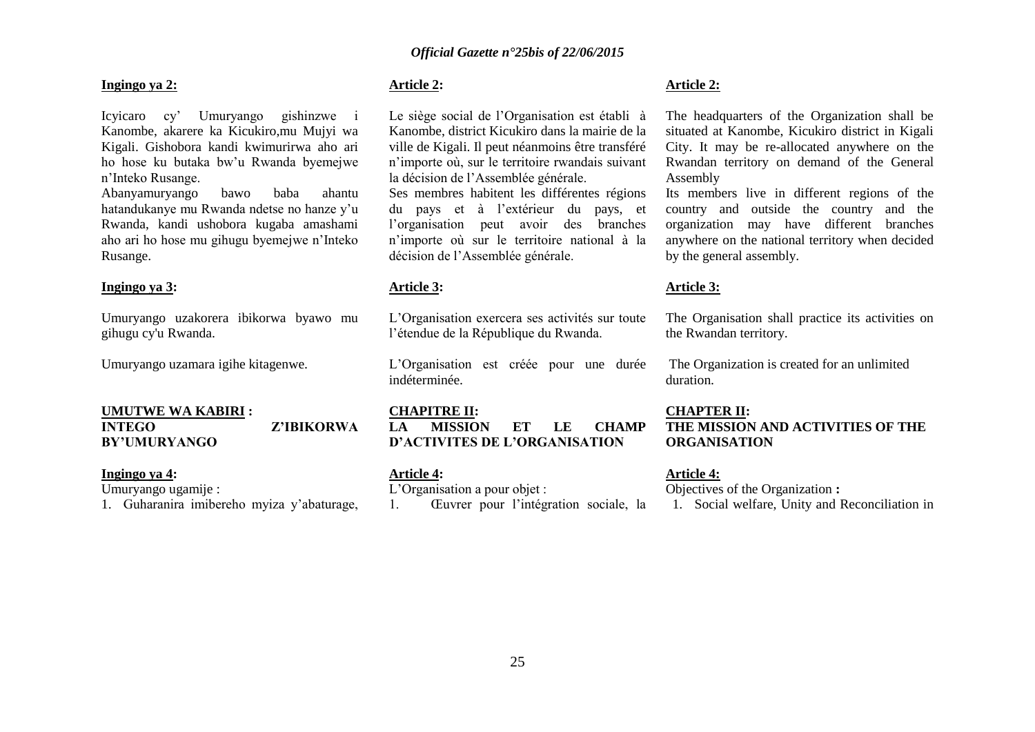#### **Ingingo ya 2:**

Icyicaro cy" Umuryango gishinzwe i Kanombe, akarere ka Kicukiro,mu Mujyi wa Kigali. Gishobora kandi kwimurirwa aho ari ho hose ku butaka bw"u Rwanda byemejwe n"Inteko Rusange.

Abanyamuryango bawo baba ahantu hatandukanye mu Rwanda ndetse no hanze y"u Rwanda, kandi ushobora kugaba amashami aho ari ho hose mu gihugu byemejwe n"Inteko Rusange.

### **Ingingo ya 3:**

Umuryango uzakorera ibikorwa byawo mu gihugu cy'u Rwanda.

Umuryango uzamara igihe kitagenwe.

#### **UMUTWE WA KABIRI : INTEGO Z"IBIKORWA BY"UMURYANGO**

#### **Ingingo ya 4:**

Umuryango ugamije :

1. Guharanira imibereho myiza y"abaturage,

### **Article 2:**

Le siège social de l"Organisation est établi à Kanombe, district Kicukiro dans la mairie de la ville de Kigali. Il peut néanmoins être transféré n"importe où, sur le territoire rwandais suivant la décision de l"Assemblée générale.

Ses membres habitent les différentes régions du pays et à l"extérieur du pays, et l"organisation peut avoir des branches n"importe où sur le territoire national à la décision de l"Assemblée générale.

#### **Article 3:**

L"Organisation exercera ses activités sur toute l"étendue de la République du Rwanda.

L"Organisation est créée pour une durée indéterminée.

#### **CHAPITRE II:**

**LA MISSION ET LE CHAMP D"ACTIVITES DE L"ORGANISATION**

#### **Article 4:**

L'Organisation a pour objet : 1. Œuvrer pour l"intégration sociale, la

#### **Article 2:**

The headquarters of the Organization shall be situated at Kanombe, Kicukiro district in Kigali City. It may be re-allocated anywhere on the Rwandan territory on demand of the General Assembly

Its members live in different regions of the country and outside the country and the organization may have different branches anywhere on the national territory when decided by the general assembly.

#### **Article 3:**

The Organisation shall practice its activities on the Rwandan territory.

The Organization is created for an unlimited duration.

### **CHAPTER II: THE MISSION AND ACTIVITIES OF THE ORGANISATION**

#### **Article 4:**

Objectives of the Organization **:** 1. Social welfare, Unity and Reconciliation in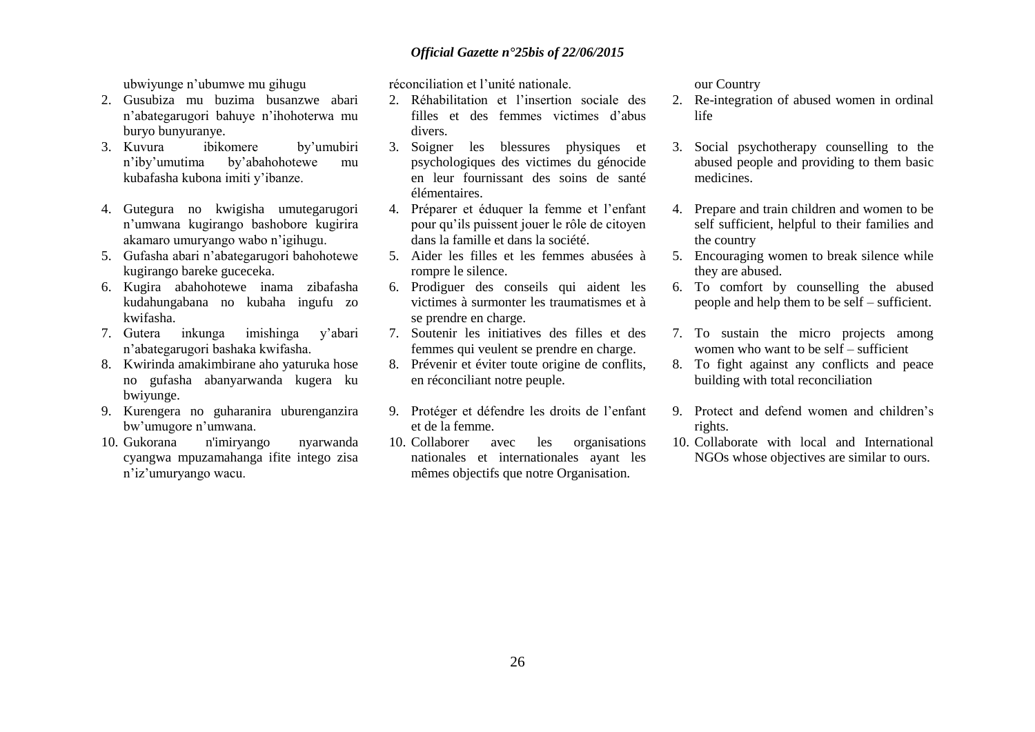ubwiyunge n"ubumwe mu gihugu

- 2. Gusubiza mu buzima busanzwe abari n"abategarugori bahuye n"ihohoterwa mu buryo bunyuranye.
- 3. Kuvura ibikomere by"umubiri n"iby"umutima by"abahohotewe mu kubafasha kubona imiti y"ibanze.
- 4. Gutegura no kwigisha umutegarugori n"umwana kugirango bashobore kugirira akamaro umuryango wabo n"igihugu.
- 5. Gufasha abari n"abategarugori bahohotewe kugirango bareke guceceka.
- 6. Kugira abahohotewe inama zibafasha kudahungabana no kubaha ingufu zo kwifasha.
- 7. Gutera inkunga imishinga y"abari n"abategarugori bashaka kwifasha.
- 8. Kwirinda amakimbirane aho yaturuka hose no gufasha abanyarwanda kugera ku bwiyunge.
- 9. Kurengera no guharanira uburenganzira bw"umugore n"umwana.
- 10. Gukorana n'imiryango nyarwanda cyangwa mpuzamahanga ifite intego zisa n"iz"umuryango wacu.

réconciliation et l"unité nationale.

- 2. Réhabilitation et l"insertion sociale des filles et des femmes victimes d"abus divers.
- 3. Soigner les blessures physiques et psychologiques des victimes du génocide en leur fournissant des soins de santé élémentaires.
- 4. Préparer et éduquer la femme et l"enfant pour qu"ils puissent jouer le rôle de citoyen dans la famille et dans la société.
- 5. Aider les filles et les femmes abusées à rompre le silence.
- 6. Prodiguer des conseils qui aident les victimes à surmonter les traumatismes et à se prendre en charge.
- 7. Soutenir les initiatives des filles et des femmes qui veulent se prendre en charge.
- 8. Prévenir et éviter toute origine de conflits, en réconciliant notre peuple.
- 9. Protéger et défendre les droits de l"enfant et de la femme.
- 10. Collaborer avec les organisations nationales et internationales ayant les mêmes objectifs que notre Organisation.

our Country

- 2. Re-integration of abused women in ordinal life
- 3. Social psychotherapy counselling to the abused people and providing to them basic medicines.
- 4. Prepare and train children and women to be self sufficient, helpful to their families and the country
- 5. Encouraging women to break silence while they are abused.
- 6. To comfort by counselling the abused people and help them to be self  $-$  sufficient.
- 7. To sustain the micro projects among women who want to be self  $=$  sufficient
- 8. To fight against any conflicts and peace building with total reconciliation
- 9. Protect and defend women and children"s rights.
- 10. Collaborate with local and International NGOs whose objectives are similar to ours.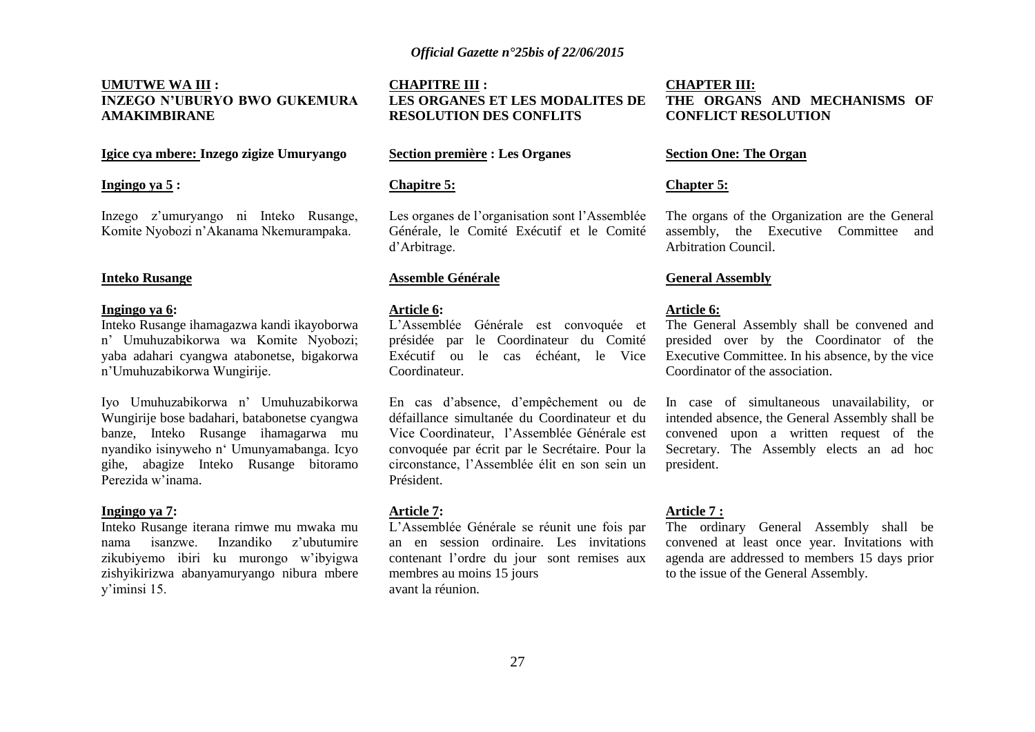### **UMUTWE WA III : INZEGO N"UBURYO BWO GUKEMURA AMAKIMBIRANE**

### **Igice cya mbere: Inzego zigize Umuryango**

#### **Ingingo ya 5 :**

Inzego z"umuryango ni Inteko Rusange, Komite Nyobozi n"Akanama Nkemurampaka.

#### **Inteko Rusange**

#### **Ingingo ya 6:**

Inteko Rusange ihamagazwa kandi ikayoborwa n" Umuhuzabikorwa wa Komite Nyobozi; yaba adahari cyangwa atabonetse, bigakorwa n"Umuhuzabikorwa Wungirije.

Iyo Umuhuzabikorwa n" Umuhuzabikorwa Wungirije bose badahari, batabonetse cyangwa banze, Inteko Rusange ihamagarwa mu nyandiko isinyweho n" Umunyamabanga. Icyo gihe, abagize Inteko Rusange bitoramo Perezida w"inama.

#### **Ingingo ya 7:**

Inteko Rusange iterana rimwe mu mwaka mu nama isanzwe. Inzandiko z"ubutumire zikubiyemo ibiri ku murongo w"ibyigwa zishyikirizwa abanyamuryango nibura mbere y"iminsi 15.

**CHAPITRE III : LES ORGANES ET LES MODALITES DE RESOLUTION DES CONFLITS**

### **Section première : Les Organes**

#### **Chapitre 5:**

Les organes de l'organisation sont l'Assemblée Générale, le Comité Exécutif et le Comité d"Arbitrage.

#### **Assemble Générale**

#### **Article 6:**

L"Assemblée Générale est convoquée et présidée par le Coordinateur du Comité Exécutif ou le cas échéant, le Vice Coordinateur.

En cas d"absence, d"empêchement ou de défaillance simultanée du Coordinateur et du Vice Coordinateur, l'Assemblée Générale est convoquée par écrit par le Secrétaire. Pour la circonstance, l"Assemblée élit en son sein un Président.

#### **Article 7:**

L"Assemblée Générale se réunit une fois par an en session ordinaire. Les invitations contenant l"ordre du jour sont remises aux membres au moins 15 jours avant la réunion.

### **CHAPTER III: THE ORGANS AND MECHANISMS OF CONFLICT RESOLUTION**

#### **Section One: The Organ**

#### **Chapter 5:**

The organs of the Organization are the General assembly, the Executive Committee and Arbitration Council.

#### **General Assembly**

#### **Article 6:**

The General Assembly shall be convened and presided over by the Coordinator of the Executive Committee. In his absence, by the vice Coordinator of the association.

In case of simultaneous unavailability, or intended absence, the General Assembly shall be convened upon a written request of the Secretary. The Assembly elects an ad hoc president.

#### **Article 7 :**

The ordinary General Assembly shall be convened at least once year. Invitations with agenda are addressed to members 15 days prior to the issue of the General Assembly.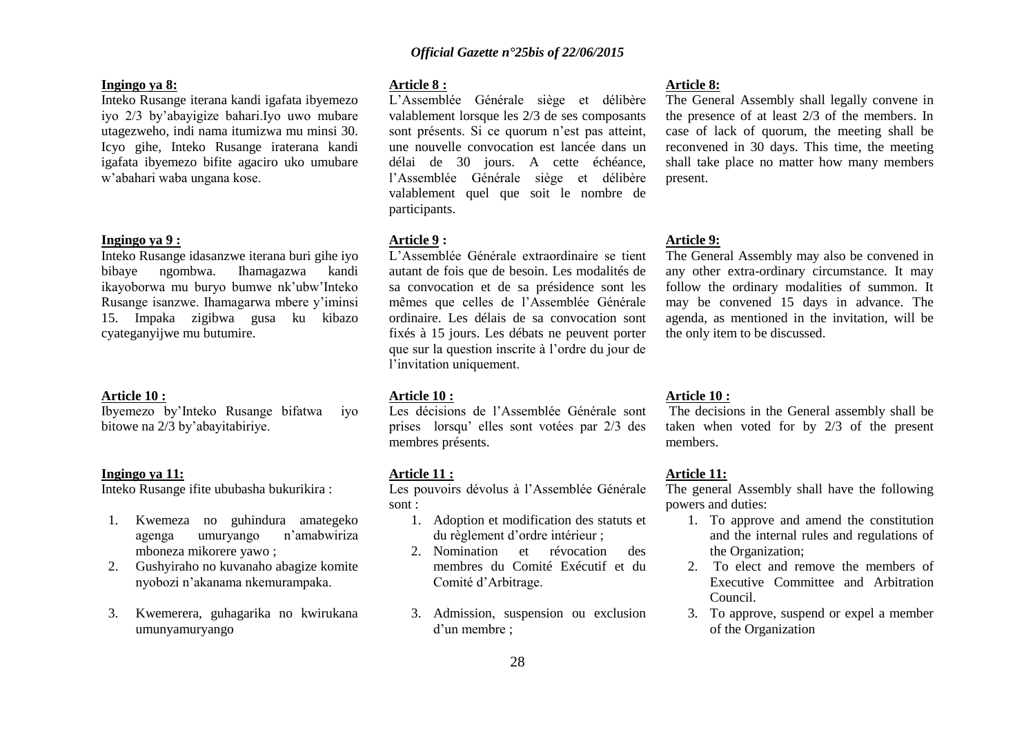#### **Ingingo ya 8:**

Inteko Rusange iterana kandi igafata ibyemezo iyo 2/3 by"abayigize bahari.Iyo uwo mubare utagezweho, indi nama itumizwa mu minsi 30. Icyo gihe, Inteko Rusange iraterana kandi igafata ibyemezo bifite agaciro uko umubare w"abahari waba ungana kose.

#### **Ingingo ya 9 :**

Inteko Rusange idasanzwe iterana buri gihe iyo bibaye ngombwa. Ihamagazwa kandi ikayoborwa mu buryo bumwe nk"ubw"Inteko Rusange isanzwe. Ihamagarwa mbere y"iminsi 15. Impaka zigibwa gusa ku kibazo cyateganyijwe mu butumire.

#### **Article 10 :**

Ibyemezo by"Inteko Rusange bifatwa iyo bitowe na 2/3 by"abayitabiriye.

#### **Ingingo ya 11:**

Inteko Rusange ifite ububasha bukurikira :

- 1. Kwemeza no guhindura amategeko agenga umuryango n"amabwiriza mboneza mikorere yawo ;
- 2. Gushyiraho no kuvanaho abagize komite nyobozi n"akanama nkemurampaka.
- 3. Kwemerera, guhagarika no kwirukana umunyamuryango

#### **Article 8 :**

L"Assemblée Générale siège et délibère valablement lorsque les 2/3 de ses composants sont présents. Si ce quorum n'est pas atteint, une nouvelle convocation est lancée dans un délai de 30 jours. A cette échéance, l"Assemblée Générale siège et délibère valablement quel que soit le nombre de participants.

#### **Article 9 :**

L"Assemblée Générale extraordinaire se tient autant de fois que de besoin. Les modalités de sa convocation et de sa présidence sont les mêmes que celles de l"Assemblée Générale ordinaire. Les délais de sa convocation sont fixés à 15 jours. Les débats ne peuvent porter que sur la question inscrite à l"ordre du jour de l'invitation uniquement.

#### **Article 10 :**

Les décisions de l'Assemblée Générale sont prises lorsqu" elles sont votées par 2/3 des membres présents.

#### **Article 11 :**

Les pouvoirs dévolus à l'Assemblée Générale sont :

- 1. Adoption et modification des statuts et du règlement d"ordre intérieur ;
- 2. Nomination et révocation des membres du Comité Exécutif et du Comité d"Arbitrage.
- 3. Admission, suspension ou exclusion d"un membre ;

#### **Article 8:**

The General Assembly shall legally convene in the presence of at least 2/3 of the members. In case of lack of quorum, the meeting shall be reconvened in 30 days. This time, the meeting shall take place no matter how many members present.

#### **Article 9:**

The General Assembly may also be convened in any other extra-ordinary circumstance. It may follow the ordinary modalities of summon. It may be convened 15 days in advance. The agenda, as mentioned in the invitation, will be the only item to be discussed.

#### **Article 10 :**

The decisions in the General assembly shall be taken when voted for by 2/3 of the present members.

#### **Article 11:**

The general Assembly shall have the following powers and duties:

- 1. To approve and amend the constitution and the internal rules and regulations of the Organization;
- 2. To elect and remove the members of Executive Committee and Arbitration Council.
- 3. To approve, suspend or expel a member of the Organization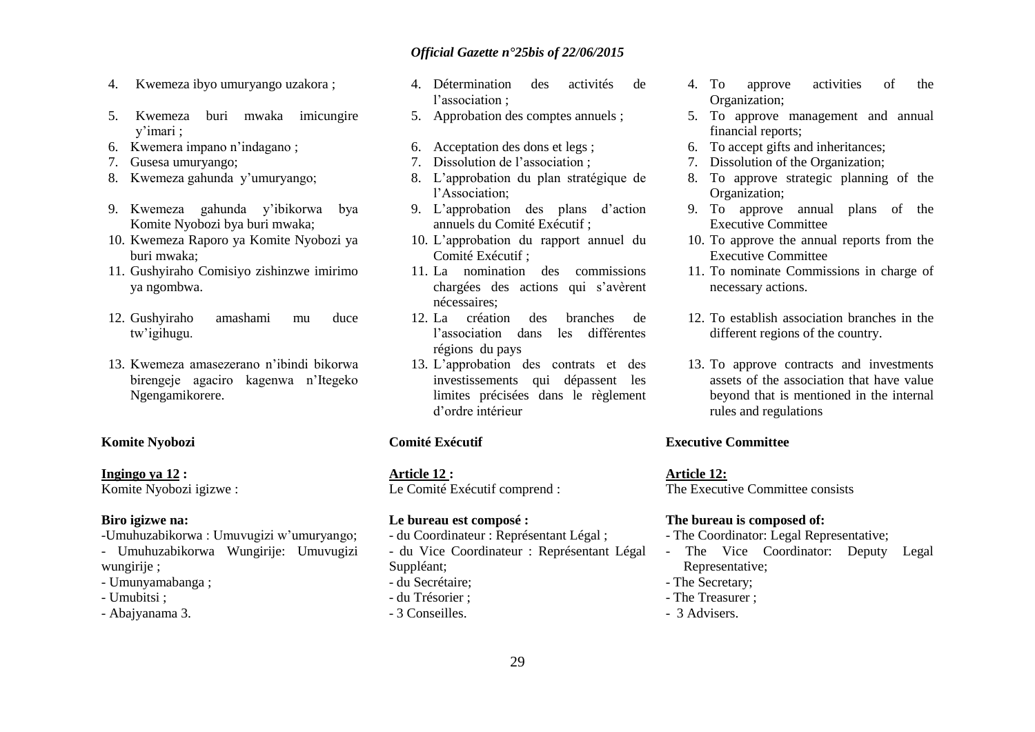- 4. Kwemeza ibyo umuryango uzakora ;
- 5. Kwemeza buri mwaka imicungire y"imari ;
- 6. Kwemera impano n"indagano ;
- 7. Gusesa umuryango;
- 8. Kwemeza gahunda y"umuryango;
- 9. Kwemeza gahunda y"ibikorwa bya Komite Nyobozi bya buri mwaka;
- 10. Kwemeza Raporo ya Komite Nyobozi ya buri mwaka;
- 11. Gushyiraho Comisiyo zishinzwe imirimo ya ngombwa.
- 12. Gushyiraho amashami mu duce tw"igihugu.
- 13. Kwemeza amasezerano n"ibindi bikorwa birengeje agaciro kagenwa n"Itegeko Ngengamikorere.

### **Komite Nyobozi**

### **Ingingo ya 12 :**

Komite Nyobozi igizwe :

#### **Biro igizwe na:**

- -Umuhuzabikorwa : Umuvugizi w"umuryango; - Umuhuzabikorwa Wungirije: Umuvugizi wungirije ;
- Umunyamabanga ;
- Umubitsi ;
- Abajyanama 3.
- 4. Détermination des activités de l'association :
- 5. Approbation des comptes annuels ;
- 6. Acceptation des dons et legs ;
- 7. Dissolution de l"association ;
- 8. L"approbation du plan stratégique de l"Association;
- 9. L"approbation des plans d"action annuels du Comité Exécutif ;
- 10. L"approbation du rapport annuel du Comité Exécutif ;
- 11. La nomination des commissions chargées des actions qui s"avèrent nécessaires;
- 12. La création des branches de l"association dans les différentes régions du pays
- 13. L"approbation des contrats et des investissements qui dépassent les limites précisées dans le règlement d"ordre intérieur

#### **Comité Exécutif**

**Article 12 :** Le Comité Exécutif comprend :

#### **Le bureau est composé :**

- du Coordinateur : Représentant Légal ; - du Vice Coordinateur : Représentant Légal
- Suppléant;
- du Secrétaire;
- du Trésorier ;
- 3 Conseilles.
- 4. To approve activities of the Organization;
- 5. To approve management and annual financial reports;
- 6. To accept gifts and inheritances;
- 7. Dissolution of the Organization;
- 8. To approve strategic planning of the Organization;
- 9. To approve annual plans of the Executive Committee
- 10. To approve the annual reports from the Executive Committee
- 11. To nominate Commissions in charge of necessary actions.
- 12. To establish association branches in the different regions of the country.
- 13. To approve contracts and investments assets of the association that have value beyond that is mentioned in the internal rules and regulations

### **Executive Committee**

#### **Article 12:**

The Executive Committee consists

#### **The bureau is composed of:**

- The Coordinator: Legal Representative;
- The Vice Coordinator: Deputy Legal Representative;
- The Secretary;
- The Treasurer ;
- 3 Advisers.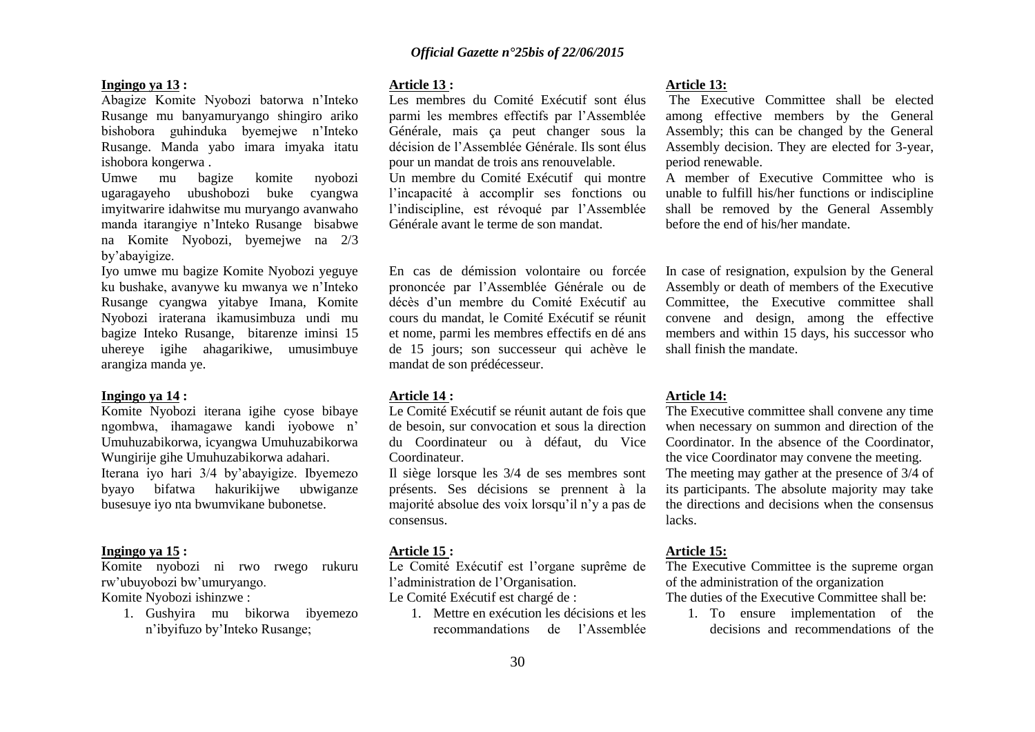#### **Ingingo ya 13 :**

Abagize Komite Nyobozi batorwa n"Inteko Rusange mu banyamuryango shingiro ariko bishobora guhinduka byemejwe n"Inteko Rusange. Manda yabo imara imyaka itatu ishobora kongerwa .

Umwe mu bagize komite nyobozi ugaragayeho ubushobozi buke cyangwa imyitwarire idahwitse mu muryango avanwaho manda itarangiye n"Inteko Rusange bisabwe na Komite Nyobozi, byemejwe na 2/3 by"abayigize.

Iyo umwe mu bagize Komite Nyobozi yeguye ku bushake, avanywe ku mwanya we n"Inteko Rusange cyangwa yitabye Imana, Komite Nyobozi iraterana ikamusimbuza undi mu bagize Inteko Rusange, bitarenze iminsi 15 uhereye igihe ahagarikiwe, umusimbuye arangiza manda ye.

#### **Ingingo ya 14 :**

Komite Nyobozi iterana igihe cyose bibaye ngombwa, ihamagawe kandi iyobowe n" Umuhuzabikorwa, icyangwa Umuhuzabikorwa Wungirije gihe Umuhuzabikorwa adahari. Iterana iyo hari 3/4 by"abayigize. Ibyemezo byayo bifatwa hakurikijwe ubwiganze busesuye iyo nta bwumvikane bubonetse.

#### **Ingingo ya 15 :**

Komite nyobozi ni rwo rwego rukuru rw"ubuyobozi bw"umuryango.

Komite Nyobozi ishinzwe :

1. Gushyira mu bikorwa ibyemezo n"ibyifuzo by"Inteko Rusange;

#### **Article 13 :**

Les membres du Comité Exécutif sont élus parmi les membres effectifs par l"Assemblée Générale, mais ça peut changer sous la décision de l"Assemblée Générale. Ils sont élus pour un mandat de trois ans renouvelable. Un membre du Comité Exécutif qui montre l"incapacité à accomplir ses fonctions ou l"indiscipline, est révoqué par l"Assemblée Générale avant le terme de son mandat.

En cas de démission volontaire ou forcée prononcée par l"Assemblée Générale ou de décès d"un membre du Comité Exécutif au cours du mandat, le Comité Exécutif se réunit et nome, parmi les membres effectifs en dé ans de 15 jours; son successeur qui achève le mandat de son prédécesseur.

#### **Article 14 :**

Le Comité Exécutif se réunit autant de fois que de besoin, sur convocation et sous la direction du Coordinateur ou à défaut, du Vice Coordinateur.

Il siège lorsque les 3/4 de ses membres sont présents. Ses décisions se prennent à la majorité absolue des voix lorsqu"il n"y a pas de consensus.

### **Article 15 :**

Le Comité Exécutif est l"organe suprême de l"administration de l"Organisation.

Le Comité Exécutif est chargé de :

1. Mettre en exécution les décisions et les recommandations de l"Assemblée

#### **Article 13:**

The Executive Committee shall be elected among effective members by the General Assembly; this can be changed by the General Assembly decision. They are elected for 3-year, period renewable.

A member of Executive Committee who is unable to fulfill his/her functions or indiscipline shall be removed by the General Assembly before the end of his/her mandate.

In case of resignation, expulsion by the General Assembly or death of members of the Executive Committee, the Executive committee shall convene and design, among the effective members and within 15 days, his successor who shall finish the mandate.

#### **Article 14:**

The Executive committee shall convene any time when necessary on summon and direction of the Coordinator. In the absence of the Coordinator, the vice Coordinator may convene the meeting. The meeting may gather at the presence of 3/4 of its participants. The absolute majority may take the directions and decisions when the consensus lacks.

#### **Article 15:**

The Executive Committee is the supreme organ of the administration of the organization

The duties of the Executive Committee shall be:

1. To ensure implementation of the decisions and recommendations of the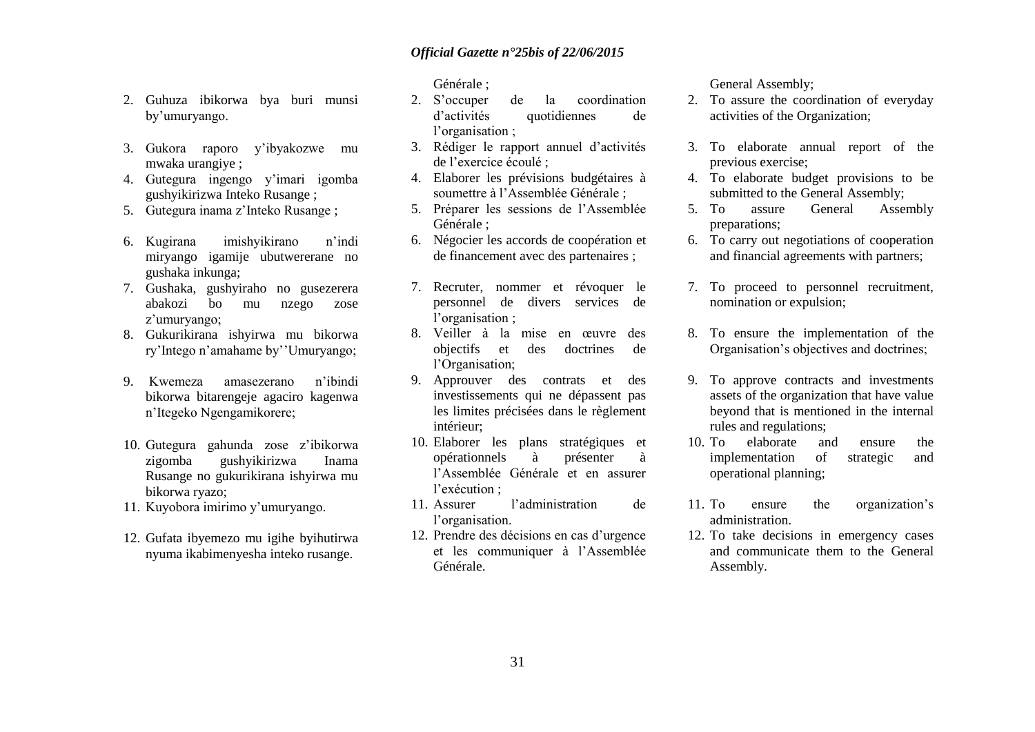- 2. Guhuza ibikorwa bya buri munsi by"umuryango.
- 3. Gukora raporo y"ibyakozwe mu mwaka urangiye ;
- 4. Gutegura ingengo y"imari igomba gushyikirizwa Inteko Rusange ;
- 5. Gutegura inama z"Inteko Rusange ;
- 6. Kugirana imishyikirano n"indi miryango igamije ubutwererane no gushaka inkunga;
- 7. Gushaka, gushyiraho no gusezerera abakozi bo mu nzego zose z"umuryango;
- 8. Gukurikirana ishyirwa mu bikorwa ry"Intego n"amahame by""Umuryango;
- 9. Kwemeza amasezerano n"ibindi bikorwa bitarengeje agaciro kagenwa n"Itegeko Ngengamikorere;
- 10. Gutegura gahunda zose z"ibikorwa zigomba gushyikirizwa Inama Rusange no gukurikirana ishyirwa mu bikorwa ryazo;
- 11. Kuyobora imirimo y"umuryango.
- 12. Gufata ibyemezo mu igihe byihutirwa nyuma ikabimenyesha inteko rusange.

Générale ;

- 2. S"occuper de la coordination d"activités quotidiennes de l'organisation :
- 3. Rédiger le rapport annuel d"activités de l"exercice écoulé ;
- 4. Elaborer les prévisions budgétaires à soumettre à l"Assemblée Générale ;
- 5. Préparer les sessions de l"Assemblée Générale ;
- 6. Négocier les accords de coopération et de financement avec des partenaires ;
- 7. Recruter, nommer et révoquer le personnel de divers services de l'organisation ;
- 8. Veiller à la mise en œuvre des objectifs et des doctrines de l"Organisation;
- 9. Approuver des contrats et des investissements qui ne dépassent pas les limites précisées dans le règlement intérieur;
- 10. Elaborer les plans stratégiques et opérationnels à présenter à l"Assemblée Générale et en assurer l'exécution :
- 11. Assurer l"administration de l'organisation.
- 12. Prendre des décisions en cas d"urgence et les communiquer à l"Assemblée Générale.

General Assembly;

- 2. To assure the coordination of everyday activities of the Organization;
- 3. To elaborate annual report of the previous exercise;
- 4. To elaborate budget provisions to be submitted to the General Assembly;
- 5. To assure General Assembly preparations;
- 6. To carry out negotiations of cooperation and financial agreements with partners;
- 7. To proceed to personnel recruitment, nomination or expulsion;
- 8. To ensure the implementation of the Organisation"s objectives and doctrines;
- 9. To approve contracts and investments assets of the organization that have value beyond that is mentioned in the internal rules and regulations;
- 10. To elaborate and ensure the implementation of strategic and operational planning;
- 11. To ensure the organization"s administration.
- 12. To take decisions in emergency cases and communicate them to the General Assembly.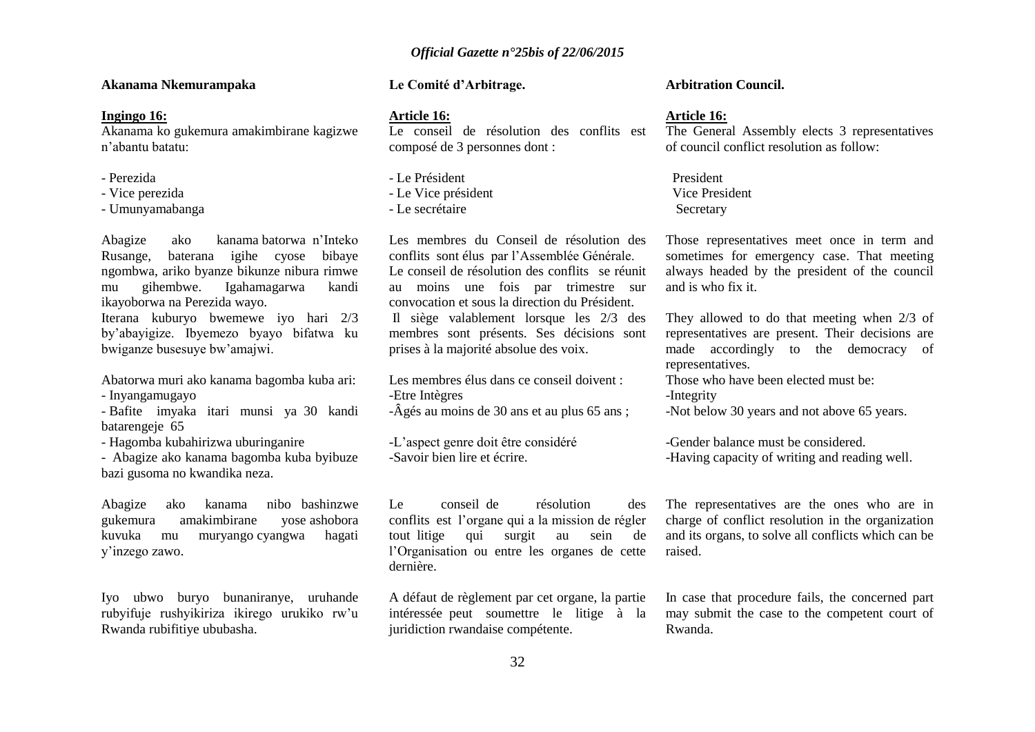#### **Akanama Nkemurampaka**

#### **Ingingo 16:**

Akanama ko gukemura amakimbirane kagizwe n"abantu batatu:

- Perezida
- Vice perezida
- Umunyamabanga

Abagize ako kanama batorwa n"Inteko Rusange, baterana igihe cyose bibaye ngombwa, ariko byanze bikunze nibura rimwe mu gihembwe. Igahamagarwa kandi ikayoborwa na Perezida wayo.

Iterana kuburyo bwemewe iyo hari 2/3 by"abayigize. Ibyemezo byayo bifatwa ku bwiganze busesuye bw"amajwi.

Abatorwa muri ako kanama bagomba kuba ari:

- Inyangamugayo

- Bafite imyaka itari munsi ya 30 kandi batarengeje 65

- Hagomba kubahirizwa uburinganire

- Abagize ako kanama bagomba kuba byibuze bazi gusoma no kwandika neza.

Abagize ako kanama nibo bashinzwe gukemura amakimbirane yose ashobora kuvuka mu muryango cyangwa hagati y"inzego zawo.

Iyo ubwo buryo bunaniranye, uruhande rubyifuje rushyikiriza ikirego urukiko rw"u Rwanda rubifitiye ububasha.

### **Le Comité d"Arbitrage.**

#### **Article 16:**

Le conseil de résolution des conflits est composé de 3 personnes dont :

- Le Président - Le Vice président - Le secrétaire

Les membres du Conseil de résolution des conflits sont élus par l"Assemblée Générale. Le conseil de résolution des conflits se réunit au moins une fois par trimestre sur convocation et sous la direction du Président. Il siège valablement lorsque les 2/3 des membres sont présents. Ses décisions sont prises à la majorité absolue des voix.

Les membres élus dans ce conseil doivent : -Etre Intègres -Âgés au moins de 30 ans et au plus 65 ans ;

-L"aspect genre doit être considéré -Savoir bien lire et écrire.

Le conseil de résolution des conflits est l"organe qui a la mission de régler tout litige qui surgit au sein de l"Organisation ou entre les organes de cette dernière.

A défaut de règlement par cet organe, la partie intéressée peut soumettre le litige à la juridiction rwandaise compétente.

#### **Arbitration Council.**

#### **Article 16:**

The General Assembly elects 3 representatives of council conflict resolution as follow:

 President Vice President Secretary

Those representatives meet once in term and sometimes for emergency case. That meeting always headed by the president of the council and is who fix it.

They allowed to do that meeting when 2/3 of representatives are present. Their decisions are made accordingly to the democracy of representatives.

Those who have been elected must be:

-Integrity

-Not below 30 years and not above 65 years.

-Gender balance must be considered. -Having capacity of writing and reading well.

The representatives are the ones who are in charge of conflict resolution in the organization and its organs, to solve all conflicts which can be raised.

In case that procedure fails, the concerned part may submit the case to the competent court of Rwanda.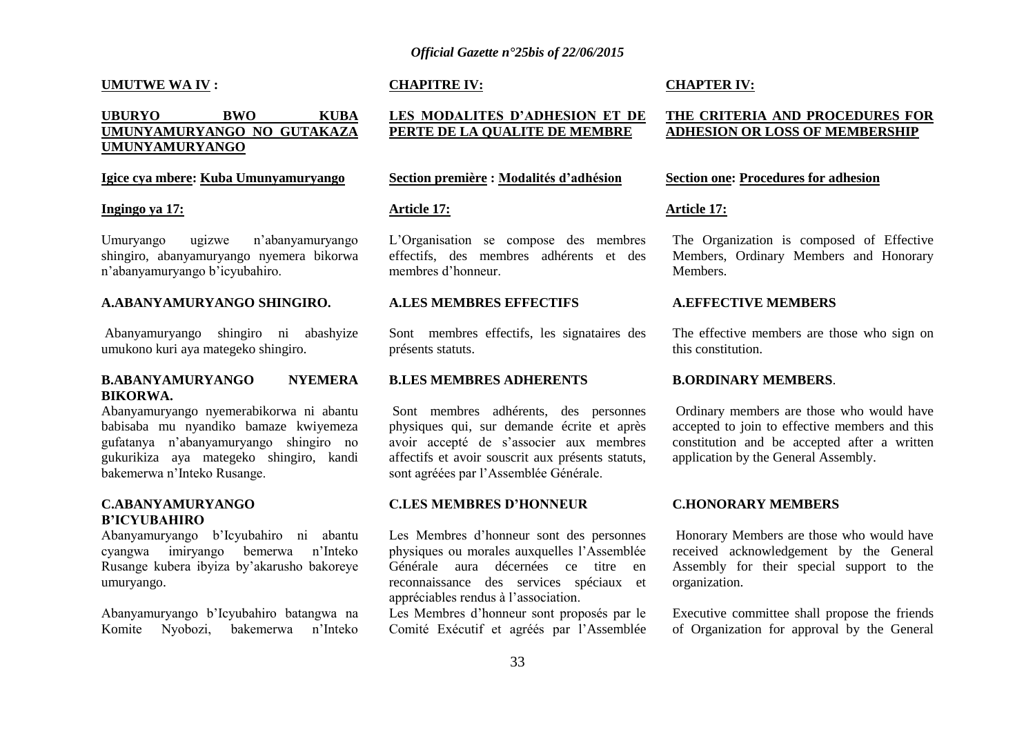#### **UMUTWE WA IV :**

### **UBURYO BWO KUBA UMUNYAMURYANGO NO GUTAKAZA UMUNYAMURYANGO**

#### **Igice cya mbere: Kuba Umunyamuryango**

#### **Ingingo ya 17:**

Umuryango ugizwe n"abanyamuryango shingiro, abanyamuryango nyemera bikorwa n"abanyamuryango b"icyubahiro.

#### **A.ABANYAMURYANGO SHINGIRO.**

Abanyamuryango shingiro ni abashyize umukono kuri aya mategeko shingiro.

#### **B.ABANYAMURYANGO NYEMERA BIKORWA.**

Abanyamuryango nyemerabikorwa ni abantu babisaba mu nyandiko bamaze kwiyemeza gufatanya n"abanyamuryango shingiro no gukurikiza aya mategeko shingiro, kandi bakemerwa n"Inteko Rusange.

#### **C.ABANYAMURYANGO B"ICYUBAHIRO**

Abanyamuryango b"Icyubahiro ni abantu cyangwa imiryango bemerwa n"Inteko Rusange kubera ibyiza by"akarusho bakoreye umuryango.

Abanyamuryango b"Icyubahiro batangwa na Komite Nyobozi, bakemerwa n"Inteko

#### **CHAPITRE IV:**

### **LES MODALITES D"ADHESION ET DE PERTE DE LA QUALITE DE MEMBRE**

#### **Section première : Modalités d"adhésion**

#### **Article 17:**

L"Organisation se compose des membres effectifs, des membres adhérents et des membres d"honneur.

#### **A.LES MEMBRES EFFECTIFS**

Sont membres effectifs, les signataires des présents statuts.

#### **B.LES MEMBRES ADHERENTS**

Sont membres adhérents, des personnes physiques qui, sur demande écrite et après avoir accepté de s"associer aux membres affectifs et avoir souscrit aux présents statuts, sont agréées par l"Assemblée Générale.

#### **C.LES MEMBRES D"HONNEUR**

Les Membres d"honneur sont des personnes physiques ou morales auxquelles l"Assemblée Générale aura décernées ce titre en reconnaissance des services spéciaux et appréciables rendus à l"association.

Les Membres d"honneur sont proposés par le Comité Exécutif et agréés par l"Assemblée

#### **CHAPTER IV:**

#### **THE CRITERIA AND PROCEDURES FOR ADHESION OR LOSS OF MEMBERSHIP**

#### **Section one: Procedures for adhesion**

#### **Article 17:**

The Organization is composed of Effective Members, Ordinary Members and Honorary **Members** 

#### **A.EFFECTIVE MEMBERS**

The effective members are those who sign on this constitution.

#### **B.ORDINARY MEMBERS**.

Ordinary members are those who would have accepted to join to effective members and this constitution and be accepted after a written application by the General Assembly.

#### **C.HONORARY MEMBERS**

Honorary Members are those who would have received acknowledgement by the General Assembly for their special support to the organization.

Executive committee shall propose the friends of Organization for approval by the General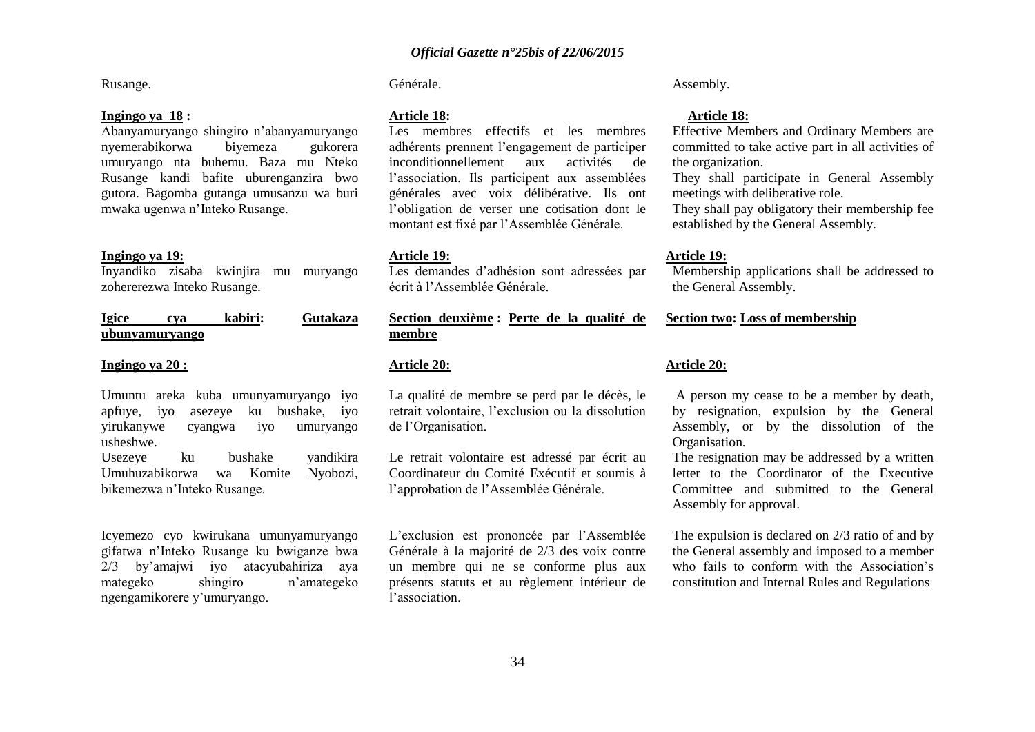Rusange.

#### **Ingingo ya 18 :**

Abanyamuryango shingiro n"abanyamuryango nyemerabikorwa biyemeza gukorera umuryango nta buhemu. Baza mu Nteko Rusange kandi bafite uburenganzira bwo gutora. Bagomba gutanga umusanzu wa buri mwaka ugenwa n"Inteko Rusange.

#### **Ingingo ya 19:**

Inyandiko zisaba kwinjira mu muryango zohererezwa Inteko Rusange.

| <b>Igice</b> | cva            | kabiri: | Gutakaza |
|--------------|----------------|---------|----------|
|              | ubunyamuryango |         |          |

#### **Ingingo ya 20 :**

Umuntu areka kuba umunyamuryango iyo apfuye, iyo asezeye ku bushake, iyo yirukanywe cyangwa iyo umuryango usheshwe.

Usezeye ku bushake yandikira Umuhuzabikorwa wa Komite Nyobozi, bikemezwa n"Inteko Rusange.

Icyemezo cyo kwirukana umunyamuryango gifatwa n"Inteko Rusange ku bwiganze bwa 2/3 by"amajwi iyo atacyubahiriza aya mategeko shingiro n"amategeko ngengamikorere y"umuryango.

Générale.

#### **Article 18:**

Les membres effectifs et les membres adhérents prennent l"engagement de participer inconditionnellement aux activités de l"association. Ils participent aux assemblées générales avec voix délibérative. Ils ont l"obligation de verser une cotisation dont le montant est fixé par l"Assemblée Générale.

#### **Article 19:**

Les demandes d"adhésion sont adressées par écrit à l"Assemblée Générale.

**Section deuxième : Perte de la qualité de membre**

#### **Article 20:**

La qualité de membre se perd par le décès, le retrait volontaire, l"exclusion ou la dissolution de l"Organisation.

Le retrait volontaire est adressé par écrit au Coordinateur du Comité Exécutif et soumis à l"approbation de l"Assemblée Générale.

L"exclusion est prononcée par l"Assemblée Générale à la majorité de 2/3 des voix contre un membre qui ne se conforme plus aux présents statuts et au règlement intérieur de l"association.

Assembly.

#### **Article 18:**

Effective Members and Ordinary Members are committed to take active part in all activities of the organization.

They shall participate in General Assembly meetings with deliberative role.

They shall pay obligatory their membership fee established by the General Assembly.

#### **Article 19:**

Membership applications shall be addressed to the General Assembly.

#### **Section two: Loss of membership**

#### **Article 20:**

A person my cease to be a member by death, by resignation, expulsion by the General Assembly, or by the dissolution of the Organisation.

The resignation may be addressed by a written letter to the Coordinator of the Executive Committee and submitted to the General Assembly for approval.

The expulsion is declared on 2/3 ratio of and by the General assembly and imposed to a member who fails to conform with the Association's constitution and Internal Rules and Regulations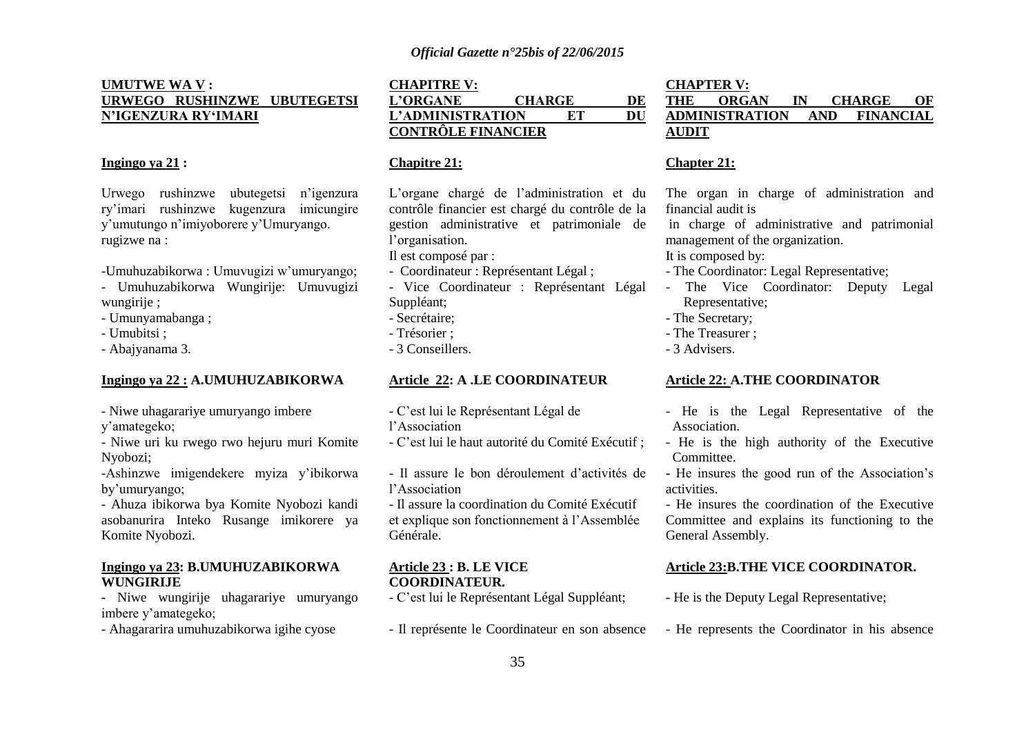### **UMUTWE WA V : URWEGO RUSHINZWE UBUTEGETSI N"IGENZURA RY"IMARI**

### **Ingingo ya 21 :**

Urwego rushinzwe ubutegetsi n"igenzura ry"imari rushinzwe kugenzura imicungire y"umutungo n"imiyoborere y"Umuryango. rugizwe na :

-Umuhuzabikorwa : Umuvugizi w"umuryango;

- Umuhuzabikorwa Wungirije: Umuvugizi wungirije ;
- Umunyamabanga ;
- Umubitsi ;
- Abajyanama 3.

#### **Ingingo ya 22 : A.UMUHUZABIKORWA**

- Niwe uhagarariye umuryango imbere

y"amategeko;

- Niwe uri ku rwego rwo hejuru muri Komite Nyobozi;

-Ashinzwe imigendekere myiza y"ibikorwa by"umuryango;

- Ahuza ibikorwa bya Komite Nyobozi kandi asobanurira Inteko Rusange imikorere ya Komite Nyobozi.

#### **Ingingo ya 23: B.UMUHUZABIKORWA WUNGIRIJE**

**-** Niwe wungirije uhagarariye umuryango imbere y"amategeko;

- Ahagararira umuhuzabikorwa igihe cyose

### **CHAPITRE V: L"ORGANE CHARGE DE L"ADMINISTRATION ET DU CONTRÔLE FINANCIER**

#### **Chapitre 21:**

L"organe chargé de l"administration et du contrôle financier est chargé du contrôle de la gestion administrative et patrimoniale de l"organisation.

Il est composé par :

- Coordinateur : Représentant Légal ;
- Vice Coordinateur : Représentant Légal Suppléant;
- Secrétaire;
- Trésorier ;
- 3 Conseillers.

### **Article 22: A .LE COORDINATEUR**

- C"est lui le Représentant Légal de
- l"Association
- C"est lui le haut autorité du Comité Exécutif ;
- Il assure le bon déroulement d"activités de l"Association
- Il assure la coordination du Comité Exécutif et explique son fonctionnement à l"Assemblée Générale.

#### **Article 23 : B. LE VICE COORDINATEUR.**

- C"est lui le Représentant Légal Suppléant;
- Il représente le Coordinateur en son absence

### **CHAPTER V: THE ORGAN IN CHARGE OF ADMINISTRATION AND FINANCIAL AUDIT**

#### **Chapter 21:**

The organ in charge of administration and financial audit is

in charge of administrative and patrimonial management of the organization.

### It is composed by:

- The Coordinator: Legal Representative;
- The Vice Coordinator: Deputy Legal Representative;
- The Secretary;
- The Treasurer ;
- 3 Advisers.

#### **Article 22: A.THE COORDINATOR**

- He is the Legal Representative of the Association.
- He is the high authority of the Executive Committee.
- **-** He insures the good run of the Association"s activities.

- He insures the coordination of the Executive Committee and explains its functioning to the General Assembly.

### **Article 23:B.THE VICE COORDINATOR.**

- **-** He is the Deputy Legal Representative;
- He represents the Coordinator in his absence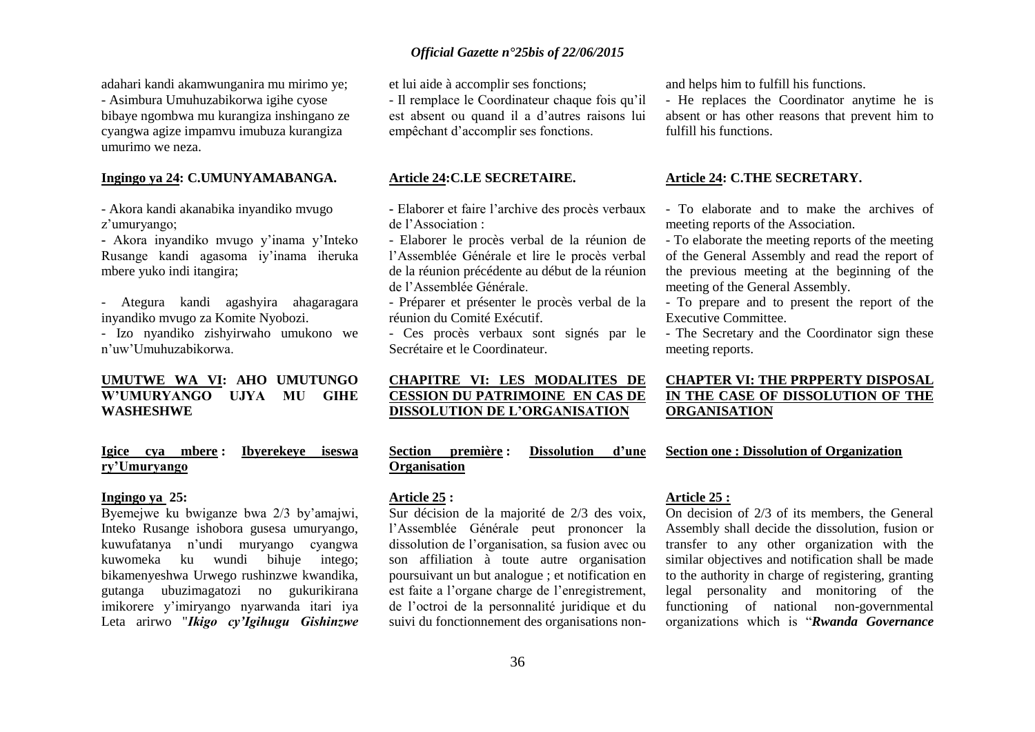adahari kandi akamwunganira mu mirimo ye; - Asimbura Umuhuzabikorwa igihe cyose bibaye ngombwa mu kurangiza inshingano ze cyangwa agize impamvu imubuza kurangiza umurimo we neza.

### **Ingingo ya 24: C.UMUNYAMABANGA.**

- Akora kandi akanabika inyandiko mvugo z'umuryango;

**-** Akora inyandiko mvugo y"inama y"Inteko Rusange kandi agasoma iy"inama iheruka mbere yuko indi itangira;

- Ategura kandi agashyira ahagaragara inyandiko mvugo za Komite Nyobozi.

- Izo nyandiko zishyirwaho umukono we n"uw"Umuhuzabikorwa.

### **UMUTWE WA VI: AHO UMUTUNGO W"UMURYANGO UJYA MU GIHE WASHESHWE**

### **Igice cya mbere : Ibyerekeye iseswa ry"Umuryango**

#### **Ingingo ya 25:**

Byemejwe ku bwiganze bwa 2/3 by"amajwi, Inteko Rusange ishobora gusesa umuryango, kuwufatanya n"undi muryango cyangwa kuwomeka ku wundi bihuje intego; bikamenyeshwa Urwego rushinzwe kwandika, gutanga ubuzimagatozi no gukurikirana imikorere y"imiryango nyarwanda itari iya Leta arirwo "*Ikigo cy'Igihugu Gishinzwe*  et lui aide à accomplir ses fonctions;

- Il remplace le Coordinateur chaque fois qu"il est absent ou quand il a d"autres raisons lui empêchant d"accomplir ses fonctions.

#### **Article 24:C.LE SECRETAIRE.**

**-** Elaborer et faire l"archive des procès verbaux de l"Association :

- Elaborer le procès verbal de la réunion de l"Assemblée Générale et lire le procès verbal de la réunion précédente au début de la réunion de l"Assemblée Générale.

- Préparer et présenter le procès verbal de la réunion du Comité Exécutif.

- Ces procès verbaux sont signés par le Secrétaire et le Coordinateur.

### **CHAPITRE VI: LES MODALITES DE CESSION DU PATRIMOINE EN CAS DE DISSOLUTION DE L"ORGANISATION**

**Section première : Dissolution d"une Organisation** 

#### **Article 25 :**

Sur décision de la majorité de 2/3 des voix, l"Assemblée Générale peut prononcer la dissolution de l"organisation, sa fusion avec ou son affiliation à toute autre organisation poursuivant un but analogue ; et notification en est faite a l"organe charge de l"enregistrement, de l"octroi de la personnalité juridique et du suivi du fonctionnement des organisations nonand helps him to fulfill his functions.

- He replaces the Coordinator anytime he is absent or has other reasons that prevent him to fulfill his functions.

#### **Article 24: C.THE SECRETARY.**

- To elaborate and to make the archives of meeting reports of the Association.

- To elaborate the meeting reports of the meeting of the General Assembly and read the report of the previous meeting at the beginning of the meeting of the General Assembly.

- To prepare and to present the report of the Executive Committee.

- The Secretary and the Coordinator sign these meeting reports.

### **CHAPTER VI: THE PRPPERTY DISPOSAL IN THE CASE OF DISSOLUTION OF THE ORGANISATION**

**Section one : Dissolution of Organization** 

#### **Article 25 :**

On decision of 2/3 of its members, the General Assembly shall decide the dissolution, fusion or transfer to any other organization with the similar objectives and notification shall be made to the authority in charge of registering, granting legal personality and monitoring of the functioning of national non-governmental organizations which is "*Rwanda Governance*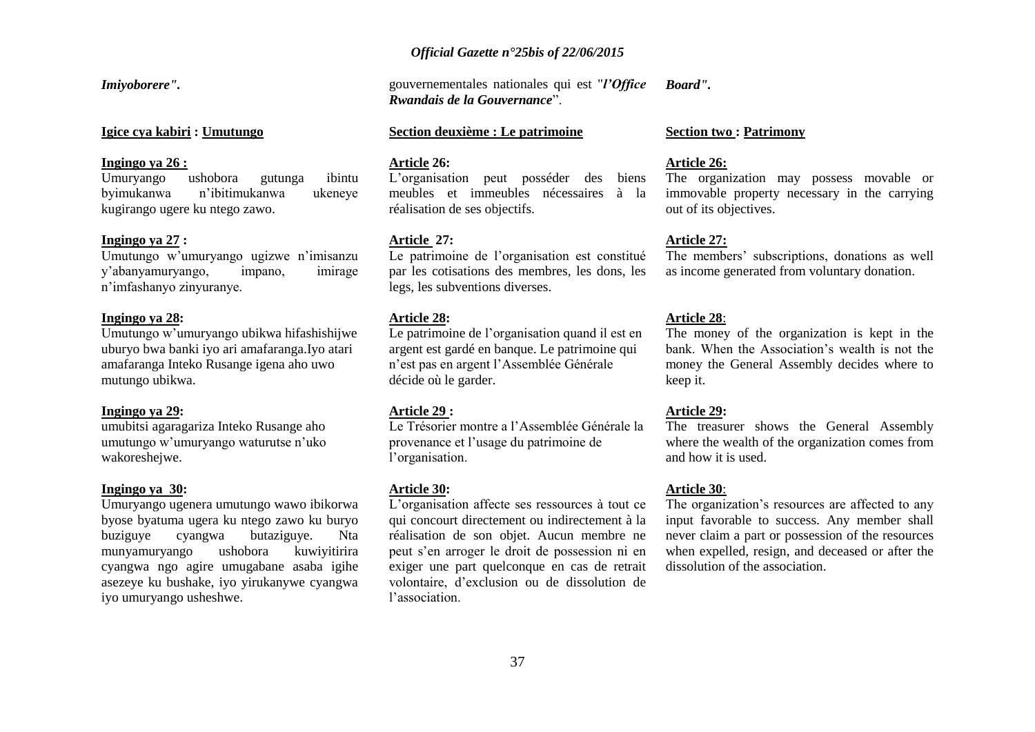### *Official Gazette n°25bis of 22/06/2015*

*Imiyoborere".*

**Igice cya kabiri : Umutungo** 

#### **Ingingo ya 26 :**

Umuryango ushobora gutunga ibintu byimukanwa n"ibitimukanwa ukeneye kugirango ugere ku ntego zawo.

#### **Ingingo ya 27 :**

Umutungo w"umuryango ugizwe n"imisanzu y"abanyamuryango, impano, imirage n"imfashanyo zinyuranye.

#### **Ingingo ya 28:**

Umutungo w"umuryango ubikwa hifashishijwe uburyo bwa banki iyo ari amafaranga.Iyo atari amafaranga Inteko Rusange igena aho uwo mutungo ubikwa.

#### **Ingingo ya 29:**

umubitsi agaragariza Inteko Rusange aho umutungo w'umuryango waturutse n'uko wakoreshejwe.

#### **Ingingo ya 30:**

Umuryango ugenera umutungo wawo ibikorwa byose byatuma ugera ku ntego zawo ku buryo buziguye cyangwa butaziguye. Nta munyamuryango ushobora kuwiyitirira cyangwa ngo agire umugabane asaba igihe asezeye ku bushake, iyo yirukanywe cyangwa iyo umuryango usheshwe.

gouvernementales nationales qui est "*l'Office Rwandais de la Gouvernance*". *Board".*

#### **Section deuxième : Le patrimoine**

#### **Article 26:**

L"organisation peut posséder des biens meubles et immeubles nécessaires à la réalisation de ses objectifs.

#### **Article 27:**

Le patrimoine de l'organisation est constitué par les cotisations des membres, les dons, les legs, les subventions diverses.

#### **Article 28:**

Le patrimoine de l'organisation quand il est en argent est gardé en banque. Le patrimoine qui n"est pas en argent l"Assemblée Générale décide où le garder.

#### **Article 29 :**

Le Trésorier montre a l"Assemblée Générale la provenance et l"usage du patrimoine de l'organisation.

#### **Article 30:**

L"organisation affecte ses ressources à tout ce qui concourt directement ou indirectement à la réalisation de son objet. Aucun membre ne peut s"en arroger le droit de possession ni en exiger une part quelconque en cas de retrait volontaire, d"exclusion ou de dissolution de l"association.

#### **Section two : Patrimony**

#### **Article 26:**

The organization may possess movable or immovable property necessary in the carrying out of its objectives.

#### **Article 27:**

The members' subscriptions, donations as well as income generated from voluntary donation.

#### **Article 28**:

The money of the organization is kept in the bank. When the Association"s wealth is not the money the General Assembly decides where to keep it.

#### **Article 29:**

The treasurer shows the General Assembly where the wealth of the organization comes from and how it is used.

#### **Article 30**:

The organization's resources are affected to any input favorable to success. Any member shall never claim a part or possession of the resources when expelled, resign, and deceased or after the dissolution of the association.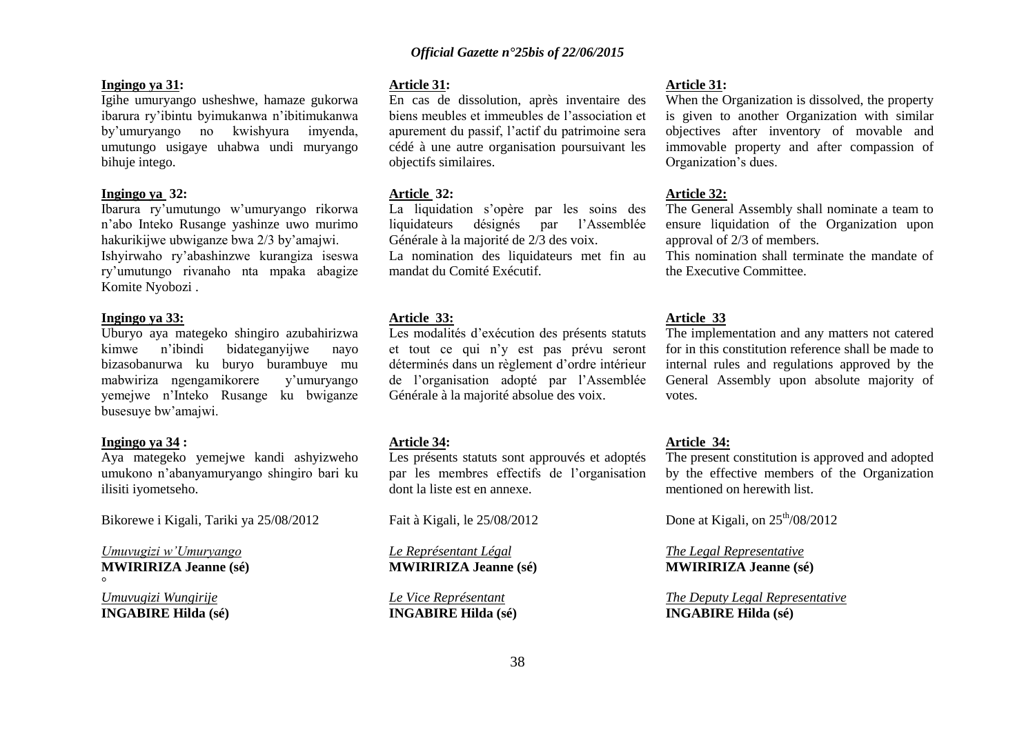#### **Ingingo ya 31:**

Igihe umuryango usheshwe, hamaze gukorwa ibarura ry"ibintu byimukanwa n"ibitimukanwa by"umuryango no kwishyura imyenda, umutungo usigaye uhabwa undi muryango bihuje intego.

#### **Ingingo ya 32:**

Ibarura ry"umutungo w"umuryango rikorwa n"abo Inteko Rusange yashinze uwo murimo hakurikijwe ubwiganze bwa 2/3 by"amajwi. Ishyirwaho ry"abashinzwe kurangiza iseswa ry"umutungo rivanaho nta mpaka abagize Komite Nyobozi .

#### **Ingingo ya 33:**

Uburyo aya mategeko shingiro azubahirizwa kimwe n"ibindi bidateganyijwe nayo bizasobanurwa ku buryo burambuye mu mabwiriza ngengamikorere y"umuryango yemejwe n"Inteko Rusange ku bwiganze busesuye bw"amajwi.

#### **Ingingo ya 34 :**

Aya mategeko yemejwe kandi ashyizweho umukono n"abanyamuryango shingiro bari ku ilisiti iyometseho.

Bikorewe i Kigali, Tariki ya 25/08/2012

*Umuvugizi w'Umuryango* **MWIRIRIZA Jeanne (sé)** °

*Umuvugizi Wungirije* **INGABIRE Hilda (sé)**

#### **Article 31:**

En cas de dissolution, après inventaire des biens meubles et immeubles de l"association et apurement du passif, l"actif du patrimoine sera cédé à une autre organisation poursuivant les objectifs similaires.

#### **Article 32:**

La liquidation s"opère par les soins des liquidateurs désignés par l"Assemblée Générale à la majorité de 2/3 des voix. La nomination des liquidateurs met fin au mandat du Comité Exécutif.

#### **Article 33:**

Les modalités d'exécution des présents statuts et tout ce qui n"y est pas prévu seront déterminés dans un règlement d"ordre intérieur de l"organisation adopté par l"Assemblée Générale à la majorité absolue des voix.

#### **Article 34:**

Les présents statuts sont approuvés et adoptés par les membres effectifs de l"organisation dont la liste est en annexe.

Fait à Kigali, le 25/08/2012

*Le Représentant Légal* **MWIRIRIZA Jeanne (sé)**

*Le Vice Représentant* **INGABIRE Hilda (sé)**

#### **Article 31:**

When the Organization is dissolved, the property is given to another Organization with similar objectives after inventory of movable and immovable property and after compassion of Organization"s dues.

#### **Article 32:**

The General Assembly shall nominate a team to ensure liquidation of the Organization upon approval of 2/3 of members.

This nomination shall terminate the mandate of the Executive Committee.

#### **Article 33**

The implementation and any matters not catered for in this constitution reference shall be made to internal rules and regulations approved by the General Assembly upon absolute majority of votes.

#### **Article 34:**

The present constitution is approved and adopted by the effective members of the Organization mentioned on herewith list.

Done at Kigali, on  $25<sup>th</sup>/08/2012$ 

*The Legal Representative* **MWIRIRIZA Jeanne (sé)**

*The Deputy Legal Representative* **INGABIRE Hilda (sé)**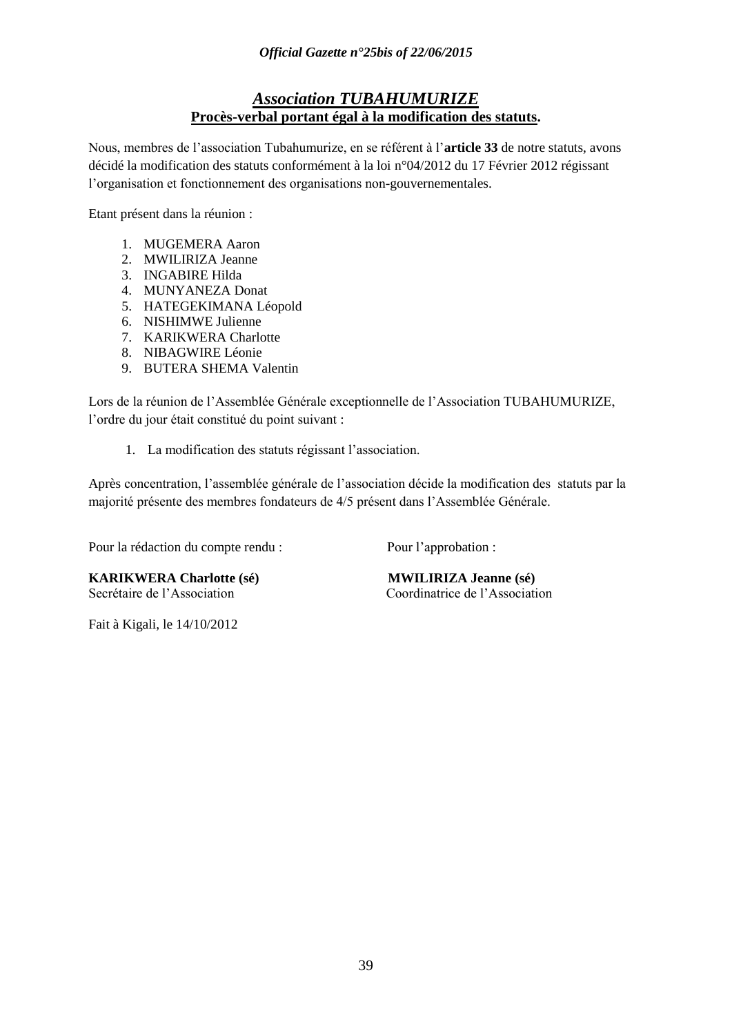## *Association TUBAHUMURIZE* **Procès-verbal portant égal à la modification des statuts.**

Nous, membres de l"association Tubahumurize, en se référent à l"**article 33** de notre statuts, avons décidé la modification des statuts conformément à la loi n°04/2012 du 17 Février 2012 régissant l"organisation et fonctionnement des organisations non-gouvernementales.

Etant présent dans la réunion :

- 1. MUGEMERA Aaron
- 2. MWILIRIZA Jeanne
- 3. INGABIRE Hilda
- 4. MUNYANEZA Donat
- 5. HATEGEKIMANA Léopold
- 6. NISHIMWE Julienne
- 7. KARIKWERA Charlotte
- 8. NIBAGWIRE Léonie
- 9. BUTERA SHEMA Valentin

Lors de la réunion de l"Assemblée Générale exceptionnelle de l"Association TUBAHUMURIZE, l"ordre du jour était constitué du point suivant :

1. La modification des statuts régissant l"association.

Après concentration, l"assemblée générale de l"association décide la modification des statuts par la majorité présente des membres fondateurs de 4/5 présent dans l"Assemblée Générale.

Pour la rédaction du compte rendu : Pour l'approbation :

**KARIKWERA Charlotte (sé) MWILIRIZA Jeanne (sé)** Secrétaire de l"Association Coordinatrice de l"Association

Fait à Kigali, le 14/10/2012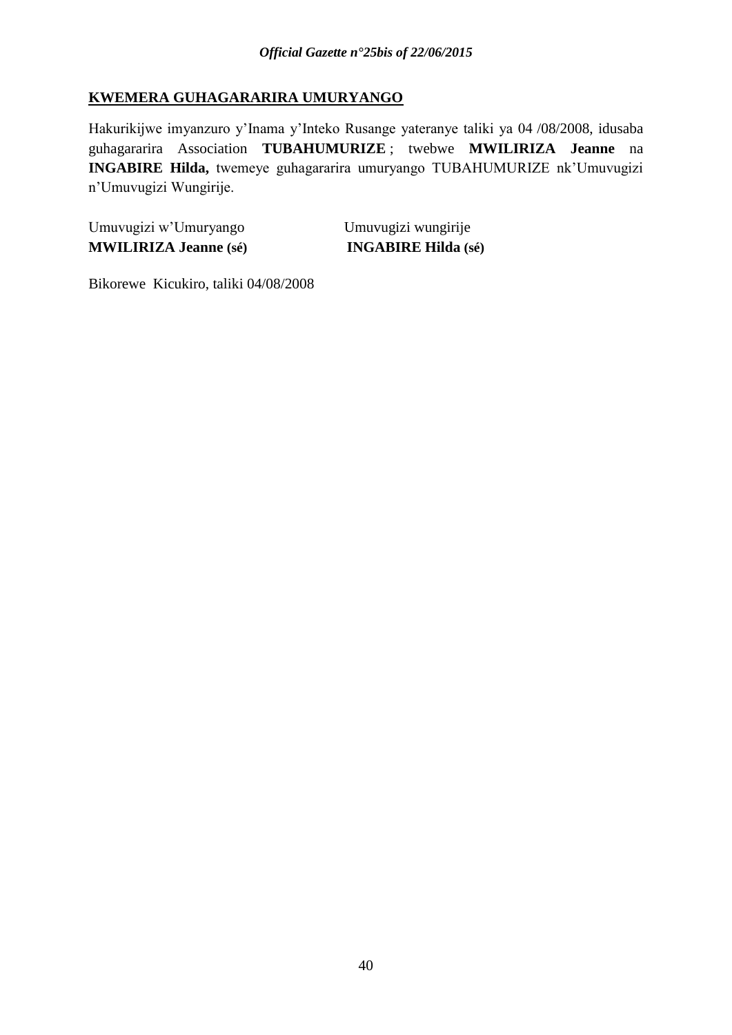## **KWEMERA GUHAGARARIRA UMURYANGO**

Hakurikijwe imyanzuro y"Inama y"Inteko Rusange yateranye taliki ya 04 /08/2008, idusaba guhagararira Association **TUBAHUMURIZE** ; twebwe **MWILIRIZA Jeanne** na **INGABIRE Hilda,** twemeye guhagararira umuryango TUBAHUMURIZE nk"Umuvugizi n"Umuvugizi Wungirije.

Umuvugizi w"Umuryango Umuvugizi wungirije **MWILIRIZA Jeanne (sé) INGABIRE Hilda (sé)**

Bikorewe Kicukiro, taliki 04/08/2008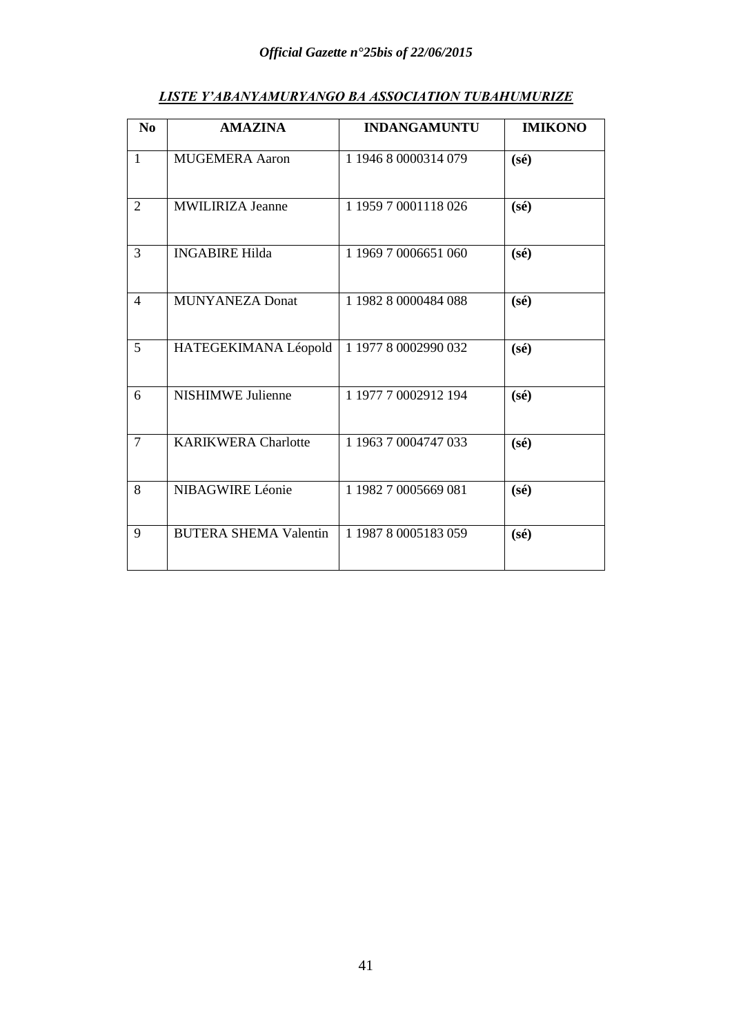# *Official Gazette n°25bis of 22/06/2015*

| LISTE Y ABANYAMURYANGU BA ASSOCIATION TUBAHUMURIZE |                |                     |                |  |  |  |
|----------------------------------------------------|----------------|---------------------|----------------|--|--|--|
| No                                                 | <b>AMAZINA</b> | <b>INDANGAMUNTU</b> | <b>IMIKONO</b> |  |  |  |

# *LISTE Y'ABANYAMURYANGO BA ASSOCIATION TUBAHUMURIZE*

| 1 I V           |                              | <b>DIMINIOITIU</b>   |                |
|-----------------|------------------------------|----------------------|----------------|
| $\mathbf{1}$    | <b>MUGEMERA Aaron</b>        | 1 1946 8 0000314 079 | $(s\acute{e})$ |
| $\overline{2}$  | <b>MWILIRIZA Jeanne</b>      | 1 1959 7 0001118 026 | $(s\acute{e})$ |
| 3               | <b>INGABIRE Hilda</b>        | 1 1969 7 0006651 060 | $(s\acute{e})$ |
| $\overline{4}$  | <b>MUNYANEZA Donat</b>       | 1 1982 8 0000484 088 | $(s\acute{e})$ |
| $5\overline{)}$ | HATEGEKIMANA Léopold         | 1 1977 8 0002990 032 | $(s\acute{e})$ |
| 6               | <b>NISHIMWE Julienne</b>     | 1 1977 7 0002912 194 | $(s\acute{e})$ |
| $\overline{7}$  | <b>KARIKWERA Charlotte</b>   | 1 1963 7 0004747 033 | $(s\acute{e})$ |
| 8               | <b>NIBAGWIRE Léonie</b>      | 1 1982 7 0005669 081 | $(s\acute{e})$ |
| 9               | <b>BUTERA SHEMA Valentin</b> | 1 1987 8 0005183 059 | $(s\acute{e})$ |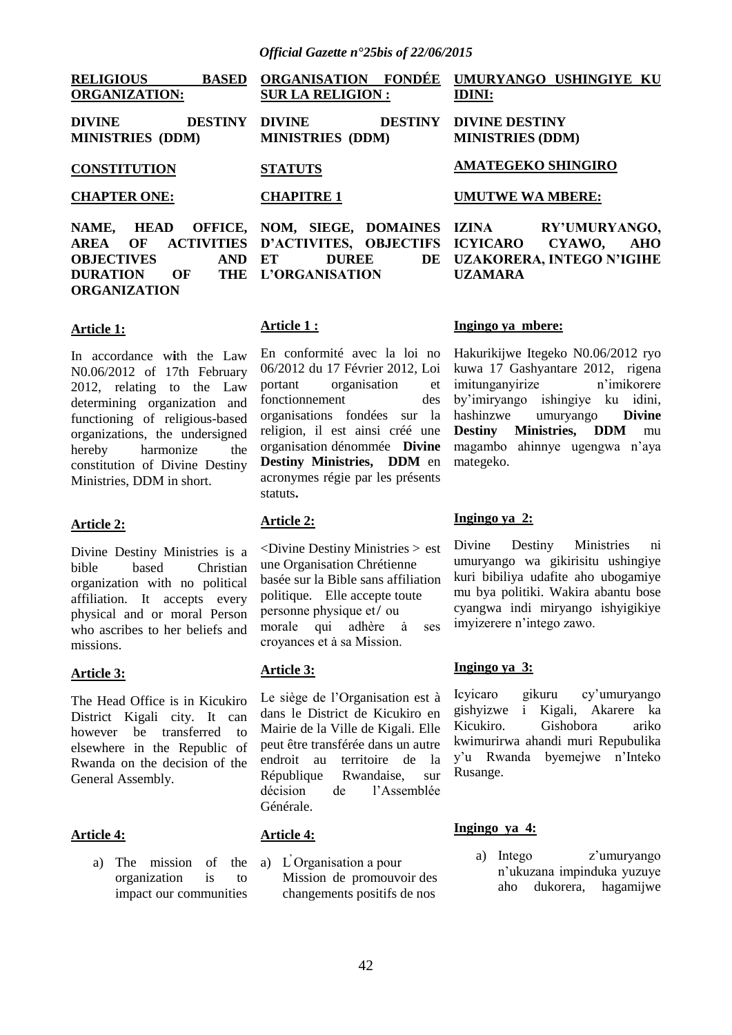| <b>RELIGIOUS</b><br><b>BASED</b><br><b>ORGANIZATION:</b>                                                                          | <b>ORGANISATION</b><br><b>FONDÉE</b><br><b>SUR LA RELIGION:</b>                                                     | UMURYANGO USHINGIYE KU<br><b>IDINI:</b>                                                     |
|-----------------------------------------------------------------------------------------------------------------------------------|---------------------------------------------------------------------------------------------------------------------|---------------------------------------------------------------------------------------------|
| <b>DIVINE</b><br><b>DESTINY</b><br><b>MINISTRIES (DDM)</b>                                                                        | <b>DIVINE</b><br><b>DESTINY</b><br><b>MINISTRIES (DDM)</b>                                                          | <b>DIVINE DESTINY</b><br><b>MINISTRIES (DDM)</b>                                            |
| <b>CONSTITUTION</b>                                                                                                               | <b>STATUTS</b>                                                                                                      | <b>AMATEGEKO SHINGIRO</b>                                                                   |
| <b>CHAPTER ONE:</b>                                                                                                               | <b>CHAPITRE 1</b>                                                                                                   | <b>UMUTWE WA MBERE:</b>                                                                     |
| NAME,<br><b>HEAD</b><br><b>ACTIVITIES</b><br>OF<br><b>AREA</b><br><b>OBJECTIVES</b><br><b>AND</b><br><b>DURATION</b><br>OF<br>THE | OFFICE, NOM, SIEGE, DOMAINES IZINA<br>D'ACTIVITES, OBJECTIFS ICYICARO<br>ET<br>DE<br><b>DUREE</b><br>L'ORGANISATION | RY'UMURYANGO,<br>CYAWO,<br><b>AHO</b><br><b>UZAKORERA, INTEGO N'IGIHE</b><br><b>UZAMARA</b> |

#### **Article 1:**

**ORGANIZATION**

In accordance w**i**th the Law N0.06/2012 of 17th February 2012, relating to the Law determining organization and functioning of religious-based organizations, the undersigned hereby harmonize the constitution of Divine Destiny Ministries, DDM in short.

#### **Article 2:**

Divine Destiny Ministries is a bible based Christian organization with no political affiliation. It accepts every physical and or moral Person who ascribes to her beliefs and missions.

#### **Article 3:**

The Head Office is in Kicukiro District Kigali city. It can however be transferred to elsewhere in the Republic of Rwanda on the decision of the General Assembly.

#### **Article 4:**

a) The mission of the organization is to impact our communities

#### **Article 1 :**

En conformité avec la loi no 06/2012 du 17 Février 2012, Loi portant organisation et fonctionnement des organisations fondées sur la religion, il est ainsi créé une organisation dénommée **Divine Destiny Ministries, DDM** en acronymes régie par les présents statuts**.**

#### **Article 2:**

<Divine Destiny Ministries > est une Organisation Chrétienne basée sur la Bible sans affiliation politique. Elle accepte toute personne physique et/ ou morale qui adhère à ses crovances et à sa Mission.

### **Article 3:**

Le siège de l"Organisation est à dans le District de Kicukiro en Mairie de la Ville de Kigali. Elle peut être transférée dans un autre endroit au territoire de la République Rwandaise, sur décision de l"Assemblée Générale.

#### **Article 4:**

a) L̕ Organisation a pour Mission de promouvoir des changements positifs de nos

#### **Ingingo ya mbere:**

Hakurikijwe Itegeko N0.06/2012 ryo kuwa 17 Gashyantare 2012, rigena imitunganyirize n"imikorere by"imiryango ishingiye ku idini, hashinzwe umuryango **Divine Destiny Ministries, DDM** mu magambo ahinnye ugengwa n"aya mategeko.

#### **Ingingo ya 2:**

Divine Destiny Ministries ni umuryango wa gikirisitu ushingiye kuri bibiliya udafite aho ubogamiye mu bya politiki. Wakira abantu bose cyangwa indi miryango ishyigikiye imyizerere n"intego zawo.

#### **Ingingo ya 3:**

Icyicaro gikuru cy"umuryango gishyizwe i Kigali, Akarere ka Kicukiro. Gishobora ariko kwimurirwa ahandi muri Repubulika y"u Rwanda byemejwe n"Inteko Rusange.

#### **Ingingo ya 4:**

a) Intego z"umuryango n"ukuzana impinduka yuzuye aho dukorera, hagamijwe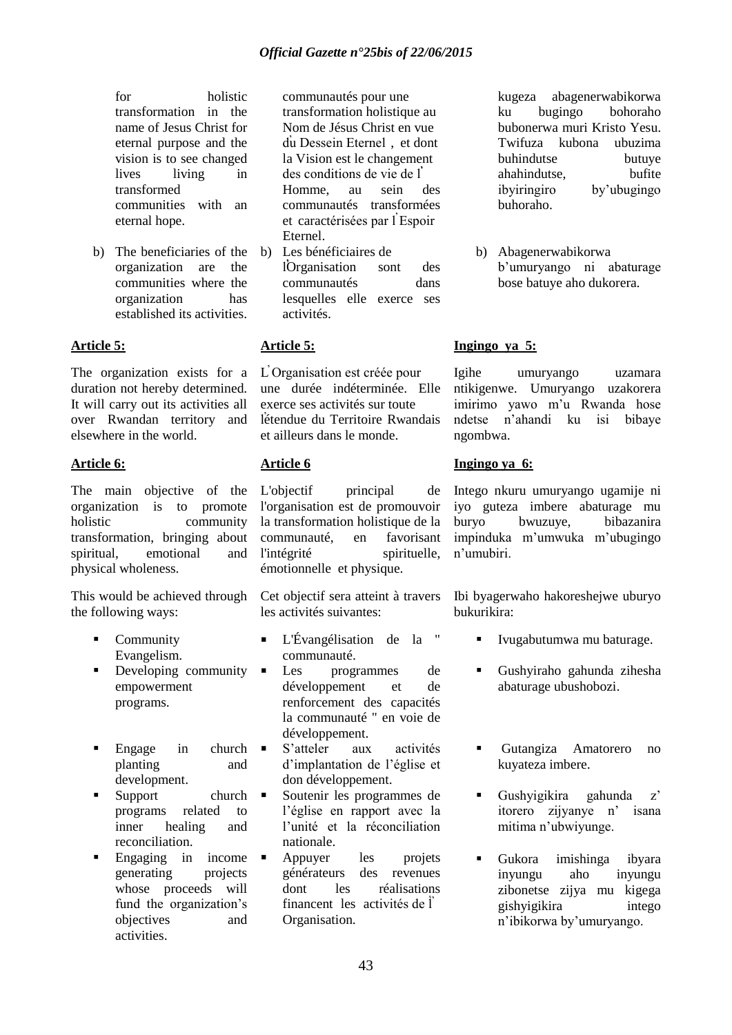for holistic transformation in the name of Jesus Christ for eternal purpose and the vision is to see changed lives living in transformed communities with an eternal hope.

b) The beneficiaries of the organization are the communities where the organization has established its activities.

### **Article 5:**

The organization exists for a duration not hereby determined. It will carry out its activities all over Rwandan territory and elsewhere in the world.

### **Article 6:**

The main objective of the organization is to promote holistic community transformation, bringing about spiritual, emotional and physical wholeness.

This would be achieved through the following ways:

- Community Evangelism.
- Developing community empowerment programs.
- $\blacksquare$  Engage in church  $\blacksquare$ planting and development.
- Support church  $\blacksquare$ programs related to inner healing and reconciliation.
- Engaging in income  $\blacksquare$ generating projects whose proceeds will fund the organization's objectives and activities.

communautés pour une transformation holistique au Nom de Jésus Christ en vue du̕ Dessein Eternel , et dont la Vision est le changement des conditions de vie de l ̕ Homme, au sein des communautés transformées et caractérisées par l'Espoir Eternel.

b) Les bénéficiaires de lOrganisation sont des communautés dans lesquelles elle exerce ses activités.

### **Article 5:**

L̕ Organisation est créée pour une durée indéterminée. Elle exerce ses activités sur toute létendue du Territoire Rwandais et ailleurs dans le monde.

### **Article 6**

L'objectif principal de l'organisation est de promouvoir la transformation holistique de la communauté, en favorisant l'intégrité spirituelle, émotionnelle et physique.

Cet objectif sera atteint à travers les activités suivantes:

- L'Évangélisation de la " communauté.
- Les programmes de développement et de renforcement des capacités la communauté " en voie de développement.
- S"atteler aux activités d"implantation de l"église et don développement.
- Soutenir les programmes de l"église en rapport avec la l"unité et la réconciliation nationale.
- Appuyer les projets générateurs des revenues dont les réalisations financent les activités de l Organisation.

kugeza abagenerwabikorwa ku bugingo bohoraho bubonerwa muri Kristo Yesu. Twifuza kubona ubuzima buhindutse butuye ahahindutse, bufite ibyiringiro by"ubugingo buhoraho.

b) Abagenerwabikorwa b"umuryango ni abaturage bose batuye aho dukorera.

### **Ingingo ya 5:**

Igihe umuryango uzamara ntikigenwe. Umuryango uzakorera imirimo yawo m"u Rwanda hose ndetse n"ahandi ku isi bibaye ngombwa.

### **Ingingo ya 6:**

Intego nkuru umuryango ugamije ni iyo guteza imbere abaturage mu buryo bwuzuye, bibazanira impinduka m"umwuka m"ubugingo n"umubiri.

Ibi byagerwaho hakoreshejwe uburyo bukurikira:

- Ivugabutumwa mu baturage.
- Gushyiraho gahunda zihesha abaturage ubushobozi.
- Gutangiza Amatorero no kuyateza imbere.
- Gushyigikira gahunda  $z'$ itorero zijyanye n" isana mitima n"ubwiyunge.
- Gukora imishinga ibyara inyungu aho inyungu zibonetse zijya mu kigega gishyigikira intego n"ibikorwa by"umuryango.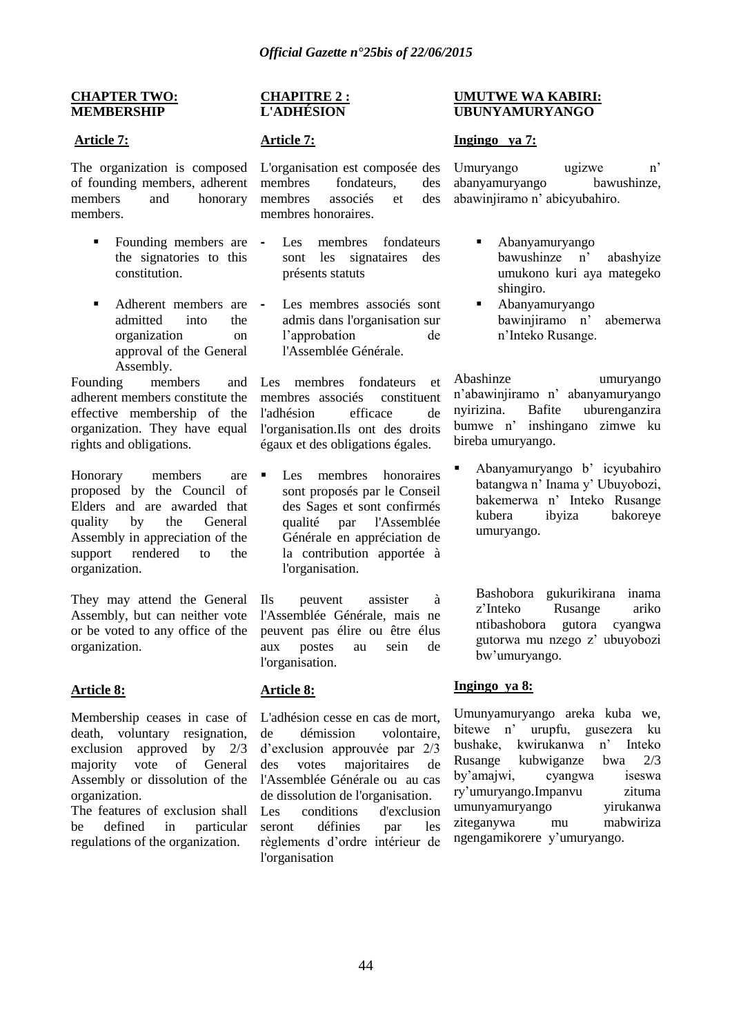#### **CHAPTER TWO: MEMBERSHIP**

### **Article 7:**

The organization is composed of founding members, adherent members and honorary members.

- Founding members are the signatories to this constitution.
- Adherent members are admitted into the organization on approval of the General Assembly.

Founding members and adherent members constitute the effective membership of the organization. They have equal rights and obligations.

Honorary members are proposed by the Council of Elders and are awarded that quality by the General Assembly in appreciation of the support rendered to the organization.

They may attend the General Assembly, but can neither vote or be voted to any office of the organization.

### **Article 8:**

Membership ceases in case of death, voluntary resignation, exclusion approved by 2/3 majority vote of General Assembly or dissolution of the organization.

The features of exclusion shall be defined in particular regulations of the organization.

#### **CHAPITRE 2 : L'ADHÉSION**

### **Article 7:**

L'organisation est composée des membres fondateurs, des membres associés et des membres honoraires.

- Les membres fondateurs sont les signataires des présents statuts
- Les membres associés sont admis dans l'organisation sur l"approbation de l'Assemblée Générale.

Les membres fondateurs et membres associés constituent l'adhésion efficace de l'organisation.Ils ont des droits égaux et des obligations égales.

Les membres honoraires sont proposés par le Conseil des Sages et sont confirmés qualité par l'Assemblée Générale en appréciation de la contribution apportée à l'organisation.

Ils peuvent assister à l'Assemblée Générale, mais ne peuvent pas élire ou être élus aux postes au sein de l'organisation.

### **Article 8:**

L'adhésion cesse en cas de mort, de démission volontaire, d"exclusion approuvée par 2/3 des votes majoritaires de l'Assemblée Générale ou au cas de dissolution de l'organisation. Les conditions d'exclusion seront définies par les règlements d"ordre intérieur de l'organisation

### **UMUTWE WA KABIRI: UBUNYAMURYANGO**

### **Ingingo ya 7:**

Umuryango ugizwe n" abanyamuryango bawushinze, abawinjiramo n" abicyubahiro.

- Abanyamuryango bawushinze n" abashyize umukono kuri aya mategeko shingiro.
- Abanyamuryango bawinjiramo n" abemerwa n"Inteko Rusange.

Abashinze umuryango n"abawinjiramo n" abanyamuryango nyirizina. Bafite uburenganzira bumwe n" inshingano zimwe ku bireba umuryango.

Abanyamuryango b' icyubahiro batangwa n' Inama y' Ubuyobozi, bakemerwa n" Inteko Rusange kubera ibyiza bakoreye umuryango.

Bashobora gukurikirana inama z"Inteko Rusange ariko ntibashobora gutora cyangwa gutorwa mu nzego z" ubuyobozi bw"umuryango.

### **Ingingo ya 8:**

Umunyamuryango areka kuba we, bitewe n" urupfu, gusezera ku bushake, kwirukanwa n" Inteko Rusange kubwiganze bwa 2/3 by"amajwi, cyangwa iseswa ry"umuryango.Impanvu zituma umunyamuryango yirukanwa ziteganywa mu mabwiriza ngengamikorere y"umuryango.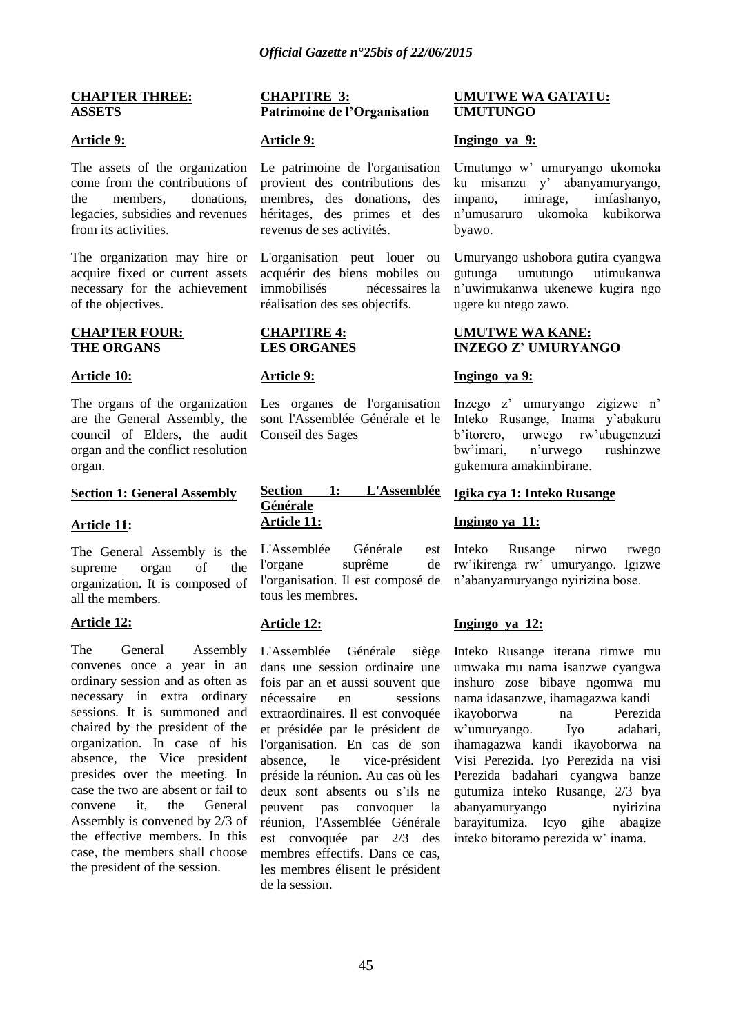#### **CHAPTER THREE: ASSETS**

#### **Article 9:**

The assets of the organization come from the contributions of the members donations legacies, subsidies and revenues from its activities.

The organization may hire or acquire fixed or current assets necessary for the achievement of the objectives.

#### **CHAPTER FOUR: THE ORGANS**

#### **Article 10:**

The organs of the organization are the General Assembly, the council of Elders, the audit organ and the conflict resolution organ.

#### **Section 1: General Assembly**

### **Article 11:**

The General Assembly is the supreme organ of the organization. It is composed of all the members.

#### **Article 12:**

The General Assembly convenes once a year in an ordinary session and as often as necessary in extra ordinary sessions. It is summoned and chaired by the president of the organization. In case of his absence, the Vice president presides over the meeting. In case the two are absent or fail to convene it, the General Assembly is convened by 2/3 of the effective members. In this case, the members shall choose the president of the session.

#### **CHAPITRE 3: Patrimoine de l"Organisation**

#### **Article 9:**

Le patrimoine de l'organisation provient des contributions des membres, des donations, des héritages, des primes et des revenus de ses activités.

L'organisation peut louer ou acquérir des biens mobiles ou immobilisés nécessaires la réalisation des ses objectifs.

#### **CHAPITRE 4: LES ORGANES**

#### **Article 9:**

Les organes de l'organisation sont l'Assemblée Générale et le Conseil des Sages

#### **Section 1: L'Assemblée Générale Article 11:**

L'Assemblée Générale est l'organe suprême de l'organisation. Il est composé de tous les membres.

### **Article 12:**

L'Assemblée Générale siège dans une session ordinaire une fois par an et aussi souvent que nécessaire en sessions extraordinaires. Il est convoquée et présidée par le président de l'organisation. En cas de son absence, le vice-président préside la réunion. Au cas où les deux sont absents ou s"ils ne peuvent pas convoquer la réunion, l'Assemblée Générale est convoquée par 2/3 des membres effectifs. Dans ce cas, les membres élisent le président de la session.

#### **UMUTWE WA GATATU: UMUTUNGO**

#### **Ingingo ya 9:**

Umutungo w" umuryango ukomoka ku misanzu y" abanyamuryango, impano, imirage, imfashanyo, n"umusaruro ukomoka kubikorwa byawo.

Umuryango ushobora gutira cyangwa gutunga umutungo utimukanwa n"uwimukanwa ukenewe kugira ngo ugere ku ntego zawo.

### **UMUTWE WA KANE: INZEGO Z" UMURYANGO**

### **Ingingo ya 9:**

Inzego z" umuryango zigizwe n" Inteko Rusange, Inama y"abakuru b"itorero, urwego rw"ubugenzuzi bw"imari, n"urwego rushinzwe gukemura amakimbirane.

### **Igika cya 1: Inteko Rusange**

#### **Ingingo ya 11:**

Inteko Rusange nirwo rwego rw"ikirenga rw" umuryango. Igizwe n"abanyamuryango nyirizina bose.

### **Ingingo ya 12:**

Inteko Rusange iterana rimwe mu umwaka mu nama isanzwe cyangwa inshuro zose bibaye ngomwa mu nama idasanzwe, ihamagazwa kandi ikayoborwa na Perezida w"umuryango. Iyo adahari, ihamagazwa kandi ikayoborwa na Visi Perezida. Iyo Perezida na visi Perezida badahari cyangwa banze gutumiza inteko Rusange, 2/3 bya abanyamuryango nyirizina barayitumiza. Icyo gihe abagize inteko bitoramo perezida w" inama.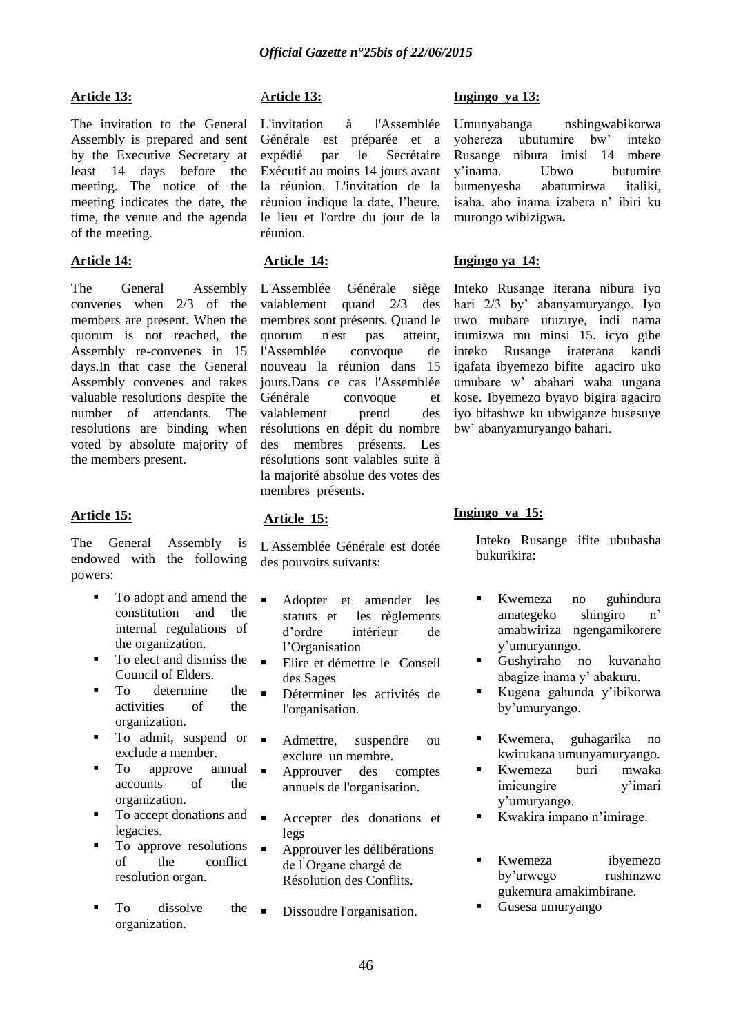### **Article 13:**

The invitation to the General Assembly is prepared and sent by the Executive Secretary at least 14 days before the meeting. The notice of the meeting indicates the date, the time, the venue and the agenda of the meeting.

### **Article 14:**

The General Assembly convenes when 2/3 of the members are present. When the quorum is not reached, the Assembly re-convenes in 15 days.In that case the General Assembly convenes and takes valuable resolutions despite the number of attendants. The resolutions are binding when voted by absolute majority of the members present.

### **Article 15:**

The General Assembly is endowed with the following powers:

- To adopt and amend the constitution and the internal regulations of the organization.
- To elect and dismiss the Council of Elders.
- To determine the activities of the organization.
- $\blacksquare$  To admit, suspend or  $\blacksquare$ exclude a member.
- $\blacksquare$  To approve annual accounts of the organization.
- To accept donations and legacies.
- To approve resolutions of the conflict resolution organ.
- To dissolve the organization.

### A**rticle 13:**

L'invitation à l'Assemblée Générale est préparée et a expédié par le Secrétaire Exécutif au moins 14 jours avant la réunion. L'invitation de la réunion indique la date, l"heure, le lieu et l'ordre du jour de la réunion.

### **Article 14:**

L'Assemblée Générale siège valablement quand 2/3 des membres sont présents. Quand le quorum n'est pas atteint, l'Assemblée convoque de nouveau la réunion dans 15 jours.Dans ce cas l'Assemblée Générale convoque et valablement prend des résolutions en dépit du nombre des membres présents. Les résolutions sont valables suite à la majorité absolue des votes des membres présents.

### **Article 15:**

L'Assemblée Générale est dotée des pouvoirs suivants:

- Adopter et amender les statuts et les règlements d"ordre intérieur de l"Organisation
- Elire et démettre le Conseil des Sages
- Déterminer les activités de l'organisation.
	- Admettre, suspendre ou exclure un membre.
- **Approuver** des comptes annuels de l'organisation.
	- Accepter des donations et legs
- Approuver les délibérations de l ̕Organe chargé de Résolution des Conflits.
- Dissoudre l'organisation.

### **Ingingo ya 13:**

Umunyabanga nshingwabikorwa yohereza ubutumire bw" inteko Rusange nibura imisi 14 mbere y"inama. Ubwo butumire bumenyesha abatumirwa italiki, isaha, aho inama izabera n" ibiri ku murongo wibizigwa**.** 

### **Ingingo ya 14:**

Inteko Rusange iterana nibura iyo hari 2/3 by" abanyamuryango. Iyo uwo mubare utuzuye, indi nama itumizwa mu minsi 15. icyo gihe inteko Rusange iraterana kandi igafata ibyemezo bifite agaciro uko umubare w" abahari waba ungana kose. Ibyemezo byayo bigira agaciro iyo bifashwe ku ubwiganze busesuye bw" abanyamuryango bahari.

### **Ingingo ya 15:**

Inteko Rusange ifite ububasha bukurikira:

- Kwemeza no guhindura amategeko shingiro n" amabwiriza ngengamikorere y"umuryanngo.
- Gushyiraho no kuvanaho abagize inama y" abakuru.
- Kugena gahunda y"ibikorwa by"umuryango.
- Kwemera, guhagarika no kwirukana umunyamuryango.
- Kwemeza buri mwaka imicungire v'imari y"umuryango.
- Kwakira impano n"imirage.
- Kwemeza ibyemezo by"urwego rushinzwe gukemura amakimbirane.
- Gusesa umuryango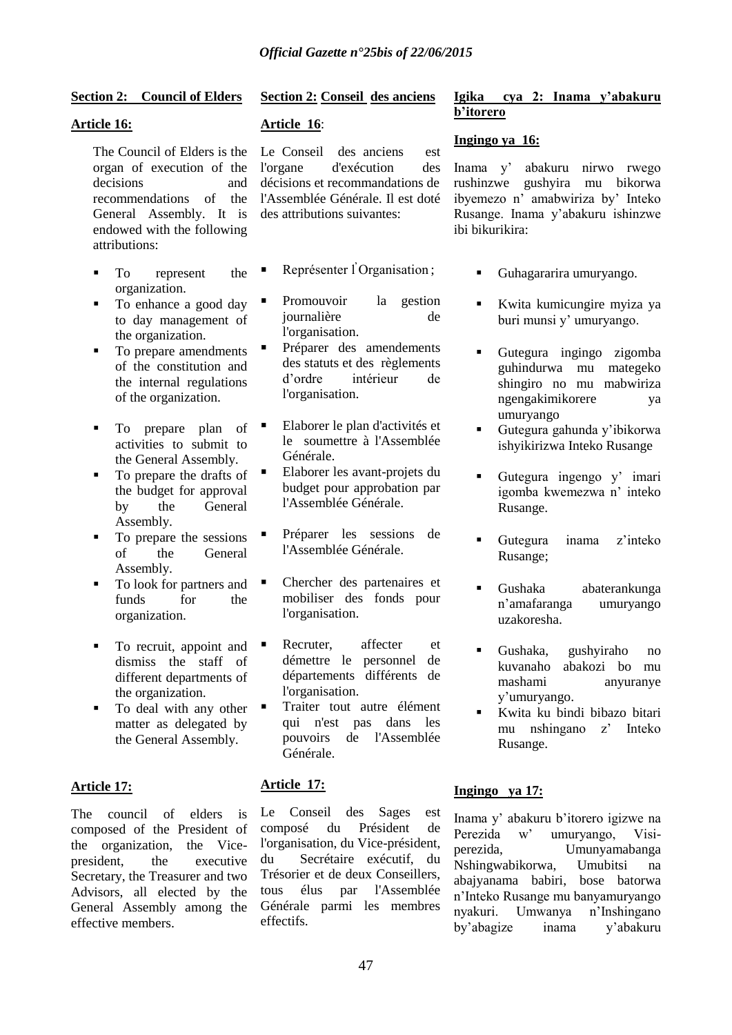### **Section 2: Council of Elders**

### **Article 16:**

organ of execution of the decisions and recommendations of the General Assembly. It is endowed with the following attributions:

- To represent the organization.
- To enhance a good day to day management of the organization.
- To prepare amendments of the constitution and the internal regulations of the organization.
- To prepare plan of activities to submit to the General Assembly.
- $\blacksquare$  To prepare the drafts of  $\blacksquare$ the budget for approval by the General Assembly.
- To prepare the sessions of the General Assembly.
- To look for partners and funds for the organization.
- To recruit, appoint and  $\blacksquare$ dismiss the staff of different departments of the organization.
- To deal with any other  $\blacksquare$ matter as delegated by the General Assembly.

### **Article 17:**

The council of elders is composed of the President of the organization, the Vicepresident, the executive Secretary, the Treasurer and two Advisors, all elected by the General Assembly among the effective members.

### **Section 2: Conseil des anciens**

### **Article 16**:

The Council of Elders is the Le Conseil des anciens est l'organe d'exécution des décisions et recommandations de l'Assemblée Générale. Il est doté des attributions suivantes:

- **Représenter l'Organisation**;
- Promouvoir la gestion journalière de l'organisation.
- Préparer des amendements des statuts et des règlements d"ordre intérieur de l'organisation.
- Elaborer le plan d'activités et le soumettre à l'Assemblée Générale.
- Elaborer les avant-projets du budget pour approbation par l'Assemblée Générale.
- Préparer les sessions de l'Assemblée Générale.
- Chercher des partenaires et mobiliser des fonds pour l'organisation.
- Recruter, affecter et démettre le personnel de départements différents de l'organisation.
- Traiter tout autre élément qui n'est pas dans les pouvoirs de l'Assemblée Générale.

### **Article 17:**

Le Conseil des Sages est composé du Président de l'organisation, du Vice-président, du Secrétaire exécutif, du Trésorier et de deux Conseillers, tous élus par l'Assemblée Générale parmi les membres effectifs.

### **Igika cya 2: Inama y"abakuru b"itorero**

### **Ingingo ya 16:**

Inama y" abakuru nirwo rwego rushinzwe gushyira mu bikorwa ibyemezo n" amabwiriza by" Inteko Rusange. Inama y"abakuru ishinzwe ibi bikurikira:

- Guhagararira umuryango.
- Kwita kumicungire myiza ya buri munsi y" umuryango.
- Gutegura ingingo zigomba guhindurwa mu mategeko shingiro no mu mabwiriza ngengakimikorere ya umuryango
- Gutegura gahunda y"ibikorwa ishyikirizwa Inteko Rusange
- Gutegura ingengo y' imari igomba kwemezwa n" inteko Rusange.
- Gutegura inama z"inteko Rusange;
- Gushaka abaterankunga n"amafaranga umuryango uzakoresha.
- Gushaka, gushyiraho no kuvanaho abakozi bo mu mashami anyuranye y"umuryango.
- Kwita ku bindi bibazo bitari mu nshingano z" Inteko Rusange.

### **Ingingo ya 17:**

Inama y" abakuru b"itorero igizwe na Perezida w" umuryango, Visiperezida, Umunyamabanga Nshingwabikorwa, Umubitsi na abajyanama babiri, bose batorwa n"Inteko Rusange mu banyamuryango nyakuri. Umwanya n"Inshingano by"abagize inama y"abakuru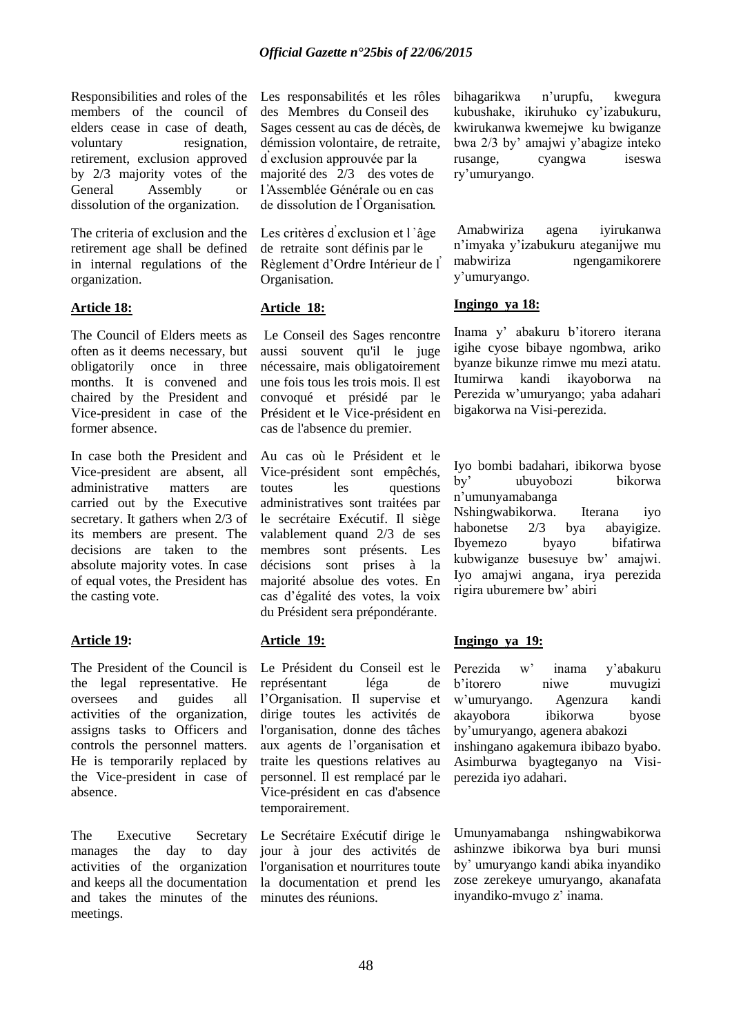Responsibilities and roles of the members of the council of elders cease in case of death, voluntary resignation, retirement, exclusion approved by 2/3 majority votes of the General Assembly or dissolution of the organization.

The criteria of exclusion and the retirement age shall be defined in internal regulations of the organization.

### **Article 18:**

The Council of Elders meets as often as it deems necessary, but obligatorily once in three months. It is convened and chaired by the President and Vice-president in case of the former absence.

In case both the President and Vice-president are absent, all administrative matters are carried out by the Executive secretary. It gathers when 2/3 of its members are present. The decisions are taken to the absolute majority votes. In case of equal votes, the President has the casting vote.

### **Article 19:**

The President of the Council is the legal representative. He oversees and guides all activities of the organization, assigns tasks to Officers and controls the personnel matters. He is temporarily replaced by the Vice-president in case of absence.

The Executive Secretary manages the day to day activities of the organization and keeps all the documentation and takes the minutes of the meetings.

Les responsabilités et les rôles des Membres du Conseil des Sages cessent au cas de décès, de démission volontaire, de retraite, d̕exclusion approuvée par la majorité des 2/3 des votes de l'Assemblée Générale ou en cas de dissolution de l'Organisation.

Les critères d'exclusion et l'âge de retraite sont définis par le Règlement d"Ordre Intérieur de l ̕ Organisation.

### **Article 18:**

Le Conseil des Sages rencontre aussi souvent qu'il le juge nécessaire, mais obligatoirement une fois tous les trois mois. Il est convoqué et présidé par le Président et le Vice-président en cas de l'absence du premier.

Au cas où le Président et le Vice-président sont empêchés, toutes les questions administratives sont traitées par le secrétaire Exécutif. Il siège valablement quand 2/3 de ses membres sont présents. Les décisions sont prises à la majorité absolue des votes. En cas d"égalité des votes, la voix du Président sera prépondérante.

### **Article 19:**

Le Président du Conseil est le représentant léga de l"Organisation. Il supervise et dirige toutes les activités de l'organisation, donne des tâches aux agents de l"organisation et traite les questions relatives au personnel. Il est remplacé par le Vice-président en cas d'absence temporairement.

Le Secrétaire Exécutif dirige le jour à jour des activités de l'organisation et nourritures toute la documentation et prend les minutes des réunions.

bihagarikwa n"urupfu, kwegura kubushake, ikiruhuko cy"izabukuru, kwirukanwa kwemejwe ku bwiganze bwa 2/3 by" amajwi y"abagize inteko rusange, cyangwa iseswa ry"umuryango.

Amabwiriza agena iyirukanwa n"imyaka y"izabukuru ateganijwe mu mabwiriza ngengamikorere y"umuryango.

### **Ingingo ya 18:**

Inama y" abakuru b"itorero iterana igihe cyose bibaye ngombwa, ariko byanze bikunze rimwe mu mezi atatu. Itumirwa kandi ikayoborwa na Perezida w"umuryango; yaba adahari bigakorwa na Visi-perezida.

Iyo bombi badahari, ibikorwa byose by" ubuyobozi bikorwa n"umunyamabanga

Nshingwabikorwa. Iterana iyo habonetse 2/3 bya abayigize. Ibyemezo byayo bifatirwa kubwiganze busesuye bw" amajwi. Iyo amajwi angana, irya perezida rigira uburemere bw" abiri

### **Ingingo ya 19:**

Perezida w" inama y"abakuru b"itorero niwe muvugizi w"umuryango. Agenzura kandi akayobora ibikorwa byose by"umuryango, agenera abakozi inshingano agakemura ibibazo byabo. Asimburwa byagteganyo na Visiperezida iyo adahari.

Umunyamabanga nshingwabikorwa ashinzwe ibikorwa bya buri munsi by" umuryango kandi abika inyandiko zose zerekeye umuryango, akanafata inyandiko-mvugo z" inama.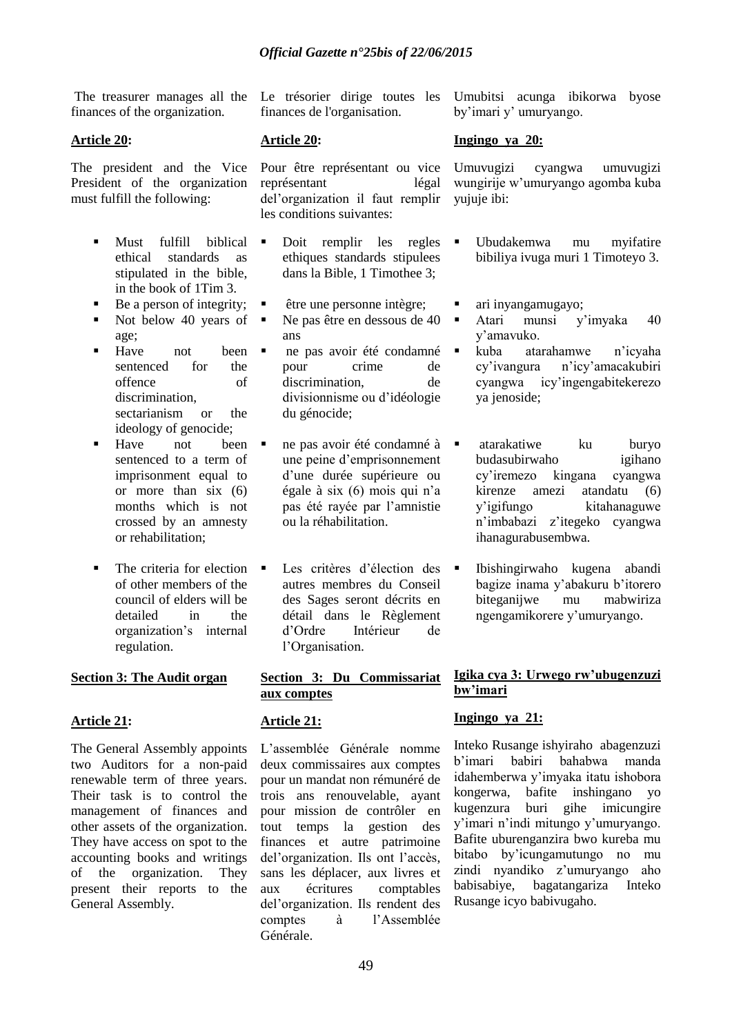The treasurer manages all the finances of the organization.

### **Article 20:**

The president and the Vice President of the organization must fulfill the following:

- Must fulfill biblical ethical standards as stipulated in the bible, in the book of 1Tim 3.
- Be a person of integrity;
- Not below 40 years of  $\blacksquare$
- age; ■ Have not been ■ sentenced for the offence of discrimination, sectarianism or the ideology of genocide;
- Have not been  $\blacksquare$ sentenced to a term of imprisonment equal to or more than six (6) months which is not crossed by an amnesty or rehabilitation;
- The criteria for election  $\blacksquare$ of other members of the council of elders will be detailed in the organization"s internal regulation.

### **Section 3: The Audit organ**

### **Article 21:**

The General Assembly appoints two Auditors for a non-paid renewable term of three years. Their task is to control the management of finances and other assets of the organization. They have access on spot to the accounting books and writings of the organization. They present their reports to the General Assembly.

Le trésorier dirige toutes les finances de l'organisation.

### **Article 20:**

Pour être représentant ou vice représentant légal del"organization il faut remplir les conditions suivantes:

- Doit remplir les regles  $\blacksquare$ ethiques standards stipulees dans la Bible, 1 Timothee 3;
- être une personne intègre;
- Ne pas être en dessous de 40 ans
- ne pas avoir été condamné pour crime de discrimination, de divisionnisme ou d"idéologie du génocide;
- ne pas avoir été condamné à une peine d"emprisonnement d"une durée supérieure ou égale à six (6) mois qui n"a pas été rayée par l"amnistie ou la réhabilitation.
- Les critères d"élection des autres membres du Conseil des Sages seront décrits en détail dans le Règlement d"Ordre Intérieur de l"Organisation.

### **Section 3: Du Commissariat aux comptes**

### **Article 21:**

L"assemblée Générale nomme deux commissaires aux comptes pour un mandat non rémunéré de trois ans renouvelable, ayant pour mission de contrôler en tout temps la gestion des finances et autre patrimoine del"organization. Ils ont l"accès, sans les déplacer, aux livres et aux écritures comptables del"organization. Ils rendent des comptes à l"Assemblée Générale.

Umubitsi acunga ibikorwa byose by'imari y' umuryango.

### **Ingingo ya 20:**

Umuvugizi cyangwa umuvugizi wungirije w"umuryango agomba kuba yujuje ibi:

- Ubudakemwa mu myifatire bibiliya ivuga muri 1 Timoteyo 3.
- ari inyangamugayo;
- Atari munsi y"imyaka 40 y"amavuko.
	- kuba atarahamwe n"icyaha cy"ivangura n"icy"amacakubiri cyangwa icy"ingengabitekerezo ya jenoside;
- atarakatiwe ku buryo budasubirwaho igihano cy"iremezo kingana cyangwa kirenze amezi atandatu (6) y"igifungo kitahanaguwe n"imbabazi z"itegeko cyangwa ihanagurabusembwa.
- Ibishingirwaho kugena abandi bagize inama y"abakuru b"itorero biteganijwe mu mabwiriza ngengamikorere y"umuryango.

### **Igika cya 3: Urwego rw"ubugenzuzi bw"imari**

### **Ingingo ya 21:**

Inteko Rusange ishyiraho abagenzuzi b"imari babiri bahabwa manda idahemberwa y"imyaka itatu ishobora kongerwa, bafite inshingano yo kugenzura buri gihe imicungire y"imari n"indi mitungo y"umuryango. Bafite uburenganzira bwo kureba mu bitabo by"icungamutungo no mu zindi nyandiko z'umuryango aho babisabiye, bagatangariza Inteko Rusange icyo babivugaho.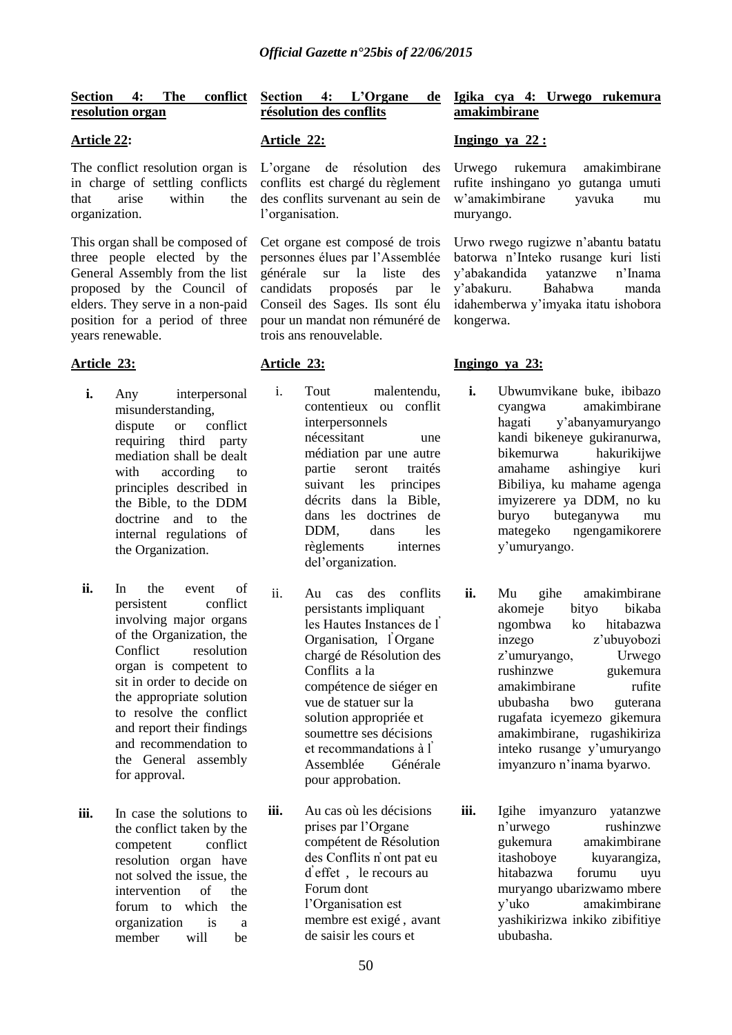### **Section 4: The conflict resolution organ**

### **Article 22:**

The conflict resolution organ is in charge of settling conflicts that arise within the organization.

This organ shall be composed of three people elected by the General Assembly from the list proposed by the Council of elders. They serve in a non-paid position for a period of three years renewable.

### **Article 23:**

- **i.** Any interpersonal misunderstanding, dispute or conflict requiring third party mediation shall be dealt with according to principles described in the Bible, to the DDM doctrine and to the internal regulations of the Organization.
- **ii.** In the event of persistent conflict involving major organs of the Organization, the Conflict resolution organ is competent to sit in order to decide on the appropriate solution to resolve the conflict and report their findings and recommendation to the General assembly for approval.
- **iii.** In case the solutions to the conflict taken by the competent conflict resolution organ have not solved the issue, the intervention of the forum to which the organization is a member will be

### **Section 4: L"Organe de résolution des conflits**

### **Article 22:**

L"organe de résolution des conflits est chargé du règlement des conflits survenant au sein de l'organisation.

Cet organe est composé de trois personnes élues par l"Assemblée générale sur la liste des candidats proposés par le Conseil des Sages. Ils sont élu pour un mandat non rémunéré de trois ans renouvelable.

### **Article 23:**

- i. Tout malentendu, contentieux ou conflit interpersonnels nécessitant une médiation par une autre partie seront traités suivant les principes décrits dans la Bible, dans les doctrines de DDM, dans les règlements internes del"organization*.*
- ii. Au cas des conflits persistants impliquant les Hautes Instances de l ̕ Organisation, l'Organe chargé de Résolution des Conflits a la compétence de siéger en vue de statuer sur la solution appropriée et soumettre ses décisions et recommandations à l ̕ Assemblée Générale pour approbation.

**iii.** Au cas où les décisions prises par l"Organe compétent de Résolution des Conflits n̕ ont pat eu d<sup>'</sup>effet , le recours au Forum dont l"Organisation est membre est exigé , avant de saisir les cours et

### **Igika cya 4: Urwego rukemura amakimbirane**

### **Ingingo ya 22 :**

Urwego rukemura amakimbirane rufite inshingano yo gutanga umuti w"amakimbirane yavuka mu muryango.

Urwo rwego rugizwe n"abantu batatu batorwa n"Inteko rusange kuri listi y"abakandida yatanzwe n"Inama y"abakuru. Bahabwa manda idahemberwa y"imyaka itatu ishobora kongerwa.

### **Ingingo ya 23:**

- **i.** Ubwumvikane buke, ibibazo cyangwa amakimbirane hagati y"abanyamuryango kandi bikeneye gukiranurwa, bikemurwa hakurikijwe amahame ashingiye kuri Bibiliya, ku mahame agenga imyizerere ya DDM, no ku buryo buteganywa mu mategeko ngengamikorere y"umuryango.
- **ii.** Mu gihe amakimbirane akomeje bityo bikaba ngombwa ko hitabazwa inzego z"ubuyobozi z"umuryango, Urwego rushinzwe gukemura amakimbirane rufite ububasha bwo guterana rugafata icyemezo gikemura amakimbirane, rugashikiriza inteko rusange y"umuryango imyanzuro n"inama byarwo.

**iii.** Igihe imyanzuro yatanzwe n"urwego rushinzwe gukemura amakimbirane itashoboye kuyarangiza, hitabazwa forumu uyu muryango ubarizwamo mbere y"uko amakimbirane yashikirizwa inkiko zibifitiye ububasha.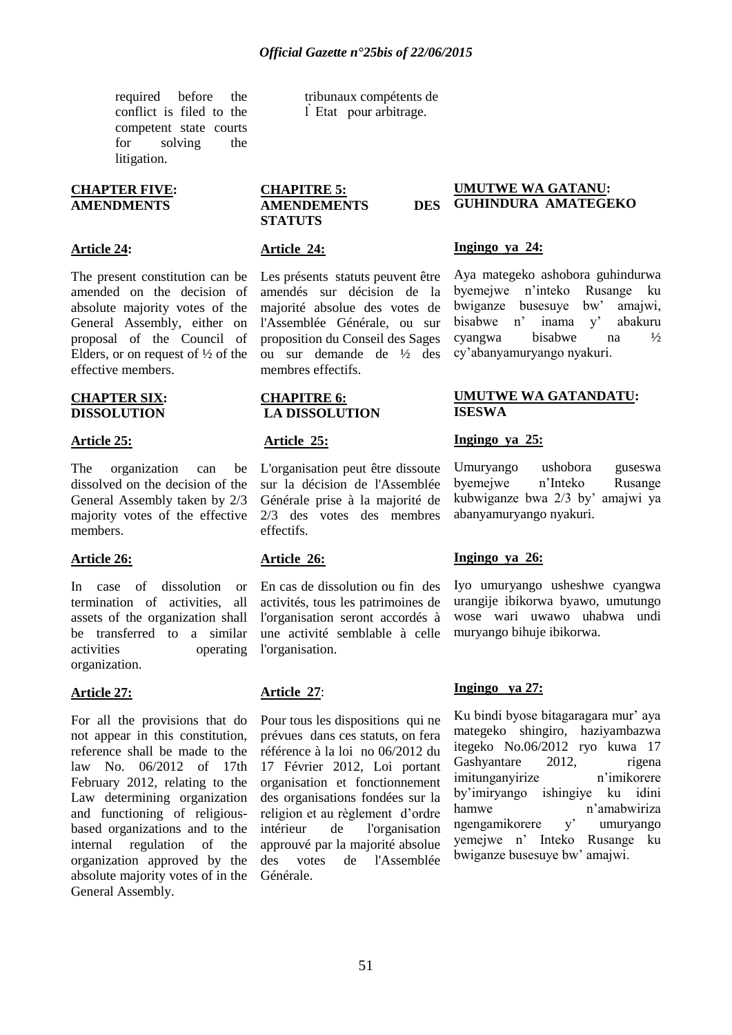required before the conflict is filed to the competent state courts for solving the litigation.

#### **CHAPTER FIVE: AMENDMENTS**

#### **Article 24:**

The present constitution can be amended on the decision of absolute majority votes of the General Assembly, either on proposal of the Council of Elders, or on request of  $\frac{1}{2}$  of the effective members.

#### **CHAPTER SIX: DISSOLUTION**

#### **Article 25:**

The organization can be dissolved on the decision of the General Assembly taken by 2/3 majority votes of the effective members.

#### **Article 26:**

In case of dissolution or termination of activities, all assets of the organization shall be transferred to a similar activities operating organization.

#### **Article 27:**

For all the provisions that do not appear in this constitution, reference shall be made to the law No. 06/2012 of 17th February 2012, relating to the Law determining organization and functioning of religiousbased organizations and to the internal regulation of the organization approved by the absolute majority votes of in the General Assembly.

tribunaux compétents de l ̕ Etat pour arbitrage.

#### **CHAPITRE 5: AMENDEMENTS DES STATUTS**

#### **Article 24:**

Les présents statuts peuvent être amendés sur décision de la majorité absolue des votes de l'Assemblée Générale, ou sur proposition du Conseil des Sages ou sur demande de ½ des membres effectifs.

#### **CHAPITRE 6: LA DISSOLUTION**

#### **Article 25:**

L'organisation peut être dissoute sur la décision de l'Assemblée Générale prise à la majorité de 2/3 des votes des membres effectifs.

### **Article 26:**

En cas de dissolution ou fin des activités, tous les patrimoines de l'organisation seront accordés à une activité semblable à celle l'organisation.

### **Article 27**:

Pour tous les dispositions qui ne prévues dans ces statuts, on fera référence à la loi no 06/2012 du 17 Février 2012, Loi portant organisation et fonctionnement des organisations fondées sur la religion et au règlement d"ordre intérieur de l'organisation approuvé par la majorité absolue des votes de l'Assemblée Générale.

#### **UMUTWE WA GATANU: GUHINDURA AMATEGEKO**

#### **Ingingo ya 24:**

Aya mategeko ashobora guhindurwa byemejwe n"inteko Rusange ku bwiganze busesuye bw" amajwi, bisabwe n" inama y" abakuru cyangwa bisabwe na ½ cy"abanyamuryango nyakuri.

### **UMUTWE WA GATANDATU: ISESWA**

### **Ingingo ya 25:**

Umuryango ushobora guseswa byemejwe n"Inteko Rusange kubwiganze bwa 2/3 by" amajwi ya abanyamuryango nyakuri.

### **Ingingo ya 26:**

Iyo umuryango usheshwe cyangwa urangije ibikorwa byawo, umutungo wose wari uwawo uhabwa undi muryango bihuje ibikorwa.

### **Ingingo ya 27:**

Ku bindi byose bitagaragara mur' aya mategeko shingiro, haziyambazwa itegeko No.06/2012 ryo kuwa 17 Gashyantare 2012, rigena imitunganyirize n"imikorere by"imiryango ishingiye ku idini hamwe n'amabwiriza ngengamikorere y" umuryango yemejwe n" Inteko Rusange ku bwiganze busesuye bw" amajwi.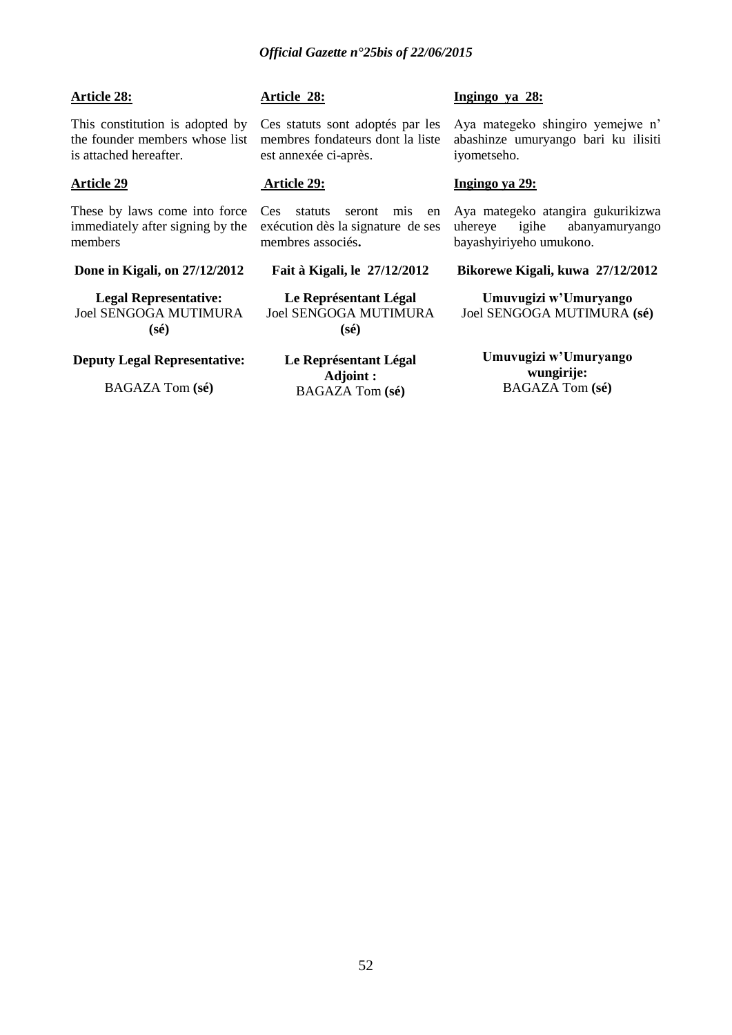### **Article 28:**

This constitution is adopted by the founder members whose list is attached hereafter.

### **Article 29**

These by laws come into force immediately after signing by the members

**Done in Kigali, on 27/12/2012**

**Legal Representative:** Joel SENGOGA MUTIMURA **(sé)**

### **Deputy Legal Representative:**

BAGAZA Tom **(sé)**

### **Article 28:**

Ces statuts sont adoptés par les membres fondateurs dont la liste est annexée ci-après.

### **Article 29:**

Ces statuts seront mis en exécution dès la signature de ses membres associés**.**

### **Fait à Kigali, le 27/12/2012**

**Le Représentant Légal** Joel SENGOGA MUTIMURA **(sé)**

**Le Représentant Légal Adjoint :** BAGAZA Tom **(sé)**

#### **Ingingo ya 28:**

Aya mategeko shingiro yemejwe n" abashinze umuryango bari ku ilisiti iyometseho.

### **Ingingo ya 29:**

Aya mategeko atangira gukurikizwa uhereye igihe abanyamuryango bayashyiriyeho umukono.

#### **Bikorewe Kigali, kuwa 27/12/2012**

**Umuvugizi w"Umuryango** Joel SENGOGA MUTIMURA **(sé)**

> **Umuvugizi w"Umuryango wungirije:** BAGAZA Tom **(sé)**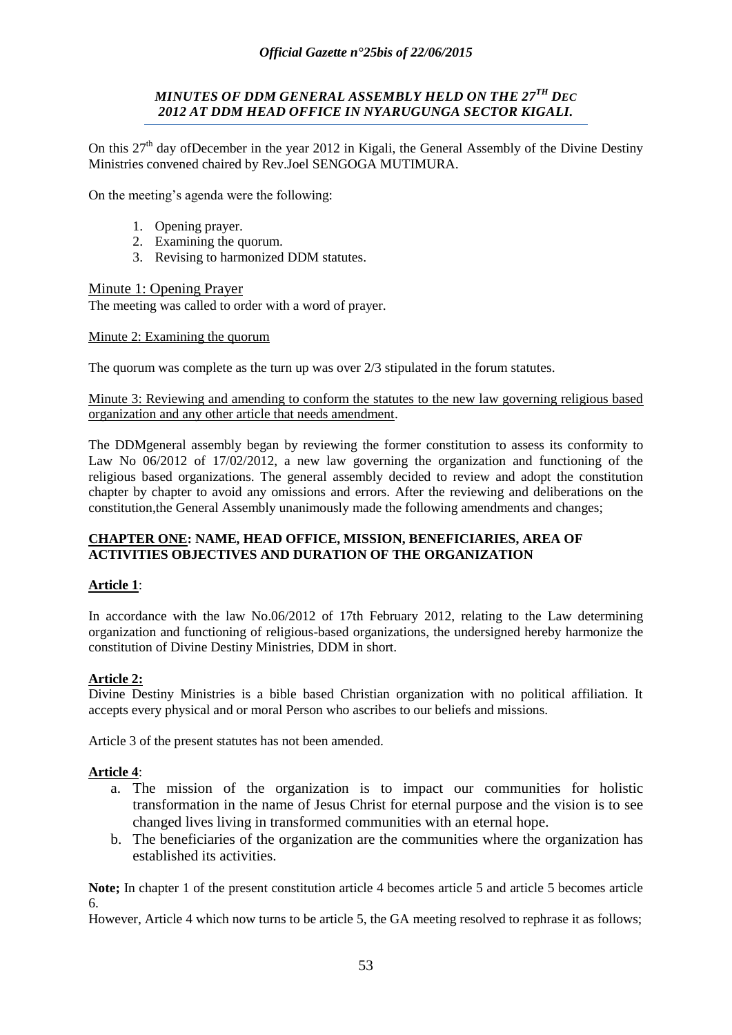### *MINUTES OF DDM GENERAL ASSEMBLY HELD ON THE 27TH DEC 2012 AT DDM HEAD OFFICE IN NYARUGUNGA SECTOR KIGALI.*

On this 27<sup>th</sup> day ofDecember in the year 2012 in Kigali, the General Assembly of the Divine Destiny Ministries convened chaired by Rev.Joel SENGOGA MUTIMURA.

On the meeting"s agenda were the following:

- 1. Opening prayer.
- 2. Examining the quorum.
- 3. Revising to harmonized DDM statutes.

### Minute 1: Opening Prayer

The meeting was called to order with a word of prayer.

### Minute 2: Examining the quorum

The quorum was complete as the turn up was over 2/3 stipulated in the forum statutes.

### Minute 3: Reviewing and amending to conform the statutes to the new law governing religious based organization and any other article that needs amendment.

The DDMgeneral assembly began by reviewing the former constitution to assess its conformity to Law No 06/2012 of 17/02/2012, a new law governing the organization and functioning of the religious based organizations. The general assembly decided to review and adopt the constitution chapter by chapter to avoid any omissions and errors. After the reviewing and deliberations on the constitution,the General Assembly unanimously made the following amendments and changes;

### **CHAPTER ONE: NAME, HEAD OFFICE, MISSION, BENEFICIARIES, AREA OF ACTIVITIES OBJECTIVES AND DURATION OF THE ORGANIZATION**

### **Article 1**:

In accordance with the law No.06/2012 of 17th February 2012, relating to the Law determining organization and functioning of religious-based organizations, the undersigned hereby harmonize the constitution of Divine Destiny Ministries, DDM in short.

### **Article 2:**

Divine Destiny Ministries is a bible based Christian organization with no political affiliation. It accepts every physical and or moral Person who ascribes to our beliefs and missions.

Article 3 of the present statutes has not been amended.

### **Article 4**:

- a. The mission of the organization is to impact our communities for holistic transformation in the name of Jesus Christ for eternal purpose and the vision is to see changed lives living in transformed communities with an eternal hope.
- b. The beneficiaries of the organization are the communities where the organization has established its activities.

Note; In chapter 1 of the present constitution article 4 becomes article 5 and article 5 becomes article 6.

However, Article 4 which now turns to be article 5, the GA meeting resolved to rephrase it as follows;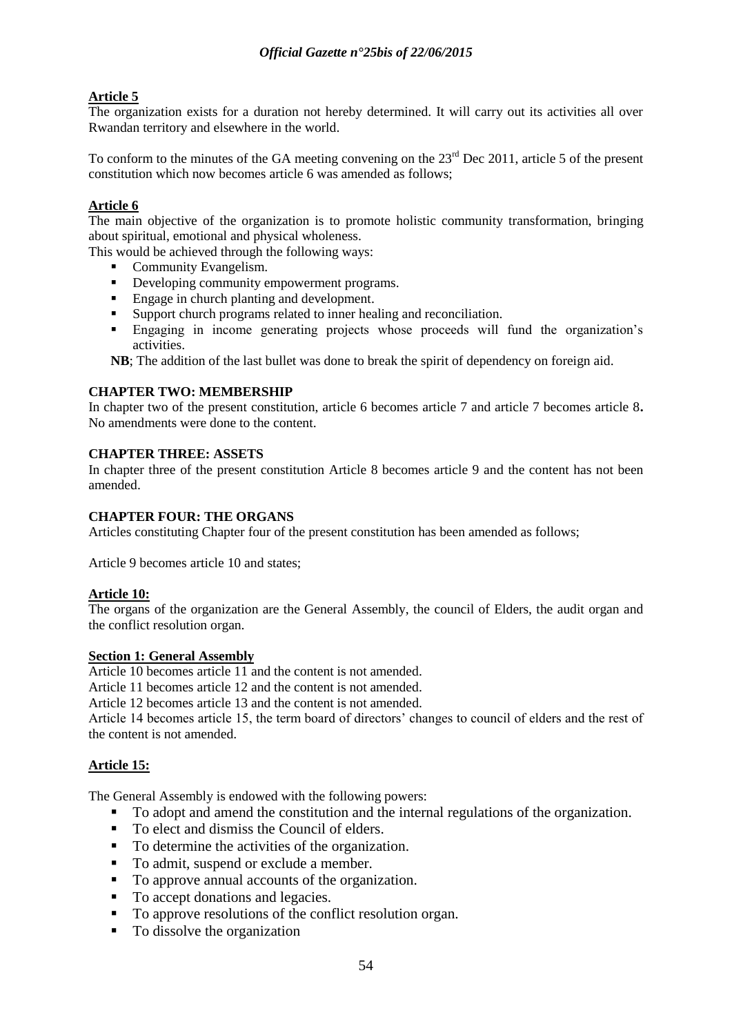## **Article 5**

The organization exists for a duration not hereby determined. It will carry out its activities all over Rwandan territory and elsewhere in the world.

To conform to the minutes of the GA meeting convening on the  $23<sup>rd</sup>$  Dec 2011, article 5 of the present constitution which now becomes article 6 was amended as follows;

### **Article 6**

The main objective of the organization is to promote holistic community transformation, bringing about spiritual, emotional and physical wholeness.

This would be achieved through the following ways:

- Community Evangelism.
- Developing community empowerment programs.
- Engage in church planting and development.
- Support church programs related to inner healing and reconciliation.
- Engaging in income generating projects whose proceeds will fund the organization"s activities.

**NB**; The addition of the last bullet was done to break the spirit of dependency on foreign aid.

### **CHAPTER TWO: MEMBERSHIP**

In chapter two of the present constitution, article 6 becomes article 7 and article 7 becomes article 8**.**  No amendments were done to the content.

### **CHAPTER THREE: ASSETS**

In chapter three of the present constitution Article 8 becomes article 9 and the content has not been amended.

### **CHAPTER FOUR: THE ORGANS**

Articles constituting Chapter four of the present constitution has been amended as follows;

Article 9 becomes article 10 and states;

### **Article 10:**

The organs of the organization are the General Assembly, the council of Elders, the audit organ and the conflict resolution organ.

### **Section 1: General Assembly**

Article 10 becomes article 11 and the content is not amended.

Article 11 becomes article 12 and the content is not amended.

Article 12 becomes article 13 and the content is not amended.

Article 14 becomes article 15, the term board of directors" changes to council of elders and the rest of the content is not amended.

### **Article 15:**

The General Assembly is endowed with the following powers:

- To adopt and amend the constitution and the internal regulations of the organization.
- To elect and dismiss the Council of elders.
- To determine the activities of the organization.
- To admit, suspend or exclude a member.
- To approve annual accounts of the organization.
- To accept donations and legacies.
- To approve resolutions of the conflict resolution organ.
- To dissolve the organization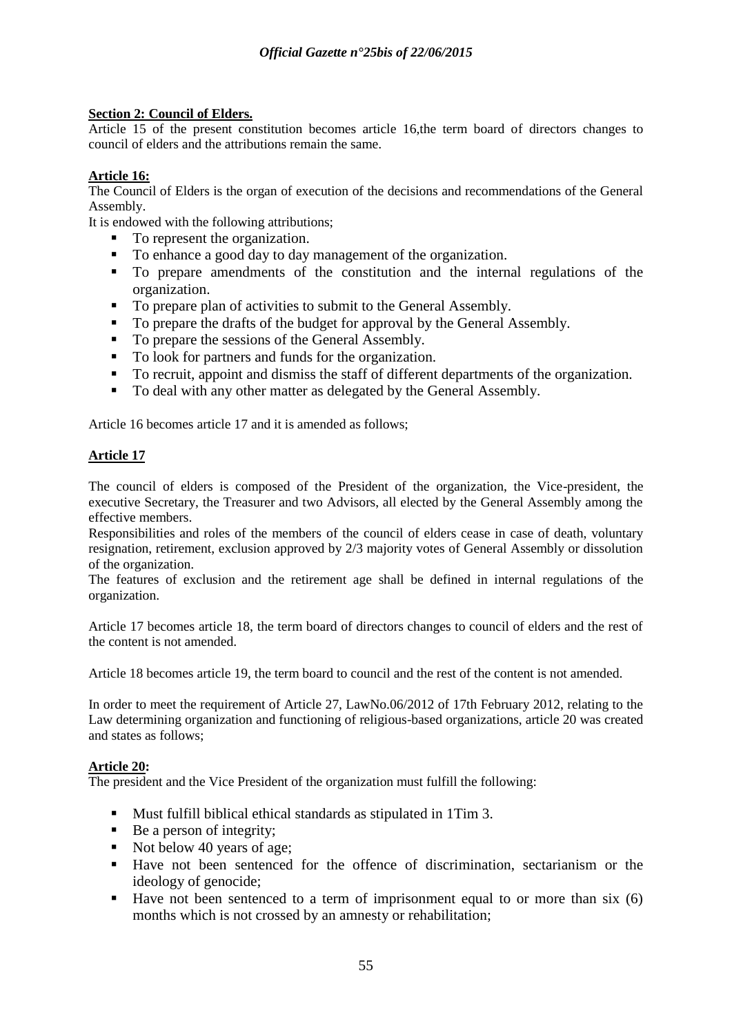### **Section 2: Council of Elders.**

Article 15 of the present constitution becomes article 16,the term board of directors changes to council of elders and the attributions remain the same.

### **Article 16:**

The Council of Elders is the organ of execution of the decisions and recommendations of the General Assembly.

It is endowed with the following attributions;

- To represent the organization.
- To enhance a good day to day management of the organization.
- To prepare amendments of the constitution and the internal regulations of the organization.
- To prepare plan of activities to submit to the General Assembly.
- To prepare the drafts of the budget for approval by the General Assembly.
- To prepare the sessions of the General Assembly.
- To look for partners and funds for the organization.
- To recruit, appoint and dismiss the staff of different departments of the organization.
- To deal with any other matter as delegated by the General Assembly.

Article 16 becomes article 17 and it is amended as follows;

### **Article 17**

The council of elders is composed of the President of the organization, the Vice-president, the executive Secretary, the Treasurer and two Advisors, all elected by the General Assembly among the effective members.

Responsibilities and roles of the members of the council of elders cease in case of death, voluntary resignation, retirement, exclusion approved by 2/3 majority votes of General Assembly or dissolution of the organization.

The features of exclusion and the retirement age shall be defined in internal regulations of the organization.

Article 17 becomes article 18, the term board of directors changes to council of elders and the rest of the content is not amended.

Article 18 becomes article 19, the term board to council and the rest of the content is not amended.

In order to meet the requirement of Article 27, LawNo.06/2012 of 17th February 2012, relating to the Law determining organization and functioning of religious-based organizations, article 20 was created and states as follows;

### **Article 20:**

The president and the Vice President of the organization must fulfill the following:

- Must fulfill biblical ethical standards as stipulated in 1Tim 3.
- $\blacksquare$  Be a person of integrity;
- Not below 40 years of age;
- Have not been sentenced for the offence of discrimination, sectarianism or the ideology of genocide;
- Have not been sentenced to a term of imprisonment equal to or more than six  $(6)$ months which is not crossed by an amnesty or rehabilitation;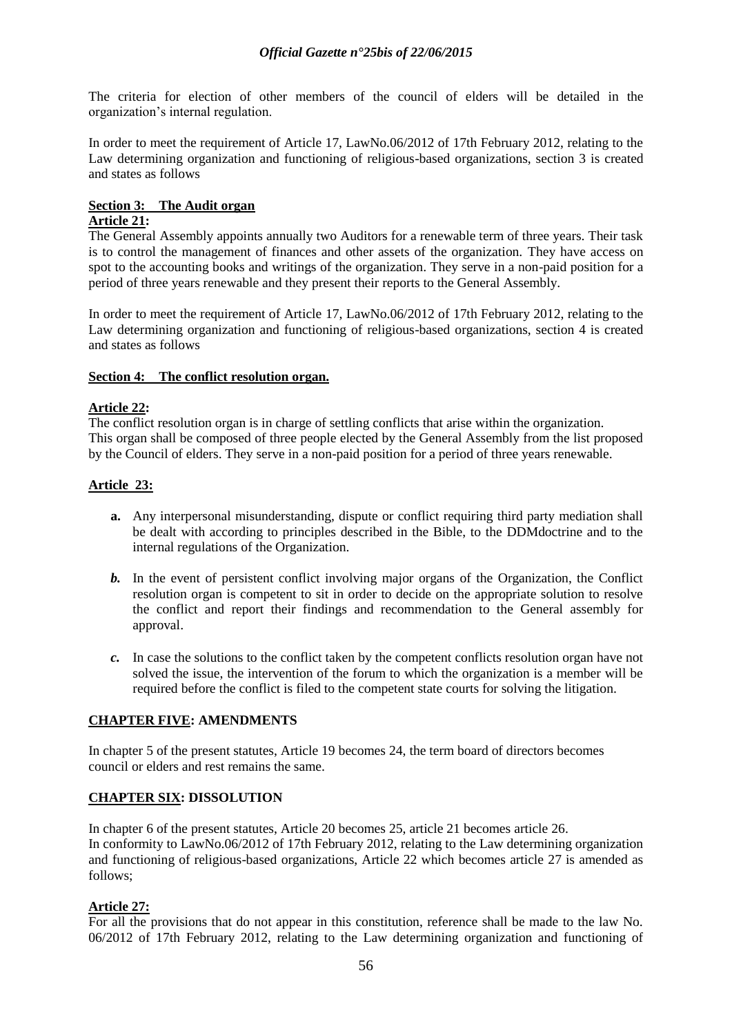The criteria for election of other members of the council of elders will be detailed in the organization"s internal regulation.

In order to meet the requirement of Article 17, LawNo.06/2012 of 17th February 2012, relating to the Law determining organization and functioning of religious-based organizations, section 3 is created and states as follows

# **Section 3: The Audit organ**

### **Article 21:**

The General Assembly appoints annually two Auditors for a renewable term of three years. Their task is to control the management of finances and other assets of the organization. They have access on spot to the accounting books and writings of the organization. They serve in a non-paid position for a period of three years renewable and they present their reports to the General Assembly.

In order to meet the requirement of Article 17, LawNo.06/2012 of 17th February 2012, relating to the Law determining organization and functioning of religious-based organizations, section 4 is created and states as follows

### **Section 4: The conflict resolution organ.**

### **Article 22:**

The conflict resolution organ is in charge of settling conflicts that arise within the organization. This organ shall be composed of three people elected by the General Assembly from the list proposed by the Council of elders. They serve in a non-paid position for a period of three years renewable.

### **Article 23:**

- **a.** Any interpersonal misunderstanding, dispute or conflict requiring third party mediation shall be dealt with according to principles described in the Bible, to the DDMdoctrine and to the internal regulations of the Organization.
- *b.* In the event of persistent conflict involving major organs of the Organization, the Conflict resolution organ is competent to sit in order to decide on the appropriate solution to resolve the conflict and report their findings and recommendation to the General assembly for approval.
- *c.* In case the solutions to the conflict taken by the competent conflicts resolution organ have not solved the issue, the intervention of the forum to which the organization is a member will be required before the conflict is filed to the competent state courts for solving the litigation.

### **CHAPTER FIVE: AMENDMENTS**

In chapter 5 of the present statutes, Article 19 becomes 24, the term board of directors becomes council or elders and rest remains the same.

### **CHAPTER SIX: DISSOLUTION**

In chapter 6 of the present statutes, Article 20 becomes 25, article 21 becomes article 26. In conformity to LawNo.06/2012 of 17th February 2012, relating to the Law determining organization and functioning of religious-based organizations, Article 22 which becomes article 27 is amended as follows;

### **Article 27:**

For all the provisions that do not appear in this constitution, reference shall be made to the law No. 06/2012 of 17th February 2012, relating to the Law determining organization and functioning of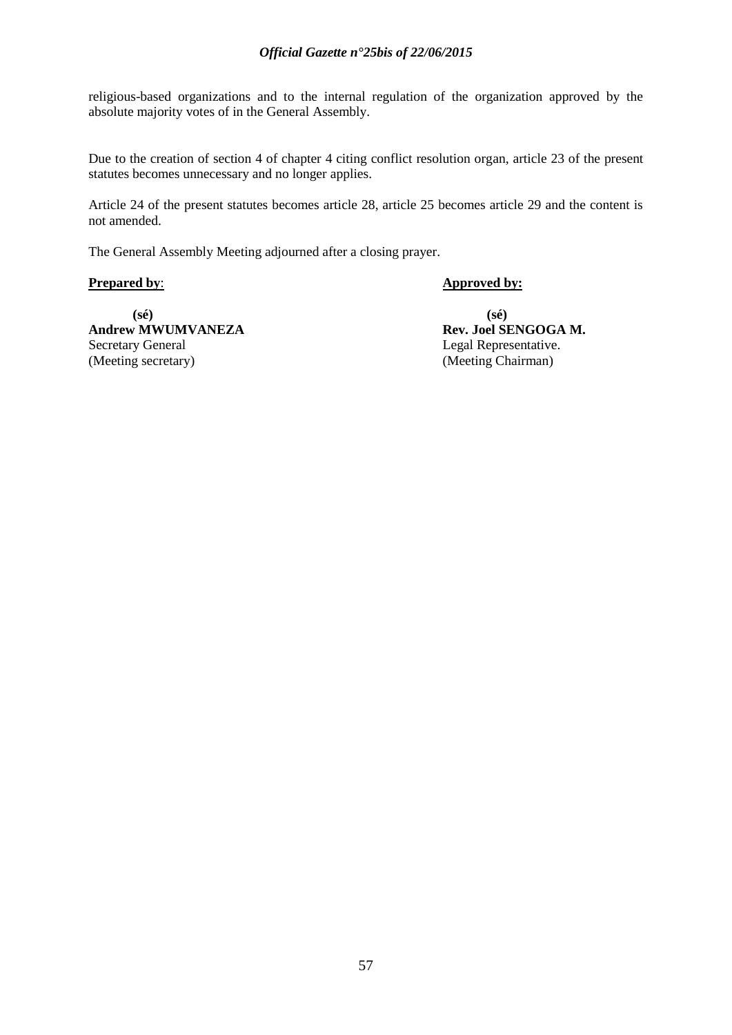### *Official Gazette n°25bis of 22/06/2015*

religious-based organizations and to the internal regulation of the organization approved by the absolute majority votes of in the General Assembly.

Due to the creation of section 4 of chapter 4 citing conflict resolution organ, article 23 of the present statutes becomes unnecessary and no longer applies.

Article 24 of the present statutes becomes article 28, article 25 becomes article 29 and the content is not amended.

The General Assembly Meeting adjourned after a closing prayer.

**Prepared by: Approved by:** 

**(sé) (sé) Andrew MWUMVANEZA Rev. Joel SENGOGA M.**<br>Secretary General *Rev. Joel Sexual Representative.* Secretary General Legal Representative.<br>
(Meeting secretary) (Meeting Chairman)

(Meeting Chairman)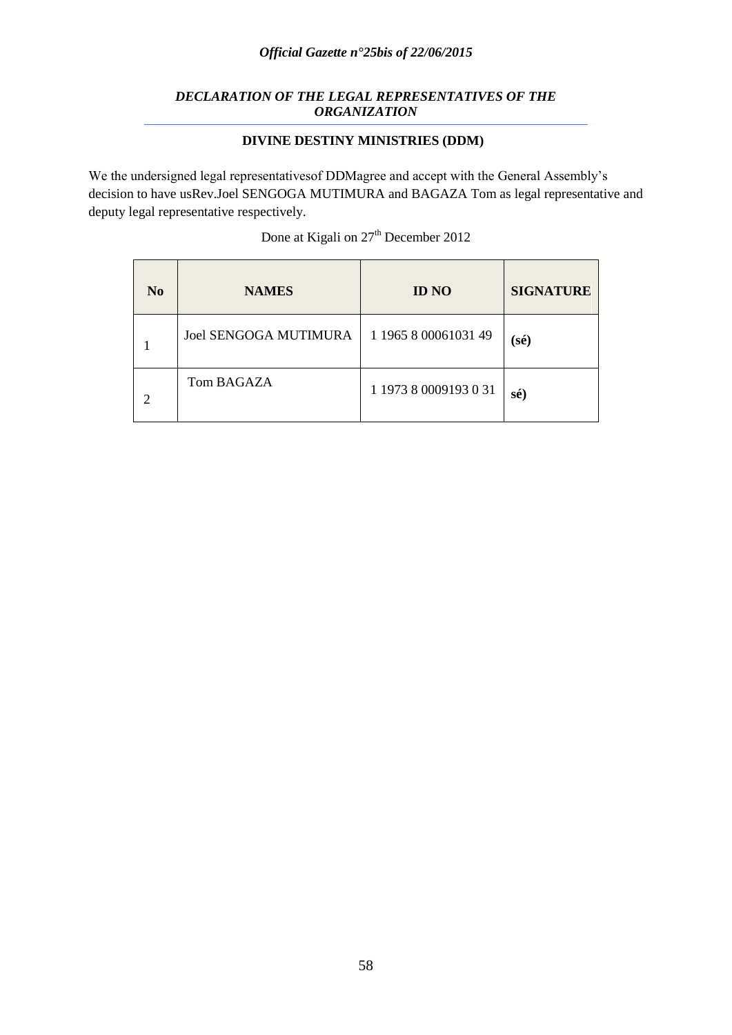### *Official Gazette n°25bis of 22/06/2015*

### *DECLARATION OF THE LEGAL REPRESENTATIVES OF THE ORGANIZATION*

### **DIVINE DESTINY MINISTRIES (DDM)**

We the undersigned legal representativesof DDMagree and accept with the General Assembly"s decision to have usRev.Joel SENGOGA MUTIMURA and BAGAZA Tom as legal representative and deputy legal representative respectively.

| Done at Kigali on 27 <sup>th</sup> December 2012 |              |            |  |  |
|--------------------------------------------------|--------------|------------|--|--|
| <b>NAMES</b>                                     | <b>ID NO</b> | <b>SIG</b> |  |  |

| N <sub>0</sub> | <b>NAMES</b>                 | <b>ID NO</b>          | <b>SIGNATURE</b> |
|----------------|------------------------------|-----------------------|------------------|
|                | <b>Joel SENGOGA MUTIMURA</b> | 1 1965 8 00061031 49  | $(s\acute{e})$   |
| 2              | Tom BAGAZA                   | 1 1973 8 0009193 0 31 | sé)              |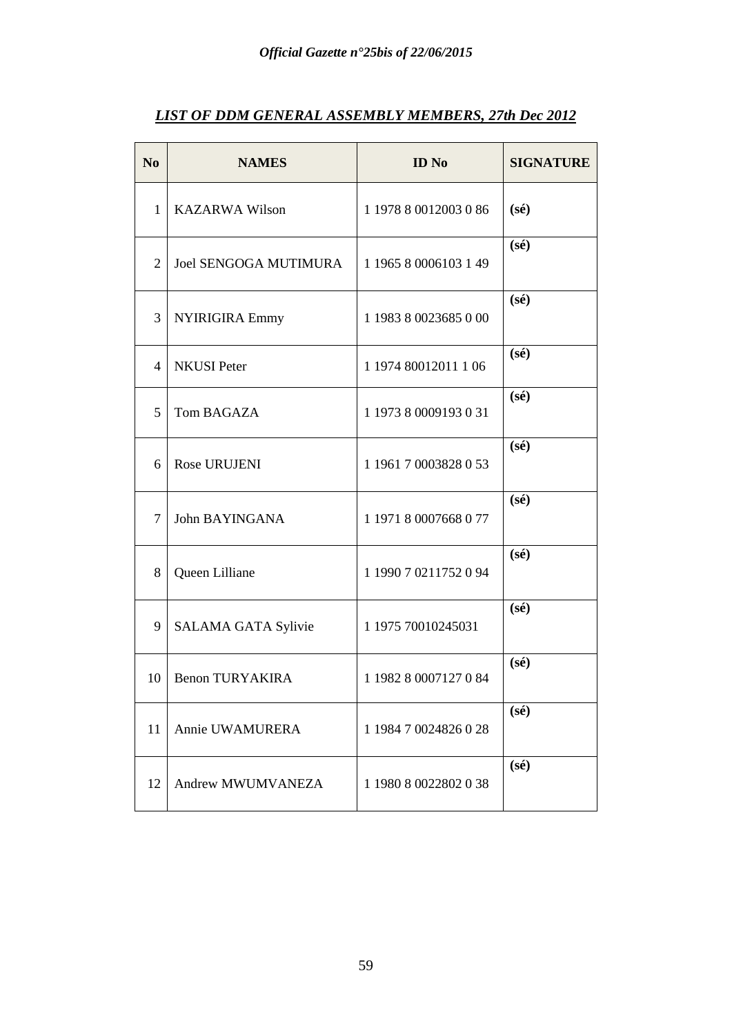| N <sub>0</sub> | <b>NAMES</b>                 | <b>ID</b> No          | <b>SIGNATURE</b> |
|----------------|------------------------------|-----------------------|------------------|
| $\mathbf{1}$   | <b>KAZARWA Wilson</b>        | 1 1978 8 0012003 0 86 | $(s\acute{e})$   |
| 2              | <b>Joel SENGOGA MUTIMURA</b> | 1 1965 8 0006103 1 49 | $(s\acute{e})$   |
| 3              | NYIRIGIRA Emmy               | 1 1983 8 0023685 0 00 | $(s\acute{e})$   |
| 4              | <b>NKUSI</b> Peter           | 1 1974 80012011 1 06  | $(s\acute{e})$   |
| 5              | Tom BAGAZA                   | 1 1973 8 0009193 0 31 | $(s\acute{e})$   |
| 6              | Rose URUJENI                 | 1 1961 7 0003828 0 53 | $(s\acute{e})$   |
| 7              | John BAYINGANA               | 1 1971 8 0007668 0 77 | $(s\acute{e})$   |
| 8              | Queen Lilliane               | 1 1990 7 0211752 0 94 | $(s\acute{e})$   |
| 9              | SALAMA GATA Sylivie          | 1 1975 70010245031    | $(s\acute{e})$   |
| 10             | <b>Benon TURYAKIRA</b>       | 1 1982 8 0007127 0 84 | $(s\acute{e})$   |
| 11             | Annie UWAMURERA              | 1 1984 7 0024826 0 28 | $(s\acute{e})$   |
| 12             | Andrew MWUMVANEZA            | 1 1980 8 0022802 0 38 | $(s\acute{e})$   |

# *LIST OF DDM GENERAL ASSEMBLY MEMBERS, 27th Dec 2012*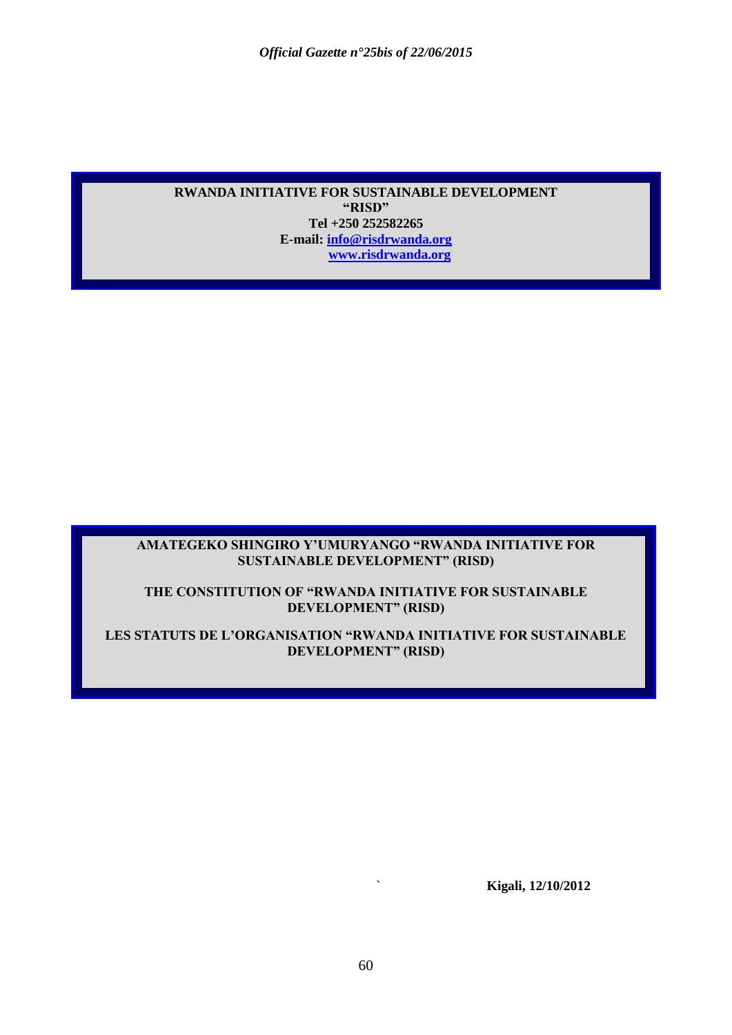### **RWANDA INITIATIVE FOR SUSTAINABLE DEVELOPMENT "RISD" Tel +250 252582265 E-mail: [info@risdrwanda.org](mailto:info@risdrwanda.org) [www.risdrwanda.org](http://www.risdrwanda.org/)**

### **AMATEGEKO SHINGIRO Y"UMURYANGO "RWANDA INITIATIVE FOR SUSTAINABLE DEVELOPMENT" (RISD)**

### **THE CONSTITUTION OF "RWANDA INITIATIVE FOR SUSTAINABLE DEVELOPMENT" (RISD)**

### **LES STATUTS DE L"ORGANISATION "RWANDA INITIATIVE FOR SUSTAINABLE DEVELOPMENT" (RISD)**

` **Kigali, 12/10/2012**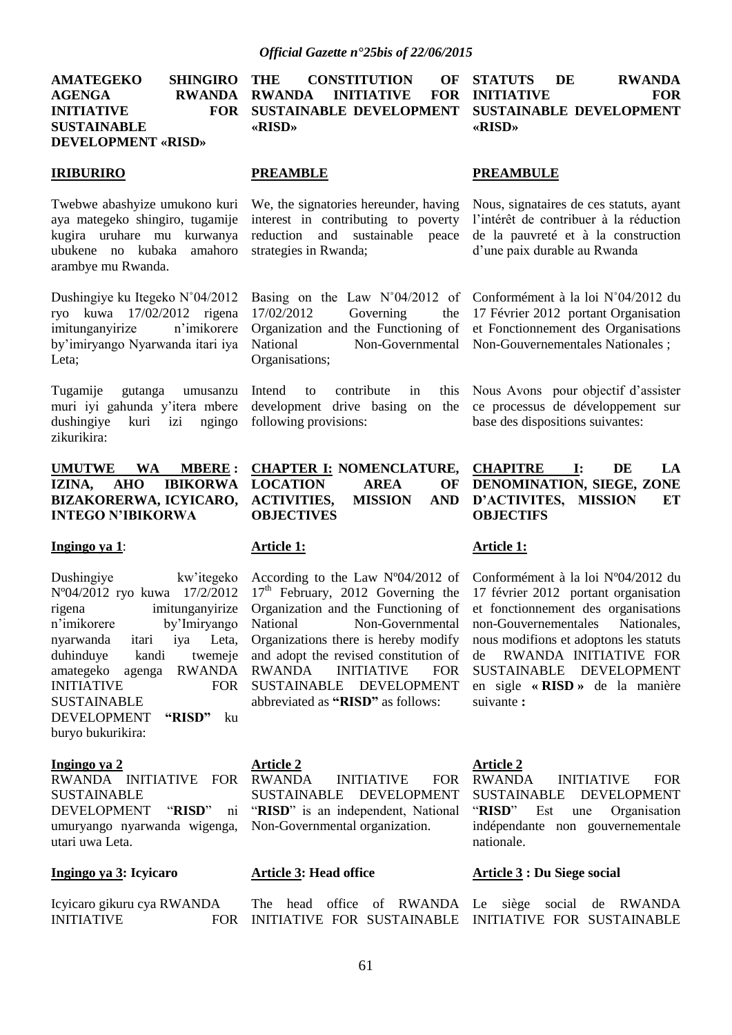**AMATEGEKO SHINGIRO AGENGA RWANDA INITIATIVE FOR SUSTAINABLE DEVELOPMENT «RISD»**

#### **IRIBURIRO**

Twebwe abashyize umukono kuri aya mategeko shingiro, tugamije kugira uruhare mu kurwanya ubukene no kubaka amahoro arambye mu Rwanda.

Dushingiye ku Itegeko N˚04/2012 ryo kuwa 17/02/2012 rigena imitunganyirize n"imikorere by"imiryango Nyarwanda itari iya Leta;

Tugamije gutanga umusanzu muri iyi gahunda y"itera mbere dushingiye kuri izi ngingo zikurikira:

### **UMUTWE WA MBERE : IZINA, AHO IBIKORWA BIZAKORERWA, ICYICARO, INTEGO N"IBIKORWA**

#### **Ingingo ya 1**:

Dushingiye kw"itegeko Nº04/2012 ryo kuwa 17/2/2012 rigena imitunganyirize n"imikorere by"Imiryango nyarwanda itari iya Leta, duhinduye kandi twemeje amategeko agenga RWANDA INITIATIVE FOR SUSTAINABLE DEVELOPMENT **"RISD"** ku buryo bukurikira:

#### **Ingingo ya 2**

RWANDA INITIATIVE FOR SUSTAINABLE DEVELOPMENT "**RISD**" ni umuryango nyarwanda wigenga, utari uwa Leta.

#### **Ingingo ya 3: Icyicaro**

Icyicaro gikuru cya RWANDA **INITIATIVE** 

**THE CONSTITUTION OF RWANDA INITIATIVE FOR SUSTAINABLE DEVELOPMENT «RISD»**

#### **STATUTS DE RWANDA INITIATIVE FOR SUSTAINABLE DEVELOPMENT «RISD»**

### **PREAMBLE**

We, the signatories hereunder, having interest in contributing to poverty reduction and sustainable peace strategies in Rwanda;

Basing on the Law N˚04/2012 of 17/02/2012 Governing the Organization and the Functioning of National Non-Governmental Organisations;

Intend to contribute in this development drive basing on the following provisions:

**CHAPTER I: NOMENCLATURE, LOCATION AREA OF ACTIVITIES, MISSION AND OBJECTIVES**

### **Article 1:**

According to the Law Nº04/2012 of  $17<sup>th</sup>$  February, 2012 Governing the Organization and the Functioning of National Non-Governmental Organizations there is hereby modify and adopt the revised constitution of RWANDA INITIATIVE FOR SUSTAINABLE DEVELOPMENT abbreviated as **"RISD"** as follows:

### **Article 2**

INITIATIVE FOR SUSTAINABLE DEVELOPMENT "**RISD**" is an independent, National Non-Governmental organization.

#### **Article 3: Head office**

#### **PREAMBULE**

Nous, signataires de ces statuts, ayant l"intérêt de contribuer à la réduction de la pauvreté et à la construction d"une paix durable au Rwanda

Conformément à la loi N˚04/2012 du 17 Février 2012 portant Organisation et Fonctionnement des Organisations Non-Gouvernementales Nationales ;

Nous Avons pour objectif d"assister ce processus de développement sur base des dispositions suivantes:

#### **CHAPITRE I: DE LA DENOMINATION, SIEGE, ZONE D"ACTIVITES, MISSION ET OBJECTIFS**

#### **Article 1:**

Conformément à la loi Nº04/2012 du 17 février 2012 portant organisation et fonctionnement des organisations non-Gouvernementales Nationales, nous modifions et adoptons les statuts de RWANDA INITIATIVE FOR SUSTAINABLE DEVELOPMENT en sigle **« RISD »** de la manière suivante **:**

#### **Article 2**

RWANDA INITIATIVE FOR SUSTAINABLE DEVELOPMENT "**RISD**" Est une Organisation indépendante non gouvernementale nationale.

#### **Article 3 : Du Siege social**

The head office of RWANDA Le siège social de RWANDA INITIATIVE FOR SUSTAINABLE INITIATIVE FOR SUSTAINABLE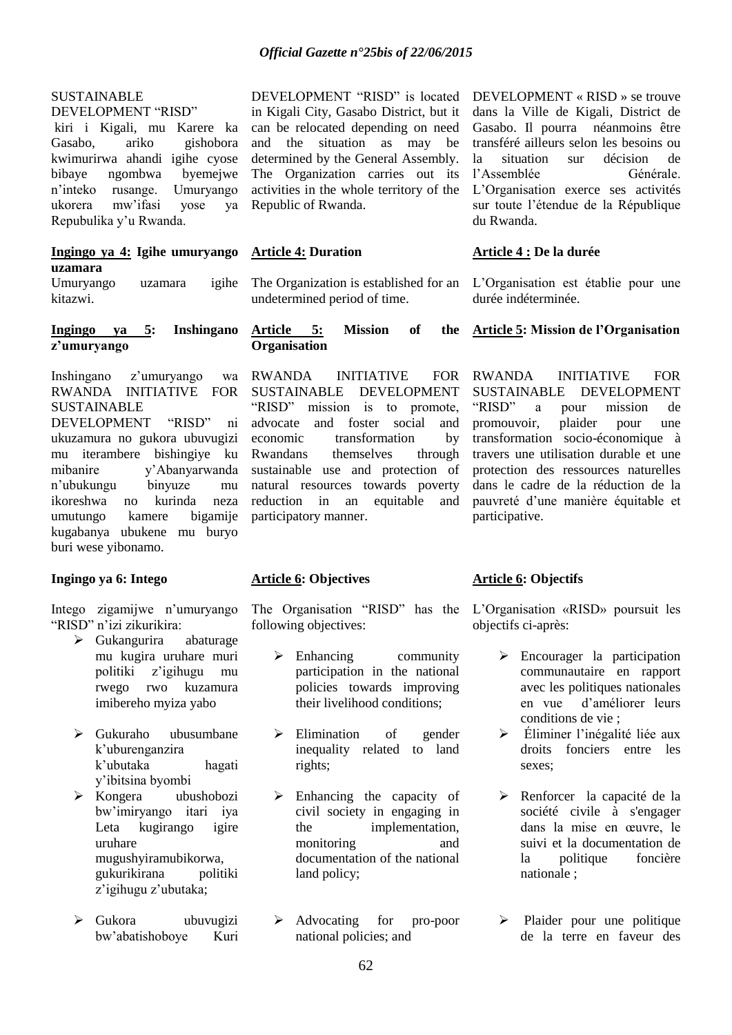### *Official Gazette n°25bis of 22/06/2015*

#### SUSTAINABLE DEVELOPMENT "RISD"

kiri i Kigali, mu Karere ka Gasabo, ariko gishobora kwimurirwa ahandi igihe cyose bibaye ngombwa byemejwe n"inteko rusange. Umuryango ukorera mw"ifasi yose ya Repubulika y"u Rwanda.

#### **Ingingo ya 4: Igihe umuryango uzamara**

Umuryango uzamara igihe kitazwi.

#### **Ingingo ya 5: Inshingano z"umuryango**

Inshingano z"umuryango wa RWANDA INITIATIVE FOR SUSTAINABLE DEVELOPMENT "RISD" ni ukuzamura no gukora ubuvugizi mu iterambere bishingiye ku mibanire y"Abanyarwanda n"ubukungu binyuze mu ikoreshwa no kurinda neza umutungo kamere bigamije kugabanya ubukene mu buryo buri wese yibonamo.

#### **Ingingo ya 6: Intego**

Intego zigamijwe n"umuryango "RISD" n"izi zikurikira:

- Gukangurira abaturage mu kugira uruhare muri politiki z"igihugu mu rwego rwo kuzamura imibereho myiza yabo
- Gukuraho ubusumbane k"uburenganzira k"ubutaka hagati y"ibitsina byombi
- Kongera ubushobozi bw"imiryango itari iya Leta kugirango igire uruhare mugushyiramubikorwa, gukurikirana politiki z"igihugu z"ubutaka;
- Gukora ubuvugizi bw"abatishoboye Kuri

DEVELOPMENT "RISD" is located in Kigali City, Gasabo District, but it can be relocated depending on need and the situation as may be determined by the General Assembly. The Organization carries out its activities in the whole territory of the Republic of Rwanda.

#### **Article 4: Duration**

The Organization is established for an L"Organisation est établie pour une undetermined period of time.

**Article 5: Mission of the Organisation**

RWANDA INITIATIVE FOR SUSTAINABLE DEVELOPMENT "RISD" mission is to promote, advocate and foster social and economic transformation by Rwandans themselves through sustainable use and protection of natural resources towards poverty reduction in an equitable and participatory manner.

#### **Article 6: Objectives**

following objectives:

- > Enhancing community participation in the national policies towards improving their livelihood conditions;
- Elimination of gender inequality related to land rights;
- $\triangleright$  Enhancing the capacity of civil society in engaging in the implementation, monitoring and documentation of the national land policy;
- Advocating for pro-poor national policies; and

DEVELOPMENT « RISD » se trouve dans la Ville de Kigali, District de Gasabo. Il pourra néanmoins être transféré ailleurs selon les besoins ou la situation sur décision de l"Assemblée Générale. L"Organisation exerce ses activités sur toute l"étendue de la République du Rwanda.

#### **Article 4 : De la durée**

durée indéterminée.

#### **Article 5: Mission de l"Organisation**

RWANDA INITIATIVE FOR SUSTAINABLE DEVELOPMENT "RISD" a pour mission de promouvoir, plaider pour une transformation socio-économique à travers une utilisation durable et une protection des ressources naturelles dans le cadre de la réduction de la pauvreté d"une manière équitable et participative.

#### **Article 6: Objectifs**

The Organisation "RISD" has the L"Organisation «RISD» poursuit les objectifs ci-après:

- Encourager la participation communautaire en rapport avec les politiques nationales en vue d"améliorer leurs conditions de vie ;
- Éliminer l"inégalité liée aux droits fonciers entre les sexes;
- Renforcer la capacité de la société civile à s'engager dans la mise en œuvre, le suivi et la documentation de la politique foncière nationale ;
- Plaider pour une politique de la terre en faveur des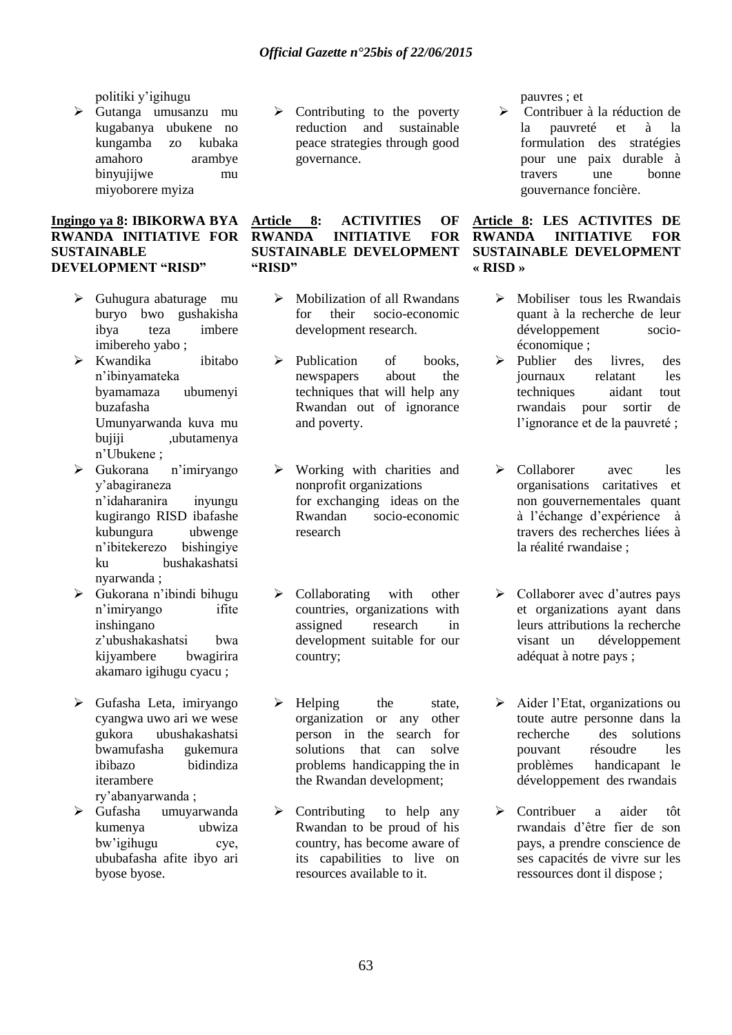politiki y"igihugu

 Gutanga umusanzu mu kugabanya ubukene no kungamba zo kubaka amahoro arambye binyujijwe mu miyoborere myiza

#### **Ingingo ya 8: IBIKORWA BYA RWANDA INITIATIVE FOR SUSTAINABLE DEVELOPMENT "RISD"**

- $\triangleright$  Guhugura abaturage mu buryo bwo gushakisha ibya teza imbere imibereho yabo ;
- Kwandika ibitabo n"ibinyamateka byamamaza ubumenyi buzafasha Umunyarwanda kuva mu bujiji ,ubutamenya n"Ubukene ;
- Gukorana n"imiryango y"abagiraneza n"idaharanira inyungu kugirango RISD ibafashe kubungura ubwenge n"ibitekerezo bishingiye ku bushakashatsi nyarwanda ;
- Gukorana n"ibindi bihugu n"imiryango ifite inshingano z"ubushakashatsi bwa kijyambere bwagirira akamaro igihugu cyacu ;
- $\triangleright$  Gufasha Leta, imiryango cyangwa uwo ari we wese gukora ubushakashatsi bwamufasha ibibazo bidindiza iterambere ry"abanyarwanda ;
- Gufasha umuyarwanda kumenya ubwiza bw"igihugu cye, ububafasha afite ibyo ari byose byose.

 $\triangleright$  Contributing to the poverty reduction and sustainable peace strategies through good governance.

### **Article 8: ACTIVITIES OF RWANDA INITIATIVE FOR SUSTAINABLE DEVELOPMENT "RISD"**

- $\triangleright$  Mobilization of all Rwandans for their socio-economic development research.
- $\triangleright$  Publication of books, newspapers about the techniques that will help any Rwandan out of ignorance and poverty.
- $\triangleright$  Working with charities and nonprofit organizations for exchanging ideas on the Rwandan socio-economic research
- $\triangleright$  Collaborating with other countries, organizations with assigned research in development suitable for our country;
- $\triangleright$  Helping the state, organization or any other person in the search for solutions that can solve problems handicapping the in the Rwandan development;
- $\triangleright$  Contributing to help any Rwandan to be proud of his country, has become aware of its capabilities to live on resources available to it.

pauvres ; et

 Contribuer à la réduction de la pauvreté et à la formulation des stratégies pour une paix durable à travers une bonne gouvernance foncière.

### **Article 8: LES ACTIVITES DE RWANDA INITIATIVE FOR SUSTAINABLE DEVELOPMENT « RISD »**

- Mobiliser tous les Rwandais quant à la recherche de leur développement socioéconomique ;
- $\triangleright$  Publier des livres des journaux relatant les techniques aidant tout rwandais pour sortir de l'ignorance et de la pauvreté ;
- Collaborer avec les organisations caritatives et non gouvernementales quant à l"échange d"expérience à travers des recherches liées à la réalité rwandaise ;
- $\triangleright$  Collaborer avec d'autres pays et organizations ayant dans leurs attributions la recherche visant un développement adéquat à notre pays ;
- $\triangleright$  Aider l'Etat, organizations ou toute autre personne dans la recherche des solutions pouvant résoudre les problèmes handicapant le développement des rwandais
- Contribuer a aider tôt rwandais d"être fier de son pays, a prendre conscience de ses capacités de vivre sur les ressources dont il dispose ;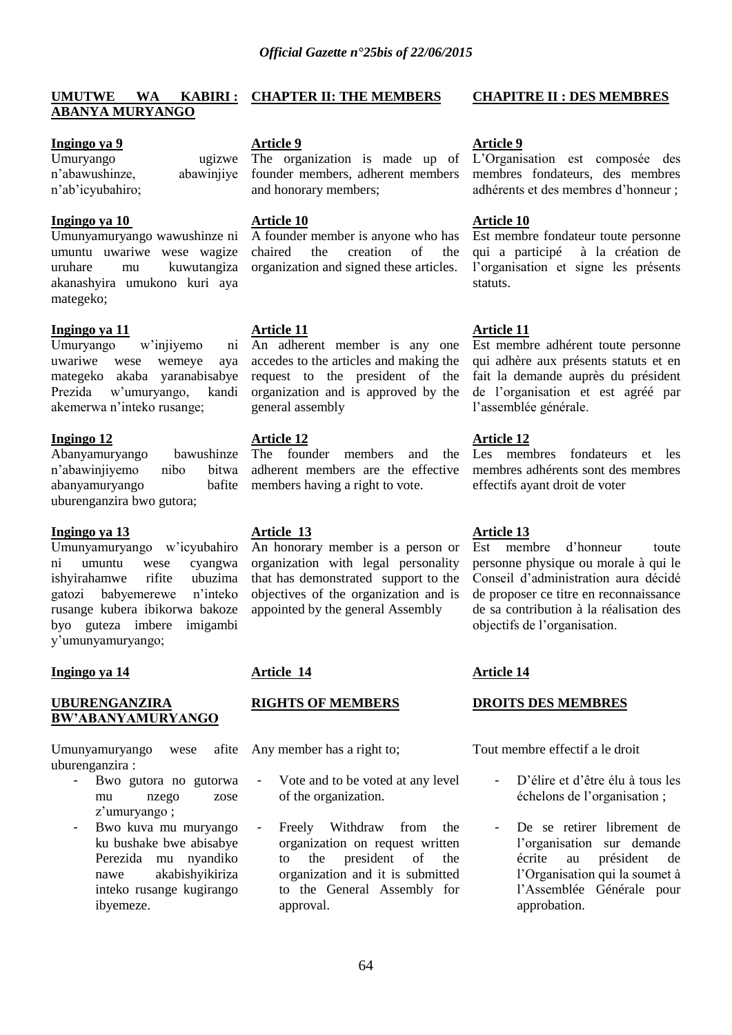#### **UMUTWE WA KABIRI : CHAPTER II: THE MEMBERS ABANYA MURYANGO**

#### **Ingingo ya 9**

Umuryango ugizwe n"abawushinze, abawinjiye n"ab"icyubahiro;

### **Ingingo ya 10**

Umunyamuryango wawushinze ni umuntu uwariwe wese wagize uruhare mu kuwutangiza akanashyira umukono kuri aya mategeko;

#### **Ingingo ya 11**

Umuryango w"injiyemo ni uwariwe wese wemeye aya mategeko akaba yaranabisabye Prezida w"umuryango, kandi akemerwa n"inteko rusange;

#### **Ingingo 12**

Abanyamuryango bawushinze n"abawinjiyemo nibo bitwa abanyamuryango bafite uburenganzira bwo gutora;

### **Ingingo ya 13**

Umunyamuryango w"icyubahiro ni umuntu wese cyangwa ishyirahamwe rifite ubuzima gatozi babyemerewe n"inteko rusange kubera ibikorwa bakoze byo guteza imbere imigambi y"umunyamuryango;

### **Ingingo ya 14**

### **UBURENGANZIRA BW"ABANYAMURYANGO**

Umunyamuryango wese afite uburenganzira :

- Bwo gutora no gutorwa mu nzego zose z'umuryango;
- Bwo kuva mu muryango ku bushake bwe abisabye Perezida mu nyandiko nawe akabishyikiriza inteko rusange kugirango ibyemeze.

### **Article 9**

The organization is made up of founder members, adherent members and honorary members;

#### **Article 10**

A founder member is anyone who has chaired the creation of the organization and signed these articles.

### **Article 11**

An adherent member is any one accedes to the articles and making the request to the president of the organization and is approved by the general assembly

### **Article 12**

The founder members and the adherent members are the effective members having a right to vote.

### **Article 13**

An honorary member is a person or organization with legal personality that has demonstrated support to the objectives of the organization and is appointed by the general Assembly

### **Article 14**

### **RIGHTS OF MEMBERS**

Any member has a right to;

- Vote and to be voted at any level of the organization.
- Freely Withdraw from the organization on request written to the president of the organization and it is submitted to the General Assembly for approval.

#### **CHAPITRE II : DES MEMBRES**

#### **Article 9**

L"Organisation est composée des membres fondateurs, des membres adhérents et des membres d"honneur ;

#### **Article 10**

Est membre fondateur toute personne qui a participé à la création de l"organisation et signe les présents statuts.

### **Article 11**

Est membre adhérent toute personne qui adhère aux présents statuts et en fait la demande auprès du président de l"organisation et est agréé par l"assemblée générale.

### **Article 12**

Les membres fondateurs et les membres adhérents sont des membres effectifs ayant droit de voter

### **Article 13**

Est membre d"honneur toute personne physique ou morale à qui le Conseil d"administration aura décidé de proposer ce titre en reconnaissance de sa contribution à la réalisation des objectifs de l"organisation.

### **Article 14**

### **DROITS DES MEMBRES**

Tout membre effectif a le droit

- D'élire et d'être élu à tous les échelons de l"organisation ;
- De se retirer librement de l"organisation sur demande écrite au président de l"Organisation qui la soumet à l"Assemblée Générale pour approbation.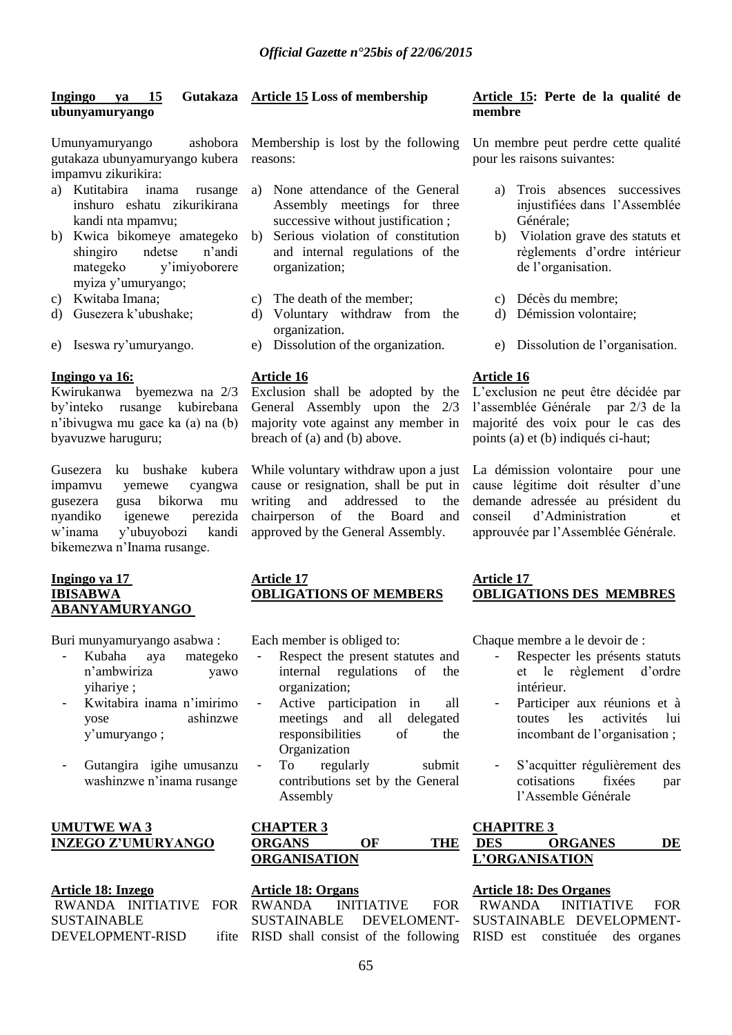#### **Ingingo ya 15 Gutakaza ubunyamuryango**

Umunyamuryango ashobora gutakaza ubunyamuryango kubera impamvu zikurikira:

- a) Kutitabira inama rusange inshuro eshatu zikurikirana kandi nta mpamvu;
- b) Kwica bikomeye amategeko shingiro ndetse n"andi mategeko y"imiyoborere myiza y"umuryango;
- c) Kwitaba Imana;
- d) Gusezera k"ubushake;
- e) Iseswa ry"umuryango.

#### **Ingingo ya 16:**

Kwirukanwa byemezwa na 2/3 by"inteko rusange kubirebana n"ibivugwa mu gace ka (a) na (b) byavuzwe haruguru;

Gusezera ku bushake kubera impamvu yemewe cyangwa gusezera gusa bikorwa mu nyandiko igenewe perezida w"inama y"ubuyobozi kandi bikemezwa n"Inama rusange.

#### **Ingingo ya 17 IBISABWA ABANYAMURYANGO**

Buri munyamuryango asabwa :

- Kubaha aya mategeko n"ambwiriza yawo yihariye ;
- Kwitabira inama n"imirimo yose ashinzwe y"umuryango ;
- Gutangira igihe umusanzu washinzwe n"inama rusange

### **UMUTWE WA 3 INZEGO Z"UMURYANGO**

### **Article 18: Inzego** RWANDA INITIATIVE FOR SUSTAINABLE DEVELOPMENT-RISD

# **Article 15 Loss of membership**

Membership is lost by the following reasons:

- a) None attendance of the General Assembly meetings for three successive without justification :
- b) Serious violation of constitution and internal regulations of the organization;
- c) The death of the member;
- d) Voluntary withdraw from the organization.
- e) Dissolution of the organization.

#### **Article 16**

Exclusion shall be adopted by the General Assembly upon the 2/3 majority vote against any member in breach of (a) and (b) above.

While voluntary withdraw upon a just cause or resignation, shall be put in writing and addressed to the chairperson of the Board and approved by the General Assembly.

### **Article 17 OBLIGATIONS OF MEMBERS**

Each member is obliged to:

- Respect the present statutes and internal regulations of the organization;
- Active participation in all meetings and all delegated responsibilities of the Organization
- To regularly submit contributions set by the General Assembly

### **CHAPTER 3 ORGANS OF THE ORGANISATION**

# **Article 18: Organs** INITIATIVE FOR SUSTAINABLE DEVELOMENT-

#### **Article 15: Perte de la qualité de membre**

Un membre peut perdre cette qualité pour les raisons suivantes:

- a) Trois absences successives injustifiées dans l"Assemblée Générale;
- b) Violation grave des statuts et règlements d"ordre intérieur de l"organisation.
- c) Décès du membre;
- d) Démission volontaire;
- e) Dissolution de l"organisation.

### **Article 16**

L"exclusion ne peut être décidée par l"assemblée Générale par 2/3 de la majorité des voix pour le cas des points (a) et (b) indiqués ci-haut;

La démission volontaire pour une cause légitime doit résulter d"une demande adressée au président du conseil d"Administration et approuvée par l"Assemblée Générale.

### **Article 17 OBLIGATIONS DES MEMBRES**

Chaque membre a le devoir de :

- Respecter les présents statuts et le règlement d"ordre intérieur.
- Participer aux réunions et à toutes les activités lui incombant de l'organisation :
- S"acquitter régulièrement des cotisations fixées par l"Assemble Générale

### **CHAPITRE 3 DES ORGANES DE L"ORGANISATION**

### **Article 18: Des Organes**

RISD shall consist of the following RISD est constituée des organes RWANDA INITIATIVE FOR SUSTAINABLE DEVELOPMENT-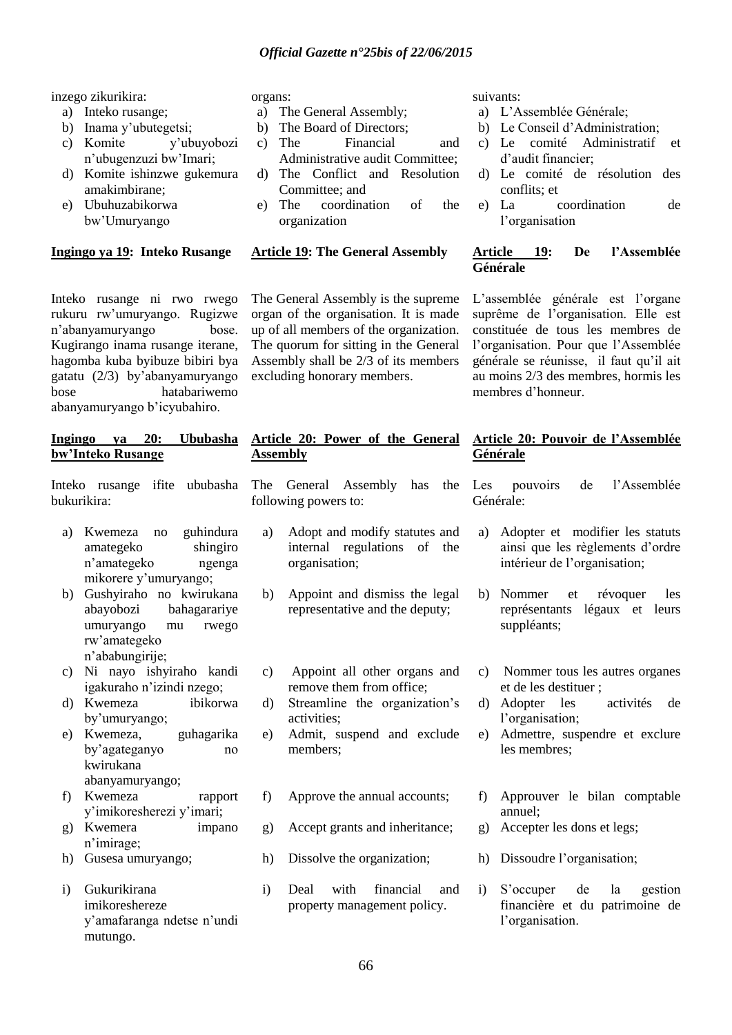inzego zikurikira:

- a) Inteko rusange;
- b) Inama y"ubutegetsi;
- c) Komite y"ubuyobozi n"ubugenzuzi bw"Imari;
- d) Komite ishinzwe gukemura amakimbirane;
- e) Ubuhuzabikorwa bw"Umuryango

### **Ingingo ya 19: Inteko Rusange**

Inteko rusange ni rwo rwego rukuru rw"umuryango. Rugizwe n"abanyamuryango bose. Kugirango inama rusange iterane, hagomba kuba byibuze bibiri bya gatatu (2/3) by"abanyamuryango bose hatabariwemo abanyamuryango b"icyubahiro.

### **Ingingo ya 20: Ububasha bw"Inteko Rusange**

Inteko rusange ifite ububasha bukurikira:

- a) Kwemeza no guhindura amategeko shingiro n"amategeko ngenga mikorere y"umuryango;
- b) Gushyiraho no kwirukana abayobozi bahagarariye umuryango mu rwego rw"amategeko n"ababungirije;
- c) Ni nayo ishyiraho kandi igakuraho n"izindi nzego;
- d) Kwemeza ibikorwa by"umuryango;
- e) Kwemeza, guhagarika by"agateganyo no kwirukana abanyamuryango;
- f) Kwemeza rapport y"imikoresherezi y"imari;
- g) Kwemera impano n"imirage;
- h) Gusesa umuryango;
- i) Gukurikirana imikoreshereze y"amafaranga ndetse n"undi mutungo.

#### organs:

- a) The General Assembly;
- b) The Board of Directors;
- c) The Financial and Administrative audit Committee;
- d) The Conflict and Resolution Committee; and
- e) The coordination of the organization

#### **Article 19: The General Assembly**

The General Assembly is the supreme organ of the organisation. It is made up of all members of the organization. The quorum for sitting in the General Assembly shall be 2/3 of its members excluding honorary members.

### **Article 20: Power of the General Assembly**

The General Assembly has the following powers to:

- a) Adopt and modify statutes and internal regulations of the organisation;
- b) Appoint and dismiss the legal representative and the deputy;
- c) Appoint all other organs and remove them from office;
- d) Streamline the organization"s activities;
- e) Admit, suspend and exclude members;
- f) Approve the annual accounts;
- g) Accept grants and inheritance;
- h) Dissolve the organization;
- i) Deal with financial and property management policy.

suivants:

- a) L"Assemblée Générale;
- b) Le Conseil d'Administration;<br>c) Le comité Administratif
- comité Administratif et d"audit financier;
- d) Le comité de résolution des conflits; et
- e) La coordination de l"organisation

### **Article 19: De l"Assemblée Générale**

L"assemblée générale est l"organe suprême de l"organisation. Elle est constituée de tous les membres de l"organisation. Pour que l"Assemblée générale se réunisse, il faut qu"il ait au moins 2/3 des membres, hormis les membres d"honneur.

### **Article 20: Pouvoir de l"Assemblée Générale**

Les pouvoirs de l"Assemblée Générale:

- a) Adopter et modifier les statuts ainsi que les règlements d"ordre intérieur de l"organisation;
- b) Nommer et révoquer les représentants légaux et leurs suppléants;
- c) Nommer tous les autres organes et de les destituer ;
- d) Adopter les activités de l'organisation;
- e) Admettre, suspendre et exclure les membres;
- f) Approuver le bilan comptable annuel;
- g) Accepter les dons et legs;
- h) Dissoudre l"organisation;
- i) S"occuper de la gestion financière et du patrimoine de l"organisation.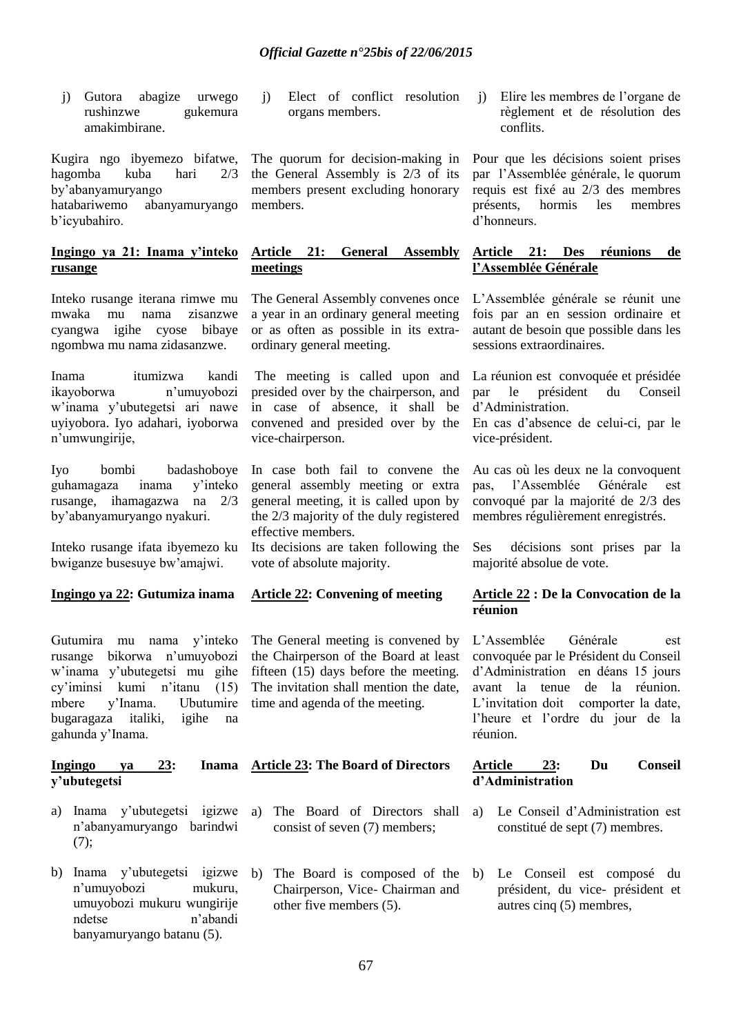j) Gutora abagize urwego rushinzwe gukemura amakimbirane.

Kugira ngo ibyemezo bifatwe, hagomba kuba hari 2/3 by"abanyamuryango hatabariwemo abanyamuryango b"icyubahiro.

### **Ingingo ya 21: Inama y"inteko rusange**

Inteko rusange iterana rimwe mu mwaka mu nama zisanzwe cyangwa igihe cyose bibaye ngombwa mu nama zidasanzwe.

Inama itumizwa kandi ikayoborwa n"umuyobozi w"inama y"ubutegetsi ari nawe uyiyobora. Iyo adahari, iyoborwa n"umwungirije,

Iyo bombi badashoboye guhamagaza inama y"inteko rusange, ihamagazwa na 2/3 by"abanyamuryango nyakuri.

Inteko rusange ifata ibyemezo ku bwiganze busesuye bw"amajwi.

### **Ingingo ya 22: Gutumiza inama**

Gutumira mu nama y"inteko rusange bikorwa n"umuyobozi w"inama y"ubutegetsi mu gihe cy"iminsi kumi n"itanu (15) mbere y"Inama. Ubutumire bugaragaza italiki, igihe na gahunda y"Inama.

### **Ingingo ya 23: Inama y"ubutegetsi**

- a) Inama y"ubutegetsi igizwe n"abanyamuryango barindwi  $(7):$
- b) Inama y'ubutegetsi igizwe b) n"umuyobozi mukuru, umuyobozi mukuru wungirije ndetse n"abandi banyamuryango batanu (5).

j) Elect of conflict resolution organs members.

The quorum for decision-making in the General Assembly is 2/3 of its members present excluding honorary members.

### **Article 21: General Assembly meetings**

The General Assembly convenes once a year in an ordinary general meeting or as often as possible in its extraordinary general meeting.

The meeting is called upon and presided over by the chairperson, and in case of absence, it shall be convened and presided over by the vice-chairperson.

In case both fail to convene the general assembly meeting or extra general meeting, it is called upon by the 2/3 majority of the duly registered effective members.

Its decisions are taken following the vote of absolute majority.

### **Article 22: Convening of meeting**

The General meeting is convened by the Chairperson of the Board at least fifteen  $(15)$  days before the meeting. The invitation shall mention the date, time and agenda of the meeting.

# **Article 23: The Board of Directors**

- a) The Board of Directors shall consist of seven (7) members;
- The Board is composed of the Chairperson, Vice- Chairman and other five members (5).

j) Elire les membres de l"organe de règlement et de résolution des conflits.

Pour que les décisions soient prises par l"Assemblée générale, le quorum requis est fixé au 2/3 des membres présents, hormis les membres d"honneurs.

### **Article 21: Des réunions de l"Assemblée Générale**

L"Assemblée générale se réunit une fois par an en session ordinaire et autant de besoin que possible dans les sessions extraordinaires.

La réunion est convoquée et présidée par le président du Conseil d"Administration.

En cas d"absence de celui-ci, par le vice-président.

Au cas où les deux ne la convoquent pas, l"Assemblée Générale est convoqué par la majorité de 2/3 des membres régulièrement enregistrés.

Ses décisions sont prises par la majorité absolue de vote.

### **Article 22 : De la Convocation de la réunion**

L"Assemblée Générale est convoquée par le Président du Conseil d"Administration en déans 15 jours avant la tenue de la réunion. L'invitation doit comporter la date. l"heure et l"ordre du jour de la réunion.

### **Article 23: Du Conseil d"Administration**

- a) Le Conseil d"Administration est constitué de sept (7) membres.
- b) Le Conseil est composé du président, du vice- président et autres cinq (5) membres,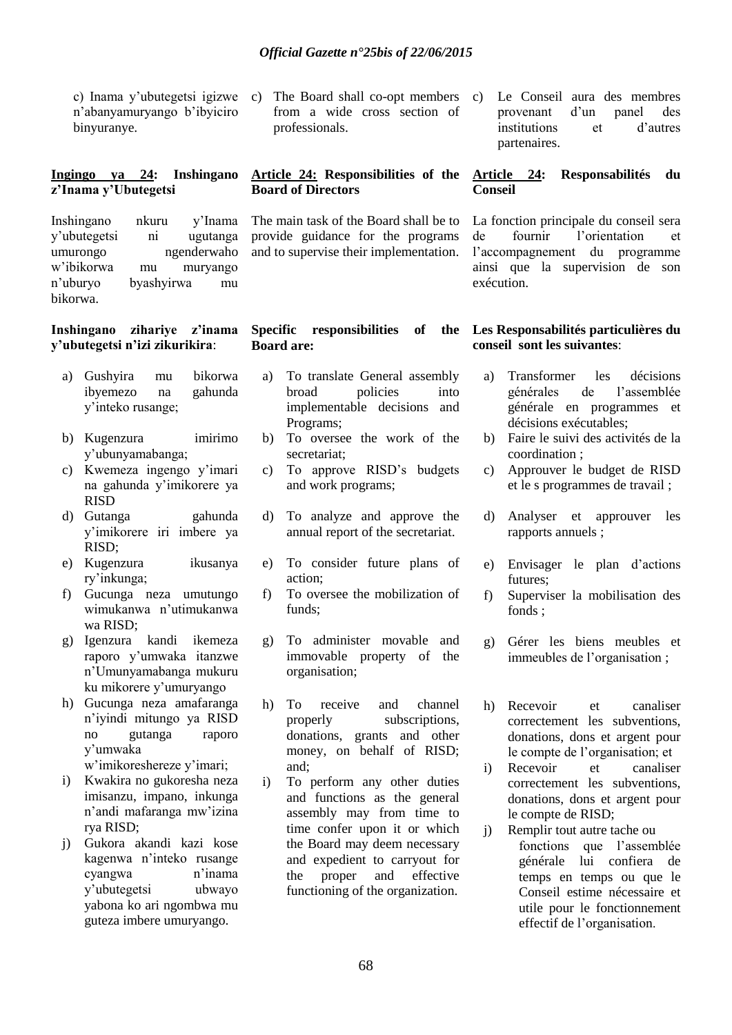n"abanyamuryango b"ibyiciro binyuranye.

### **Ingingo ya 24: Inshingano z"Inama y"Ubutegetsi**

Inshingano nkuru y"Inama y"ubutegetsi ni ugutanga umurongo ngenderwaho w"ibikorwa mu muryango n"uburyo byashyirwa mu bikorwa.

#### **Inshingano zihariye z"inama y"ubutegetsi n"izi zikurikira**:

- a) Gushyira mu bikorwa ibyemezo na gahunda y"inteko rusange;
- b) Kugenzura imirimo y"ubunyamabanga;
- c) Kwemeza ingengo y"imari na gahunda y"imikorere ya RISD
- d) Gutanga gahunda y"imikorere iri imbere ya RISD;
- e) Kugenzura ikusanya ry"inkunga;
- f) Gucunga neza umutungo wimukanwa n"utimukanwa wa RISD;
- g) Igenzura kandi ikemeza raporo y"umwaka itanzwe n"Umunyamabanga mukuru ku mikorere y"umuryango
- h) Gucunga neza amafaranga n"iyindi mitungo ya RISD no gutanga raporo y"umwaka

w"imikoreshereze y"imari;

- i) Kwakira no gukoresha neza imisanzu, impano, inkunga n"andi mafaranga mw"izina rya RISD;
- j) Gukora akandi kazi kose kagenwa n"inteko rusange cyangwa n"inama y"ubutegetsi ubwayo yabona ko ari ngombwa mu guteza imbere umuryango.

c) Inama y"ubutegetsi igizwe c) The Board shall co-opt members from a wide cross section of professionals.

### **Article 24: Responsibilities of the Board of Directors**

The main task of the Board shall be to provide guidance for the programs and to supervise their implementation.

#### **Specific responsibilities of the Board are:**

- a) To translate General assembly broad policies into implementable decisions and Programs;
- b) To oversee the work of the secretariat;
- c) To approve RISD"s budgets and work programs;
- d) To analyze and approve the annual report of the secretariat.
- e) To consider future plans of action;
- f) To oversee the mobilization of funds;
- g) To administer movable and immovable property of the organisation;
- h) To receive and channel properly subscriptions, donations, grants and other money, on behalf of RISD; and;
- i) To perform any other duties and functions as the general assembly may from time to time confer upon it or which the Board may deem necessary and expedient to carryout for the proper and effective functioning of the organization.

c) Le Conseil aura des membres provenant d"un panel des institutions et d"autres partenaires.

### **Article 24: Responsabilités du Conseil**

La fonction principale du conseil sera de fournir l"orientation et l"accompagnement du programme ainsi que la supervision de son exécution.

### **Les Responsabilités particulières du conseil sont les suivantes**:

- a) Transformer les décisions générales de l"assemblée générale en programmes et décisions exécutables;
- b) Faire le suivi des activités de la coordination ;
- c) Approuver le budget de RISD et le s programmes de travail ;
- d) Analyser et approuver les rapports annuels ;
- e) Envisager le plan d"actions futures;
- f) Superviser la mobilisation des fonds ;
- g) Gérer les biens meubles et immeubles de l"organisation ;
- h) Recevoir et canaliser correctement les subventions, donations, dons et argent pour le compte de l"organisation; et
- i) Recevoir et canaliser correctement les subventions, donations, dons et argent pour le compte de RISD;
- j) Remplir tout autre tache ou fonctions que l"assemblée générale lui confiera de temps en temps ou que le Conseil estime nécessaire et utile pour le fonctionnement effectif de l"organisation.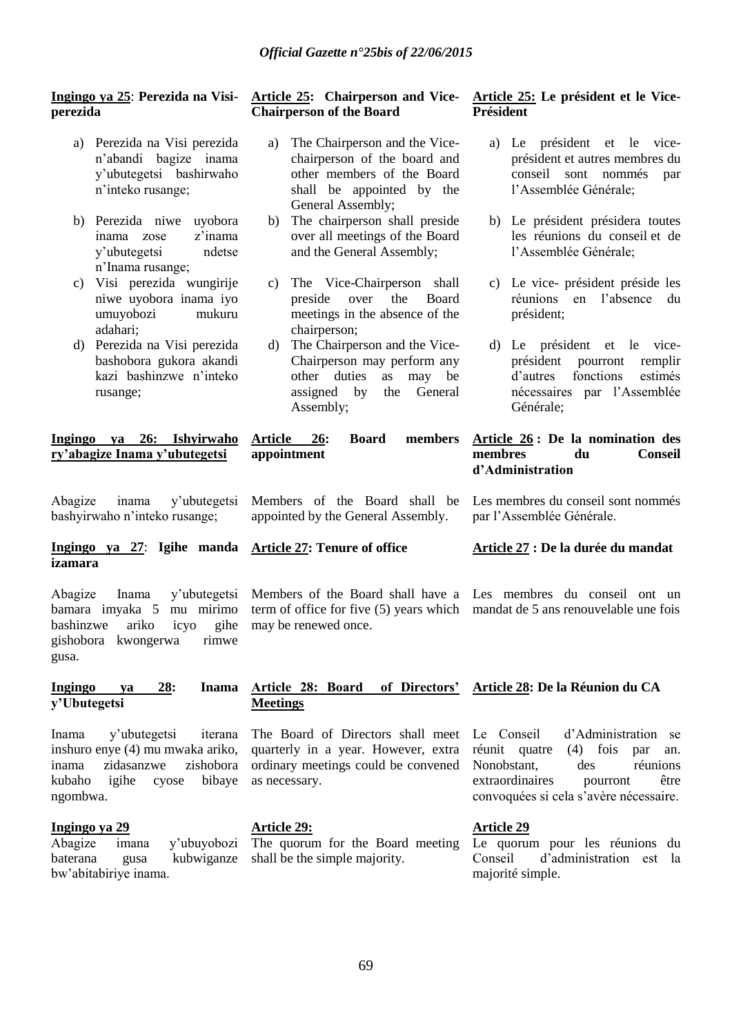### **Ingingo ya 25**: **Perezida na Visiperezida**

- a) Perezida na Visi perezida n"abandi bagize inama y"ubutegetsi bashirwaho n"inteko rusange;
- b) Perezida niwe uyobora inama zose z"inama y"ubutegetsi ndetse n"Inama rusange;
- c) Visi perezida wungirije niwe uyobora inama iyo umuyobozi mukuru adahari;
- d) Perezida na Visi perezida bashobora gukora akandi kazi bashinzwe n"inteko rusange;

**Ingingo ya 26: Ishyirwaho ry"abagize Inama y"ubutegetsi**

Abagize inama y"ubutegetsi bashyirwaho n"inteko rusange;

### **Ingingo ya 27**: **Igihe manda Article 27: Tenure of office izamara**

Abagize Inama y"ubutegetsi bamara imyaka 5 mu mirimo bashinzwe ariko icyo gishobora kwongerwa rimwe gusa.

### **Ingingo ya 28: Inama y"Ubutegetsi**

Inama y"ubutegetsi iterana inshuro enye (4) mu mwaka ariko, inama zidasanzwe zishobora kubaho igihe cyose bibaye ngombwa.

### **Ingingo ya 29**

Abagize imana y"ubuyobozi baterana gusa kubwiganze bw"abitabiriye inama.

### **Article 25: Chairperson and Vice-Chairperson of the Board**

- a) The Chairperson and the Vicechairperson of the board and other members of the Board shall be appointed by the General Assembly;
- b) The chairperson shall preside over all meetings of the Board and the General Assembly;
- c) The Vice-Chairperson shall preside over the Board meetings in the absence of the chairperson;
- d) The Chairperson and the Vice-Chairperson may perform any other duties as may be assigned by the General Assembly;

**Article 26: Board members appointment**

### Members of the Board shall be appointed by the General Assembly.

Members of the Board shall have a Les membres du conseil ont un term of office for five (5) years which mandat de 5 ans renouvelable une fois may be renewed once.

### **Article 25: Le président et le Vice-Président**

- a) Le président et le viceprésident et autres membres du conseil sont nommés par l"Assemblée Générale;
- b) Le président présidera toutes les réunions du conseil et de l"Assemblée Générale;
- c) Le vice- président préside les réunions en l"absence du président;
- d) Le président et le viceprésident pourront remplir d"autres fonctions estimés nécessaires par l"Assemblée Générale;

### **Article 26 : De la nomination des membres du Conseil d"Administration**

Les membres du conseil sont nommés par l"Assemblée Générale.

### **Article 27 : De la durée du mandat**

#### **Article 28: Board of Directors" Article 28: De la Réunion du CA**

The Board of Directors shall meet Le Conseil quarterly in a year. However, extra ordinary meetings could be convened as necessary.

### **Article 29:**

**Meetings**

The quorum for the Board meeting shall be the simple majority.

d'Administration se réunit quatre (4) fois par an. Nonobstant, des réunions extraordinaires pourront être convoquées si cela s"avère nécessaire.

### **Article 29**

Le quorum pour les réunions du Conseil d"administration est la majorité simple.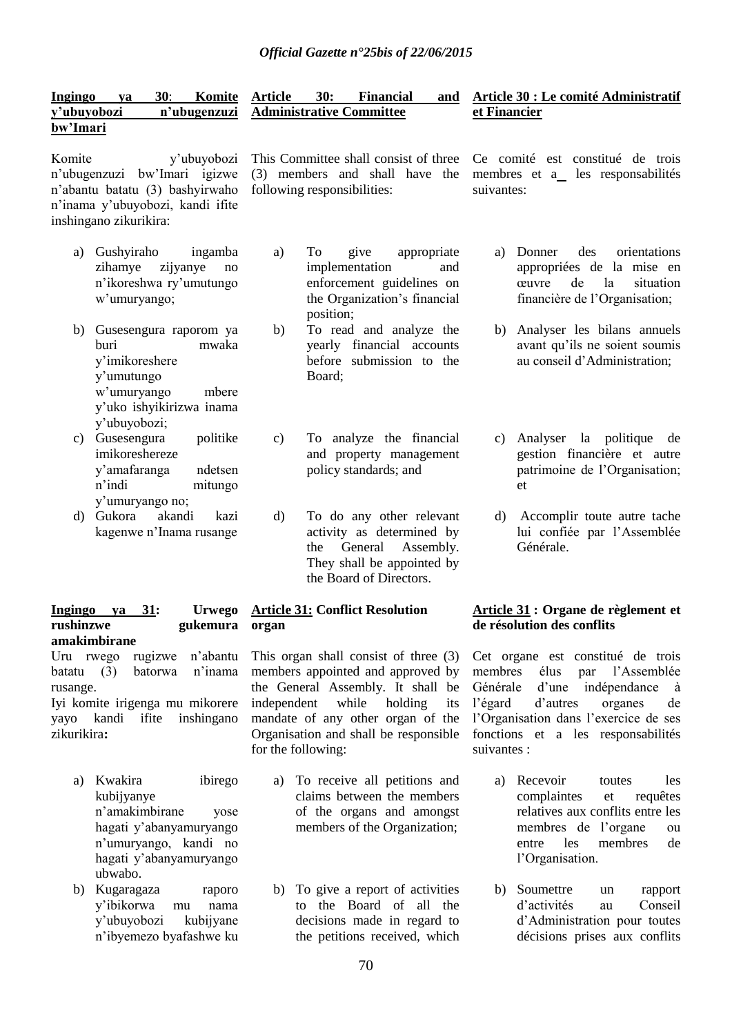| Ingingo     | va | 30: | Komite Article | 30: | Financial                             | and Article 30 : Le comité Administratif |
|-------------|----|-----|----------------|-----|---------------------------------------|------------------------------------------|
| y'ubuyobozi |    |     |                |     | n'ubugenzuzi Administrative Committee | et Financier                             |
| bw'Imari    |    |     |                |     |                                       |                                          |

Komite y"ubuyobozi n"ubugenzuzi bw"Imari igizwe n"abantu batatu (3) bashyirwaho n"inama y"ubuyobozi, kandi ifite inshingano zikurikira:

- a) Gushyiraho ingamba zihamye zijyanye no n"ikoreshwa ry"umutungo w"umuryango;
- b) Gusesengura raporom ya buri mwaka y"imikoreshere y"umutungo w"umuryango mbere y"uko ishyikirizwa inama y"ubuyobozi;
- c) Gusesengura politike imikoreshereze y"amafaranga ndetsen n"indi mitungo y"umuryango no;
- d) Gukora akandi kazi kagenwe n"Inama rusange

#### **Ingingo ya 31: Urwego rushinzwe gukemura amakimbirane**

Uru rwego rugizwe n"abantu batatu (3) batorwa n"inama rusange.

Iyi komite irigenga mu mikorere yayo kandi ifite inshingano zikurikira**:**

- a) Kwakira ibirego kubijyanye n"amakimbirane yose hagati y"abanyamuryango n"umuryango, kandi no hagati y"abanyamuryango ubwabo.
- b) Kugaragaza raporo y"ibikorwa mu nama y"ubuyobozi kubijyane n"ibyemezo byafashwe ku

This Committee shall consist of three (3) members and shall have the following responsibilities:

a) To give appropriate implementation and enforcement guidelines on the Organization"s financial position;

- b) To read and analyze the yearly financial accounts before submission to the Board;
- c) To analyze the financial and property management policy standards; and
- d) To do any other relevant activity as determined by the General Assembly. They shall be appointed by the Board of Directors.

### **Article 31: Conflict Resolution organ**

This organ shall consist of three (3) members appointed and approved by the General Assembly. It shall be independent while holding its mandate of any other organ of the Organisation and shall be responsible for the following:

- a) To receive all petitions and claims between the members of the organs and amongst members of the Organization;
- b) To give a report of activities to the Board of all the decisions made in regard to the petitions received, which

# Ce comité est constitué de trois membres et a\_ les responsabilités suivantes:

- a) Donner des orientations appropriées de la mise en œuvre de la situation financière de l"Organisation;
- b) Analyser les bilans annuels avant qu"ils ne soient soumis au conseil d"Administration;
- c) Analyser la politique de gestion financière et autre patrimoine de l"Organisation; et
- d) Accomplir toute autre tache lui confiée par l"Assemblée Générale.

### **Article 31 : Organe de règlement et de résolution des conflits**

Cet organe est constitué de trois membres élus par l"Assemblée Générale d"une indépendance à l"égard d"autres organes de l"Organisation dans l"exercice de ses fonctions et a les responsabilités suivantes ·

- a) Recevoir toutes les complaintes et requêtes relatives aux conflits entre les membres de l"organe ou entre les membres de l"Organisation.
- b) Soumettre un rapport d"activités au Conseil d"Administration pour toutes décisions prises aux conflits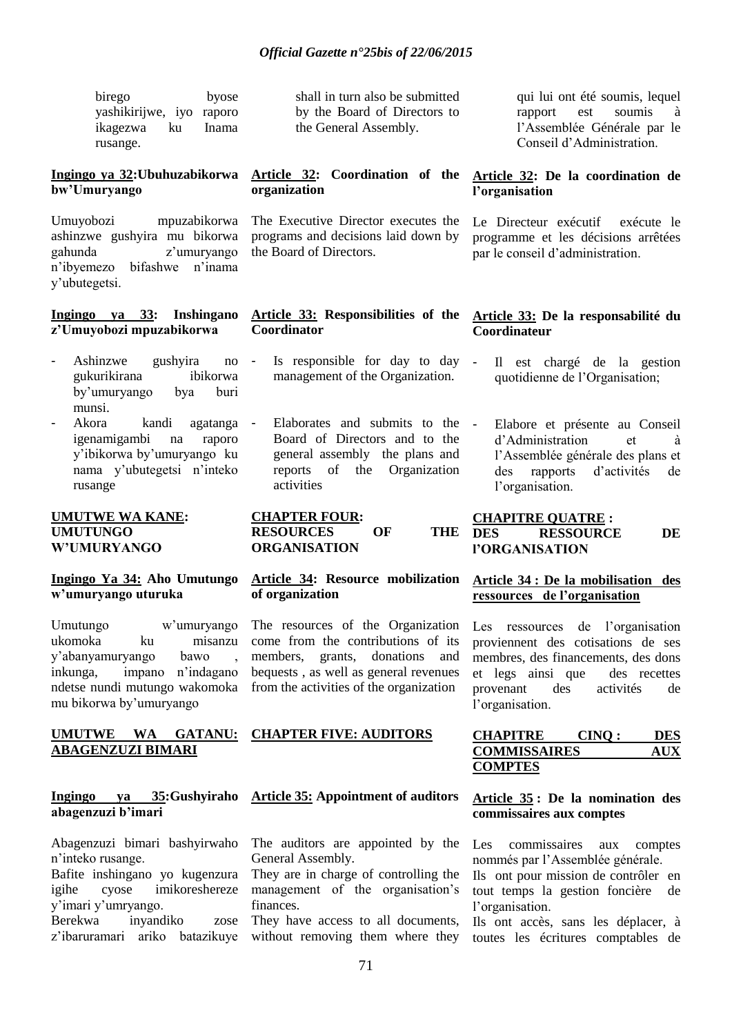birego byose yashikirijwe, iyo raporo ikagezwa ku Inama rusange.

### **Ingingo ya 32:Ubuhuzabikorwa bw"Umuryango**

Umuyobozi mpuzabikorwa ashinzwe gushyira mu bikorwa gahunda z"umuryango n"ibyemezo bifashwe n"inama y"ubutegetsi.

#### **Ingingo ya 33: Inshingano z"Umuyobozi mpuzabikorwa**

- Ashinzwe gushyira no gukurikirana ibikorwa by"umuryango bya buri munsi.
- Akora kandi agatanga igenamigambi na raporo y"ibikorwa by"umuryango ku nama y"ubutegetsi n"inteko rusange

#### **UMUTWE WA KANE: UMUTUNGO W"UMURYANGO**

### **Ingingo Ya 34: Aho Umutungo w"umuryango uturuka**

Umutungo w"umuryango ukomoka ku misanzu y"abanyamuryango bawo , inkunga, impano n"indagano ndetse nundi mutungo wakomoka mu bikorwa by"umuryango

#### **UMUTWE WA GATANU: ABAGENZUZI BIMARI**

#### **Ingingo ya 35:Gushyiraho abagenzuzi b"imari**

Abagenzuzi bimari bashyirwaho n"inteko rusange.

Bafite inshingano yo kugenzura igihe cyose imikoreshereze y"imari y"umryango.

Berekwa inyandiko zose

shall in turn also be submitted by the Board of Directors to the General Assembly.

### **Article 32: Coordination of the organization**

The Executive Director executes the programs and decisions laid down by the Board of Directors.

#### **Article 33: Responsibilities of the Coordinator**

- Is responsible for day to day management of the Organization.
- Elaborates and submits to the Board of Directors and to the general assembly the plans and reports of the Organization activities

**CHAPTER FOUR: RESOURCES OF THE ORGANISATION**

### **Article 34: Resource mobilization of organization**

The resources of the Organization come from the contributions of its members, grants, donations and bequests , as well as general revenues from the activities of the organization

# **CHAPTER FIVE: AUDITORS**

# **Article 35: Appointment of auditors**

The auditors are appointed by the General Assembly.

They are in charge of controlling the management of the organisation's finances.

They have access to all documents,

qui lui ont été soumis, lequel rapport est soumis à l"Assemblée Générale par le Conseil d"Administration.

### **Article 32: De la coordination de l"organisation**

Le Directeur exécutif exécute le programme et les décisions arrêtées par le conseil d"administration.

### **Article 33: De la responsabilité du Coordinateur**

- Il est chargé de la gestion quotidienne de l"Organisation;
	- Elabore et présente au Conseil d"Administration et à l"Assemblée générale des plans et des rapports d"activités de l"organisation.

### **CHAPITRE QUATRE : DES RESSOURCE DE l"ORGANISATION**

### **Article 34 : De la mobilisation des ressources de l"organisation**

Les ressources de l'organisation proviennent des cotisations de ses membres, des financements, des dons et legs ainsi que des recettes provenant des activités de l'organisation.

### **CHAPITRE CINQ : DES COMMISSAIRES COMPTES**

### **Article 35 : De la nomination des commissaires aux comptes**

Les commissaires aux comptes nommés par l"Assemblée générale.

Ils ont pour mission de contrôler en tout temps la gestion foncière de l"organisation.

z'ibaruramari ariko batazikuye without removing them where they toutes les écritures comptables de Ils ont accès, sans les déplacer, à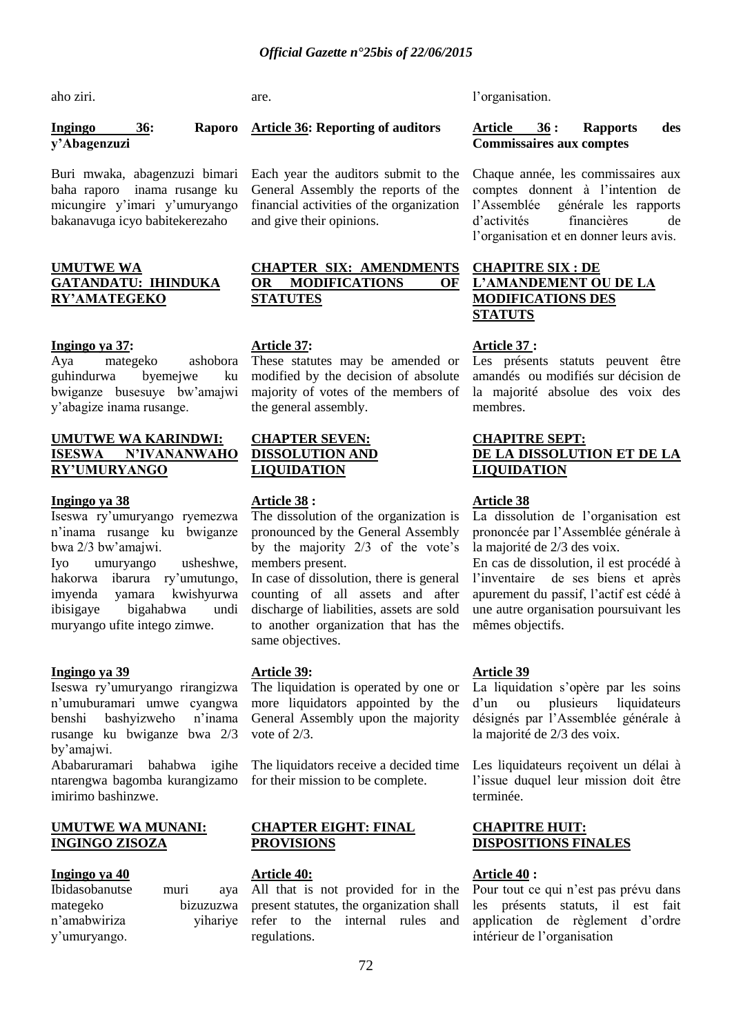aho ziri.

**Ingingo 36: Raporo y"Abagenzuzi**

Buri mwaka, abagenzuzi bimari baha raporo inama rusange ku micungire y"imari y"umuryango bakanavuga icyo babitekerezaho

### **UMUTWE WA GATANDATU: IHINDUKA RY"AMATEGEKO**

#### **Ingingo ya 37:**

Aya mategeko ashobora guhindurwa byemejwe ku bwiganze busesuye bw"amajwi y"abagize inama rusange.

#### **UMUTWE WA KARINDWI: ISESWA N"IVANANWAHO RY"UMURYANGO**

#### **Ingingo ya 38**

Iseswa ry"umuryango ryemezwa n"inama rusange ku bwiganze bwa 2/3 bw"amajwi.

Iyo umuryango usheshwe, hakorwa ibarura ry"umutungo, imyenda yamara kwishyurwa ibisigaye bigahabwa undi muryango ufite intego zimwe.

### **Ingingo ya 39**

Iseswa ry"umuryango rirangizwa n"umuburamari umwe cyangwa benshi bashyizweho n"inama rusange ku bwiganze bwa 2/3 by"amajwi.

Ababaruramari bahabwa igihe ntarengwa bagomba kurangizamo imirimo bashinzwe.

#### **UMUTWE WA MUNANI: INGINGO ZISOZA**

### **Ingingo ya 40**

| Ibidasobanutse | muri | aya       |
|----------------|------|-----------|
| mategeko       |      | bizuzuzwa |
| n'amabwiriza   |      | yihariye  |
| y'umuryango.   |      |           |

are.

### **Article 36: Reporting of auditors**

Each year the auditors submit to the General Assembly the reports of the financial activities of the organization and give their opinions.

### **CHAPTER SIX: AMENDMENTS OR MODIFICATIONS OF STATUTES**

### **Article 37:**

These statutes may be amended or modified by the decision of absolute majority of votes of the members of the general assembly.

### **CHAPTER SEVEN: DISSOLUTION AND LIQUIDATION**

### **Article 38 :**

The dissolution of the organization is pronounced by the General Assembly by the majority  $2/3$  of the vote's members present.

In case of dissolution, there is general counting of all assets and after discharge of liabilities, assets are sold to another organization that has the same objectives.

### **Article 39:**

The liquidation is operated by one or more liquidators appointed by the General Assembly upon the majority vote of 2/3.

The liquidators receive a decided time for their mission to be complete.

#### **CHAPTER EIGHT: FINAL PROVISIONS**

#### **Article 40:**

All that is not provided for in the present statutes, the organization shall rive refer to the internal rules and regulations.

l"organisation.

#### **Article 36 : Rapports des Commissaires aux comptes**

Chaque année, les commissaires aux comptes donnent à l"intention de l"Assemblée générale les rapports d"activités financières de l"organisation et en donner leurs avis.

### **CHAPITRE SIX : DE L"AMANDEMENT OU DE LA MODIFICATIONS DES STATUTS**

### **Article 37 :**

Les présents statuts peuvent être amandés ou modifiés sur décision de la majorité absolue des voix des membres.

#### **CHAPITRE SEPT: DE LA DISSOLUTION ET DE LA LIQUIDATION**

### **Article 38**

La dissolution de l"organisation est prononcée par l"Assemblée générale à la majorité de 2/3 des voix.

En cas de dissolution, il est procédé à l'inventaire de ses biens et après apurement du passif, l"actif est cédé à une autre organisation poursuivant les mêmes objectifs.

### **Article 39**

La liquidation s'opère par les soins d"un ou plusieurs liquidateurs désignés par l"Assemblée générale à la majorité de 2/3 des voix.

Les liquidateurs reçoivent un délai à l'issue duquel leur mission doit être terminée.

### **CHAPITRE HUIT: DISPOSITIONS FINALES**

### **Article 40 :**

Pour tout ce qui n"est pas prévu dans les présents statuts, il est fait application de règlement d"ordre intérieur de l"organisation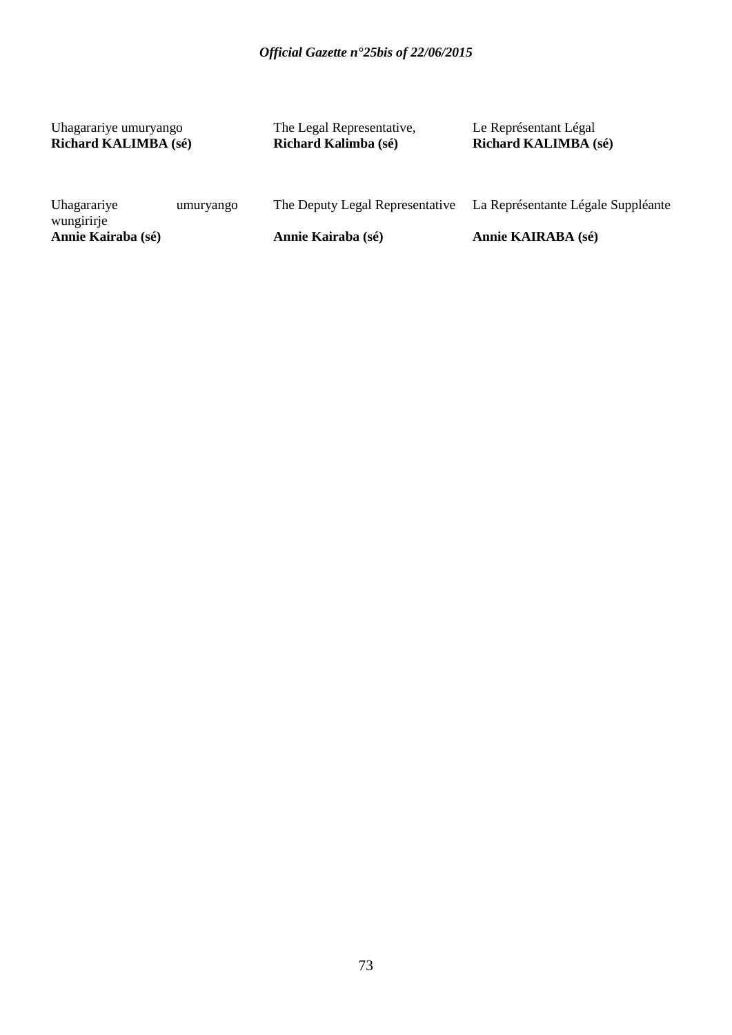Uhagarariye umuryango **Richard KALIMBA (sé)** The Legal Representative, **Richard Kalimba (sé)**

Le Représentant Légal **Richard KALIMBA (sé)**

| Uhagarariye                      | umuryango | The Deputy Legal Representative | La Représentante Légale Suppléante |
|----------------------------------|-----------|---------------------------------|------------------------------------|
| wungirirje<br>Annie Kairaba (sé) |           | Annie Kairaba (sé)              | Annie KAIRABA (sé)                 |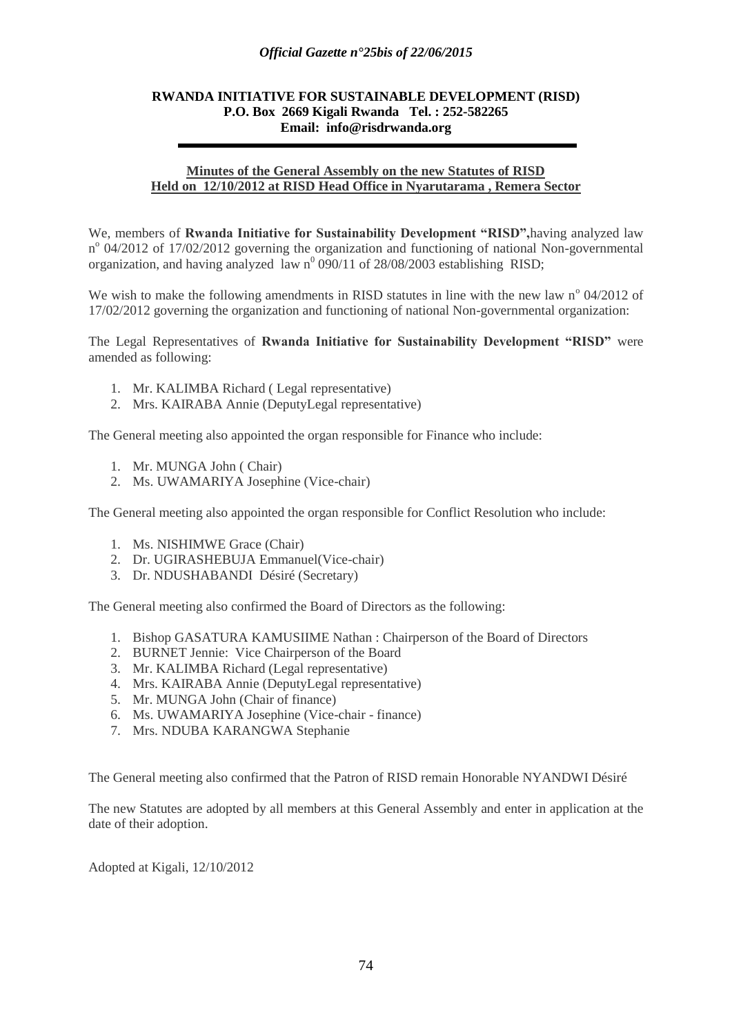### *Official Gazette n°25bis of 22/06/2015*

### **RWANDA INITIATIVE FOR SUSTAINABLE DEVELOPMENT (RISD) P.O. Box 2669 Kigali Rwanda Tel. : 252-582265 Email: info@risdrwanda.org**

#### **Minutes of the General Assembly on the new Statutes of RISD Held on 12/10/2012 at RISD Head Office in Nyarutarama , Remera Sector**

We, members of **Rwanda Initiative for Sustainability Development "RISD",**having analyzed law n<sup>o</sup> 04/2012 of 17/02/2012 governing the organization and functioning of national Non-governmental organization, and having analyzed law  $n^0$  090/11 of 28/08/2003 establishing RISD;

We wish to make the following amendments in RISD statutes in line with the new law n° 04/2012 of 17/02/2012 governing the organization and functioning of national Non-governmental organization:

The Legal Representatives of **Rwanda Initiative for Sustainability Development "RISD"** were amended as following:

- 1. Mr. KALIMBA Richard ( Legal representative)
- 2. Mrs. KAIRABA Annie (DeputyLegal representative)

The General meeting also appointed the organ responsible for Finance who include:

- 1. Mr. MUNGA John ( Chair)
- 2. Ms. UWAMARIYA Josephine (Vice-chair)

The General meeting also appointed the organ responsible for Conflict Resolution who include:

- 1. Ms. NISHIMWE Grace (Chair)
- 2. Dr. UGIRASHEBUJA Emmanuel(Vice-chair)
- 3. Dr. NDUSHABANDI Désiré (Secretary)

The General meeting also confirmed the Board of Directors as the following:

- 1. Bishop GASATURA KAMUSIIME Nathan : Chairperson of the Board of Directors
- 2. BURNET Jennie: Vice Chairperson of the Board
- 3. Mr. KALIMBA Richard (Legal representative)
- 4. Mrs. KAIRABA Annie (DeputyLegal representative)
- 5. Mr. MUNGA John (Chair of finance)
- 6. Ms. UWAMARIYA Josephine (Vice-chair finance)
- 7. Mrs. NDUBA KARANGWA Stephanie

The General meeting also confirmed that the Patron of RISD remain Honorable NYANDWI Désiré

The new Statutes are adopted by all members at this General Assembly and enter in application at the date of their adoption.

Adopted at Kigali, 12/10/2012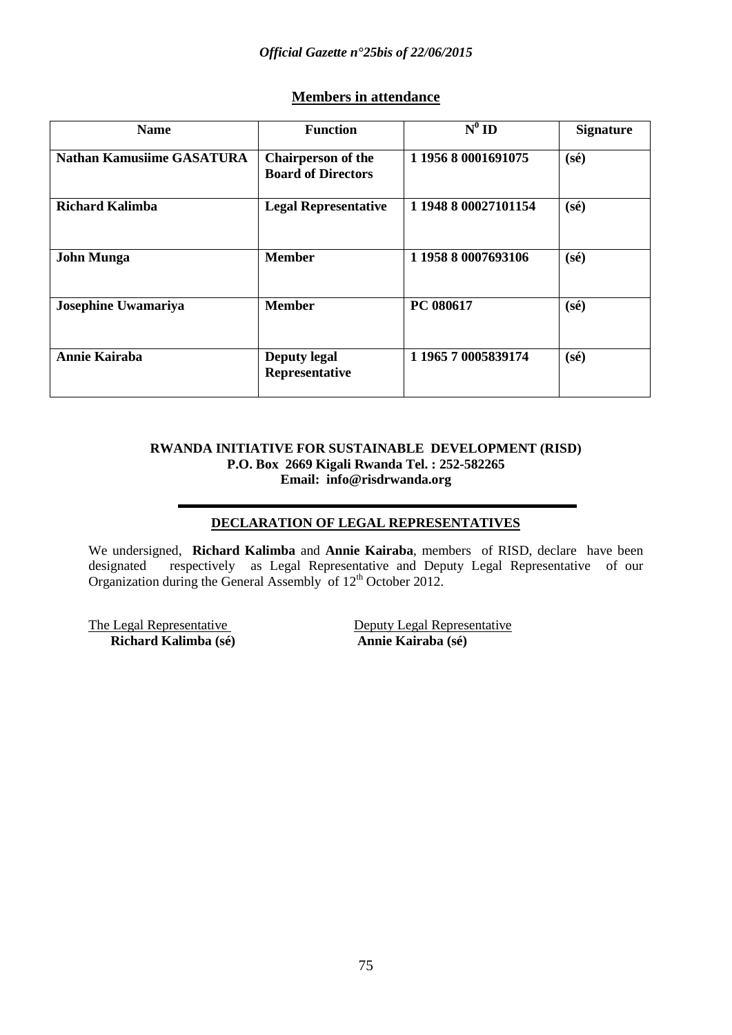# **Members in attendance**

| <b>Name</b>                      | <b>Function</b>                                        | $N^0$ ID             | <b>Signature</b> |
|----------------------------------|--------------------------------------------------------|----------------------|------------------|
| <b>Nathan Kamusiime GASATURA</b> | <b>Chairperson of the</b><br><b>Board of Directors</b> | 1 1956 8 0001691075  | $(s\acute{e})$   |
| Richard Kalimba                  | <b>Legal Representative</b>                            | 1 1948 8 00027101154 | $(s\acute{e})$   |
| <b>John Munga</b>                | <b>Member</b>                                          | 1 1958 8 0007693106  | $(s\acute{e})$   |
| Josephine Uwamariya              | <b>Member</b>                                          | PC 080617            | $(s\acute{e})$   |
| <b>Annie Kairaba</b>             | <b>Deputy legal</b><br>Representative                  | 1 1965 7 0005839174  | $(s\acute{e})$   |

### **RWANDA INITIATIVE FOR SUSTAINABLE DEVELOPMENT (RISD) P.O. Box 2669 Kigali Rwanda Tel. : 252-582265 Email: info@risdrwanda.org**

# **DECLARATION OF LEGAL REPRESENTATIVES**

We undersigned, **Richard Kalimba** and **Annie Kairaba**, members of RISD, declare have been designated respectively as Legal Representative and Deputy Legal Representative of our Organization during the General Assembly of  $12<sup>th</sup>$  October 2012.

 $\overline{\text{Richard Kalimba (s\'e)}}$ 

The Legal Representative<br>
Richard Kalimba (sé)<br>
Annie Kairaba (sé)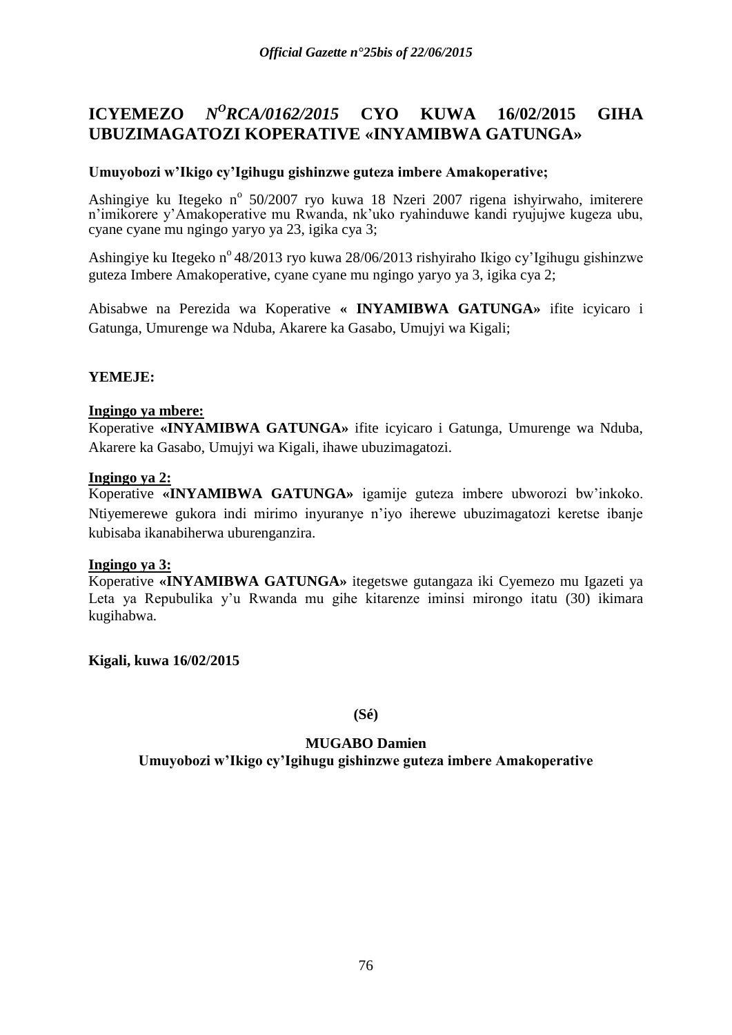#### **ICYEMEZO** *<sup>O</sup>RCA/0162/2015* **CYO KUWA 16/02/2015 GIHA UBUZIMAGATOZI KOPERATIVE «INYAMIBWA GATUNGA»**

# **Umuyobozi w"Ikigo cy"Igihugu gishinzwe guteza imbere Amakoperative;**

Ashingiye ku Itegeko nº 50/2007 ryo kuwa 18 Nzeri 2007 rigena ishyirwaho, imiterere n"imikorere y"Amakoperative mu Rwanda, nk"uko ryahinduwe kandi ryujujwe kugeza ubu, cyane cyane mu ngingo yaryo ya 23, igika cya 3;

Ashingiye ku Itegeko n<sup>o</sup> 48/2013 ryo kuwa 28/06/2013 rishyiraho Ikigo cy'Igihugu gishinzwe guteza Imbere Amakoperative, cyane cyane mu ngingo yaryo ya 3, igika cya 2;

Abisabwe na Perezida wa Koperative **« INYAMIBWA GATUNGA»** ifite icyicaro i Gatunga, Umurenge wa Nduba, Akarere ka Gasabo, Umujyi wa Kigali;

# **YEMEJE:**

### **Ingingo ya mbere:**

Koperative **«INYAMIBWA GATUNGA»** ifite icyicaro i Gatunga, Umurenge wa Nduba, Akarere ka Gasabo, Umujyi wa Kigali, ihawe ubuzimagatozi.

### **Ingingo ya 2:**

Koperative **«INYAMIBWA GATUNGA»** igamije guteza imbere ubworozi bw"inkoko. Ntiyemerewe gukora indi mirimo inyuranye n"iyo iherewe ubuzimagatozi keretse ibanje kubisaba ikanabiherwa uburenganzira.

### **Ingingo ya 3:**

Koperative **«INYAMIBWA GATUNGA»** itegetswe gutangaza iki Cyemezo mu Igazeti ya Leta ya Repubulika y"u Rwanda mu gihe kitarenze iminsi mirongo itatu (30) ikimara kugihabwa.

**Kigali, kuwa 16/02/2015**

**(Sé)**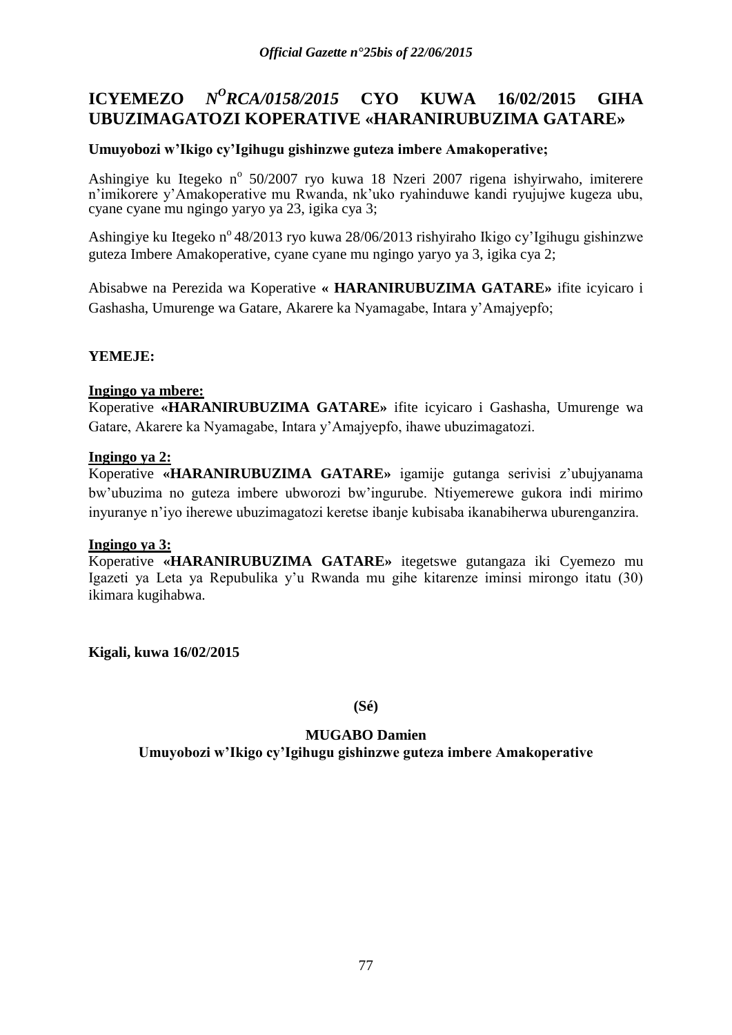#### **ICYEMEZO** *<sup>O</sup>RCA/0158/2015* **CYO KUWA 16/02/2015 GIHA UBUZIMAGATOZI KOPERATIVE «HARANIRUBUZIMA GATARE»**

# **Umuyobozi w"Ikigo cy"Igihugu gishinzwe guteza imbere Amakoperative;**

Ashingiye ku Itegeko nº 50/2007 ryo kuwa 18 Nzeri 2007 rigena ishyirwaho, imiterere n"imikorere y"Amakoperative mu Rwanda, nk"uko ryahinduwe kandi ryujujwe kugeza ubu, cyane cyane mu ngingo yaryo ya 23, igika cya 3;

Ashingiye ku Itegeko n° 48/2013 ryo kuwa 28/06/2013 rishyiraho Ikigo cy'Igihugu gishinzwe guteza Imbere Amakoperative, cyane cyane mu ngingo yaryo ya 3, igika cya 2;

Abisabwe na Perezida wa Koperative **« HARANIRUBUZIMA GATARE»** ifite icyicaro i Gashasha, Umurenge wa Gatare, Akarere ka Nyamagabe, Intara y"Amajyepfo;

# **YEMEJE:**

### **Ingingo ya mbere:**

Koperative **«HARANIRUBUZIMA GATARE»** ifite icyicaro i Gashasha, Umurenge wa Gatare, Akarere ka Nyamagabe, Intara y"Amajyepfo, ihawe ubuzimagatozi.

### **Ingingo ya 2:**

Koperative **«HARANIRUBUZIMA GATARE»** igamije gutanga serivisi z"ubujyanama bw"ubuzima no guteza imbere ubworozi bw"ingurube. Ntiyemerewe gukora indi mirimo inyuranye n"iyo iherewe ubuzimagatozi keretse ibanje kubisaba ikanabiherwa uburenganzira.

### **Ingingo ya 3:**

Koperative **«HARANIRUBUZIMA GATARE»** itegetswe gutangaza iki Cyemezo mu Igazeti ya Leta ya Repubulika y"u Rwanda mu gihe kitarenze iminsi mirongo itatu (30) ikimara kugihabwa.

**Kigali, kuwa 16/02/2015**

**(Sé)**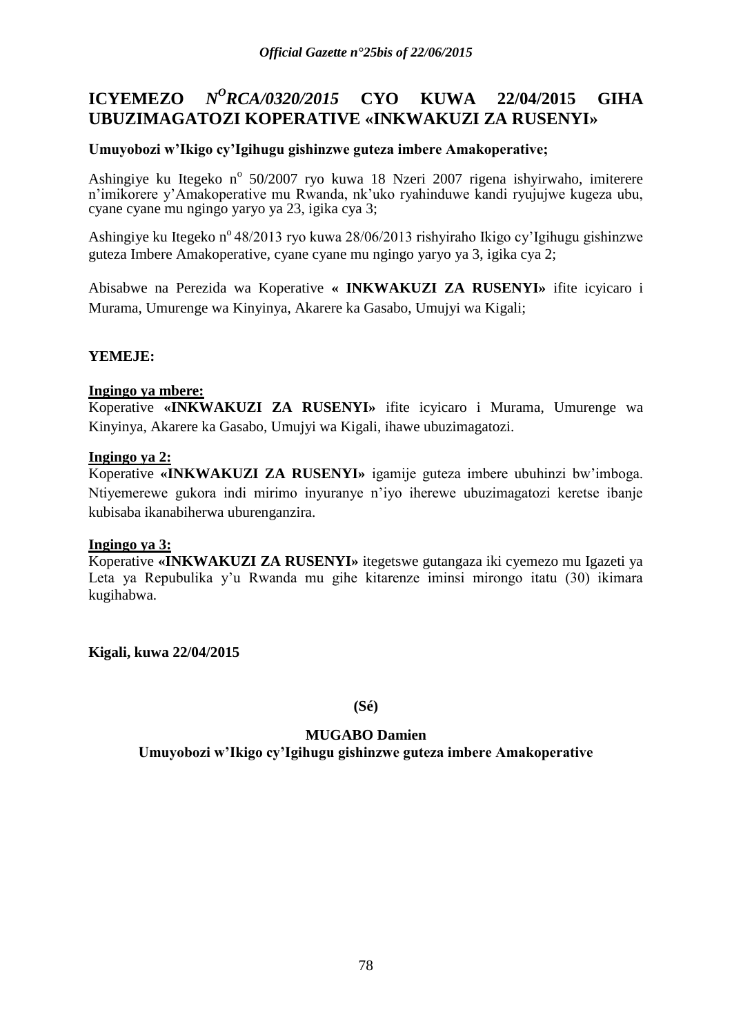#### **ICYEMEZO** *<sup>O</sup>RCA/0320/2015* **CYO KUWA 22/04/2015 GIHA UBUZIMAGATOZI KOPERATIVE «INKWAKUZI ZA RUSENYI»**

# **Umuyobozi w"Ikigo cy"Igihugu gishinzwe guteza imbere Amakoperative;**

Ashingiye ku Itegeko nº 50/2007 ryo kuwa 18 Nzeri 2007 rigena ishyirwaho, imiterere n"imikorere y"Amakoperative mu Rwanda, nk"uko ryahinduwe kandi ryujujwe kugeza ubu, cyane cyane mu ngingo yaryo ya 23, igika cya 3;

Ashingiye ku Itegeko n° 48/2013 ryo kuwa 28/06/2013 rishyiraho Ikigo cy'Igihugu gishinzwe guteza Imbere Amakoperative, cyane cyane mu ngingo yaryo ya 3, igika cya 2;

Abisabwe na Perezida wa Koperative **« INKWAKUZI ZA RUSENYI»** ifite icyicaro i Murama, Umurenge wa Kinyinya, Akarere ka Gasabo, Umujyi wa Kigali;

# **YEMEJE:**

### **Ingingo ya mbere:**

Koperative **«INKWAKUZI ZA RUSENYI»** ifite icyicaro i Murama, Umurenge wa Kinyinya, Akarere ka Gasabo, Umujyi wa Kigali, ihawe ubuzimagatozi.

### **Ingingo ya 2:**

Koperative **«INKWAKUZI ZA RUSENYI»** igamije guteza imbere ubuhinzi bw"imboga. Ntiyemerewe gukora indi mirimo inyuranye n"iyo iherewe ubuzimagatozi keretse ibanje kubisaba ikanabiherwa uburenganzira.

### **Ingingo ya 3:**

Koperative **«INKWAKUZI ZA RUSENYI»** itegetswe gutangaza iki cyemezo mu Igazeti ya Leta ya Repubulika y'u Rwanda mu gihe kitarenze iminsi mirongo itatu (30) ikimara kugihabwa.

**Kigali, kuwa 22/04/2015**

**(Sé)**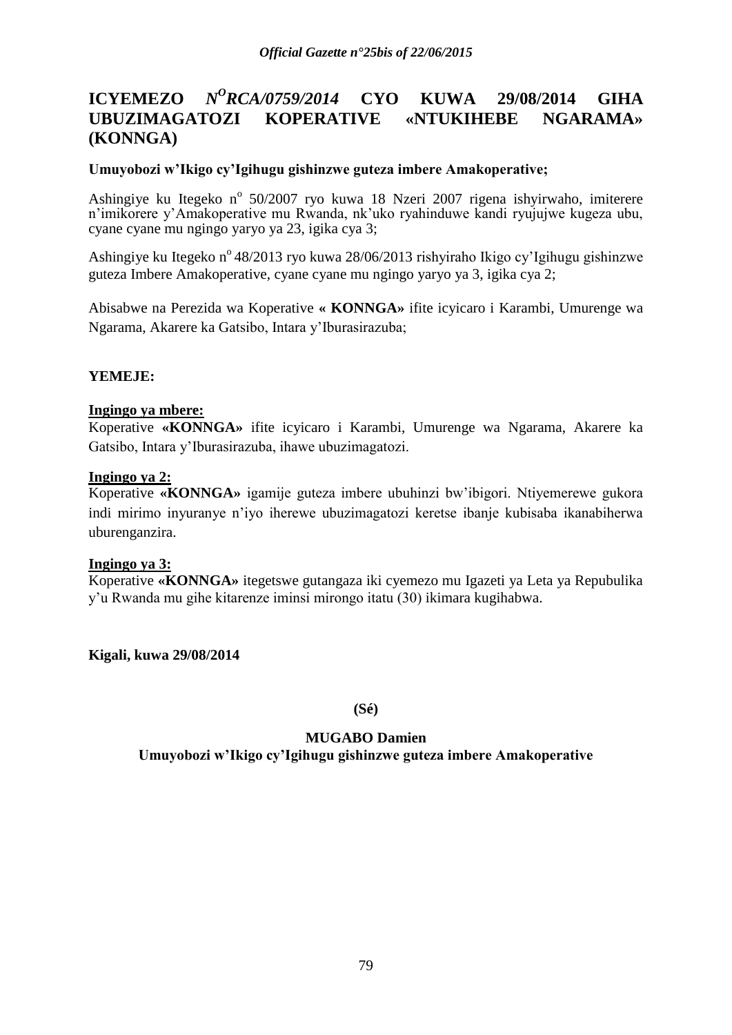#### **ICYEMEZO** *<sup>O</sup>RCA/0759/2014* **CYO KUWA 29/08/2014 GIHA UBUZIMAGATOZI KOPERATIVE «NTUKIHEBE NGARAMA» (KONNGA)**

### **Umuyobozi w"Ikigo cy"Igihugu gishinzwe guteza imbere Amakoperative;**

Ashingiye ku Itegeko nº 50/2007 ryo kuwa 18 Nzeri 2007 rigena ishyirwaho, imiterere n'imikorere y'Amakoperative mu Rwanda, nk'uko ryahinduwe kandi ryujujwe kugeza ubu, cyane cyane mu ngingo yaryo ya 23, igika cya 3;

Ashingiye ku Itegeko n° 48/2013 ryo kuwa 28/06/2013 rishyiraho Ikigo cy'Igihugu gishinzwe guteza Imbere Amakoperative, cyane cyane mu ngingo yaryo ya 3, igika cya 2;

Abisabwe na Perezida wa Koperative **« KONNGA»** ifite icyicaro i Karambi, Umurenge wa Ngarama, Akarere ka Gatsibo, Intara y"Iburasirazuba;

# **YEMEJE:**

# **Ingingo ya mbere:**

Koperative **«KONNGA»** ifite icyicaro i Karambi, Umurenge wa Ngarama, Akarere ka Gatsibo, Intara y"Iburasirazuba, ihawe ubuzimagatozi.

### **Ingingo ya 2:**

Koperative **«KONNGA»** igamije guteza imbere ubuhinzi bw"ibigori. Ntiyemerewe gukora indi mirimo inyuranye n"iyo iherewe ubuzimagatozi keretse ibanje kubisaba ikanabiherwa uburenganzira.

### **Ingingo ya 3:**

Koperative **«KONNGA»** itegetswe gutangaza iki cyemezo mu Igazeti ya Leta ya Repubulika y"u Rwanda mu gihe kitarenze iminsi mirongo itatu (30) ikimara kugihabwa.

**Kigali, kuwa 29/08/2014**

**(Sé)**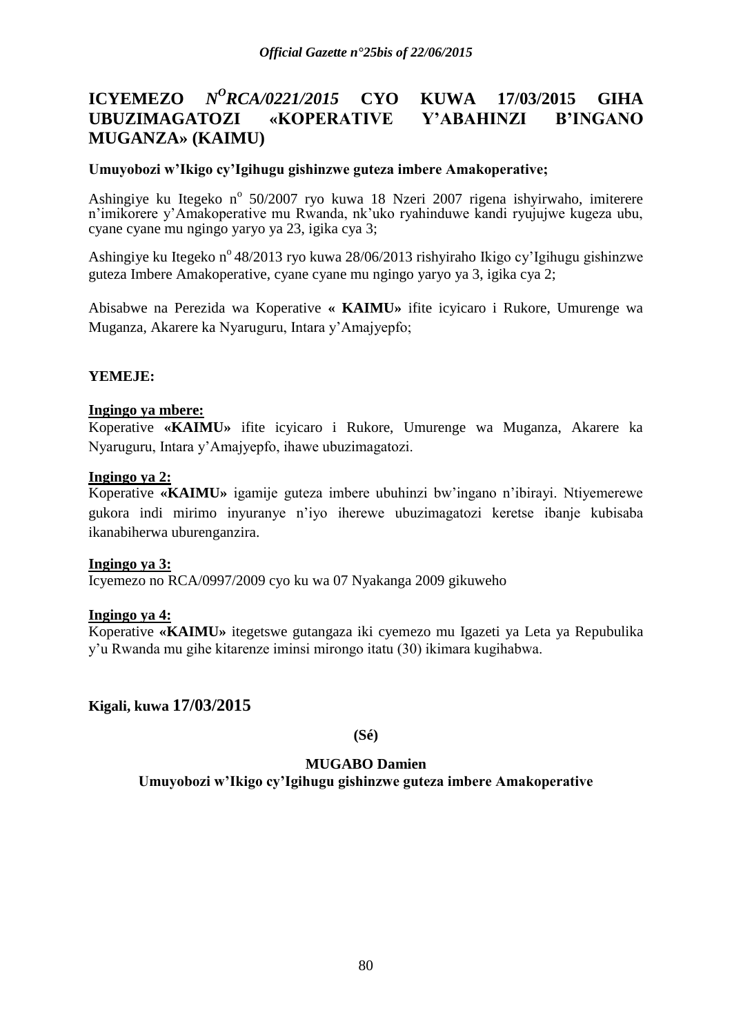### **ICYEMEZO** *N <sup>O</sup>RCA/0221/2015* **CYO KUWA 17/03/2015 GIHA UBUZIMAGATOZI «KOPERATIVE Y"ABAHINZI B"INGANO MUGANZA» (KAIMU)**

### **Umuyobozi w"Ikigo cy"Igihugu gishinzwe guteza imbere Amakoperative;**

Ashingiye ku Itegeko nº 50/2007 ryo kuwa 18 Nzeri 2007 rigena ishyirwaho, imiterere n'imikorere y'Amakoperative mu Rwanda, nk'uko ryahinduwe kandi ryujujwe kugeza ubu, cyane cyane mu ngingo yaryo ya 23, igika cya 3;

Ashingiye ku Itegeko nº 48/2013 ryo kuwa 28/06/2013 rishyiraho Ikigo cy'Igihugu gishinzwe guteza Imbere Amakoperative, cyane cyane mu ngingo yaryo ya 3, igika cya 2;

Abisabwe na Perezida wa Koperative **« KAIMU»** ifite icyicaro i Rukore, Umurenge wa Muganza, Akarere ka Nyaruguru, Intara y"Amajyepfo;

# **YEMEJE:**

# **Ingingo ya mbere:**

Koperative **«KAIMU»** ifite icyicaro i Rukore, Umurenge wa Muganza, Akarere ka Nyaruguru, Intara y"Amajyepfo, ihawe ubuzimagatozi.

### **Ingingo ya 2:**

Koperative **«KAIMU»** igamije guteza imbere ubuhinzi bw"ingano n"ibirayi. Ntiyemerewe gukora indi mirimo inyuranye n"iyo iherewe ubuzimagatozi keretse ibanje kubisaba ikanabiherwa uburenganzira.

### **Ingingo ya 3:**

Icyemezo no RCA/0997/2009 cyo ku wa 07 Nyakanga 2009 gikuweho

### **Ingingo ya 4:**

Koperative **«KAIMU»** itegetswe gutangaza iki cyemezo mu Igazeti ya Leta ya Repubulika y"u Rwanda mu gihe kitarenze iminsi mirongo itatu (30) ikimara kugihabwa.

# **Kigali, kuwa 17/03/2015**

**(Sé)**

### **MUGABO Damien**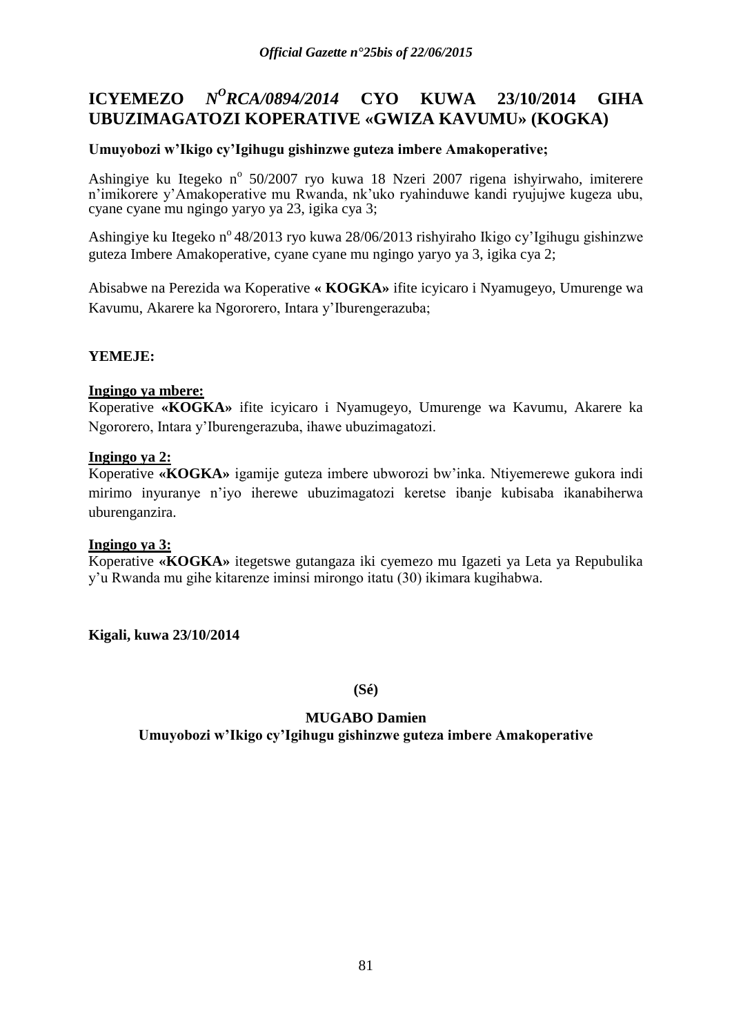#### **ICYEMEZO** *<sup>O</sup>RCA/0894/2014* **CYO KUWA 23/10/2014 GIHA UBUZIMAGATOZI KOPERATIVE «GWIZA KAVUMU» (KOGKA)**

# **Umuyobozi w"Ikigo cy"Igihugu gishinzwe guteza imbere Amakoperative;**

Ashingiye ku Itegeko nº 50/2007 ryo kuwa 18 Nzeri 2007 rigena ishyirwaho, imiterere n"imikorere y"Amakoperative mu Rwanda, nk"uko ryahinduwe kandi ryujujwe kugeza ubu, cyane cyane mu ngingo yaryo ya 23, igika cya 3;

Ashingiye ku Itegeko n° 48/2013 ryo kuwa 28/06/2013 rishyiraho Ikigo cy'Igihugu gishinzwe guteza Imbere Amakoperative, cyane cyane mu ngingo yaryo ya 3, igika cya 2;

Abisabwe na Perezida wa Koperative **« KOGKA»** ifite icyicaro i Nyamugeyo, Umurenge wa Kavumu, Akarere ka Ngororero, Intara y"Iburengerazuba;

# **YEMEJE:**

# **Ingingo ya mbere:**

Koperative **«KOGKA»** ifite icyicaro i Nyamugeyo, Umurenge wa Kavumu, Akarere ka Ngororero, Intara y"Iburengerazuba, ihawe ubuzimagatozi.

### **Ingingo ya 2:**

Koperative **«KOGKA»** igamije guteza imbere ubworozi bw"inka. Ntiyemerewe gukora indi mirimo inyuranye n"iyo iherewe ubuzimagatozi keretse ibanje kubisaba ikanabiherwa uburenganzira.

### **Ingingo ya 3:**

Koperative **«KOGKA»** itegetswe gutangaza iki cyemezo mu Igazeti ya Leta ya Repubulika y"u Rwanda mu gihe kitarenze iminsi mirongo itatu (30) ikimara kugihabwa.

**Kigali, kuwa 23/10/2014**

**(Sé)**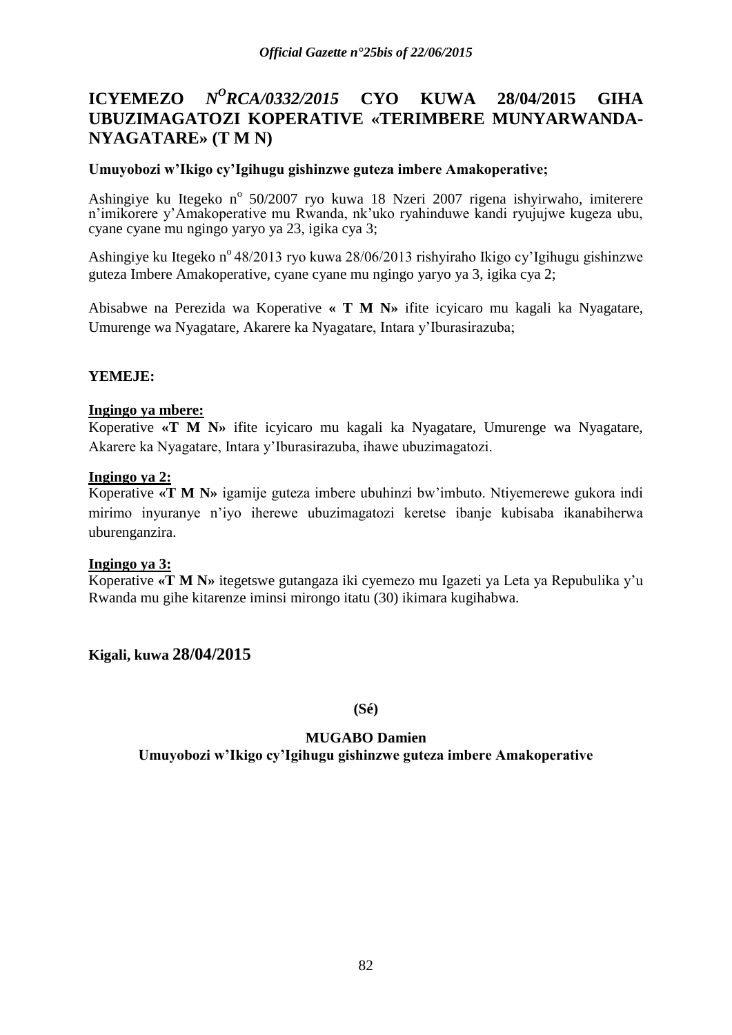#### **ICYEMEZO** *<sup>O</sup>RCA/0332/2015* **CYO KUWA 28/04/2015 GIHA UBUZIMAGATOZI KOPERATIVE «TERIMBERE MUNYARWANDA-NYAGATARE» (T M N)**

# **Umuyobozi w"Ikigo cy"Igihugu gishinzwe guteza imbere Amakoperative;**

Ashingiye ku Itegeko nº 50/2007 ryo kuwa 18 Nzeri 2007 rigena ishyirwaho, imiterere n'imikorere y'Amakoperative mu Rwanda, nk'uko ryahinduwe kandi ryujujwe kugeza ubu, cyane cyane mu ngingo yaryo ya 23, igika cya 3;

Ashingiye ku Itegeko n° 48/2013 ryo kuwa 28/06/2013 rishyiraho Ikigo cy'Igihugu gishinzwe guteza Imbere Amakoperative, cyane cyane mu ngingo yaryo ya 3, igika cya 2;

Abisabwe na Perezida wa Koperative **« T M N»** ifite icyicaro mu kagali ka Nyagatare, Umurenge wa Nyagatare, Akarere ka Nyagatare, Intara y"Iburasirazuba;

# **YEMEJE:**

# **Ingingo ya mbere:**

Koperative **«T M N»** ifite icyicaro mu kagali ka Nyagatare, Umurenge wa Nyagatare, Akarere ka Nyagatare, Intara y"Iburasirazuba, ihawe ubuzimagatozi.

### **Ingingo ya 2:**

Koperative **«T M N»** igamije guteza imbere ubuhinzi bw"imbuto. Ntiyemerewe gukora indi mirimo inyuranye n"iyo iherewe ubuzimagatozi keretse ibanje kubisaba ikanabiherwa uburenganzira.

### **Ingingo ya 3:**

Koperative **«T M N»** itegetswe gutangaza iki cyemezo mu Igazeti ya Leta ya Repubulika y"u Rwanda mu gihe kitarenze iminsi mirongo itatu (30) ikimara kugihabwa.

**Kigali, kuwa 28/04/2015**

**(Sé)**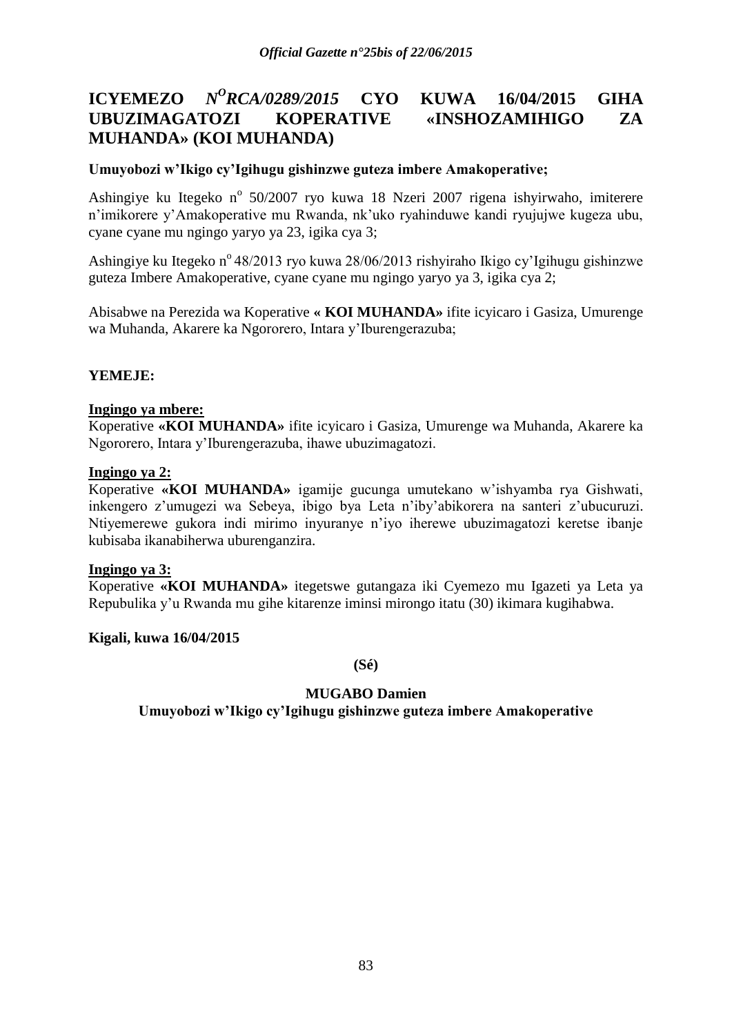### **ICYEMEZO** *<sup>O</sup>RCA/0289/2015* **CYO KUWA 16/04/2015 GIHA UBUZIMAGATOZI KOPERATIVE «INSHOZAMIHIGO ZA MUHANDA» (KOI MUHANDA)**

# **Umuyobozi w"Ikigo cy"Igihugu gishinzwe guteza imbere Amakoperative;**

Ashingiye ku Itegeko nº 50/2007 ryo kuwa 18 Nzeri 2007 rigena ishyirwaho, imiterere n'imikorere y'Amakoperative mu Rwanda, nk'uko ryahinduwe kandi ryujujwe kugeza ubu, cyane cyane mu ngingo yaryo ya 23, igika cya 3;

Ashingiye ku Itegeko n<sup>o</sup> 48/2013 ryo kuwa 28/06/2013 rishyiraho Ikigo cy'Igihugu gishinzwe guteza Imbere Amakoperative, cyane cyane mu ngingo yaryo ya 3, igika cya 2;

Abisabwe na Perezida wa Koperative **« KOI MUHANDA»** ifite icyicaro i Gasiza, Umurenge wa Muhanda, Akarere ka Ngororero, Intara y"Iburengerazuba;

# **YEMEJE:**

### **Ingingo ya mbere:**

Koperative **«KOI MUHANDA»** ifite icyicaro i Gasiza, Umurenge wa Muhanda, Akarere ka Ngororero, Intara y"Iburengerazuba, ihawe ubuzimagatozi.

### **Ingingo ya 2:**

Koperative **«KOI MUHANDA»** igamije gucunga umutekano w"ishyamba rya Gishwati, inkengero z"umugezi wa Sebeya, ibigo bya Leta n"iby"abikorera na santeri z"ubucuruzi. Ntiyemerewe gukora indi mirimo inyuranye n"iyo iherewe ubuzimagatozi keretse ibanje kubisaba ikanabiherwa uburenganzira.

### **Ingingo ya 3:**

Koperative **«KOI MUHANDA»** itegetswe gutangaza iki Cyemezo mu Igazeti ya Leta ya Repubulika y"u Rwanda mu gihe kitarenze iminsi mirongo itatu (30) ikimara kugihabwa.

### **Kigali, kuwa 16/04/2015**

**(Sé)**

### **MUGABO Damien**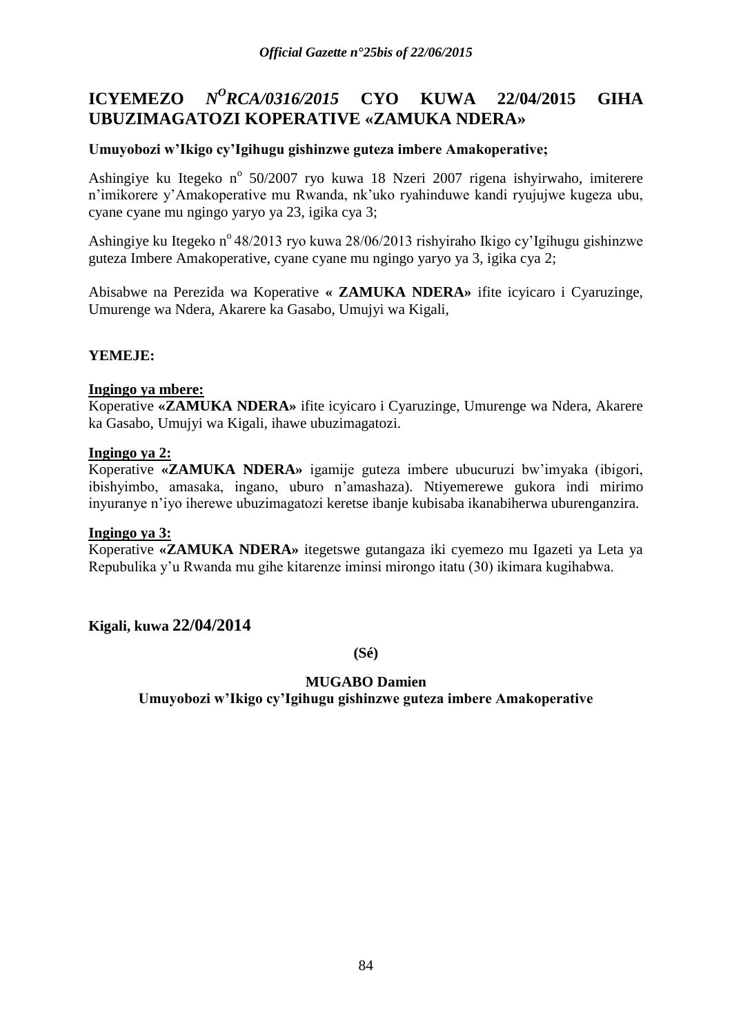#### **ICYEMEZO** *<sup>O</sup>RCA/0316/2015* **CYO KUWA 22/04/2015 GIHA UBUZIMAGATOZI KOPERATIVE «ZAMUKA NDERA»**

# **Umuyobozi w"Ikigo cy"Igihugu gishinzwe guteza imbere Amakoperative;**

Ashingiye ku Itegeko nº 50/2007 ryo kuwa 18 Nzeri 2007 rigena ishyirwaho, imiterere n"imikorere y"Amakoperative mu Rwanda, nk"uko ryahinduwe kandi ryujujwe kugeza ubu, cyane cyane mu ngingo yaryo ya 23, igika cya 3;

Ashingiye ku Itegeko n<sup>o</sup> 48/2013 ryo kuwa 28/06/2013 rishyiraho Ikigo cy'Igihugu gishinzwe guteza Imbere Amakoperative, cyane cyane mu ngingo yaryo ya 3, igika cya 2;

Abisabwe na Perezida wa Koperative **« ZAMUKA NDERA»** ifite icyicaro i Cyaruzinge, Umurenge wa Ndera, Akarere ka Gasabo, Umujyi wa Kigali,

# **YEMEJE:**

### **Ingingo ya mbere:**

Koperative **«ZAMUKA NDERA»** ifite icyicaro i Cyaruzinge, Umurenge wa Ndera, Akarere ka Gasabo, Umujyi wa Kigali, ihawe ubuzimagatozi.

### **Ingingo ya 2:**

Koperative **«ZAMUKA NDERA»** igamije guteza imbere ubucuruzi bw"imyaka (ibigori, ibishyimbo, amasaka, ingano, uburo n"amashaza). Ntiyemerewe gukora indi mirimo inyuranye n"iyo iherewe ubuzimagatozi keretse ibanje kubisaba ikanabiherwa uburenganzira.

### **Ingingo ya 3:**

Koperative **«ZAMUKA NDERA»** itegetswe gutangaza iki cyemezo mu Igazeti ya Leta ya Repubulika y"u Rwanda mu gihe kitarenze iminsi mirongo itatu (30) ikimara kugihabwa.

**Kigali, kuwa 22/04/2014**

**(Sé)**

### **MUGABO Damien**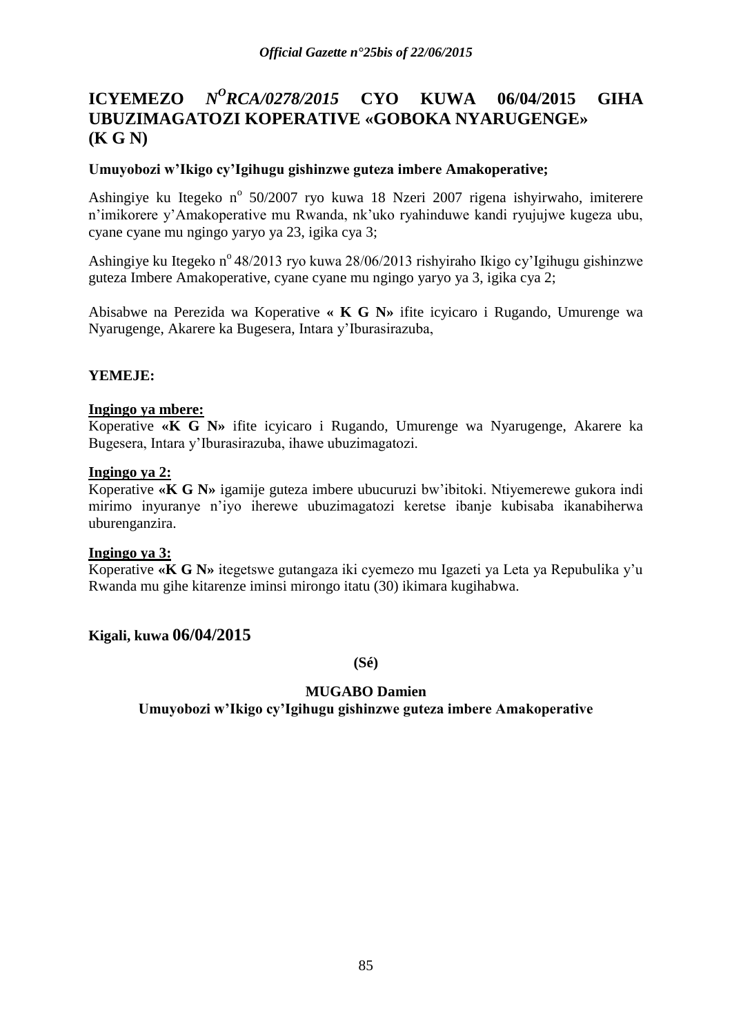#### **ICYEMEZO** *<sup>O</sup>RCA/0278/2015* **CYO KUWA 06/04/2015 GIHA UBUZIMAGATOZI KOPERATIVE «GOBOKA NYARUGENGE» (K G N)**

# **Umuyobozi w"Ikigo cy"Igihugu gishinzwe guteza imbere Amakoperative;**

Ashingiye ku Itegeko nº 50/2007 ryo kuwa 18 Nzeri 2007 rigena ishyirwaho, imiterere n"imikorere y"Amakoperative mu Rwanda, nk"uko ryahinduwe kandi ryujujwe kugeza ubu, cyane cyane mu ngingo yaryo ya 23, igika cya 3;

Ashingiye ku Itegeko n<sup>o</sup> 48/2013 ryo kuwa 28/06/2013 rishyiraho Ikigo cy'Igihugu gishinzwe guteza Imbere Amakoperative, cyane cyane mu ngingo yaryo ya 3, igika cya 2;

Abisabwe na Perezida wa Koperative **« K G N»** ifite icyicaro i Rugando, Umurenge wa Nyarugenge, Akarere ka Bugesera, Intara y"Iburasirazuba,

# **YEMEJE:**

### **Ingingo ya mbere:**

Koperative **«K G N»** ifite icyicaro i Rugando, Umurenge wa Nyarugenge, Akarere ka Bugesera, Intara y"Iburasirazuba, ihawe ubuzimagatozi.

### **Ingingo ya 2:**

Koperative **«K G N»** igamije guteza imbere ubucuruzi bw"ibitoki. Ntiyemerewe gukora indi mirimo inyuranye n"iyo iherewe ubuzimagatozi keretse ibanje kubisaba ikanabiherwa uburenganzira.

### **Ingingo ya 3:**

Koperative **«K G N»** itegetswe gutangaza iki cyemezo mu Igazeti ya Leta ya Repubulika y"u Rwanda mu gihe kitarenze iminsi mirongo itatu (30) ikimara kugihabwa.

### **Kigali, kuwa 06/04/2015**

**(Sé)**

### **MUGABO Damien**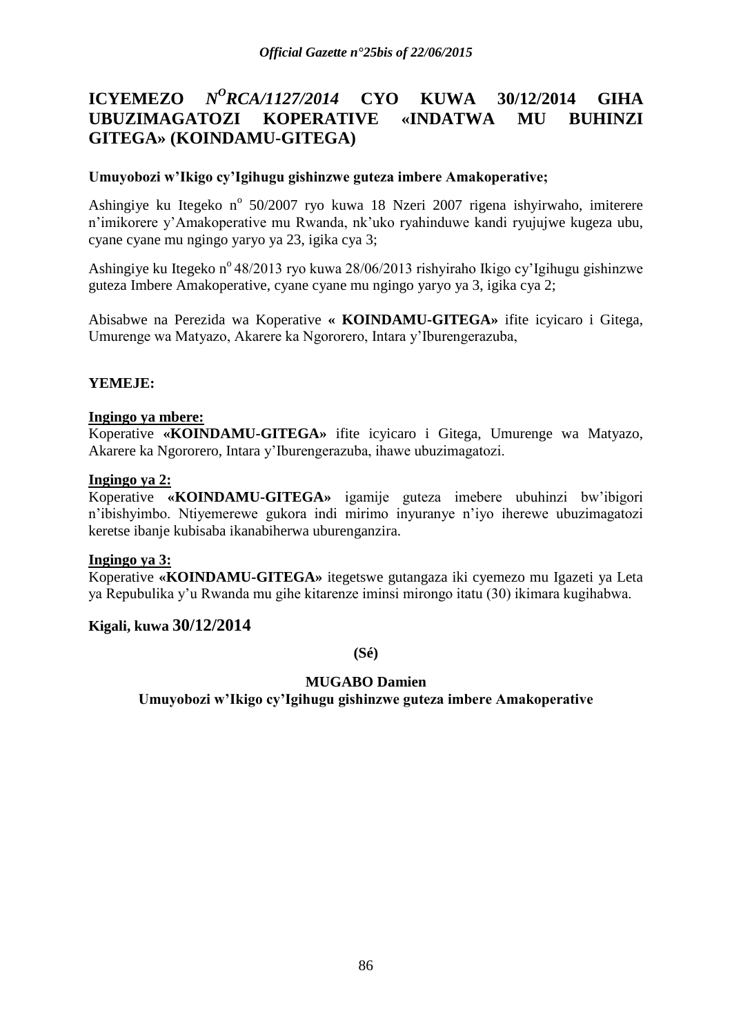#### **ICYEMEZO** *N <sup>O</sup>RCA/1127/2014* **CYO KUWA 30/12/2014 GIHA UBUZIMAGATOZI KOPERATIVE «INDATWA MU BUHINZI GITEGA» (KOINDAMU-GITEGA)**

# **Umuyobozi w"Ikigo cy"Igihugu gishinzwe guteza imbere Amakoperative;**

Ashingiye ku Itegeko nº 50/2007 ryo kuwa 18 Nzeri 2007 rigena ishyirwaho, imiterere n"imikorere y"Amakoperative mu Rwanda, nk"uko ryahinduwe kandi ryujujwe kugeza ubu, cyane cyane mu ngingo yaryo ya 23, igika cya 3;

Ashingiye ku Itegeko n<sup>o</sup> 48/2013 ryo kuwa 28/06/2013 rishyiraho Ikigo cy'Igihugu gishinzwe guteza Imbere Amakoperative, cyane cyane mu ngingo yaryo ya 3, igika cya 2;

Abisabwe na Perezida wa Koperative **« KOINDAMU-GITEGA»** ifite icyicaro i Gitega, Umurenge wa Matyazo, Akarere ka Ngororero, Intara y"Iburengerazuba,

# **YEMEJE:**

### **Ingingo ya mbere:**

Koperative **«KOINDAMU-GITEGA»** ifite icyicaro i Gitega, Umurenge wa Matyazo, Akarere ka Ngororero, Intara y"Iburengerazuba, ihawe ubuzimagatozi.

### **Ingingo ya 2:**

Koperative **«KOINDAMU-GITEGA»** igamije guteza imebere ubuhinzi bw"ibigori n"ibishyimbo. Ntiyemerewe gukora indi mirimo inyuranye n"iyo iherewe ubuzimagatozi keretse ibanje kubisaba ikanabiherwa uburenganzira.

### **Ingingo ya 3:**

Koperative **«KOINDAMU-GITEGA»** itegetswe gutangaza iki cyemezo mu Igazeti ya Leta ya Repubulika y"u Rwanda mu gihe kitarenze iminsi mirongo itatu (30) ikimara kugihabwa.

### **Kigali, kuwa 30/12/2014**

**(Sé)**

### **MUGABO Damien**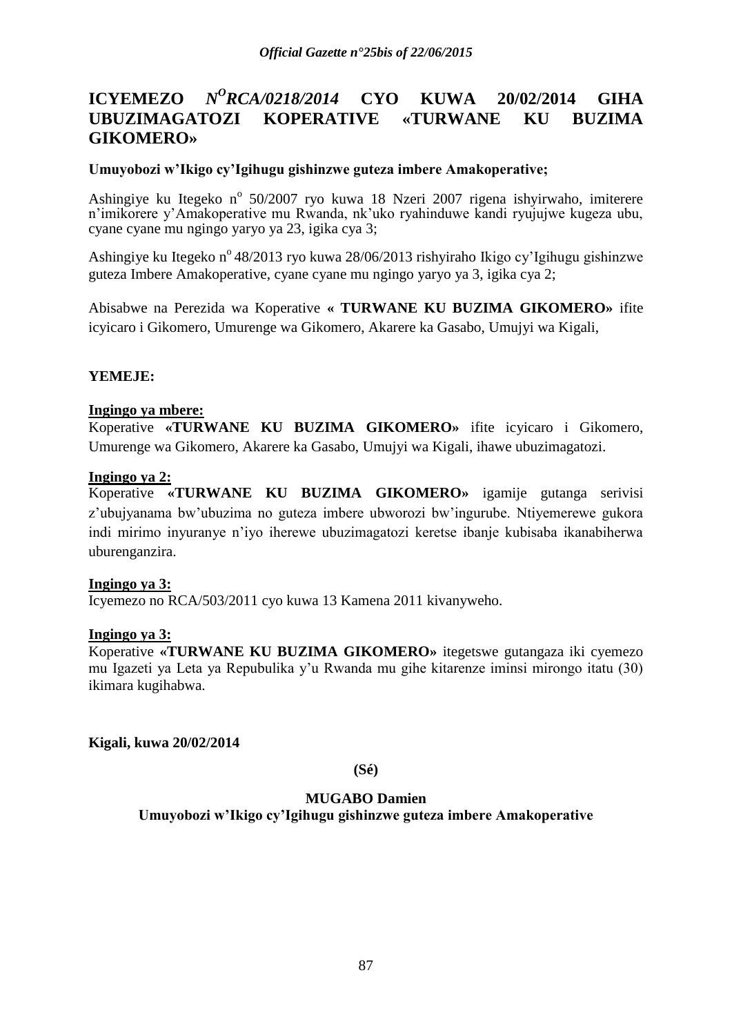#### **ICYEMEZO** *N <sup>O</sup>RCA/0218/2014* **CYO KUWA 20/02/2014 GIHA UBUZIMAGATOZI KOPERATIVE «TURWANE KU BUZIMA GIKOMERO»**

### **Umuyobozi w"Ikigo cy"Igihugu gishinzwe guteza imbere Amakoperative;**

Ashingiye ku Itegeko nº 50/2007 ryo kuwa 18 Nzeri 2007 rigena ishyirwaho, imiterere n'imikorere y'Amakoperative mu Rwanda, nk'uko ryahinduwe kandi ryujujwe kugeza ubu, cyane cyane mu ngingo yaryo ya 23, igika cya 3;

Ashingiye ku Itegeko n<sup>o</sup> 48/2013 ryo kuwa 28/06/2013 rishyiraho Ikigo cy'Igihugu gishinzwe guteza Imbere Amakoperative, cyane cyane mu ngingo yaryo ya 3, igika cya 2;

Abisabwe na Perezida wa Koperative **« TURWANE KU BUZIMA GIKOMERO»** ifite icyicaro i Gikomero, Umurenge wa Gikomero, Akarere ka Gasabo, Umujyi wa Kigali,

# **YEMEJE:**

### **Ingingo ya mbere:**

Koperative **«TURWANE KU BUZIMA GIKOMERO»** ifite icyicaro i Gikomero, Umurenge wa Gikomero, Akarere ka Gasabo, Umujyi wa Kigali, ihawe ubuzimagatozi.

### **Ingingo ya 2:**

Koperative **«TURWANE KU BUZIMA GIKOMERO»** igamije gutanga serivisi z"ubujyanama bw"ubuzima no guteza imbere ubworozi bw"ingurube. Ntiyemerewe gukora indi mirimo inyuranye n"iyo iherewe ubuzimagatozi keretse ibanje kubisaba ikanabiherwa uburenganzira.

### **Ingingo ya 3:**

Icyemezo no RCA/503/2011 cyo kuwa 13 Kamena 2011 kivanyweho.

### **Ingingo ya 3:**

Koperative **«TURWANE KU BUZIMA GIKOMERO»** itegetswe gutangaza iki cyemezo mu Igazeti ya Leta ya Repubulika y"u Rwanda mu gihe kitarenze iminsi mirongo itatu (30) ikimara kugihabwa.

**Kigali, kuwa 20/02/2014**

**(Sé)**